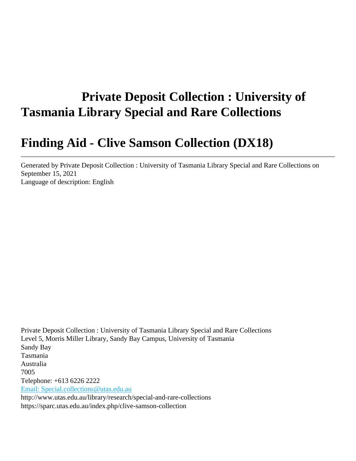# **Private Deposit Collection : University of Tasmania Library Special and Rare Collections**

# **Finding Aid - Clive Samson Collection (DX18)**

Generated by Private Deposit Collection : University of Tasmania Library Special and Rare Collections on September 15, 2021 Language of description: English

Private Deposit Collection : University of Tasmania Library Special and Rare Collections Level 5, Morris Miller Library, Sandy Bay Campus, University of Tasmania Sandy Bay Tasmania Australia 7005 Telephone: +613 6226 2222 [Email: Special.collections@utas.edu.au](mailto:Email: Special.collections@utas.edu.au) http://www.utas.edu.au/library/research/special-and-rare-collections https://sparc.utas.edu.au/index.php/clive-samson-collection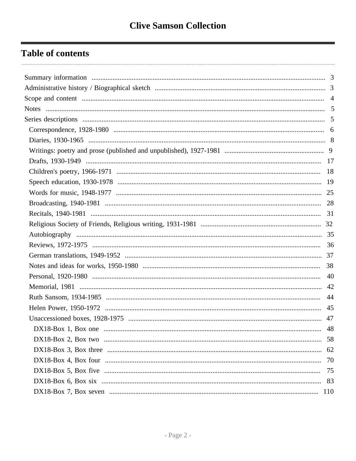## **Table of contents**

| 40 |
|----|
|    |
| 44 |
| 45 |
| 47 |
|    |
| 58 |
|    |
| 70 |
| 75 |
| 83 |
|    |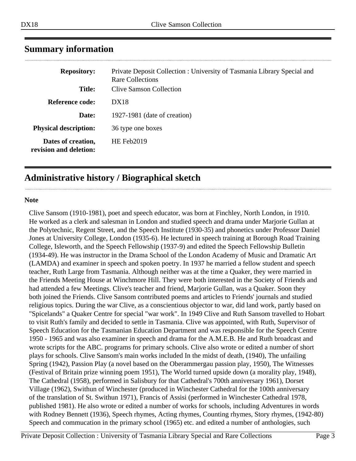| <b>Repository:</b>                           | Private Deposit Collection : University of Tasmania Library Special and<br>Rare Collections |
|----------------------------------------------|---------------------------------------------------------------------------------------------|
| <b>Title:</b>                                | Clive Samson Collection                                                                     |
| Reference code:                              | DX18                                                                                        |
| Date:                                        | 1927-1981 (date of creation)                                                                |
| <b>Physical description:</b>                 | 36 type one boxes                                                                           |
| Dates of creation,<br>revision and deletion: | HE Feb $2019$                                                                               |

### <span id="page-2-0"></span>**Summary information**

### <span id="page-2-1"></span>**Administrative history / Biographical sketch**

#### **Note**

Clive Sansom (1910-1981), poet and speech educator, was born at Finchley, North London, in 1910. He worked as a clerk and salesman in London and studied speech and drama under Marjorie Gullan at the Polytechnic, Regent Street, and the Speech Institute (1930-35) and phonetics under Professor Daniel Jones at University College, London (1935-6). He lectured in speech training at Borough Road Training College, Isleworth, and the Speech Fellowship (1937-9) and edited the Speech Fellowship Bulletin (1934-49). He was instructor in the Drama School of the London Academy of Music and Dramatic Art (LAMDA) and examiner in speech and spoken poetry. In 1937 he married a fellow student and speech teacher, Ruth Large from Tasmania. Although neither was at the time a Quaker, they were married in the Friends Meeting House at Winchmore Hill. They were both interested in the Society of Friends and had attended a few Meetings. Clive's teacher and friend, Marjorie Gullan, was a Quaker. Soon they both joined the Friends. Clive Sansom contributed poems and articles to Friends' journals and studied religious topics. During the war Clive, as a conscientious objector to war, did land work, partly based on "Spicelands" a Quaker Centre for special "war work". In 1949 Clive and Ruth Sansom travelled to Hobart to visit Ruth's family and decided to settle in Tasmania. Clive was appointed, with Ruth, Supervisor of Speech Education for the Tasmanian Education Department and was responsible for the Speech Centre 1950 - 1965 and was also examiner in speech and drama for the A.M.E.B. He and Ruth broadcast and wrote scripts for the ABC. programs for primary schools. Clive also wrote or edited a number of short plays for schools. Clive Sansom's main works included In the midst of death, (1940), The unfailing Spring (1942), Passion Play (a novel based on the Oberammergau passion play, 1950), The Witnesses (Festival of Britain prize winning poem 1951), The World turned upside down (a morality play, 1948), The Cathedral (1958), performed in Salisbury for that Cathedral's 700th anniversary 1961), Dorset Village (1962), Swithun of Winchester (produced in Winchester Cathedral for the 100th anniversary of the translation of St. Swithun 1971), Francis of Assisi (performed in Winchester Cathedral 1978, published 1981). He also wrote or edited a number of works for schools, including Adventures in words with Rodney Bennett (1936), Speech rhymes, Acting rhymes, Counting rhymes, Story rhymes, (1942-80) Speech and commucation in the primary school (1965) etc. and edited a number of anthologies, such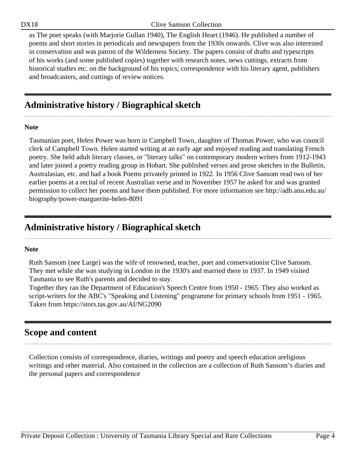as The poet speaks (with Marjorie Gullan 1940), The English Heart (1946). He published a number of poems and short stories in periodicals and newspapers from the 1930s onwards. Clive was also interested in conservation and was patron of the Wilderness Society. The papers consist of drafts and typescripts of his works (and some published copies) together with research notes, news cuttings, extracts from historical studies etc. on the background of his topics; correspondence with his literary agent, publishers and broadcasters, and cuttings of review notices.

### **Administrative history / Biographical sketch**

#### **Note**

Tasmanian poet, Helen Power was born in Campbell Town, daughter of Thomas Power, who was council clerk of Campbell Town. Helen started writing at an early age and enjoyed reading and translating French poetry. She held adult literary classes, or "literary talks" on contemporary modern writers from 1912-1943 and later joined a poetry reading group in Hobart. She published verses and prose sketches in the Bulletin, Australasian, etc. and had a book Poems privately printed in 1922. In 1956 Clive Sansom read two of her earlier poems at a recital of recent Australian verse and in November 1957 he asked for and was granted permission to collect her poems and have them published. For more information see http://adb.anu.edu.au/ biography/power-marguerite-helen-8091

### **Administrative history / Biographical sketch**

#### **Note**

Ruth Sansom (nee Large) was the wife of renowned, teacher, poet and conservationist Clive Sansom. They met while she was studying in London in the 1930's and married there in 1937. In 1949 visited Tasmania to see Ruth's parents and decided to stay.

Together they ran the Department of Education's Speech Centre from 1950 - 1965. They also worked as script-writers for the ABC's "Speaking and Listening" programme for primary schools from 1951 - 1965. Taken from https://stors.tas.gov.au/AI/NG2090

### <span id="page-3-0"></span>**Scope and content**

Collection consists of correspondence, diaries, writings and poetry and speech education areligious writings and other material. Also contained in the collection are a collection of Ruth Sansom's diaries and the personal papers and correspondence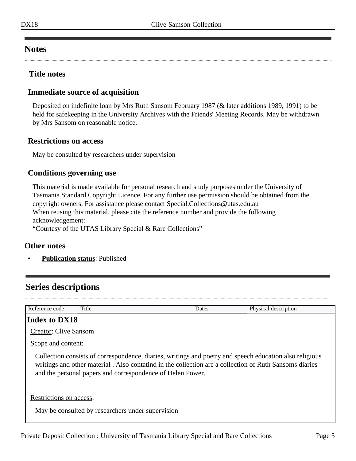### <span id="page-4-0"></span>**Notes**

#### **Title notes**

#### **Immediate source of acquisition**

Deposited on indefinite loan by Mrs Ruth Sansom February 1987 (& later additions 1989, 1991) to be held for safekeeping in the University Archives with the Friends' Meeting Records. May be withdrawn by Mrs Sansom on reasonable notice.

#### **Restrictions on access**

May be consulted by researchers under supervision

#### **Conditions governing use**

This material is made available for personal research and study purposes under the University of Tasmania Standard Copyright Licence. For any further use permission should be obtained from the copyright owners. For assistance please contact Special.Collections@utas.edu.au When reusing this material, please cite the reference number and provide the following acknowledgement:

"Courtesy of the UTAS Library Special & Rare Collections"

#### **Other notes**

• **Publication status**: Published

### <span id="page-4-1"></span>**Series descriptions**

| Reference code               | Title                                             | Dates                                                      | Physical description                                                                                                                                                                                              |  |  |
|------------------------------|---------------------------------------------------|------------------------------------------------------------|-------------------------------------------------------------------------------------------------------------------------------------------------------------------------------------------------------------------|--|--|
| Index to DX18                |                                                   |                                                            |                                                                                                                                                                                                                   |  |  |
| <b>Creator: Clive Sansom</b> |                                                   |                                                            |                                                                                                                                                                                                                   |  |  |
|                              | Scope and content:                                |                                                            |                                                                                                                                                                                                                   |  |  |
|                              |                                                   | and the personal papers and correspondence of Helen Power. | Collection consists of correspondence, diaries, writings and poetry and speech education also religious<br>writings and other material. Also contatind in the collection are a collection of Ruth Sansoms diaries |  |  |
| Restrictions on access:      |                                                   |                                                            |                                                                                                                                                                                                                   |  |  |
|                              | May be consulted by researchers under supervision |                                                            |                                                                                                                                                                                                                   |  |  |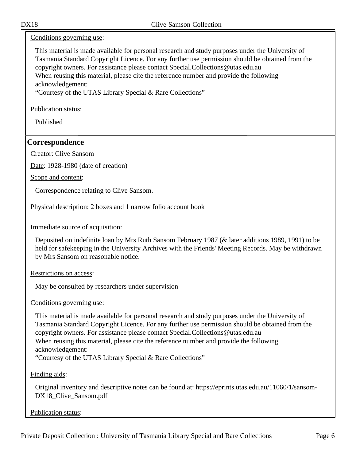#### Conditions governing use:

This material is made available for personal research and study purposes under the University of Tasmania Standard Copyright Licence. For any further use permission should be obtained from the copyright owners. For assistance please contact Special.Collections@utas.edu.au When reusing this material, please cite the reference number and provide the following acknowledgement:

"Courtesy of the UTAS Library Special & Rare Collections"

Publication status:

Published

#### <span id="page-5-0"></span>**Correspondence**

Creator: Clive Sansom

Date: 1928-1980 (date of creation)

Scope and content:

Correspondence relating to Clive Sansom.

Physical description: 2 boxes and 1 narrow folio account book

Immediate source of acquisition:

Deposited on indefinite loan by Mrs Ruth Sansom February 1987 (& later additions 1989, 1991) to be held for safekeeping in the University Archives with the Friends' Meeting Records. May be withdrawn by Mrs Sansom on reasonable notice.

Restrictions on access:

May be consulted by researchers under supervision

Conditions governing use:

This material is made available for personal research and study purposes under the University of Tasmania Standard Copyright Licence. For any further use permission should be obtained from the copyright owners. For assistance please contact Special.Collections@utas.edu.au When reusing this material, please cite the reference number and provide the following acknowledgement:

"Courtesy of the UTAS Library Special & Rare Collections"

Finding aids:

Original inventory and descriptive notes can be found at: https://eprints.utas.edu.au/11060/1/sansom-DX18 Clive Sansom.pdf

Publication status: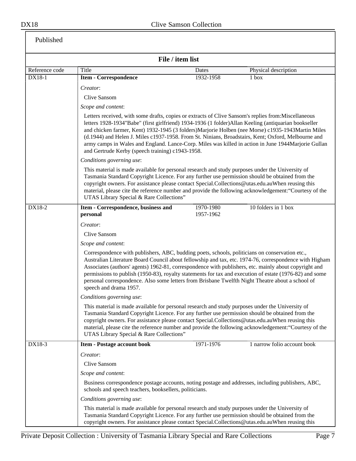|                |                                                                                                                                                                                                                                                                                                                                                                                                                                                               | File / item list                                                                                                                                                                                                                                                                                                                                                                                                                                                                                                                                                                     |                                                                                                                                                                                                                                                                                                                            |  |
|----------------|---------------------------------------------------------------------------------------------------------------------------------------------------------------------------------------------------------------------------------------------------------------------------------------------------------------------------------------------------------------------------------------------------------------------------------------------------------------|--------------------------------------------------------------------------------------------------------------------------------------------------------------------------------------------------------------------------------------------------------------------------------------------------------------------------------------------------------------------------------------------------------------------------------------------------------------------------------------------------------------------------------------------------------------------------------------|----------------------------------------------------------------------------------------------------------------------------------------------------------------------------------------------------------------------------------------------------------------------------------------------------------------------------|--|
| Reference code | Title                                                                                                                                                                                                                                                                                                                                                                                                                                                         | Dates                                                                                                                                                                                                                                                                                                                                                                                                                                                                                                                                                                                | Physical description                                                                                                                                                                                                                                                                                                       |  |
| $DX18-1$       | <b>Item - Correspondence</b>                                                                                                                                                                                                                                                                                                                                                                                                                                  | 1932-1958                                                                                                                                                                                                                                                                                                                                                                                                                                                                                                                                                                            | $1$ box                                                                                                                                                                                                                                                                                                                    |  |
|                | Creator:                                                                                                                                                                                                                                                                                                                                                                                                                                                      |                                                                                                                                                                                                                                                                                                                                                                                                                                                                                                                                                                                      |                                                                                                                                                                                                                                                                                                                            |  |
|                | <b>Clive Sansom</b>                                                                                                                                                                                                                                                                                                                                                                                                                                           |                                                                                                                                                                                                                                                                                                                                                                                                                                                                                                                                                                                      |                                                                                                                                                                                                                                                                                                                            |  |
|                | Scope and content:                                                                                                                                                                                                                                                                                                                                                                                                                                            |                                                                                                                                                                                                                                                                                                                                                                                                                                                                                                                                                                                      |                                                                                                                                                                                                                                                                                                                            |  |
|                |                                                                                                                                                                                                                                                                                                                                                                                                                                                               | Letters received, with some drafts, copies or extracts of Clive Sansom's replies from: Miscellaneous<br>letters 1928-1934"Babe" (first girlfriend) 1934-1936 (1 folder)Allan Keeling (antiquarian bookseller<br>and chicken farmer, Kent) 1932-1945 (3 folders) Marjorie Holben (nee Morse) c1935-1943 Martin Miles<br>(d.1944) and Helen J. Miles c1937-1958. From St. Ninians, Broadstairs, Kent; Oxford, Melbourne and<br>army camps in Wales and England. Lance-Corp. Miles was killed in action in June 1944Marjorie Gullan<br>and Gertrude Kerby (speech training) c1943-1958. |                                                                                                                                                                                                                                                                                                                            |  |
|                | Conditions governing use:                                                                                                                                                                                                                                                                                                                                                                                                                                     |                                                                                                                                                                                                                                                                                                                                                                                                                                                                                                                                                                                      |                                                                                                                                                                                                                                                                                                                            |  |
|                |                                                                                                                                                                                                                                                                                                                                                                                                                                                               | This material is made available for personal research and study purposes under the University of<br>Tasmania Standard Copyright Licence. For any further use permission should be obtained from the<br>copyright owners. For assistance please contact Special.Collections@utas.edu.auWhen reusing this<br>material, please cite the reference number and provide the following acknowledgement: "Courtesy of the<br>UTAS Library Special & Rare Collections"                                                                                                                        |                                                                                                                                                                                                                                                                                                                            |  |
| DX18-2         | Item - Correspondence, business and<br>personal                                                                                                                                                                                                                                                                                                                                                                                                               | 1970-1980<br>1957-1962                                                                                                                                                                                                                                                                                                                                                                                                                                                                                                                                                               | 10 folders in 1 box                                                                                                                                                                                                                                                                                                        |  |
|                | Creator:                                                                                                                                                                                                                                                                                                                                                                                                                                                      |                                                                                                                                                                                                                                                                                                                                                                                                                                                                                                                                                                                      |                                                                                                                                                                                                                                                                                                                            |  |
|                | <b>Clive Sansom</b>                                                                                                                                                                                                                                                                                                                                                                                                                                           |                                                                                                                                                                                                                                                                                                                                                                                                                                                                                                                                                                                      |                                                                                                                                                                                                                                                                                                                            |  |
|                | Scope and content:                                                                                                                                                                                                                                                                                                                                                                                                                                            |                                                                                                                                                                                                                                                                                                                                                                                                                                                                                                                                                                                      |                                                                                                                                                                                                                                                                                                                            |  |
|                | Correspondence with publishers, ABC, budding poets, schools, politicians on conservation etc.,<br>personal correspondence. Also some letters from Brisbane Twelfth Night Theatre about a school of<br>speech and drama 1957.                                                                                                                                                                                                                                  |                                                                                                                                                                                                                                                                                                                                                                                                                                                                                                                                                                                      | Australian Literature Board Council about fellowship and tax, etc. 1974-76, correspondence with Higham<br>Associates (authors' agents) 1962-81, correspondence with publishers, etc. mainly about copyright and<br>permissions to publish (1950-83), royalty statements for tax and execution of estate (1976-82) and some |  |
|                | Conditions governing use:                                                                                                                                                                                                                                                                                                                                                                                                                                     |                                                                                                                                                                                                                                                                                                                                                                                                                                                                                                                                                                                      |                                                                                                                                                                                                                                                                                                                            |  |
|                | This material is made available for personal research and study purposes under the University of<br>Tasmania Standard Copyright Licence. For any further use permission should be obtained from the<br>copyright owners. For assistance please contact Special.Collections@utas.edu.auWhen reusing this<br>material, please cite the reference number and provide the following acknowledgement: "Courtesy of the<br>UTAS Library Special & Rare Collections" |                                                                                                                                                                                                                                                                                                                                                                                                                                                                                                                                                                                      |                                                                                                                                                                                                                                                                                                                            |  |
| DX18-3         | <b>Item - Postage account book</b>                                                                                                                                                                                                                                                                                                                                                                                                                            | 1971-1976                                                                                                                                                                                                                                                                                                                                                                                                                                                                                                                                                                            | 1 narrow folio account book                                                                                                                                                                                                                                                                                                |  |
|                | Creator:                                                                                                                                                                                                                                                                                                                                                                                                                                                      |                                                                                                                                                                                                                                                                                                                                                                                                                                                                                                                                                                                      |                                                                                                                                                                                                                                                                                                                            |  |
|                | Clive Sansom                                                                                                                                                                                                                                                                                                                                                                                                                                                  |                                                                                                                                                                                                                                                                                                                                                                                                                                                                                                                                                                                      |                                                                                                                                                                                                                                                                                                                            |  |
|                | Scope and content:                                                                                                                                                                                                                                                                                                                                                                                                                                            |                                                                                                                                                                                                                                                                                                                                                                                                                                                                                                                                                                                      |                                                                                                                                                                                                                                                                                                                            |  |
|                | Business correspondence postage accounts, noting postage and addresses, including publishers, ABC,<br>schools and speech teachers, booksellers, politicians.                                                                                                                                                                                                                                                                                                  |                                                                                                                                                                                                                                                                                                                                                                                                                                                                                                                                                                                      |                                                                                                                                                                                                                                                                                                                            |  |
|                | Conditions governing use:                                                                                                                                                                                                                                                                                                                                                                                                                                     |                                                                                                                                                                                                                                                                                                                                                                                                                                                                                                                                                                                      |                                                                                                                                                                                                                                                                                                                            |  |
|                | This material is made available for personal research and study purposes under the University of<br>Tasmania Standard Copyright Licence. For any further use permission should be obtained from the<br>copyright owners. For assistance please contact Special.Collections@utas.edu.auWhen reusing this                                                                                                                                                       |                                                                                                                                                                                                                                                                                                                                                                                                                                                                                                                                                                                      |                                                                                                                                                                                                                                                                                                                            |  |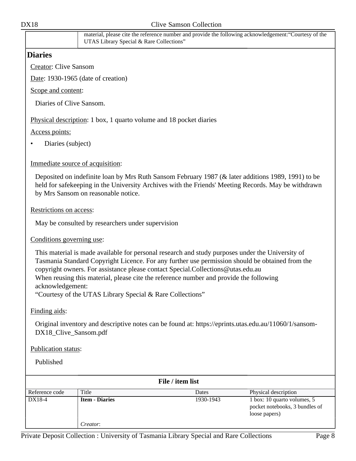<span id="page-7-0"></span>

|                                  | UTAS Library Special & Rare Collections"                                                                                                                                                                                                                                                                                                                                                                                                      |                  | material, please cite the reference number and provide the following acknowledgement: "Courtesy of the |
|----------------------------------|-----------------------------------------------------------------------------------------------------------------------------------------------------------------------------------------------------------------------------------------------------------------------------------------------------------------------------------------------------------------------------------------------------------------------------------------------|------------------|--------------------------------------------------------------------------------------------------------|
| <b>Diaries</b>                   |                                                                                                                                                                                                                                                                                                                                                                                                                                               |                  |                                                                                                        |
| <b>Creator: Clive Sansom</b>     |                                                                                                                                                                                                                                                                                                                                                                                                                                               |                  |                                                                                                        |
|                                  | Date: 1930-1965 (date of creation)                                                                                                                                                                                                                                                                                                                                                                                                            |                  |                                                                                                        |
| Scope and content:               |                                                                                                                                                                                                                                                                                                                                                                                                                                               |                  |                                                                                                        |
| Diaries of Clive Sansom.         |                                                                                                                                                                                                                                                                                                                                                                                                                                               |                  |                                                                                                        |
|                                  | Physical description: 1 box, 1 quarto volume and 18 pocket diaries                                                                                                                                                                                                                                                                                                                                                                            |                  |                                                                                                        |
| Access points:                   |                                                                                                                                                                                                                                                                                                                                                                                                                                               |                  |                                                                                                        |
| Diaries (subject)                |                                                                                                                                                                                                                                                                                                                                                                                                                                               |                  |                                                                                                        |
| Immediate source of acquisition: |                                                                                                                                                                                                                                                                                                                                                                                                                                               |                  |                                                                                                        |
|                                  | Deposited on indefinite loan by Mrs Ruth Sansom February 1987 (& later additions 1989, 1991) to be<br>held for safekeeping in the University Archives with the Friends' Meeting Records. May be withdrawn<br>by Mrs Sansom on reasonable notice.                                                                                                                                                                                              |                  |                                                                                                        |
| Restrictions on access:          |                                                                                                                                                                                                                                                                                                                                                                                                                                               |                  |                                                                                                        |
|                                  | May be consulted by researchers under supervision                                                                                                                                                                                                                                                                                                                                                                                             |                  |                                                                                                        |
| Conditions governing use:        |                                                                                                                                                                                                                                                                                                                                                                                                                                               |                  |                                                                                                        |
| acknowledgement:                 | This material is made available for personal research and study purposes under the University of<br>Tasmania Standard Copyright Licence. For any further use permission should be obtained from the<br>copyright owners. For assistance please contact Special.Collections@utas.edu.au<br>When reusing this material, please cite the reference number and provide the following<br>"Courtesy of the UTAS Library Special & Rare Collections" |                  |                                                                                                        |
| Finding aids:                    |                                                                                                                                                                                                                                                                                                                                                                                                                                               |                  |                                                                                                        |
| DX18_Clive_Sansom.pdf            | Original inventory and descriptive notes can be found at: https://eprints.utas.edu.au/11060/1/sansom-                                                                                                                                                                                                                                                                                                                                         |                  |                                                                                                        |
| Publication status:              |                                                                                                                                                                                                                                                                                                                                                                                                                                               |                  |                                                                                                        |
| Published                        |                                                                                                                                                                                                                                                                                                                                                                                                                                               |                  |                                                                                                        |
|                                  |                                                                                                                                                                                                                                                                                                                                                                                                                                               | File / item list |                                                                                                        |
| Reference code                   | Title                                                                                                                                                                                                                                                                                                                                                                                                                                         | Dates            | Physical description                                                                                   |
| DX18-4                           | <b>Item - Diaries</b>                                                                                                                                                                                                                                                                                                                                                                                                                         | 1930-1943        | 1 box: 10 quarto volumes, 5<br>pocket notebooks, 3 bundles of                                          |

*Creator*:

loose papers)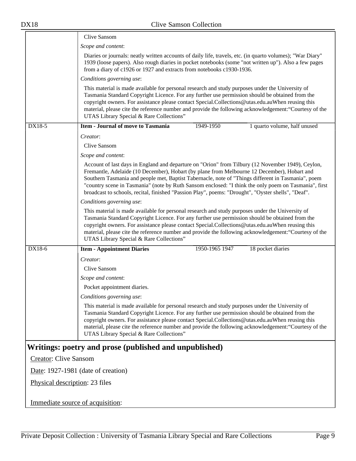<span id="page-8-0"></span>

|                                  | Clive Sansom                                                                                                                                                                                                                                                                                                                                                                                                                                                                                                          |
|----------------------------------|-----------------------------------------------------------------------------------------------------------------------------------------------------------------------------------------------------------------------------------------------------------------------------------------------------------------------------------------------------------------------------------------------------------------------------------------------------------------------------------------------------------------------|
|                                  | Scope and content:                                                                                                                                                                                                                                                                                                                                                                                                                                                                                                    |
|                                  | Diaries or journals: neatly written accounts of daily life, travels, etc. (in quarto volumes); "War Diary"<br>1939 (loose papers). Also rough diaries in pocket notebooks (some "not written up"). Also a few pages<br>from a diary of c1926 or 1927 and extracts from notebooks c1930-1936.                                                                                                                                                                                                                          |
|                                  | Conditions governing use:                                                                                                                                                                                                                                                                                                                                                                                                                                                                                             |
|                                  | This material is made available for personal research and study purposes under the University of<br>Tasmania Standard Copyright Licence. For any further use permission should be obtained from the<br>copyright owners. For assistance please contact Special.Collections@utas.edu.auWhen reusing this<br>material, please cite the reference number and provide the following acknowledgement: "Courtesy of the<br>UTAS Library Special & Rare Collections"                                                         |
| DX18-5                           | <b>Item - Journal of move to Tasmania</b><br>1949-1950<br>1 quarto volume, half unused                                                                                                                                                                                                                                                                                                                                                                                                                                |
|                                  | Creator:                                                                                                                                                                                                                                                                                                                                                                                                                                                                                                              |
|                                  | Clive Sansom                                                                                                                                                                                                                                                                                                                                                                                                                                                                                                          |
|                                  | Scope and content:                                                                                                                                                                                                                                                                                                                                                                                                                                                                                                    |
|                                  | Account of last days in England and departure on "Orion" from Tilbury (12 November 1949), Ceylon,<br>Fremantle, Adelaide (10 December), Hobart (by plane from Melbourne 12 December), Hobart and<br>Southern Tasmania and people met, Baptist Tabernacle, note of "Things different in Tasmania", poem<br>"country scene in Tasmania" (note by Ruth Sansom enclosed: "I think the only poem on Tasmania", first<br>broadcast to schools, recital, finished "Passion Play", poems: "Drought", "Oyster shells", "Deaf". |
|                                  | Conditions governing use:                                                                                                                                                                                                                                                                                                                                                                                                                                                                                             |
|                                  | This material is made available for personal research and study purposes under the University of<br>Tasmania Standard Copyright Licence. For any further use permission should be obtained from the<br>copyright owners. For assistance please contact Special.Collections@utas.edu.auWhen reusing this<br>material, please cite the reference number and provide the following acknowledgement: "Courtesy of the<br>UTAS Library Special & Rare Collections"                                                         |
| DX18-6                           | 1950-1965 1947<br>18 pocket diaries<br><b>Item - Appointment Diaries</b>                                                                                                                                                                                                                                                                                                                                                                                                                                              |
|                                  | Creator:                                                                                                                                                                                                                                                                                                                                                                                                                                                                                                              |
|                                  | Clive Sansom                                                                                                                                                                                                                                                                                                                                                                                                                                                                                                          |
|                                  | Scope and content:                                                                                                                                                                                                                                                                                                                                                                                                                                                                                                    |
|                                  | Pocket appointment diaries.                                                                                                                                                                                                                                                                                                                                                                                                                                                                                           |
|                                  | Conditions governing use:                                                                                                                                                                                                                                                                                                                                                                                                                                                                                             |
|                                  | This material is made available for personal research and study purposes under the University of<br>Tasmania Standard Copyright Licence. For any further use permission should be obtained from the<br>copyright owners. For assistance please contact Special.Collections@utas.edu.auWhen reusing this<br>material, please cite the reference number and provide the following acknowledgement: "Courtesy of the<br>UTAS Library Special & Rare Collections"                                                         |
|                                  | Writings: poetry and prose (published and unpublished)                                                                                                                                                                                                                                                                                                                                                                                                                                                                |
| <b>Creator: Clive Sansom</b>     |                                                                                                                                                                                                                                                                                                                                                                                                                                                                                                                       |
|                                  | Date: 1927-1981 (date of creation)                                                                                                                                                                                                                                                                                                                                                                                                                                                                                    |
| Physical description: 23 files   |                                                                                                                                                                                                                                                                                                                                                                                                                                                                                                                       |
| Immediate source of acquisition: |                                                                                                                                                                                                                                                                                                                                                                                                                                                                                                                       |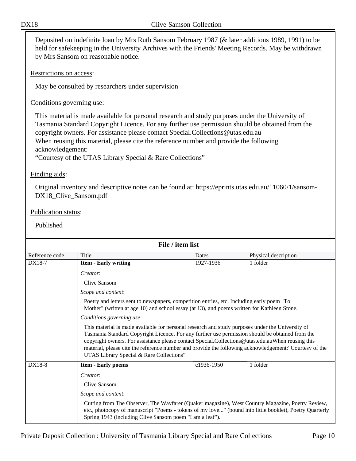Deposited on indefinite loan by Mrs Ruth Sansom February 1987 (& later additions 1989, 1991) to be held for safekeeping in the University Archives with the Friends' Meeting Records. May be withdrawn by Mrs Sansom on reasonable notice.

Restrictions on access:

May be consulted by researchers under supervision

Conditions governing use:

This material is made available for personal research and study purposes under the University of Tasmania Standard Copyright Licence. For any further use permission should be obtained from the copyright owners. For assistance please contact Special.Collections@utas.edu.au When reusing this material, please cite the reference number and provide the following acknowledgement:

"Courtesy of the UTAS Library Special & Rare Collections"

#### Finding aids:

Original inventory and descriptive notes can be found at: https://eprints.utas.edu.au/11060/1/sansom-DX18\_Clive\_Sansom.pdf

#### Publication status:

| File / item list |                                                                                                                                                                                                                                                                                                                                                                                                                                                               |            |                      |
|------------------|---------------------------------------------------------------------------------------------------------------------------------------------------------------------------------------------------------------------------------------------------------------------------------------------------------------------------------------------------------------------------------------------------------------------------------------------------------------|------------|----------------------|
| Reference code   | Title                                                                                                                                                                                                                                                                                                                                                                                                                                                         | Dates      | Physical description |
| DX18-7           | <b>Item - Early writing</b>                                                                                                                                                                                                                                                                                                                                                                                                                                   | 1927-1936  | 1 folder             |
|                  | Creator:                                                                                                                                                                                                                                                                                                                                                                                                                                                      |            |                      |
|                  | Clive Sansom                                                                                                                                                                                                                                                                                                                                                                                                                                                  |            |                      |
|                  | Scope and content:                                                                                                                                                                                                                                                                                                                                                                                                                                            |            |                      |
|                  | Poetry and letters sent to newspapers, competition entries, etc. Including early poem "To<br>Mother" (written at age 10) and school essay (at 13), and poems written for Kathleen Stone.                                                                                                                                                                                                                                                                      |            |                      |
|                  | Conditions governing use:                                                                                                                                                                                                                                                                                                                                                                                                                                     |            |                      |
|                  | This material is made available for personal research and study purposes under the University of<br>Tasmania Standard Copyright Licence. For any further use permission should be obtained from the<br>copyright owners. For assistance please contact Special.Collections@utas.edu.auWhen reusing this<br>material, please cite the reference number and provide the following acknowledgement: "Courtesy of the<br>UTAS Library Special & Rare Collections" |            |                      |
| DX18-8           | <b>Item - Early poems</b>                                                                                                                                                                                                                                                                                                                                                                                                                                     | c1936-1950 | 1 folder             |
|                  | Creator:                                                                                                                                                                                                                                                                                                                                                                                                                                                      |            |                      |
|                  | Clive Sansom                                                                                                                                                                                                                                                                                                                                                                                                                                                  |            |                      |
|                  | Scope and content:                                                                                                                                                                                                                                                                                                                                                                                                                                            |            |                      |
|                  | Cutting from The Observer, The Wayfarer (Quaker magazine), West Country Magazine, Poetry Review,<br>etc., photocopy of manuscript "Poems - tokens of my love" (bound into little booklet), Poetry Quarterly<br>Spring 1943 (including Clive Sansom poem "I am a leaf").                                                                                                                                                                                       |            |                      |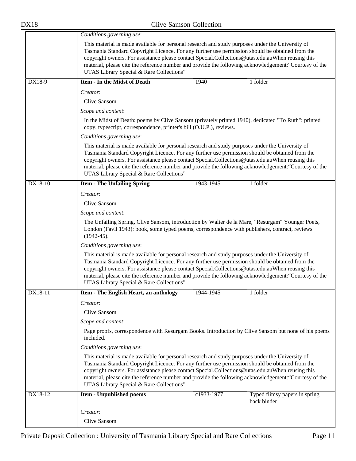|         | Conditions governing use:                                                                                                                                                                                                                                                                                                                           |                                                                                                     |                                                                                                        |  |  |
|---------|-----------------------------------------------------------------------------------------------------------------------------------------------------------------------------------------------------------------------------------------------------------------------------------------------------------------------------------------------------|-----------------------------------------------------------------------------------------------------|--------------------------------------------------------------------------------------------------------|--|--|
|         | This material is made available for personal research and study purposes under the University of<br>Tasmania Standard Copyright Licence. For any further use permission should be obtained from the<br>copyright owners. For assistance please contact Special.Collections@utas.edu.auWhen reusing this<br>UTAS Library Special & Rare Collections" |                                                                                                     | material, please cite the reference number and provide the following acknowledgement: "Courtesy of the |  |  |
| DX18-9  | <b>Item - In the Midst of Death</b>                                                                                                                                                                                                                                                                                                                 | 1940                                                                                                | 1 folder                                                                                               |  |  |
|         | Creator:<br>Clive Sansom                                                                                                                                                                                                                                                                                                                            |                                                                                                     |                                                                                                        |  |  |
|         | Scope and content:                                                                                                                                                                                                                                                                                                                                  |                                                                                                     |                                                                                                        |  |  |
|         | In the Midst of Death: poems by Clive Sansom (privately printed 1940), dedicated "To Ruth": printed<br>copy, typescript, correspondence, printer's bill (O.U.P.), reviews.                                                                                                                                                                          |                                                                                                     |                                                                                                        |  |  |
|         | Conditions governing use:                                                                                                                                                                                                                                                                                                                           |                                                                                                     |                                                                                                        |  |  |
|         | This material is made available for personal research and study purposes under the University of<br>Tasmania Standard Copyright Licence. For any further use permission should be obtained from the<br>copyright owners. For assistance please contact Special.Collections@utas.edu.auWhen reusing this<br>UTAS Library Special & Rare Collections" |                                                                                                     | material, please cite the reference number and provide the following acknowledgement: "Courtesy of the |  |  |
| DX18-10 | <b>Item - The Unfailing Spring</b>                                                                                                                                                                                                                                                                                                                  | 1943-1945                                                                                           | 1 folder                                                                                               |  |  |
|         | Creator:                                                                                                                                                                                                                                                                                                                                            |                                                                                                     |                                                                                                        |  |  |
|         | Clive Sansom                                                                                                                                                                                                                                                                                                                                        |                                                                                                     |                                                                                                        |  |  |
|         | Scope and content:                                                                                                                                                                                                                                                                                                                                  |                                                                                                     |                                                                                                        |  |  |
|         | The Unfailing Spring, Clive Sansom, introduction by Walter de la Mare, "Resurgam" Younger Poets,<br>London (Favil 1943): book, some typed poems, correspondence with publishers, contract, reviews<br>$(1942-45).$                                                                                                                                  |                                                                                                     |                                                                                                        |  |  |
|         | Conditions governing use:                                                                                                                                                                                                                                                                                                                           |                                                                                                     |                                                                                                        |  |  |
|         | This material is made available for personal research and study purposes under the University of<br>Tasmania Standard Copyright Licence. For any further use permission should be obtained from the<br>copyright owners. For assistance please contact Special.Collections@utas.edu.auWhen reusing this<br>UTAS Library Special & Rare Collections" |                                                                                                     | material, please cite the reference number and provide the following acknowledgement: "Courtesy of the |  |  |
| DX18-11 | Item - The English Heart, an anthology                                                                                                                                                                                                                                                                                                              | 1944-1945                                                                                           | $\overline{1}$ folder                                                                                  |  |  |
|         | Creator:                                                                                                                                                                                                                                                                                                                                            |                                                                                                     |                                                                                                        |  |  |
|         | Clive Sansom                                                                                                                                                                                                                                                                                                                                        |                                                                                                     |                                                                                                        |  |  |
|         | Scope and content:                                                                                                                                                                                                                                                                                                                                  |                                                                                                     |                                                                                                        |  |  |
|         | included.                                                                                                                                                                                                                                                                                                                                           | Page proofs, correspondence with Resurgam Books. Introduction by Clive Sansom but none of his poems |                                                                                                        |  |  |
|         | Conditions governing use:                                                                                                                                                                                                                                                                                                                           |                                                                                                     |                                                                                                        |  |  |
|         | This material is made available for personal research and study purposes under the University of<br>Tasmania Standard Copyright Licence. For any further use permission should be obtained from the<br>copyright owners. For assistance please contact Special.Collections@utas.edu.auWhen reusing this<br>UTAS Library Special & Rare Collections" |                                                                                                     | material, please cite the reference number and provide the following acknowledgement: "Courtesy of the |  |  |
| DX18-12 | <b>Item - Unpublished poems</b>                                                                                                                                                                                                                                                                                                                     | c1933-1977                                                                                          | Typed flimsy papers in spring<br>back binder                                                           |  |  |
|         | Creator:                                                                                                                                                                                                                                                                                                                                            |                                                                                                     |                                                                                                        |  |  |
|         | Clive Sansom                                                                                                                                                                                                                                                                                                                                        |                                                                                                     |                                                                                                        |  |  |
|         |                                                                                                                                                                                                                                                                                                                                                     |                                                                                                     |                                                                                                        |  |  |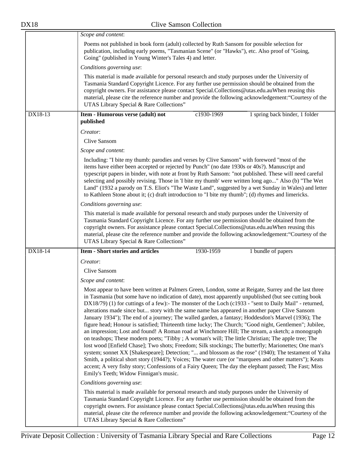|         | Scope and content:                                                                                                                                                                                                                                                                                                                                                                                                                                                                                                                                                                                                                                                                                                                                                                                                                                                                                                                                                                                                                                                                                                                                                                                                                                                                                                                    |
|---------|---------------------------------------------------------------------------------------------------------------------------------------------------------------------------------------------------------------------------------------------------------------------------------------------------------------------------------------------------------------------------------------------------------------------------------------------------------------------------------------------------------------------------------------------------------------------------------------------------------------------------------------------------------------------------------------------------------------------------------------------------------------------------------------------------------------------------------------------------------------------------------------------------------------------------------------------------------------------------------------------------------------------------------------------------------------------------------------------------------------------------------------------------------------------------------------------------------------------------------------------------------------------------------------------------------------------------------------|
|         | Poems not published in book form (adult) collected by Ruth Sansom for possible selection for<br>publication, including early poems, "Tasmanian Scene" (or "Hawks"), etc. Also proof of "Going,<br>Going" (published in Young Winter's Tales 4) and letter.                                                                                                                                                                                                                                                                                                                                                                                                                                                                                                                                                                                                                                                                                                                                                                                                                                                                                                                                                                                                                                                                            |
|         | Conditions governing use:                                                                                                                                                                                                                                                                                                                                                                                                                                                                                                                                                                                                                                                                                                                                                                                                                                                                                                                                                                                                                                                                                                                                                                                                                                                                                                             |
|         | This material is made available for personal research and study purposes under the University of<br>Tasmania Standard Copyright Licence. For any further use permission should be obtained from the<br>copyright owners. For assistance please contact Special.Collections@utas.edu.auWhen reusing this<br>material, please cite the reference number and provide the following acknowledgement: "Courtesy of the<br>UTAS Library Special & Rare Collections"                                                                                                                                                                                                                                                                                                                                                                                                                                                                                                                                                                                                                                                                                                                                                                                                                                                                         |
| DX18-13 | Item - Humorous verse (adult) not<br>c1930-1969<br>1 spring back binder, 1 folder<br>published                                                                                                                                                                                                                                                                                                                                                                                                                                                                                                                                                                                                                                                                                                                                                                                                                                                                                                                                                                                                                                                                                                                                                                                                                                        |
|         | Creator:                                                                                                                                                                                                                                                                                                                                                                                                                                                                                                                                                                                                                                                                                                                                                                                                                                                                                                                                                                                                                                                                                                                                                                                                                                                                                                                              |
|         | Clive Sansom                                                                                                                                                                                                                                                                                                                                                                                                                                                                                                                                                                                                                                                                                                                                                                                                                                                                                                                                                                                                                                                                                                                                                                                                                                                                                                                          |
|         | Scope and content:                                                                                                                                                                                                                                                                                                                                                                                                                                                                                                                                                                                                                                                                                                                                                                                                                                                                                                                                                                                                                                                                                                                                                                                                                                                                                                                    |
|         | Including: "I bite my thumb: parodies and verses by Clive Sansom" with foreword "most of the<br>items have either been accepted or rejected by Punch" (no date 1930s or 40s?). Manuscript and<br>typescript papers in binder, with note at front by Ruth Sansom: "not published. These will need careful<br>selecting and possibly revising. Those in 'I bite my thumb' were written long ago" Also (b) "The Wet<br>Land" (1932 a parody on T.S. Eliot's "The Waste Land", suggested by a wet Sunday in Wales) and letter<br>to Kathleen Stone about it; (c) draft introduction to "I bite my thumb"; (d) rhymes and limericks.                                                                                                                                                                                                                                                                                                                                                                                                                                                                                                                                                                                                                                                                                                       |
|         | Conditions governing use:                                                                                                                                                                                                                                                                                                                                                                                                                                                                                                                                                                                                                                                                                                                                                                                                                                                                                                                                                                                                                                                                                                                                                                                                                                                                                                             |
|         | This material is made available for personal research and study purposes under the University of<br>Tasmania Standard Copyright Licence. For any further use permission should be obtained from the<br>copyright owners. For assistance please contact Special.Collections@utas.edu.auWhen reusing this<br>material, please cite the reference number and provide the following acknowledgement: "Courtesy of the<br>UTAS Library Special & Rare Collections"                                                                                                                                                                                                                                                                                                                                                                                                                                                                                                                                                                                                                                                                                                                                                                                                                                                                         |
| DX18-14 | <b>Item - Short stories and articles</b><br>1930-1959<br>1 bundle of papers                                                                                                                                                                                                                                                                                                                                                                                                                                                                                                                                                                                                                                                                                                                                                                                                                                                                                                                                                                                                                                                                                                                                                                                                                                                           |
|         | Creator:                                                                                                                                                                                                                                                                                                                                                                                                                                                                                                                                                                                                                                                                                                                                                                                                                                                                                                                                                                                                                                                                                                                                                                                                                                                                                                                              |
|         | Clive Sansom                                                                                                                                                                                                                                                                                                                                                                                                                                                                                                                                                                                                                                                                                                                                                                                                                                                                                                                                                                                                                                                                                                                                                                                                                                                                                                                          |
|         | Scope and content:                                                                                                                                                                                                                                                                                                                                                                                                                                                                                                                                                                                                                                                                                                                                                                                                                                                                                                                                                                                                                                                                                                                                                                                                                                                                                                                    |
|         | Most appear to have been written at Palmers Green, London, some at Reigate, Surrey and the last three<br>in Tasmania (but some have no indication of date), most apparently unpublished (but see cutting book<br>$DX18/79$ (1) for cuttings of a few):- The monster of the Loch (c1933 - "sent to Daily Mail" - returned,<br>alterations made since but story with the same name has appeared in another paper Clive Sansom<br>January 1934"); The end of a journey; The walled garden, a fantasy; Hoddesdon's Marvel (1936); The<br>figure head; Honour is satisfied; Thirteenth time lucky; The Church; "Good night, Gentlemen"; Jubilee,<br>an impression; Lost and found! A Roman road at Winchmore Hill; The stream, a sketch; a monograph<br>on teashops; These modern poets; "Tibby ; A woman's will; The little Christian; The apple tree; The<br>lost wood [Enfield Chase]; Two shots; Freedom; Silk stockings; The butterfly; Marionettes; One man's<br>system; sonnet XX [Shakespeare]; Detection; " and blossom as the rose" (1940); The testament of Yalta<br>Smith, a political short story (1944?); Voices; The water cure (or "marquees and other matters"); Keats<br>accent; A very fishy story; Confessions of a Fairy Queen; The day the elephant passed; The Fast; Miss<br>Emily's Teeth; Widow Finnigan's music. |
|         | Conditions governing use:                                                                                                                                                                                                                                                                                                                                                                                                                                                                                                                                                                                                                                                                                                                                                                                                                                                                                                                                                                                                                                                                                                                                                                                                                                                                                                             |
|         | This material is made available for personal research and study purposes under the University of<br>Tasmania Standard Copyright Licence. For any further use permission should be obtained from the<br>copyright owners. For assistance please contact Special.Collections@utas.edu.auWhen reusing this<br>material, please cite the reference number and provide the following acknowledgement: "Courtesy of the<br>UTAS Library Special & Rare Collections"                                                                                                                                                                                                                                                                                                                                                                                                                                                                                                                                                                                                                                                                                                                                                                                                                                                                         |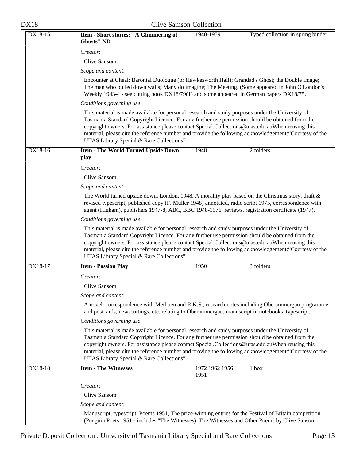| DX18 | <b>Clive Samson Collection</b> |  |
|------|--------------------------------|--|
|      |                                |  |

| DX18-15   | Item - Short stories: "A Glimmering of<br>1940-1959<br>Typed collection in spring binder<br><b>Ghosts" ND</b>                                                                                                                                                                                                                                                                                                                                                 |
|-----------|---------------------------------------------------------------------------------------------------------------------------------------------------------------------------------------------------------------------------------------------------------------------------------------------------------------------------------------------------------------------------------------------------------------------------------------------------------------|
|           | Creator:                                                                                                                                                                                                                                                                                                                                                                                                                                                      |
|           | Clive Sansom                                                                                                                                                                                                                                                                                                                                                                                                                                                  |
|           | Scope and content:                                                                                                                                                                                                                                                                                                                                                                                                                                            |
|           | Encounter at Cheal; Baronial Duologue (or Hawkesworth Hall); Grandad's Ghost; the Double Image;<br>The man who pulled down walls; Many do imagine; The Meeting. (Some appeared in John O'London's<br>Weekly 1943-4 - see cutting book DX18/79(1) and some appeared in German papers DX18/75.                                                                                                                                                                  |
|           | Conditions governing use:                                                                                                                                                                                                                                                                                                                                                                                                                                     |
|           | This material is made available for personal research and study purposes under the University of<br>Tasmania Standard Copyright Licence. For any further use permission should be obtained from the<br>copyright owners. For assistance please contact Special.Collections@utas.edu.auWhen reusing this<br>material, please cite the reference number and provide the following acknowledgement: "Courtesy of the<br>UTAS Library Special & Rare Collections" |
| $DX18-16$ | <b>Item - The World Turned Upside Down</b><br>1948<br>2 folders<br>play                                                                                                                                                                                                                                                                                                                                                                                       |
|           | Creator:                                                                                                                                                                                                                                                                                                                                                                                                                                                      |
|           | Clive Sansom                                                                                                                                                                                                                                                                                                                                                                                                                                                  |
|           | Scope and content:                                                                                                                                                                                                                                                                                                                                                                                                                                            |
|           | The World turned upside down, London, 1948. A morality play based on the Christmas story: draft $\&$<br>revised typescript, published copy (F. Muller 1948) annotated, radio script 1975, correspondence with<br>agent (Higham), publishers 1947-8, ABC, BBC 1948-1976; reviews, registration certificate (1947).                                                                                                                                             |
|           | Conditions governing use:                                                                                                                                                                                                                                                                                                                                                                                                                                     |
|           | This material is made available for personal research and study purposes under the University of<br>Tasmania Standard Copyright Licence. For any further use permission should be obtained from the<br>copyright owners. For assistance please contact Special.Collections@utas.edu.auWhen reusing this<br>material, please cite the reference number and provide the following acknowledgement: "Courtesy of the<br>UTAS Library Special & Rare Collections" |
| DX18-17   | 3 folders<br><b>Item - Passion Play</b><br>1950                                                                                                                                                                                                                                                                                                                                                                                                               |
|           | Creator:                                                                                                                                                                                                                                                                                                                                                                                                                                                      |
|           | Clive Sansom                                                                                                                                                                                                                                                                                                                                                                                                                                                  |
|           | Scope and content:                                                                                                                                                                                                                                                                                                                                                                                                                                            |
|           | A novel: correspondence with Methuen and R.K.S., research notes including Oberammergau programme<br>and postcards, newscuttings, etc. relating to Oberammergau, manuscript in notebooks, typescript.                                                                                                                                                                                                                                                          |
|           | Conditions governing use:                                                                                                                                                                                                                                                                                                                                                                                                                                     |
|           | This material is made available for personal research and study purposes under the University of<br>Tasmania Standard Copyright Licence. For any further use permission should be obtained from the<br>copyright owners. For assistance please contact Special.Collections@utas.edu.auWhen reusing this<br>material, please cite the reference number and provide the following acknowledgement: "Courtesy of the<br>UTAS Library Special & Rare Collections" |
| DX18-18   | <b>Item - The Witnesses</b><br>1972 1962 1956<br>1 box<br>1951                                                                                                                                                                                                                                                                                                                                                                                                |
|           | Creator:                                                                                                                                                                                                                                                                                                                                                                                                                                                      |
|           | Clive Sansom                                                                                                                                                                                                                                                                                                                                                                                                                                                  |
|           | Scope and content:                                                                                                                                                                                                                                                                                                                                                                                                                                            |
|           | Manuscript, typescript, Poems 1951, The prize-winning entries for the Festival of Britain competition<br>(Penguin Poets 1951 - includes "The Witnesses), The Witnesses and Other Poems by Clive Sansom                                                                                                                                                                                                                                                        |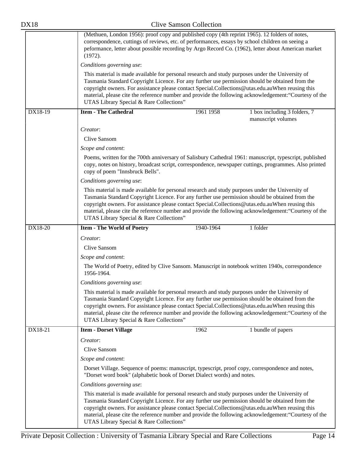| <b>DX18</b> | <b>Clive Samson Collection</b>                                                                                                                                                                                                                                                                                                                                                                                                                                |  |  |
|-------------|---------------------------------------------------------------------------------------------------------------------------------------------------------------------------------------------------------------------------------------------------------------------------------------------------------------------------------------------------------------------------------------------------------------------------------------------------------------|--|--|
|             | (Methuen, London 1956): proof copy and published copy (4th reprint 1965). 12 folders of notes,<br>correspondence, cuttings of reviews, etc. of performances, essays by school children on seeing a<br>peformance, letter about possible recording by Argo Record Co. (1962), letter about American market<br>(1972).                                                                                                                                          |  |  |
|             | Conditions governing use:                                                                                                                                                                                                                                                                                                                                                                                                                                     |  |  |
|             | This material is made available for personal research and study purposes under the University of<br>Tasmania Standard Copyright Licence. For any further use permission should be obtained from the<br>copyright owners. For assistance please contact Special.Collections@utas.edu.auWhen reusing this<br>material, please cite the reference number and provide the following acknowledgement: "Courtesy of the<br>UTAS Library Special & Rare Collections" |  |  |
| DX18-19     | <b>Item - The Cathedral</b><br>1961 1958<br>1 box including 3 folders, 7<br>manuscript volumes                                                                                                                                                                                                                                                                                                                                                                |  |  |
|             | Creator:                                                                                                                                                                                                                                                                                                                                                                                                                                                      |  |  |
|             | Clive Sansom                                                                                                                                                                                                                                                                                                                                                                                                                                                  |  |  |
|             | Scope and content:                                                                                                                                                                                                                                                                                                                                                                                                                                            |  |  |
|             | Poems, written for the 700th anniversary of Salisbury Cathedral 1961: manuscript, typescript, published<br>copy, notes on history, broadcast script, correspondence, newspaper cuttings, programmes. Also printed<br>copy of poem "Innsbruck Bells".                                                                                                                                                                                                          |  |  |
|             | Conditions governing use:                                                                                                                                                                                                                                                                                                                                                                                                                                     |  |  |
|             | This material is made available for personal research and study purposes under the University of<br>Tasmania Standard Copyright Licence. For any further use permission should be obtained from the<br>copyright owners. For assistance please contact Special.Collections@utas.edu.auWhen reusing this<br>material, please cite the reference number and provide the following acknowledgement: "Courtesy of the<br>UTAS Library Special & Rare Collections" |  |  |
| DX18-20     | 1940-1964<br>1 folder<br><b>Item - The World of Poetry</b>                                                                                                                                                                                                                                                                                                                                                                                                    |  |  |
|             | Creator:                                                                                                                                                                                                                                                                                                                                                                                                                                                      |  |  |
|             | Clive Sansom                                                                                                                                                                                                                                                                                                                                                                                                                                                  |  |  |
|             | Scope and content:                                                                                                                                                                                                                                                                                                                                                                                                                                            |  |  |
|             | The World of Poetry, edited by Clive Sansom. Manuscript in notebook written 1940s, correspondence<br>1956-1964.                                                                                                                                                                                                                                                                                                                                               |  |  |
|             | Conditions governing use:                                                                                                                                                                                                                                                                                                                                                                                                                                     |  |  |
|             | This material is made available for personal research and study purposes under the University of<br>Tasmania Standard Copyright Licence. For any further use permission should be obtained from the<br>copyright owners. For assistance please contact Special.Collections@utas.edu.auWhen reusing this<br>material, please cite the reference number and provide the following acknowledgement: "Courtesy of the<br>UTAS Library Special & Rare Collections" |  |  |
| DX18-21     | 1962<br>1 bundle of papers<br><b>Item - Dorset Village</b>                                                                                                                                                                                                                                                                                                                                                                                                    |  |  |
|             | Creator:                                                                                                                                                                                                                                                                                                                                                                                                                                                      |  |  |
|             | Clive Sansom                                                                                                                                                                                                                                                                                                                                                                                                                                                  |  |  |
|             | Scope and content:                                                                                                                                                                                                                                                                                                                                                                                                                                            |  |  |
|             | Dorset Village. Sequence of poems: manuscript, typescript, proof copy, correspondence and notes,<br>"Dorset word book" (alphabetic book of Dorset Dialect words) and notes.                                                                                                                                                                                                                                                                                   |  |  |
|             | Conditions governing use:                                                                                                                                                                                                                                                                                                                                                                                                                                     |  |  |
|             | This material is made available for personal research and study purposes under the University of<br>Tasmania Standard Copyright Licence. For any further use permission should be obtained from the<br>copyright owners. For assistance please contact Special.Collections@utas.edu.auWhen reusing this<br>material, please cite the reference number and provide the following acknowledgement: "Courtesy of the<br>UTAS Library Special & Rare Collections" |  |  |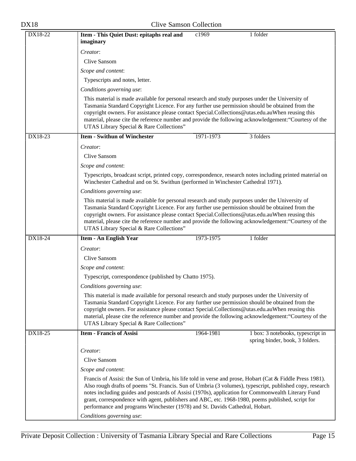| <b>DX18</b> | <b>Clive Samson Collection</b>                                                                                                                                                                                                                                                                                                                                                                                                                                                                                   |
|-------------|------------------------------------------------------------------------------------------------------------------------------------------------------------------------------------------------------------------------------------------------------------------------------------------------------------------------------------------------------------------------------------------------------------------------------------------------------------------------------------------------------------------|
| DX18-22     | Item - This Quiet Dust: epitaphs real and<br>c1969<br>1 folder<br>imaginary                                                                                                                                                                                                                                                                                                                                                                                                                                      |
|             | Creator:                                                                                                                                                                                                                                                                                                                                                                                                                                                                                                         |
|             | Clive Sansom                                                                                                                                                                                                                                                                                                                                                                                                                                                                                                     |
|             | Scope and content:                                                                                                                                                                                                                                                                                                                                                                                                                                                                                               |
|             | Typescripts and notes, letter.                                                                                                                                                                                                                                                                                                                                                                                                                                                                                   |
|             | Conditions governing use:                                                                                                                                                                                                                                                                                                                                                                                                                                                                                        |
|             | This material is made available for personal research and study purposes under the University of<br>Tasmania Standard Copyright Licence. For any further use permission should be obtained from the<br>copyright owners. For assistance please contact Special.Collections@utas.edu.auWhen reusing this<br>material, please cite the reference number and provide the following acknowledgement: "Courtesy of the<br>UTAS Library Special & Rare Collections"                                                    |
| DX18-23     | <b>Item - Swithun of Winchester</b><br>1971-1973<br>3 folders                                                                                                                                                                                                                                                                                                                                                                                                                                                    |
|             | Creator:                                                                                                                                                                                                                                                                                                                                                                                                                                                                                                         |
|             | Clive Sansom                                                                                                                                                                                                                                                                                                                                                                                                                                                                                                     |
|             | Scope and content:                                                                                                                                                                                                                                                                                                                                                                                                                                                                                               |
|             | Typescripts, broadcast script, printed copy, correspondence, research notes including printed material on<br>Winchester Cathedral and on St. Swithun (performed in Winchester Cathedral 1971).                                                                                                                                                                                                                                                                                                                   |
|             | Conditions governing use:                                                                                                                                                                                                                                                                                                                                                                                                                                                                                        |
|             | This material is made available for personal research and study purposes under the University of<br>Tasmania Standard Copyright Licence. For any further use permission should be obtained from the<br>copyright owners. For assistance please contact Special.Collections@utas.edu.auWhen reusing this<br>material, please cite the reference number and provide the following acknowledgement: "Courtesy of the<br>UTAS Library Special & Rare Collections"                                                    |
| DX18-24     | 1973-1975<br>1 folder<br><b>Item - An English Year</b>                                                                                                                                                                                                                                                                                                                                                                                                                                                           |
|             | Creator:                                                                                                                                                                                                                                                                                                                                                                                                                                                                                                         |
|             | Clive Sansom                                                                                                                                                                                                                                                                                                                                                                                                                                                                                                     |
|             | Scope and content:                                                                                                                                                                                                                                                                                                                                                                                                                                                                                               |
|             | Typescript, correspondence (published by Chatto 1975).                                                                                                                                                                                                                                                                                                                                                                                                                                                           |
|             | Conditions governing use:                                                                                                                                                                                                                                                                                                                                                                                                                                                                                        |
|             | This material is made available for personal research and study purposes under the University of<br>Tasmania Standard Copyright Licence. For any further use permission should be obtained from the<br>copyright owners. For assistance please contact Special.Collections@utas.edu.auWhen reusing this<br>material, please cite the reference number and provide the following acknowledgement: "Courtesy of the<br>UTAS Library Special & Rare Collections"                                                    |
| DX18-25     | <b>Item - Francis of Assisi</b><br>1964-1981<br>1 box: 3 notebooks, typescript in<br>spring binder, book, 3 folders.                                                                                                                                                                                                                                                                                                                                                                                             |
|             | Creator:                                                                                                                                                                                                                                                                                                                                                                                                                                                                                                         |
|             | Clive Sansom                                                                                                                                                                                                                                                                                                                                                                                                                                                                                                     |
|             | Scope and content:                                                                                                                                                                                                                                                                                                                                                                                                                                                                                               |
|             | Francis of Assisi: the Sun of Umbria, his life told in verse and prose, Hobart (Cat & Fiddle Press 1981).<br>Also rough drafts of poems "St. Francis. Sun of Umbria (3 volumes), typescript, published copy, research<br>notes including guides and postcards of Assisi (1970s), application for Commonwealth Literary Fund<br>grant, correspondence with agent, publishers and ABC, etc. 1968-1980, poems published, script for<br>performance and programs Winchester (1978) and St. Davids Cathedral, Hobart. |
|             | Conditions governing use:                                                                                                                                                                                                                                                                                                                                                                                                                                                                                        |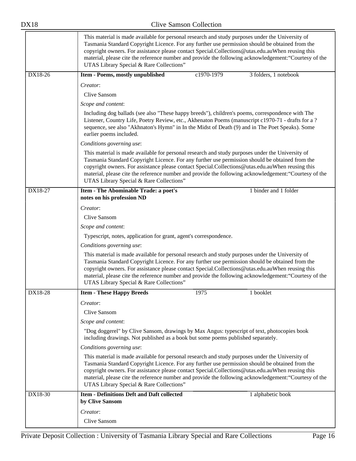|           | This material is made available for personal research and study purposes under the University of<br>Tasmania Standard Copyright Licence. For any further use permission should be obtained from the<br>copyright owners. For assistance please contact Special.Collections@utas.edu.auWhen reusing this<br>material, please cite the reference number and provide the following acknowledgement: "Courtesy of the<br>UTAS Library Special & Rare Collections" |  |  |
|-----------|---------------------------------------------------------------------------------------------------------------------------------------------------------------------------------------------------------------------------------------------------------------------------------------------------------------------------------------------------------------------------------------------------------------------------------------------------------------|--|--|
| $DX18-26$ | c1970-1979<br>Item - Poems, mostly unpublished<br>3 folders, 1 notebook                                                                                                                                                                                                                                                                                                                                                                                       |  |  |
|           | Creator:                                                                                                                                                                                                                                                                                                                                                                                                                                                      |  |  |
|           | Clive Sansom                                                                                                                                                                                                                                                                                                                                                                                                                                                  |  |  |
|           | Scope and content:                                                                                                                                                                                                                                                                                                                                                                                                                                            |  |  |
|           | Including dog ballads (see also "These happy breeds"), children's poems, correspondence with The<br>Listener, Country Life, Poetry Review, etc., Akhenaton Poems (manuscript c1970-71 - drafts for a ?<br>sequence, see also "Akhnaton's Hymn" in In the Midst of Death (9) and in The Poet Speaks). Some<br>earlier poems included.                                                                                                                          |  |  |
|           | Conditions governing use:                                                                                                                                                                                                                                                                                                                                                                                                                                     |  |  |
|           | This material is made available for personal research and study purposes under the University of<br>Tasmania Standard Copyright Licence. For any further use permission should be obtained from the<br>copyright owners. For assistance please contact Special.Collections@utas.edu.auWhen reusing this<br>material, please cite the reference number and provide the following acknowledgement: "Courtesy of the<br>UTAS Library Special & Rare Collections" |  |  |
| DX18-27   | <b>Item - The Abominable Trade: a poet's</b><br>1 binder and 1 folder<br>notes on his profession ND                                                                                                                                                                                                                                                                                                                                                           |  |  |
|           | Creator:                                                                                                                                                                                                                                                                                                                                                                                                                                                      |  |  |
|           | Clive Sansom                                                                                                                                                                                                                                                                                                                                                                                                                                                  |  |  |
|           | Scope and content:                                                                                                                                                                                                                                                                                                                                                                                                                                            |  |  |
|           | Typescript, notes, application for grant, agent's correspondence.                                                                                                                                                                                                                                                                                                                                                                                             |  |  |
|           | Conditions governing use:                                                                                                                                                                                                                                                                                                                                                                                                                                     |  |  |
|           | This material is made available for personal research and study purposes under the University of<br>Tasmania Standard Copyright Licence. For any further use permission should be obtained from the<br>copyright owners. For assistance please contact Special.Collections@utas.edu.auWhen reusing this<br>material, please cite the reference number and provide the following acknowledgement: "Courtesy of the<br>UTAS Library Special & Rare Collections" |  |  |
| DX18-28   | <b>Item - These Happy Breeds</b><br>1975<br>1 booklet                                                                                                                                                                                                                                                                                                                                                                                                         |  |  |
|           | Creator:                                                                                                                                                                                                                                                                                                                                                                                                                                                      |  |  |
|           | Clive Sansom                                                                                                                                                                                                                                                                                                                                                                                                                                                  |  |  |
|           | Scope and content:                                                                                                                                                                                                                                                                                                                                                                                                                                            |  |  |
|           | "Dog doggerel" by Clive Sansom, drawings by Max Angus: typescript of text, photocopies book<br>including drawings. Not published as a book but some poems published separately.                                                                                                                                                                                                                                                                               |  |  |
|           | Conditions governing use:                                                                                                                                                                                                                                                                                                                                                                                                                                     |  |  |
|           | This material is made available for personal research and study purposes under the University of<br>Tasmania Standard Copyright Licence. For any further use permission should be obtained from the<br>copyright owners. For assistance please contact Special.Collections@utas.edu.auWhen reusing this<br>material, please cite the reference number and provide the following acknowledgement: "Courtesy of the<br>UTAS Library Special & Rare Collections" |  |  |
| DX18-30   | <b>Item - Definitions Deft and Daft collected</b><br>1 alphabetic book<br>by Clive Sansom                                                                                                                                                                                                                                                                                                                                                                     |  |  |
|           | Creator:                                                                                                                                                                                                                                                                                                                                                                                                                                                      |  |  |
|           | Clive Sansom                                                                                                                                                                                                                                                                                                                                                                                                                                                  |  |  |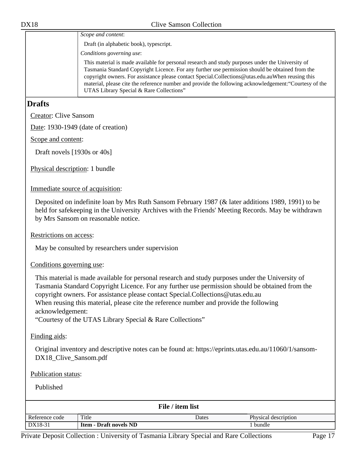| Scope and content:                                                                                                                                                                                                                                                                                                                                                                                                                                            |
|---------------------------------------------------------------------------------------------------------------------------------------------------------------------------------------------------------------------------------------------------------------------------------------------------------------------------------------------------------------------------------------------------------------------------------------------------------------|
| Draft (in alphabetic book), typescript.                                                                                                                                                                                                                                                                                                                                                                                                                       |
| Conditions governing use:                                                                                                                                                                                                                                                                                                                                                                                                                                     |
| This material is made available for personal research and study purposes under the University of<br>Tasmania Standard Copyright Licence. For any further use permission should be obtained from the<br>copyright owners. For assistance please contact Special.Collections@utas.edu.auWhen reusing this<br>material, please cite the reference number and provide the following acknowledgement: "Courtesy of the<br>UTAS Library Special & Rare Collections" |

#### <span id="page-16-0"></span>**Drafts**

Creator: Clive Sansom

Date: 1930-1949 (date of creation)

Scope and content:

Draft novels [1930s or 40s]

Physical description: 1 bundle

Immediate source of acquisition:

Deposited on indefinite loan by Mrs Ruth Sansom February 1987 (& later additions 1989, 1991) to be held for safekeeping in the University Archives with the Friends' Meeting Records. May be withdrawn by Mrs Sansom on reasonable notice.

Restrictions on access:

May be consulted by researchers under supervision

#### Conditions governing use:

This material is made available for personal research and study purposes under the University of Tasmania Standard Copyright Licence. For any further use permission should be obtained from the copyright owners. For assistance please contact Special.Collections@utas.edu.au When reusing this material, please cite the reference number and provide the following acknowledgement:

"Courtesy of the UTAS Library Special & Rare Collections"

#### Finding aids:

Original inventory and descriptive notes can be found at: https://eprints.utas.edu.au/11060/1/sansom-DX18\_Clive\_Sansom.pdf

Publication status:

Published

| File / item list |                               |       |                      |  |
|------------------|-------------------------------|-------|----------------------|--|
| Reference code   | Title                         | Dates | Physical description |  |
| DX18-31          | <b>Item - Draft novels ND</b> |       | bundle               |  |

Private Deposit Collection : University of Tasmania Library Special and Rare Collections Page 17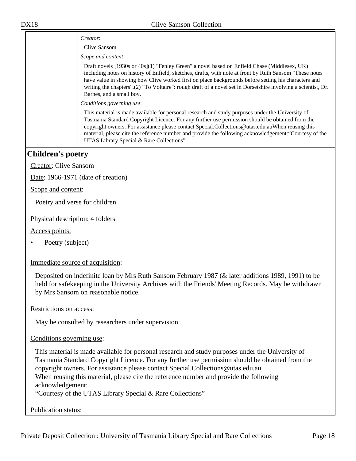|                              | Creator:                                                                                                                                                                                                                                                                                                                                                                                                                                                      |
|------------------------------|---------------------------------------------------------------------------------------------------------------------------------------------------------------------------------------------------------------------------------------------------------------------------------------------------------------------------------------------------------------------------------------------------------------------------------------------------------------|
|                              | Clive Sansom                                                                                                                                                                                                                                                                                                                                                                                                                                                  |
|                              | Scope and content:                                                                                                                                                                                                                                                                                                                                                                                                                                            |
|                              | Draft novels [1930s or 40s](1) "Fenley Green" a novel based on Enfield Chase (Middlesex, UK)<br>including notes on history of Enfield, sketches, drafts, with note at front by Ruth Sansom "These notes<br>have value in showing how Clive worked first on place backgrounds before setting his characters and<br>writing the chapters".(2) "To Voltaire": rough draft of a novel set in Dorsetshire involving a scientist, Dr.<br>Barnes, and a small boy.   |
|                              | Conditions governing use:                                                                                                                                                                                                                                                                                                                                                                                                                                     |
|                              | This material is made available for personal research and study purposes under the University of<br>Tasmania Standard Copyright Licence. For any further use permission should be obtained from the<br>copyright owners. For assistance please contact Special.Collections@utas.edu.auWhen reusing this<br>material, please cite the reference number and provide the following acknowledgement: "Courtesy of the<br>UTAS Library Special & Rare Collections" |
| <b>Children's poetry</b>     |                                                                                                                                                                                                                                                                                                                                                                                                                                                               |
| <b>Creator: Clive Sansom</b> |                                                                                                                                                                                                                                                                                                                                                                                                                                                               |
|                              | Date: 1966-1971 (date of creation)                                                                                                                                                                                                                                                                                                                                                                                                                            |

<span id="page-17-0"></span>Scope and content:

Poetry and verse for children

Physical description: 4 folders

Access points:

• Poetry (subject)

Immediate source of acquisition:

Deposited on indefinite loan by Mrs Ruth Sansom February 1987 (& later additions 1989, 1991) to be held for safekeeping in the University Archives with the Friends' Meeting Records. May be withdrawn by Mrs Sansom on reasonable notice.

Restrictions on access:

May be consulted by researchers under supervision

Conditions governing use:

This material is made available for personal research and study purposes under the University of Tasmania Standard Copyright Licence. For any further use permission should be obtained from the copyright owners. For assistance please contact Special.Collections@utas.edu.au When reusing this material, please cite the reference number and provide the following acknowledgement:

"Courtesy of the UTAS Library Special & Rare Collections"

Publication status: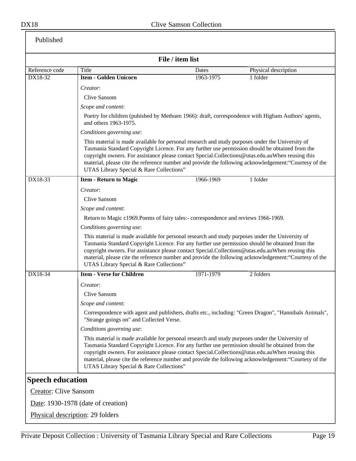<span id="page-18-0"></span>

| Published                    |                                                                                                                                                                                                                                                                                                                                                     |                  |                                                                                                        |
|------------------------------|-----------------------------------------------------------------------------------------------------------------------------------------------------------------------------------------------------------------------------------------------------------------------------------------------------------------------------------------------------|------------------|--------------------------------------------------------------------------------------------------------|
|                              |                                                                                                                                                                                                                                                                                                                                                     | File / item list |                                                                                                        |
| Reference code               | Title                                                                                                                                                                                                                                                                                                                                               | Dates            | Physical description                                                                                   |
| DX18-32                      | <b>Item - Golden Unicorn</b>                                                                                                                                                                                                                                                                                                                        | 1963-1975        | 1 folder                                                                                               |
|                              | Creator:                                                                                                                                                                                                                                                                                                                                            |                  |                                                                                                        |
|                              | Clive Sansom                                                                                                                                                                                                                                                                                                                                        |                  |                                                                                                        |
|                              | Scope and content:                                                                                                                                                                                                                                                                                                                                  |                  |                                                                                                        |
|                              | and others 1963-1975.                                                                                                                                                                                                                                                                                                                               |                  | Poetry for children (pubished by Methuen 1966): draft, correspondence with Higham Authors' agents,     |
|                              | Conditions governing use:                                                                                                                                                                                                                                                                                                                           |                  |                                                                                                        |
|                              | This material is made available for personal research and study purposes under the University of<br>Tasmania Standard Copyright Licence. For any further use permission should be obtained from the<br>copyright owners. For assistance please contact Special.Collections@utas.edu.auWhen reusing this<br>UTAS Library Special & Rare Collections" |                  | material, please cite the reference number and provide the following acknowledgement: "Courtesy of the |
| DX18-33                      | <b>Item - Return to Magic</b>                                                                                                                                                                                                                                                                                                                       | 1966-1969        | 1 folder                                                                                               |
|                              | Creator:                                                                                                                                                                                                                                                                                                                                            |                  |                                                                                                        |
|                              | Clive Sansom                                                                                                                                                                                                                                                                                                                                        |                  |                                                                                                        |
|                              | Scope and content:                                                                                                                                                                                                                                                                                                                                  |                  |                                                                                                        |
|                              | Return to Magic c1969. Poems of fairy tales:- correspondence and reviews 1966-1969.                                                                                                                                                                                                                                                                 |                  |                                                                                                        |
|                              | Conditions governing use:                                                                                                                                                                                                                                                                                                                           |                  |                                                                                                        |
|                              | This material is made available for personal research and study purposes under the University of<br>Tasmania Standard Copyright Licence. For any further use permission should be obtained from the<br>copyright owners. For assistance please contact Special.Collections@utas.edu.auWhen reusing this<br>UTAS Library Special & Rare Collections" |                  | material, please cite the reference number and provide the following acknowledgement: "Courtesy of the |
| DX18-34                      | <b>Item - Verse for Children</b>                                                                                                                                                                                                                                                                                                                    | 1971-1979        | 2 folders                                                                                              |
|                              | Creator:                                                                                                                                                                                                                                                                                                                                            |                  |                                                                                                        |
|                              | Clive Sansom                                                                                                                                                                                                                                                                                                                                        |                  |                                                                                                        |
|                              | Scope and content:                                                                                                                                                                                                                                                                                                                                  |                  |                                                                                                        |
|                              | "Strange goings on" and Collected Verse.                                                                                                                                                                                                                                                                                                            |                  | Correspondence with agent and publishers, drafts etc., including: "Green Dragon", "Hannibals Animals", |
|                              | Conditions governing use:                                                                                                                                                                                                                                                                                                                           |                  |                                                                                                        |
|                              | This material is made available for personal research and study purposes under the University of<br>Tasmania Standard Copyright Licence. For any further use permission should be obtained from the<br>copyright owners. For assistance please contact Special.Collections@utas.edu.auWhen reusing this<br>UTAS Library Special & Rare Collections" |                  | material, please cite the reference number and provide the following acknowledgement: "Courtesy of the |
| <b>Speech education</b>      |                                                                                                                                                                                                                                                                                                                                                     |                  |                                                                                                        |
| <b>Creator: Clive Sansom</b> |                                                                                                                                                                                                                                                                                                                                                     |                  |                                                                                                        |
|                              | Date: 1930-1978 (date of creation)                                                                                                                                                                                                                                                                                                                  |                  |                                                                                                        |
|                              | Physical description: 29 folders                                                                                                                                                                                                                                                                                                                    |                  |                                                                                                        |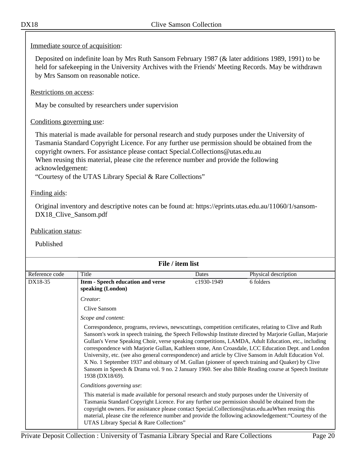Immediate source of acquisition:

Deposited on indefinite loan by Mrs Ruth Sansom February 1987 (& later additions 1989, 1991) to be held for safekeeping in the University Archives with the Friends' Meeting Records. May be withdrawn by Mrs Sansom on reasonable notice.

Restrictions on access:

May be consulted by researchers under supervision

#### Conditions governing use:

This material is made available for personal research and study purposes under the University of Tasmania Standard Copyright Licence. For any further use permission should be obtained from the copyright owners. For assistance please contact Special.Collections@utas.edu.au When reusing this material, please cite the reference number and provide the following acknowledgement:

"Courtesy of the UTAS Library Special & Rare Collections"

#### Finding aids:

Original inventory and descriptive notes can be found at: https://eprints.utas.edu.au/11060/1/sansom-DX18\_Clive\_Sansom.pdf

#### Publication status:

| File / item list |                                                                                                                                                                                                                                                                                                                                                                                                                                                                                                                                                                                                                                                                                                                                                                          |            |                      |  |
|------------------|--------------------------------------------------------------------------------------------------------------------------------------------------------------------------------------------------------------------------------------------------------------------------------------------------------------------------------------------------------------------------------------------------------------------------------------------------------------------------------------------------------------------------------------------------------------------------------------------------------------------------------------------------------------------------------------------------------------------------------------------------------------------------|------------|----------------------|--|
| Reference code   | Title                                                                                                                                                                                                                                                                                                                                                                                                                                                                                                                                                                                                                                                                                                                                                                    | Dates      | Physical description |  |
| DX18-35          | Item - Speech education and verse<br>speaking (London)                                                                                                                                                                                                                                                                                                                                                                                                                                                                                                                                                                                                                                                                                                                   | c1930-1949 | 6 folders            |  |
|                  | Creator:                                                                                                                                                                                                                                                                                                                                                                                                                                                                                                                                                                                                                                                                                                                                                                 |            |                      |  |
|                  | Clive Sansom                                                                                                                                                                                                                                                                                                                                                                                                                                                                                                                                                                                                                                                                                                                                                             |            |                      |  |
|                  | Scope and content:                                                                                                                                                                                                                                                                                                                                                                                                                                                                                                                                                                                                                                                                                                                                                       |            |                      |  |
|                  | Correspondence, programs, reviews, newscuttings, competition certificates, relating to Clive and Ruth<br>Sansom's work in speech training, the Speech Fellowship Institute directed by Marjorie Gullan, Marjorie<br>Gullan's Verse Speaking Choir, verse speaking competitions, LAMDA, Adult Education, etc., including<br>correspondence with Marjorie Gullan, Kathleen stone, Ann Croasdale, LCC Education Dept. and London<br>University, etc. (see also general correspondence) and article by Clive Sansom in Adult Education Vol.<br>X No. 1 September 1937 and obituary of M. Gullan (pioneer of speech training and Quaker) by Clive<br>Sansom in Speech & Drama vol. 9 no. 2 January 1960. See also Bible Reading course at Speech Institute<br>1938 (DX18/69). |            |                      |  |
|                  | Conditions governing use:                                                                                                                                                                                                                                                                                                                                                                                                                                                                                                                                                                                                                                                                                                                                                |            |                      |  |
|                  | This material is made available for personal research and study purposes under the University of<br>Tasmania Standard Copyright Licence. For any further use permission should be obtained from the<br>copyright owners. For assistance please contact Special.Collections@utas.edu.auWhen reusing this<br>material, please cite the reference number and provide the following acknowledgement: "Courtesy of the<br>UTAS Library Special & Rare Collections"                                                                                                                                                                                                                                                                                                            |            |                      |  |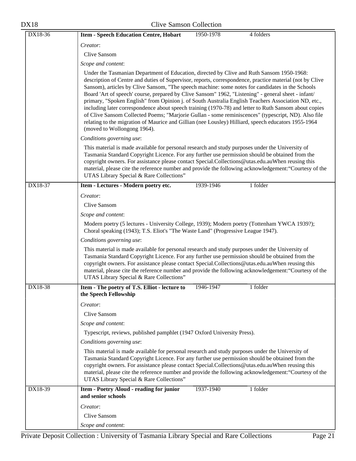| <b>DX18</b> | <b>Clive Samson Collection</b>                                                                                                                                                                                                                                                                                                                                                                                                                                                                                                                                                                                                                                                                                                                                                                                                                                                |
|-------------|-------------------------------------------------------------------------------------------------------------------------------------------------------------------------------------------------------------------------------------------------------------------------------------------------------------------------------------------------------------------------------------------------------------------------------------------------------------------------------------------------------------------------------------------------------------------------------------------------------------------------------------------------------------------------------------------------------------------------------------------------------------------------------------------------------------------------------------------------------------------------------|
| DX18-36     | <b>Item - Speech Education Centre, Hobart</b><br>1950-1978<br>4 folders                                                                                                                                                                                                                                                                                                                                                                                                                                                                                                                                                                                                                                                                                                                                                                                                       |
|             | Creator:                                                                                                                                                                                                                                                                                                                                                                                                                                                                                                                                                                                                                                                                                                                                                                                                                                                                      |
|             | Clive Sansom                                                                                                                                                                                                                                                                                                                                                                                                                                                                                                                                                                                                                                                                                                                                                                                                                                                                  |
|             | Scope and content:                                                                                                                                                                                                                                                                                                                                                                                                                                                                                                                                                                                                                                                                                                                                                                                                                                                            |
|             | Under the Tasmanian Department of Education, directed by Clive and Ruth Sansom 1950-1968:<br>description of Centre and duties of Supervisor, reports, correspondence, practice material (not by Clive<br>Sansom), articles by Clive Sansom, "The speech machine: some notes for candidates in the Schools<br>Board 'Art of speech' course, prepared by Clive Sansom" 1962, "Listening" - general sheet - infant/<br>primary, "Spoken English" from Opinion j. of South Australia English Teachers Association ND, etc.,<br>including later correspondence about speech training (1970-78) and letter to Ruth Sansom about copies<br>of Clive Sansom Collected Poems; "Marjorie Gullan - some reminiscences" (typescript, ND). Also file<br>relating to the migration of Maurice and Gillian (nee Lousley) Hilliard, speech educators 1955-1964<br>(moved to Wollongong 1964). |
|             | Conditions governing use:                                                                                                                                                                                                                                                                                                                                                                                                                                                                                                                                                                                                                                                                                                                                                                                                                                                     |
|             | This material is made available for personal research and study purposes under the University of<br>Tasmania Standard Copyright Licence. For any further use permission should be obtained from the<br>copyright owners. For assistance please contact Special.Collections@utas.edu.auWhen reusing this<br>material, please cite the reference number and provide the following acknowledgement: "Courtesy of the<br>UTAS Library Special & Rare Collections"                                                                                                                                                                                                                                                                                                                                                                                                                 |
| DX18-37     | 1939-1946<br>1 folder<br>Item - Lectures - Modern poetry etc.                                                                                                                                                                                                                                                                                                                                                                                                                                                                                                                                                                                                                                                                                                                                                                                                                 |
|             | Creator:                                                                                                                                                                                                                                                                                                                                                                                                                                                                                                                                                                                                                                                                                                                                                                                                                                                                      |
|             | Clive Sansom                                                                                                                                                                                                                                                                                                                                                                                                                                                                                                                                                                                                                                                                                                                                                                                                                                                                  |
|             | Scope and content:                                                                                                                                                                                                                                                                                                                                                                                                                                                                                                                                                                                                                                                                                                                                                                                                                                                            |
|             | Modern poetry (5 lectures - University College, 1939); Modern poetry (Tottenham YWCA 1939?);<br>Choral speaking (1943); T.S. Eliot's "The Waste Land" (Progressive League 1947).                                                                                                                                                                                                                                                                                                                                                                                                                                                                                                                                                                                                                                                                                              |
|             | Conditions governing use:                                                                                                                                                                                                                                                                                                                                                                                                                                                                                                                                                                                                                                                                                                                                                                                                                                                     |
|             | This material is made available for personal research and study purposes under the University of<br>Tasmania Standard Copyright Licence. For any further use permission should be obtained from the<br>copyright owners. For assistance please contact Special.Collections@utas.edu.auWhen reusing this<br>material, please cite the reference number and provide the following acknowledgement: "Courtesy of the<br>UTAS Library Special & Rare Collections"                                                                                                                                                                                                                                                                                                                                                                                                                 |
| DX18-38     | Item - The poetry of T.S. Elliot - lecture to<br>1 folder<br>1946-1947<br>the Speech Fellowship                                                                                                                                                                                                                                                                                                                                                                                                                                                                                                                                                                                                                                                                                                                                                                               |
|             | Creator:                                                                                                                                                                                                                                                                                                                                                                                                                                                                                                                                                                                                                                                                                                                                                                                                                                                                      |
|             | <b>Clive Sansom</b>                                                                                                                                                                                                                                                                                                                                                                                                                                                                                                                                                                                                                                                                                                                                                                                                                                                           |
|             | Scope and content:                                                                                                                                                                                                                                                                                                                                                                                                                                                                                                                                                                                                                                                                                                                                                                                                                                                            |
|             | Typescript, reviews, published pamphlet (1947 Oxford University Press).                                                                                                                                                                                                                                                                                                                                                                                                                                                                                                                                                                                                                                                                                                                                                                                                       |
|             | Conditions governing use:                                                                                                                                                                                                                                                                                                                                                                                                                                                                                                                                                                                                                                                                                                                                                                                                                                                     |
|             | This material is made available for personal research and study purposes under the University of<br>Tasmania Standard Copyright Licence. For any further use permission should be obtained from the<br>copyright owners. For assistance please contact Special.Collections@utas.edu.auWhen reusing this<br>material, please cite the reference number and provide the following acknowledgement: "Courtesy of the<br>UTAS Library Special & Rare Collections"                                                                                                                                                                                                                                                                                                                                                                                                                 |
| DX18-39     | 1937-1940<br>1 folder<br>Item - Poetry Aloud - reading for junior<br>and senior schools                                                                                                                                                                                                                                                                                                                                                                                                                                                                                                                                                                                                                                                                                                                                                                                       |
|             | Creator:                                                                                                                                                                                                                                                                                                                                                                                                                                                                                                                                                                                                                                                                                                                                                                                                                                                                      |
|             | Clive Sansom                                                                                                                                                                                                                                                                                                                                                                                                                                                                                                                                                                                                                                                                                                                                                                                                                                                                  |
|             | Scope and content:                                                                                                                                                                                                                                                                                                                                                                                                                                                                                                                                                                                                                                                                                                                                                                                                                                                            |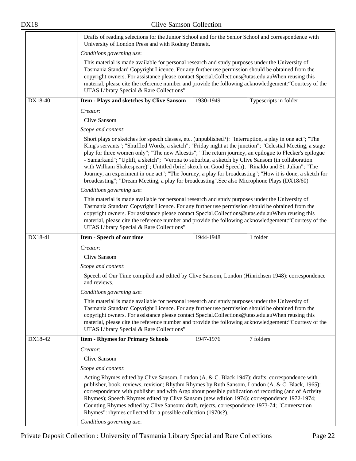|         | Drafts of reading selections for the Junior School and for the Senior School and correspondence with<br>University of London Press and with Rodney Bennett.                                                                                                                                                                                                                                                                                                                                                                                                                                                                                                                                                                                             |  |  |  |  |
|---------|---------------------------------------------------------------------------------------------------------------------------------------------------------------------------------------------------------------------------------------------------------------------------------------------------------------------------------------------------------------------------------------------------------------------------------------------------------------------------------------------------------------------------------------------------------------------------------------------------------------------------------------------------------------------------------------------------------------------------------------------------------|--|--|--|--|
|         | Conditions governing use:                                                                                                                                                                                                                                                                                                                                                                                                                                                                                                                                                                                                                                                                                                                               |  |  |  |  |
|         | This material is made available for personal research and study purposes under the University of<br>Tasmania Standard Copyright Licence. For any further use permission should be obtained from the<br>copyright owners. For assistance please contact Special.Collections@utas.edu.auWhen reusing this<br>material, please cite the reference number and provide the following acknowledgement: "Courtesy of the<br>UTAS Library Special & Rare Collections"                                                                                                                                                                                                                                                                                           |  |  |  |  |
| DX18-40 | 1930-1949<br>Typescripts in folder<br>Item - Plays and sketches by Clive Sansom                                                                                                                                                                                                                                                                                                                                                                                                                                                                                                                                                                                                                                                                         |  |  |  |  |
|         | Creator:                                                                                                                                                                                                                                                                                                                                                                                                                                                                                                                                                                                                                                                                                                                                                |  |  |  |  |
|         | Clive Sansom                                                                                                                                                                                                                                                                                                                                                                                                                                                                                                                                                                                                                                                                                                                                            |  |  |  |  |
|         | Scope and content:                                                                                                                                                                                                                                                                                                                                                                                                                                                                                                                                                                                                                                                                                                                                      |  |  |  |  |
|         | Short plays or sketches for speech classes, etc. (unpublished?): "Interruption, a play in one act"; "The<br>King's servants"; "Shuffled Words, a sketch"; "Friday night at the junction"; "Celestial Meeting, a stage<br>play for three women only"; "The new Alcestis"; "The return journey, an epilogue to Flecker's epilogue<br>- Samarkand"; "Uplift, a sketch"; "Verona to suburbia, a sketch by Clive Sansom (in collaboration<br>with William Shakespeare)"; Untitled (brief sketch on Good Speech); "Rinaldo and St. Julian"; "The<br>Journey, an experiment in one act"; "The Journey, a play for broadcasting"; "How it is done, a sketch for<br>broadcasting"; "Dream Meeting, a play for broadcasting". See also Microphone Plays (DX18/60) |  |  |  |  |
|         | Conditions governing use:                                                                                                                                                                                                                                                                                                                                                                                                                                                                                                                                                                                                                                                                                                                               |  |  |  |  |
|         | This material is made available for personal research and study purposes under the University of<br>Tasmania Standard Copyright Licence. For any further use permission should be obtained from the<br>copyright owners. For assistance please contact Special.Collections@utas.edu.auWhen reusing this<br>material, please cite the reference number and provide the following acknowledgement: "Courtesy of the<br>UTAS Library Special & Rare Collections"                                                                                                                                                                                                                                                                                           |  |  |  |  |
| DX18-41 | $1$ folder<br>1944-1948<br>Item - Speech of our time                                                                                                                                                                                                                                                                                                                                                                                                                                                                                                                                                                                                                                                                                                    |  |  |  |  |
|         | Creator:                                                                                                                                                                                                                                                                                                                                                                                                                                                                                                                                                                                                                                                                                                                                                |  |  |  |  |
|         | Clive Sansom                                                                                                                                                                                                                                                                                                                                                                                                                                                                                                                                                                                                                                                                                                                                            |  |  |  |  |
|         | Scope and content:                                                                                                                                                                                                                                                                                                                                                                                                                                                                                                                                                                                                                                                                                                                                      |  |  |  |  |
|         | Speech of Our Time compiled and edited by Clive Sansom, London (Hinrichsen 1948): correspondence<br>and reviews.                                                                                                                                                                                                                                                                                                                                                                                                                                                                                                                                                                                                                                        |  |  |  |  |
|         | Conditions governing use:                                                                                                                                                                                                                                                                                                                                                                                                                                                                                                                                                                                                                                                                                                                               |  |  |  |  |
|         | This material is made available for personal research and study purposes under the University of<br>Tasmania Standard Copyright Licence. For any further use permission should be obtained from the<br>copyright owners. For assistance please contact Special.Collections@utas.edu.auWhen reusing this<br>material, please cite the reference number and provide the following acknowledgement: "Courtesy of the<br>UTAS Library Special & Rare Collections"                                                                                                                                                                                                                                                                                           |  |  |  |  |
| DX18-42 | 7 folders<br>1947-1976<br><b>Item - Rhymes for Primary Schools</b>                                                                                                                                                                                                                                                                                                                                                                                                                                                                                                                                                                                                                                                                                      |  |  |  |  |
|         | Creator:                                                                                                                                                                                                                                                                                                                                                                                                                                                                                                                                                                                                                                                                                                                                                |  |  |  |  |
|         |                                                                                                                                                                                                                                                                                                                                                                                                                                                                                                                                                                                                                                                                                                                                                         |  |  |  |  |
|         | Clive Sansom                                                                                                                                                                                                                                                                                                                                                                                                                                                                                                                                                                                                                                                                                                                                            |  |  |  |  |
|         | Scope and content:                                                                                                                                                                                                                                                                                                                                                                                                                                                                                                                                                                                                                                                                                                                                      |  |  |  |  |
|         | Acting Rhymes edited by Clive Sansom, London (A. & C. Black 1947): drafts, correspondence with<br>publisher, book, reviews, revision; Rhythm Rhymes by Ruth Sansom, London (A. & C. Black, 1965):<br>correspondence with publisher and with Argo about possible publication of recording (and of Activity<br>Rhymes); Speech Rhymes edited by Clive Sansom (new edition 1974): correspondence 1972-1974;<br>Counting Rhymes edited by Clive Sansom: draft, rejects, correspondence 1973-74; "Conversation<br>Rhymes": rhymes collected for a possible collection (1970s?).<br>Conditions governing use:                                                                                                                                                 |  |  |  |  |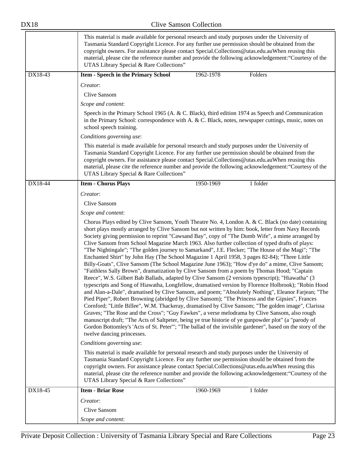|         | This material is made available for personal research and study purposes under the University of<br>Tasmania Standard Copyright Licence. For any further use permission should be obtained from the<br>copyright owners. For assistance please contact Special.Collections@utas.edu.auWhen reusing this<br>material, please cite the reference number and provide the following acknowledgement: "Courtesy of the<br>UTAS Library Special & Rare Collections"                                                                                                                                                                                                                                                                                                                                                                                                                                                                                                                                                                                                                                                                                                                                                                                                                                                                                                                                                                                                                                                                                                                                                                                                                                             |  |  |
|---------|-----------------------------------------------------------------------------------------------------------------------------------------------------------------------------------------------------------------------------------------------------------------------------------------------------------------------------------------------------------------------------------------------------------------------------------------------------------------------------------------------------------------------------------------------------------------------------------------------------------------------------------------------------------------------------------------------------------------------------------------------------------------------------------------------------------------------------------------------------------------------------------------------------------------------------------------------------------------------------------------------------------------------------------------------------------------------------------------------------------------------------------------------------------------------------------------------------------------------------------------------------------------------------------------------------------------------------------------------------------------------------------------------------------------------------------------------------------------------------------------------------------------------------------------------------------------------------------------------------------------------------------------------------------------------------------------------------------|--|--|
| DX18-43 | 1962-1978<br>Folders<br><b>Item - Speech in the Primary School</b>                                                                                                                                                                                                                                                                                                                                                                                                                                                                                                                                                                                                                                                                                                                                                                                                                                                                                                                                                                                                                                                                                                                                                                                                                                                                                                                                                                                                                                                                                                                                                                                                                                        |  |  |
|         | Creator:                                                                                                                                                                                                                                                                                                                                                                                                                                                                                                                                                                                                                                                                                                                                                                                                                                                                                                                                                                                                                                                                                                                                                                                                                                                                                                                                                                                                                                                                                                                                                                                                                                                                                                  |  |  |
|         | Clive Sansom                                                                                                                                                                                                                                                                                                                                                                                                                                                                                                                                                                                                                                                                                                                                                                                                                                                                                                                                                                                                                                                                                                                                                                                                                                                                                                                                                                                                                                                                                                                                                                                                                                                                                              |  |  |
|         | Scope and content:                                                                                                                                                                                                                                                                                                                                                                                                                                                                                                                                                                                                                                                                                                                                                                                                                                                                                                                                                                                                                                                                                                                                                                                                                                                                                                                                                                                                                                                                                                                                                                                                                                                                                        |  |  |
|         | Speech in the Primary School 1965 (A. & C. Black), third edition 1974 as Speech and Communication<br>in the Primary School: correspondence with A. & C. Black, notes, newspaper cuttings, music, notes on<br>school speech training.                                                                                                                                                                                                                                                                                                                                                                                                                                                                                                                                                                                                                                                                                                                                                                                                                                                                                                                                                                                                                                                                                                                                                                                                                                                                                                                                                                                                                                                                      |  |  |
|         | Conditions governing use:                                                                                                                                                                                                                                                                                                                                                                                                                                                                                                                                                                                                                                                                                                                                                                                                                                                                                                                                                                                                                                                                                                                                                                                                                                                                                                                                                                                                                                                                                                                                                                                                                                                                                 |  |  |
|         | This material is made available for personal research and study purposes under the University of<br>Tasmania Standard Copyright Licence. For any further use permission should be obtained from the<br>copyright owners. For assistance please contact Special.Collections@utas.edu.auWhen reusing this<br>material, please cite the reference number and provide the following acknowledgement: "Courtesy of the<br>UTAS Library Special & Rare Collections"                                                                                                                                                                                                                                                                                                                                                                                                                                                                                                                                                                                                                                                                                                                                                                                                                                                                                                                                                                                                                                                                                                                                                                                                                                             |  |  |
| DX18-44 | <b>Item - Chorus Plays</b><br>1950-1969<br>1 folder                                                                                                                                                                                                                                                                                                                                                                                                                                                                                                                                                                                                                                                                                                                                                                                                                                                                                                                                                                                                                                                                                                                                                                                                                                                                                                                                                                                                                                                                                                                                                                                                                                                       |  |  |
|         | Creator:                                                                                                                                                                                                                                                                                                                                                                                                                                                                                                                                                                                                                                                                                                                                                                                                                                                                                                                                                                                                                                                                                                                                                                                                                                                                                                                                                                                                                                                                                                                                                                                                                                                                                                  |  |  |
|         | Clive Sansom                                                                                                                                                                                                                                                                                                                                                                                                                                                                                                                                                                                                                                                                                                                                                                                                                                                                                                                                                                                                                                                                                                                                                                                                                                                                                                                                                                                                                                                                                                                                                                                                                                                                                              |  |  |
|         | Scope and content:                                                                                                                                                                                                                                                                                                                                                                                                                                                                                                                                                                                                                                                                                                                                                                                                                                                                                                                                                                                                                                                                                                                                                                                                                                                                                                                                                                                                                                                                                                                                                                                                                                                                                        |  |  |
|         | Chorus Plays edited by Clive Sansom, Youth Theatre No. 4, London A. & C. Black (no date) containing<br>short plays mostly arranged by Clive Sansom but not written by him: book, letter from Navy Records<br>Society giving permission to reprint "Cawsand Bay", copy of "The Dumb Wife", a mime arranged by<br>Clive Sansom from School Magazine March 1963. Also further collection of typed drafts of plays:<br>"The Nightingale"; "The golden journey to Samarkand", J.E. Flecker; "The House of the Magi"; "The<br>Enchanted Shirt" by John Hay (The School Magazine 1 April 1958, 3 pages 82-84); "Three Little<br>Billy-Goats", Clive Sansom (The School Magazine June 1963); "How d'ye do" a mime, Clive Sansom;<br>"Faithless Sally Brown", dramatization by Clive Sansom from a poem by Thomas Hood; "Captain<br>Reece", W.S. Gilbert Bab Ballads, adapted by Clive Sansom (2 versions typescript); "Hiawatha" (3<br>typescripts and Song of Hiawatha, Longfellow, dramatised version by Florence Holbrook); "Robin Hood<br>and Alan-a-Dale", dramatised by Clive Sansom, and poem; "Absolutely Nothing", Eleanor Farjean; "The<br>Pied Piper", Robert Browning (abridged by Clive Sansom); "The Princess and the Gipsies", Frances<br>Cornford; "Little Billee", W.M. Thackeray, dramatised by Clive Sansom; "The golden image", Clarissa<br>Graves; "The Rose and the Cross"; "Guy Fawkes", a verse melodrama by Clive Sansom, also rough<br>manuscript draft; "The Acts of Saltpeter, being ye true historie of ye gunpowder plot" (a "parody of<br>Gordon Bottomley's 'Acts of St. Peter'"; "The ballad of the invisible gardener", based on the story of the<br>twelve dancing princesses. |  |  |
|         | Conditions governing use:                                                                                                                                                                                                                                                                                                                                                                                                                                                                                                                                                                                                                                                                                                                                                                                                                                                                                                                                                                                                                                                                                                                                                                                                                                                                                                                                                                                                                                                                                                                                                                                                                                                                                 |  |  |
|         | This material is made available for personal research and study purposes under the University of<br>Tasmania Standard Copyright Licence. For any further use permission should be obtained from the<br>copyright owners. For assistance please contact Special.Collections@utas.edu.auWhen reusing this<br>material, please cite the reference number and provide the following acknowledgement: "Courtesy of the<br>UTAS Library Special & Rare Collections"                                                                                                                                                                                                                                                                                                                                                                                                                                                                                                                                                                                                                                                                                                                                                                                                                                                                                                                                                                                                                                                                                                                                                                                                                                             |  |  |
| DX18-45 | <b>Item - Briar Rose</b><br>1960-1969<br>1 folder                                                                                                                                                                                                                                                                                                                                                                                                                                                                                                                                                                                                                                                                                                                                                                                                                                                                                                                                                                                                                                                                                                                                                                                                                                                                                                                                                                                                                                                                                                                                                                                                                                                         |  |  |
|         | Creator:                                                                                                                                                                                                                                                                                                                                                                                                                                                                                                                                                                                                                                                                                                                                                                                                                                                                                                                                                                                                                                                                                                                                                                                                                                                                                                                                                                                                                                                                                                                                                                                                                                                                                                  |  |  |
|         | Clive Sansom                                                                                                                                                                                                                                                                                                                                                                                                                                                                                                                                                                                                                                                                                                                                                                                                                                                                                                                                                                                                                                                                                                                                                                                                                                                                                                                                                                                                                                                                                                                                                                                                                                                                                              |  |  |
|         | Scope and content:                                                                                                                                                                                                                                                                                                                                                                                                                                                                                                                                                                                                                                                                                                                                                                                                                                                                                                                                                                                                                                                                                                                                                                                                                                                                                                                                                                                                                                                                                                                                                                                                                                                                                        |  |  |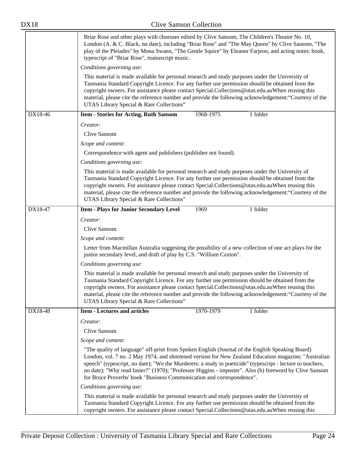|                                                                                                                                                                                                                                                                                                                                                                                                                                                               | Briar Rose and other plays with choruses edited by Clive Sansom, The Children's Theatre No. 10,<br>London (A. & C. Black, no date), including "Briar Rose" and "The May Queen" by Clive Sansom, "The<br>play of the Pleiades" by Mona Swann, "The Gentle Squire" by Eleanor Farjeon, and acting notes: book,<br>typescript of "Briar Rose", manuscript music.                                                                                                                                            |  |  |  |  |
|---------------------------------------------------------------------------------------------------------------------------------------------------------------------------------------------------------------------------------------------------------------------------------------------------------------------------------------------------------------------------------------------------------------------------------------------------------------|----------------------------------------------------------------------------------------------------------------------------------------------------------------------------------------------------------------------------------------------------------------------------------------------------------------------------------------------------------------------------------------------------------------------------------------------------------------------------------------------------------|--|--|--|--|
|                                                                                                                                                                                                                                                                                                                                                                                                                                                               | Conditions governing use:                                                                                                                                                                                                                                                                                                                                                                                                                                                                                |  |  |  |  |
|                                                                                                                                                                                                                                                                                                                                                                                                                                                               | This material is made available for personal research and study purposes under the University of<br>Tasmania Standard Copyright Licence. For any further use permission should be obtained from the<br>copyright owners. For assistance please contact Special.Collections@utas.edu.auWhen reusing this<br>material, please cite the reference number and provide the following acknowledgement: "Courtesy of the<br>UTAS Library Special & Rare Collections"                                            |  |  |  |  |
| DX18-46                                                                                                                                                                                                                                                                                                                                                                                                                                                       | 1 folder<br><b>Item - Stories for Acting, Ruth Sansom</b><br>1968-1975                                                                                                                                                                                                                                                                                                                                                                                                                                   |  |  |  |  |
|                                                                                                                                                                                                                                                                                                                                                                                                                                                               | Creator:                                                                                                                                                                                                                                                                                                                                                                                                                                                                                                 |  |  |  |  |
|                                                                                                                                                                                                                                                                                                                                                                                                                                                               | Clive Sansom                                                                                                                                                                                                                                                                                                                                                                                                                                                                                             |  |  |  |  |
|                                                                                                                                                                                                                                                                                                                                                                                                                                                               | Scope and content:                                                                                                                                                                                                                                                                                                                                                                                                                                                                                       |  |  |  |  |
|                                                                                                                                                                                                                                                                                                                                                                                                                                                               | Correspondence with agent and publishers (publisher not found).                                                                                                                                                                                                                                                                                                                                                                                                                                          |  |  |  |  |
|                                                                                                                                                                                                                                                                                                                                                                                                                                                               | Conditions governing use:                                                                                                                                                                                                                                                                                                                                                                                                                                                                                |  |  |  |  |
|                                                                                                                                                                                                                                                                                                                                                                                                                                                               | This material is made available for personal research and study purposes under the University of<br>Tasmania Standard Copyright Licence. For any further use permission should be obtained from the<br>copyright owners. For assistance please contact Special.Collections@utas.edu.auWhen reusing this<br>material, please cite the reference number and provide the following acknowledgement: "Courtesy of the<br>UTAS Library Special & Rare Collections"                                            |  |  |  |  |
| DX18-47                                                                                                                                                                                                                                                                                                                                                                                                                                                       | 1 folder<br>1969<br><b>Item - Plays for Junior Secondary Level</b>                                                                                                                                                                                                                                                                                                                                                                                                                                       |  |  |  |  |
|                                                                                                                                                                                                                                                                                                                                                                                                                                                               | Creator:                                                                                                                                                                                                                                                                                                                                                                                                                                                                                                 |  |  |  |  |
|                                                                                                                                                                                                                                                                                                                                                                                                                                                               | Clive Sansom                                                                                                                                                                                                                                                                                                                                                                                                                                                                                             |  |  |  |  |
|                                                                                                                                                                                                                                                                                                                                                                                                                                                               | Scope and content:                                                                                                                                                                                                                                                                                                                                                                                                                                                                                       |  |  |  |  |
|                                                                                                                                                                                                                                                                                                                                                                                                                                                               | Letter from Macmillan Australia suggesting the possibility of a new collection of one act plays for the<br>junior secondary level, and draft of play by C.S. "William Caxton".                                                                                                                                                                                                                                                                                                                           |  |  |  |  |
|                                                                                                                                                                                                                                                                                                                                                                                                                                                               | Conditions governing use:                                                                                                                                                                                                                                                                                                                                                                                                                                                                                |  |  |  |  |
| This material is made available for personal research and study purposes under the University of<br>Tasmania Standard Copyright Licence. For any further use permission should be obtained from the<br>copyright owners. For assistance please contact Special.Collections@utas.edu.auWhen reusing this<br>material, please cite the reference number and provide the following acknowledgement: "Courtesy of the<br>UTAS Library Special & Rare Collections" |                                                                                                                                                                                                                                                                                                                                                                                                                                                                                                          |  |  |  |  |
| DX18-48                                                                                                                                                                                                                                                                                                                                                                                                                                                       | 1970-1979<br><b>Item - Lectures and articles</b><br>1 folder                                                                                                                                                                                                                                                                                                                                                                                                                                             |  |  |  |  |
|                                                                                                                                                                                                                                                                                                                                                                                                                                                               | Creator:                                                                                                                                                                                                                                                                                                                                                                                                                                                                                                 |  |  |  |  |
|                                                                                                                                                                                                                                                                                                                                                                                                                                                               | Clive Sansom                                                                                                                                                                                                                                                                                                                                                                                                                                                                                             |  |  |  |  |
|                                                                                                                                                                                                                                                                                                                                                                                                                                                               | Scope and content:                                                                                                                                                                                                                                                                                                                                                                                                                                                                                       |  |  |  |  |
|                                                                                                                                                                                                                                                                                                                                                                                                                                                               | "The quality of language" off-print from Spoken English (Journal of the English Speaking Board)<br>London, vol. 7 no. 2 May 1974, and shortened version for New Zealand Education magazine; "Australian<br>speech" (typescript, no date); "We the Murderers: a study in poeticide" (typescript - lecture to teachers,<br>no date); "Why read faster?" (1970); "Professor Higgins - imposter". Also (b) foreword by Clive Sansom<br>for Bruce Proverbs' book "Business Communication and correspondence". |  |  |  |  |
|                                                                                                                                                                                                                                                                                                                                                                                                                                                               | Conditions governing use:                                                                                                                                                                                                                                                                                                                                                                                                                                                                                |  |  |  |  |
|                                                                                                                                                                                                                                                                                                                                                                                                                                                               | This material is made available for personal research and study purposes under the University of<br>Tasmania Standard Copyright Licence. For any further use permission should be obtained from the<br>copyright owners. For assistance please contact Special.Collections@utas.edu.auWhen reusing this                                                                                                                                                                                                  |  |  |  |  |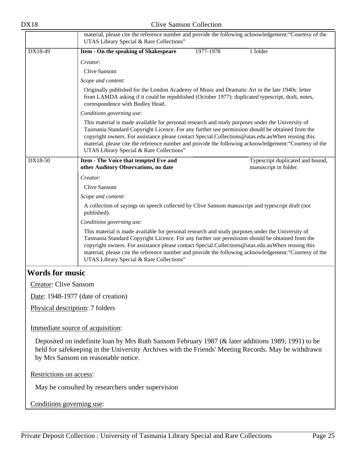| ۹ |  |
|---|--|
|---|--|

<span id="page-24-0"></span>

|                                  | material, please cite the reference number and provide the following acknowledgement: "Courtesy of the<br>UTAS Library Special & Rare Collections"                                                                                                                                                                                                                                                                                                            |           |                                  |  |  |
|----------------------------------|---------------------------------------------------------------------------------------------------------------------------------------------------------------------------------------------------------------------------------------------------------------------------------------------------------------------------------------------------------------------------------------------------------------------------------------------------------------|-----------|----------------------------------|--|--|
| DX18-49                          | Item - On the speaking of Shakespeare                                                                                                                                                                                                                                                                                                                                                                                                                         | 1977-1978 | 1 folder                         |  |  |
|                                  | Creator:                                                                                                                                                                                                                                                                                                                                                                                                                                                      |           |                                  |  |  |
|                                  | Clive Sansom                                                                                                                                                                                                                                                                                                                                                                                                                                                  |           |                                  |  |  |
|                                  | Scope and content:                                                                                                                                                                                                                                                                                                                                                                                                                                            |           |                                  |  |  |
|                                  | Originally published for the London Academy of Music and Dramatic Art in the late 1940s: letter<br>from LAMDA asking if it could be republished (October 1977): duplicated typescript, draft, notes,<br>correspondence with Bodley Head.                                                                                                                                                                                                                      |           |                                  |  |  |
|                                  | Conditions governing use:                                                                                                                                                                                                                                                                                                                                                                                                                                     |           |                                  |  |  |
|                                  | This material is made available for personal research and study purposes under the University of<br>Tasmania Standard Copyright Licence. For any further use permission should be obtained from the<br>copyright owners. For assistance please contact Special.Collections@utas.edu.auWhen reusing this<br>material, please cite the reference number and provide the following acknowledgement: "Courtesy of the<br>UTAS Library Special & Rare Collections" |           |                                  |  |  |
| DX18-50                          | Item - The Voice that tempted Eve and                                                                                                                                                                                                                                                                                                                                                                                                                         |           | Typescript duplicated and bound, |  |  |
|                                  | other Auditory Observations, no date                                                                                                                                                                                                                                                                                                                                                                                                                          |           | manuscript in folder.            |  |  |
|                                  | Creator:                                                                                                                                                                                                                                                                                                                                                                                                                                                      |           |                                  |  |  |
|                                  | Clive Sansom                                                                                                                                                                                                                                                                                                                                                                                                                                                  |           |                                  |  |  |
|                                  | Scope and content:                                                                                                                                                                                                                                                                                                                                                                                                                                            |           |                                  |  |  |
|                                  | A collection of sayings on speech collected by Clive Sansom manuscript and typescript draft (not<br>published).                                                                                                                                                                                                                                                                                                                                               |           |                                  |  |  |
|                                  | Conditions governing use:                                                                                                                                                                                                                                                                                                                                                                                                                                     |           |                                  |  |  |
|                                  | This material is made available for personal research and study purposes under the University of<br>Tasmania Standard Copyright Licence. For any further use permission should be obtained from the<br>copyright owners. For assistance please contact Special.Collections@utas.edu.auWhen reusing this<br>material, please cite the reference number and provide the following acknowledgement: "Courtesy of the<br>UTAS Library Special & Rare Collections" |           |                                  |  |  |
| <b>Words for music</b>           |                                                                                                                                                                                                                                                                                                                                                                                                                                                               |           |                                  |  |  |
| <b>Creator: Clive Sansom</b>     |                                                                                                                                                                                                                                                                                                                                                                                                                                                               |           |                                  |  |  |
|                                  | Date: 1948-1977 (date of creation)                                                                                                                                                                                                                                                                                                                                                                                                                            |           |                                  |  |  |
| Physical description: 7 folders  |                                                                                                                                                                                                                                                                                                                                                                                                                                                               |           |                                  |  |  |
| Immediate source of acquisition: |                                                                                                                                                                                                                                                                                                                                                                                                                                                               |           |                                  |  |  |
|                                  | Deposited on indefinite loan by Mrs Ruth Sansom February 1987 (& later additions 1989, 1991) to be<br>held for safekeeping in the University Archives with the Friends' Meeting Records. May be withdrawn<br>by Mrs Sansom on reasonable notice.                                                                                                                                                                                                              |           |                                  |  |  |
| Restrictions on access:          |                                                                                                                                                                                                                                                                                                                                                                                                                                                               |           |                                  |  |  |
|                                  | May be consulted by researchers under supervision                                                                                                                                                                                                                                                                                                                                                                                                             |           |                                  |  |  |
| Conditions governing use:        |                                                                                                                                                                                                                                                                                                                                                                                                                                                               |           |                                  |  |  |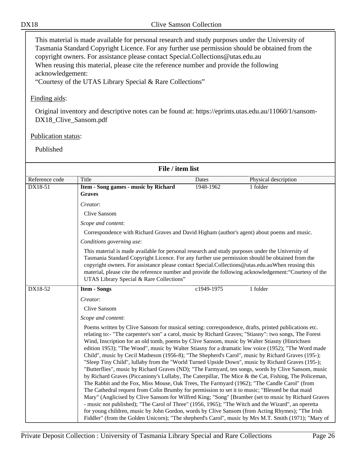This material is made available for personal research and study purposes under the University of Tasmania Standard Copyright Licence. For any further use permission should be obtained from the copyright owners. For assistance please contact Special.Collections@utas.edu.au When reusing this material, please cite the reference number and provide the following acknowledgement:

"Courtesy of the UTAS Library Special & Rare Collections"

#### Finding aids:

Original inventory and descriptive notes can be found at: https://eprints.utas.edu.au/11060/1/sansom-DX18\_Clive\_Sansom.pdf

#### Publication status:

| File / item list |                                                                                                                                                                                                                                                                                                                                                                                                                                                                                                                                                                                                                                                                                                                                                                                                                                                                                                                                                                                                                                                                                                                                                                                                                                                                                                                                                                                                                                                                             |            |                      |  |  |  |
|------------------|-----------------------------------------------------------------------------------------------------------------------------------------------------------------------------------------------------------------------------------------------------------------------------------------------------------------------------------------------------------------------------------------------------------------------------------------------------------------------------------------------------------------------------------------------------------------------------------------------------------------------------------------------------------------------------------------------------------------------------------------------------------------------------------------------------------------------------------------------------------------------------------------------------------------------------------------------------------------------------------------------------------------------------------------------------------------------------------------------------------------------------------------------------------------------------------------------------------------------------------------------------------------------------------------------------------------------------------------------------------------------------------------------------------------------------------------------------------------------------|------------|----------------------|--|--|--|
| Reference code   | Title                                                                                                                                                                                                                                                                                                                                                                                                                                                                                                                                                                                                                                                                                                                                                                                                                                                                                                                                                                                                                                                                                                                                                                                                                                                                                                                                                                                                                                                                       | Dates      | Physical description |  |  |  |
| DX18-51          | Item - Song games - music by Richard<br><b>Graves</b>                                                                                                                                                                                                                                                                                                                                                                                                                                                                                                                                                                                                                                                                                                                                                                                                                                                                                                                                                                                                                                                                                                                                                                                                                                                                                                                                                                                                                       | 1948-1962  | 1 folder             |  |  |  |
|                  | Creator:                                                                                                                                                                                                                                                                                                                                                                                                                                                                                                                                                                                                                                                                                                                                                                                                                                                                                                                                                                                                                                                                                                                                                                                                                                                                                                                                                                                                                                                                    |            |                      |  |  |  |
|                  | Clive Sansom                                                                                                                                                                                                                                                                                                                                                                                                                                                                                                                                                                                                                                                                                                                                                                                                                                                                                                                                                                                                                                                                                                                                                                                                                                                                                                                                                                                                                                                                |            |                      |  |  |  |
|                  | Scope and content:                                                                                                                                                                                                                                                                                                                                                                                                                                                                                                                                                                                                                                                                                                                                                                                                                                                                                                                                                                                                                                                                                                                                                                                                                                                                                                                                                                                                                                                          |            |                      |  |  |  |
|                  | Correspondence with Richard Graves and David Higham (author's agent) about poems and music.                                                                                                                                                                                                                                                                                                                                                                                                                                                                                                                                                                                                                                                                                                                                                                                                                                                                                                                                                                                                                                                                                                                                                                                                                                                                                                                                                                                 |            |                      |  |  |  |
|                  | Conditions governing use:                                                                                                                                                                                                                                                                                                                                                                                                                                                                                                                                                                                                                                                                                                                                                                                                                                                                                                                                                                                                                                                                                                                                                                                                                                                                                                                                                                                                                                                   |            |                      |  |  |  |
|                  | This material is made available for personal research and study purposes under the University of<br>Tasmania Standard Copyright Licence. For any further use permission should be obtained from the<br>copyright owners. For assistance please contact Special.Collections@utas.edu.auWhen reusing this<br>material, please cite the reference number and provide the following acknowledgement: "Courtesy of the<br>UTAS Library Special & Rare Collections"                                                                                                                                                                                                                                                                                                                                                                                                                                                                                                                                                                                                                                                                                                                                                                                                                                                                                                                                                                                                               |            |                      |  |  |  |
| DX18-52          | <b>Item - Songs</b>                                                                                                                                                                                                                                                                                                                                                                                                                                                                                                                                                                                                                                                                                                                                                                                                                                                                                                                                                                                                                                                                                                                                                                                                                                                                                                                                                                                                                                                         | c1949-1975 | 1 folder             |  |  |  |
|                  | Creator:                                                                                                                                                                                                                                                                                                                                                                                                                                                                                                                                                                                                                                                                                                                                                                                                                                                                                                                                                                                                                                                                                                                                                                                                                                                                                                                                                                                                                                                                    |            |                      |  |  |  |
|                  | Clive Sansom                                                                                                                                                                                                                                                                                                                                                                                                                                                                                                                                                                                                                                                                                                                                                                                                                                                                                                                                                                                                                                                                                                                                                                                                                                                                                                                                                                                                                                                                |            |                      |  |  |  |
|                  | Scope and content:                                                                                                                                                                                                                                                                                                                                                                                                                                                                                                                                                                                                                                                                                                                                                                                                                                                                                                                                                                                                                                                                                                                                                                                                                                                                                                                                                                                                                                                          |            |                      |  |  |  |
|                  | Poems written by Clive Sansom for musical setting: correspondence, drafts, printed publications etc.<br>relating to:- "The carpenter's son" a carol, music by Richard Graves; "Stiasny": two songs, The Forest<br>Wind, Inscription for an old tomb, poems by Clive Sansom, music by Walter Stiasny (Hinrichsen<br>edition 1953); "The Wood", music by Walter Stiasny for a dramatic low voice (1952); "The Word made<br>Child", music by Cecil Matheson (1956-8); "The Shepherd's Carol", music by Richard Graves (195-);<br>"Sleep Tiny Child", lullaby from the "World Turned Upside Down", music by Richard Graves (195-);<br>"Butterflies", music by Richard Graves (ND); "The Farmyard, ten songs, words by Clive Sansom, music<br>by Richard Graves (Piccaninny's Lullaby, The Caterpillar, The Mice & the Cat, Fishing, The Policeman,<br>The Rabbit and the Fox, Miss Mouse, Oak Trees, The Farmyard (1962); "The Candle Carol" (from<br>The Cathedral request from Colin Brumby for permission to set it to music; "Blessed be that maid<br>Mary" (Anglicised by Clive Sansom for Wilfred King; "Song" [Bramber (set to music by Richard Graves<br>- music not published); "The Carol of Three" (1956, 1965); "The Witch and the Wizard", an operetta<br>for young children, music by John Gordon, words by Clive Sansom (from Acting Rhymes); "The Irish<br>Fiddler" (from the Golden Unicorn); "The shepherd's Carol", music by Mrs M.T. Smith (1971); "Mary of |            |                      |  |  |  |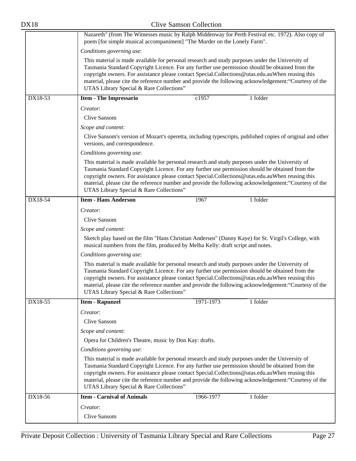| <b>DX18</b>                                                                                                                                                                                                                                                                                                                                                                                                                                                   | <b>Clive Samson Collection</b>                                                                                                                                                                                                                                                                                                                                                                                                                                |  |  |  |  |
|---------------------------------------------------------------------------------------------------------------------------------------------------------------------------------------------------------------------------------------------------------------------------------------------------------------------------------------------------------------------------------------------------------------------------------------------------------------|---------------------------------------------------------------------------------------------------------------------------------------------------------------------------------------------------------------------------------------------------------------------------------------------------------------------------------------------------------------------------------------------------------------------------------------------------------------|--|--|--|--|
|                                                                                                                                                                                                                                                                                                                                                                                                                                                               | Nazareth" (from The Witnesses music by Ralph Middenway for Perth Festival etc. 1972). Also copy of<br>poem [for simple musical accompaniment] "The Murder on the Lonely Farm".                                                                                                                                                                                                                                                                                |  |  |  |  |
|                                                                                                                                                                                                                                                                                                                                                                                                                                                               | Conditions governing use:                                                                                                                                                                                                                                                                                                                                                                                                                                     |  |  |  |  |
|                                                                                                                                                                                                                                                                                                                                                                                                                                                               | This material is made available for personal research and study purposes under the University of<br>Tasmania Standard Copyright Licence. For any further use permission should be obtained from the<br>copyright owners. For assistance please contact Special.Collections@utas.edu.auWhen reusing this<br>material, please cite the reference number and provide the following acknowledgement: "Courtesy of the<br>UTAS Library Special & Rare Collections" |  |  |  |  |
| DX18-53                                                                                                                                                                                                                                                                                                                                                                                                                                                       | c1957<br>1 folder<br><b>Item - The Impressario</b>                                                                                                                                                                                                                                                                                                                                                                                                            |  |  |  |  |
|                                                                                                                                                                                                                                                                                                                                                                                                                                                               | Creator:                                                                                                                                                                                                                                                                                                                                                                                                                                                      |  |  |  |  |
|                                                                                                                                                                                                                                                                                                                                                                                                                                                               | Clive Sansom                                                                                                                                                                                                                                                                                                                                                                                                                                                  |  |  |  |  |
|                                                                                                                                                                                                                                                                                                                                                                                                                                                               | Scope and content:                                                                                                                                                                                                                                                                                                                                                                                                                                            |  |  |  |  |
|                                                                                                                                                                                                                                                                                                                                                                                                                                                               | Clive Sansom's version of Mozart's operetta, including typescripts, published copies of original and other<br>versions, and correspondence.                                                                                                                                                                                                                                                                                                                   |  |  |  |  |
|                                                                                                                                                                                                                                                                                                                                                                                                                                                               | Conditions governing use:                                                                                                                                                                                                                                                                                                                                                                                                                                     |  |  |  |  |
|                                                                                                                                                                                                                                                                                                                                                                                                                                                               | This material is made available for personal research and study purposes under the University of<br>Tasmania Standard Copyright Licence. For any further use permission should be obtained from the<br>copyright owners. For assistance please contact Special.Collections@utas.edu.auWhen reusing this<br>material, please cite the reference number and provide the following acknowledgement: "Courtesy of the<br>UTAS Library Special & Rare Collections" |  |  |  |  |
| DX18-54                                                                                                                                                                                                                                                                                                                                                                                                                                                       | <b>Item - Hans Anderson</b><br>1 folder<br>1967                                                                                                                                                                                                                                                                                                                                                                                                               |  |  |  |  |
|                                                                                                                                                                                                                                                                                                                                                                                                                                                               | Creator:                                                                                                                                                                                                                                                                                                                                                                                                                                                      |  |  |  |  |
|                                                                                                                                                                                                                                                                                                                                                                                                                                                               | Clive Sansom                                                                                                                                                                                                                                                                                                                                                                                                                                                  |  |  |  |  |
|                                                                                                                                                                                                                                                                                                                                                                                                                                                               | Scope and content:                                                                                                                                                                                                                                                                                                                                                                                                                                            |  |  |  |  |
|                                                                                                                                                                                                                                                                                                                                                                                                                                                               | Sketch play based on the film "Hans Christian Andersen" (Danny Kaye) for St. Virgil's College, with<br>musical numbers from the film, produced by Melba Kelly: draft script and notes.                                                                                                                                                                                                                                                                        |  |  |  |  |
|                                                                                                                                                                                                                                                                                                                                                                                                                                                               | Conditions governing use:                                                                                                                                                                                                                                                                                                                                                                                                                                     |  |  |  |  |
|                                                                                                                                                                                                                                                                                                                                                                                                                                                               | This material is made available for personal research and study purposes under the University of<br>Tasmania Standard Copyright Licence. For any further use permission should be obtained from the<br>copyright owners. For assistance please contact Special.Collections@utas.edu.auWhen reusing this<br>material, please cite the reference number and provide the following acknowledgement: "Courtesy of the<br>UTAS Library Special & Rare Collections" |  |  |  |  |
| DX18-55                                                                                                                                                                                                                                                                                                                                                                                                                                                       | 1971-1973<br>1 folder<br><b>Item - Rapunzel</b>                                                                                                                                                                                                                                                                                                                                                                                                               |  |  |  |  |
|                                                                                                                                                                                                                                                                                                                                                                                                                                                               | Creator:                                                                                                                                                                                                                                                                                                                                                                                                                                                      |  |  |  |  |
|                                                                                                                                                                                                                                                                                                                                                                                                                                                               | Clive Sansom                                                                                                                                                                                                                                                                                                                                                                                                                                                  |  |  |  |  |
|                                                                                                                                                                                                                                                                                                                                                                                                                                                               | Scope and content:                                                                                                                                                                                                                                                                                                                                                                                                                                            |  |  |  |  |
|                                                                                                                                                                                                                                                                                                                                                                                                                                                               | Opera for Children's Theatre, music by Don Kay: drafts.                                                                                                                                                                                                                                                                                                                                                                                                       |  |  |  |  |
|                                                                                                                                                                                                                                                                                                                                                                                                                                                               | Conditions governing use:                                                                                                                                                                                                                                                                                                                                                                                                                                     |  |  |  |  |
| This material is made available for personal research and study purposes under the University of<br>Tasmania Standard Copyright Licence. For any further use permission should be obtained from the<br>copyright owners. For assistance please contact Special.Collections@utas.edu.auWhen reusing this<br>material, please cite the reference number and provide the following acknowledgement: "Courtesy of the<br>UTAS Library Special & Rare Collections" |                                                                                                                                                                                                                                                                                                                                                                                                                                                               |  |  |  |  |
| DX18-56                                                                                                                                                                                                                                                                                                                                                                                                                                                       | <b>Item - Carnival of Animals</b><br>1966-1977<br>1 folder                                                                                                                                                                                                                                                                                                                                                                                                    |  |  |  |  |
|                                                                                                                                                                                                                                                                                                                                                                                                                                                               | Creator:                                                                                                                                                                                                                                                                                                                                                                                                                                                      |  |  |  |  |
|                                                                                                                                                                                                                                                                                                                                                                                                                                                               | Clive Sansom                                                                                                                                                                                                                                                                                                                                                                                                                                                  |  |  |  |  |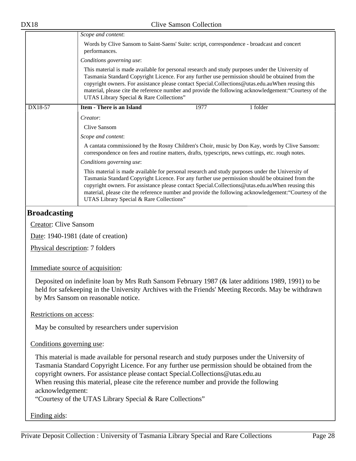|         | Scope and content:                                                                                                                                                                                                                                                                                                                                                                                                                                                                         |  |  |  |
|---------|--------------------------------------------------------------------------------------------------------------------------------------------------------------------------------------------------------------------------------------------------------------------------------------------------------------------------------------------------------------------------------------------------------------------------------------------------------------------------------------------|--|--|--|
|         | Words by Clive Sansom to Saint-Saens' Suite: script, correspondence - broadcast and concert<br>performances.                                                                                                                                                                                                                                                                                                                                                                               |  |  |  |
|         | Conditions governing use:<br>This material is made available for personal research and study purposes under the University of<br>Tasmania Standard Copyright Licence. For any further use permission should be obtained from the<br>copyright owners. For assistance please contact Special.Collections@utas.edu.auWhen reusing this<br>material, please cite the reference number and provide the following acknowledgement: "Courtesy of the<br>UTAS Library Special & Rare Collections" |  |  |  |
|         |                                                                                                                                                                                                                                                                                                                                                                                                                                                                                            |  |  |  |
| DX18-57 | <b>Item - There is an Island</b><br>1977<br>1 folder                                                                                                                                                                                                                                                                                                                                                                                                                                       |  |  |  |
|         | Creator:                                                                                                                                                                                                                                                                                                                                                                                                                                                                                   |  |  |  |
|         | Clive Sansom                                                                                                                                                                                                                                                                                                                                                                                                                                                                               |  |  |  |
|         | Scope and content:                                                                                                                                                                                                                                                                                                                                                                                                                                                                         |  |  |  |
|         | A cantata commissioned by the Rosny Children's Choir, music by Don Kay, words by Clive Sansom:<br>correspondence on fees and routine matters, drafts, typescripts, news cuttings, etc. rough notes.                                                                                                                                                                                                                                                                                        |  |  |  |
|         | Conditions governing use:                                                                                                                                                                                                                                                                                                                                                                                                                                                                  |  |  |  |
|         | This material is made available for personal research and study purposes under the University of<br>Tasmania Standard Copyright Licence. For any further use permission should be obtained from the<br>copyright owners. For assistance please contact Special.Collections@utas.edu.auWhen reusing this<br>material, please cite the reference number and provide the following acknowledgement: "Courtesy of the<br>UTAS Library Special & Rare Collections"                              |  |  |  |

#### <span id="page-27-0"></span>**Broadcasting**

Creator: Clive Sansom

Date: 1940-1981 (date of creation)

Physical description: 7 folders

Immediate source of acquisition:

Deposited on indefinite loan by Mrs Ruth Sansom February 1987 (& later additions 1989, 1991) to be held for safekeeping in the University Archives with the Friends' Meeting Records. May be withdrawn by Mrs Sansom on reasonable notice.

Restrictions on access:

May be consulted by researchers under supervision

#### Conditions governing use:

This material is made available for personal research and study purposes under the University of Tasmania Standard Copyright Licence. For any further use permission should be obtained from the copyright owners. For assistance please contact Special.Collections@utas.edu.au When reusing this material, please cite the reference number and provide the following acknowledgement: "Courtesy of the UTAS Library Special & Rare Collections"

Finding aids: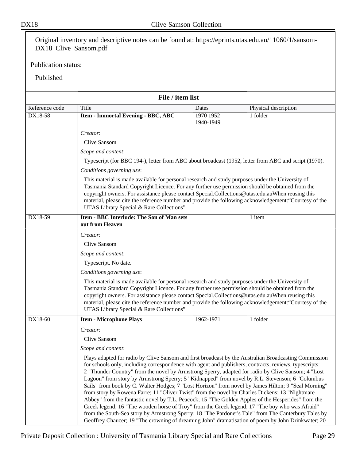Original inventory and descriptive notes can be found at: https://eprints.utas.edu.au/11060/1/sansom-DX18\_Clive\_Sansom.pdf

Publication status:

|                | File / item list                                                                                                                                                                                                                                                                                                                                                                                                                                                                                                                                                                                                                                                                                                                                                                                                                                                                                                                                                                                                                                      |                        |                      |  |  |  |
|----------------|-------------------------------------------------------------------------------------------------------------------------------------------------------------------------------------------------------------------------------------------------------------------------------------------------------------------------------------------------------------------------------------------------------------------------------------------------------------------------------------------------------------------------------------------------------------------------------------------------------------------------------------------------------------------------------------------------------------------------------------------------------------------------------------------------------------------------------------------------------------------------------------------------------------------------------------------------------------------------------------------------------------------------------------------------------|------------------------|----------------------|--|--|--|
| Reference code | Title                                                                                                                                                                                                                                                                                                                                                                                                                                                                                                                                                                                                                                                                                                                                                                                                                                                                                                                                                                                                                                                 | Dates                  | Physical description |  |  |  |
| DX18-58        | <b>Item - Immortal Evening - BBC, ABC</b>                                                                                                                                                                                                                                                                                                                                                                                                                                                                                                                                                                                                                                                                                                                                                                                                                                                                                                                                                                                                             | 1970 1952<br>1940-1949 | $1$ folder           |  |  |  |
|                | Creator:                                                                                                                                                                                                                                                                                                                                                                                                                                                                                                                                                                                                                                                                                                                                                                                                                                                                                                                                                                                                                                              |                        |                      |  |  |  |
|                | <b>Clive Sansom</b>                                                                                                                                                                                                                                                                                                                                                                                                                                                                                                                                                                                                                                                                                                                                                                                                                                                                                                                                                                                                                                   |                        |                      |  |  |  |
|                | Scope and content:                                                                                                                                                                                                                                                                                                                                                                                                                                                                                                                                                                                                                                                                                                                                                                                                                                                                                                                                                                                                                                    |                        |                      |  |  |  |
|                | Typescript (for BBC 194-), letter from ABC about broadcast (1952, letter from ABC and script (1970).                                                                                                                                                                                                                                                                                                                                                                                                                                                                                                                                                                                                                                                                                                                                                                                                                                                                                                                                                  |                        |                      |  |  |  |
|                | Conditions governing use:                                                                                                                                                                                                                                                                                                                                                                                                                                                                                                                                                                                                                                                                                                                                                                                                                                                                                                                                                                                                                             |                        |                      |  |  |  |
|                | This material is made available for personal research and study purposes under the University of<br>Tasmania Standard Copyright Licence. For any further use permission should be obtained from the<br>copyright owners. For assistance please contact Special.Collections@utas.edu.auWhen reusing this<br>material, please cite the reference number and provide the following acknowledgement: "Courtesy of the<br>UTAS Library Special & Rare Collections"                                                                                                                                                                                                                                                                                                                                                                                                                                                                                                                                                                                         |                        |                      |  |  |  |
| DX18-59        | <b>Item - BBC Interlude: The Son of Man sets</b><br>out from Heaven                                                                                                                                                                                                                                                                                                                                                                                                                                                                                                                                                                                                                                                                                                                                                                                                                                                                                                                                                                                   |                        | 1 item               |  |  |  |
|                | Creator:                                                                                                                                                                                                                                                                                                                                                                                                                                                                                                                                                                                                                                                                                                                                                                                                                                                                                                                                                                                                                                              |                        |                      |  |  |  |
|                | <b>Clive Sansom</b>                                                                                                                                                                                                                                                                                                                                                                                                                                                                                                                                                                                                                                                                                                                                                                                                                                                                                                                                                                                                                                   |                        |                      |  |  |  |
|                | Scope and content:                                                                                                                                                                                                                                                                                                                                                                                                                                                                                                                                                                                                                                                                                                                                                                                                                                                                                                                                                                                                                                    |                        |                      |  |  |  |
|                | Typescript. No date.                                                                                                                                                                                                                                                                                                                                                                                                                                                                                                                                                                                                                                                                                                                                                                                                                                                                                                                                                                                                                                  |                        |                      |  |  |  |
|                | Conditions governing use:                                                                                                                                                                                                                                                                                                                                                                                                                                                                                                                                                                                                                                                                                                                                                                                                                                                                                                                                                                                                                             |                        |                      |  |  |  |
|                | This material is made available for personal research and study purposes under the University of<br>Tasmania Standard Copyright Licence. For any further use permission should be obtained from the<br>copyright owners. For assistance please contact Special.Collections@utas.edu.auWhen reusing this<br>material, please cite the reference number and provide the following acknowledgement: "Courtesy of the<br>UTAS Library Special & Rare Collections"                                                                                                                                                                                                                                                                                                                                                                                                                                                                                                                                                                                         |                        |                      |  |  |  |
| DX18-60        | <b>Item - Microphone Plays</b>                                                                                                                                                                                                                                                                                                                                                                                                                                                                                                                                                                                                                                                                                                                                                                                                                                                                                                                                                                                                                        | 1962-1971              | 1 folder             |  |  |  |
|                | Creator:                                                                                                                                                                                                                                                                                                                                                                                                                                                                                                                                                                                                                                                                                                                                                                                                                                                                                                                                                                                                                                              |                        |                      |  |  |  |
|                | Clive Sansom                                                                                                                                                                                                                                                                                                                                                                                                                                                                                                                                                                                                                                                                                                                                                                                                                                                                                                                                                                                                                                          |                        |                      |  |  |  |
|                | Scope and content:                                                                                                                                                                                                                                                                                                                                                                                                                                                                                                                                                                                                                                                                                                                                                                                                                                                                                                                                                                                                                                    |                        |                      |  |  |  |
|                | Plays adapted for radio by Clive Sansom and first broadcast by the Australian Broadcasting Commission<br>for schools only, including correspondence with agent and publishers, contracts, reviews, typescripts:<br>2 "Thunder Country" from the novel by Armstrong Sperry, adapted for radio by Clive Sansom; 4 "Lost<br>Lagoon" from story by Armstrong Sperry; 5 "Kidnapped" from novel by R.L. Stevenson; 6 "Columbus<br>Sails" from book by C. Walter Hodges; 7 "Lost Horizon" from novel by James Hilton; 9 "Seal Morning"<br>from story by Rowena Farre; 11 "Oliver Twist" from the novel by Charles Dickens; 13 "Nightmare<br>Abbey" from the fantastic novel by T.L. Peacock; 15 "The Golden Apples of the Hesperides" from the<br>Greek legend; 16 "The wooden horse of Troy" from the Greek legend; 17 "The boy who was Afraid"<br>from the South-Sea story by Armstrong Sperry; 18 "The Pardoner's Tale" from The Canterbury Tales by<br>Geoffrey Chaucer; 19 "The crowning of dreaming John" dramatisation of poem by John Drinkwater; 20 |                        |                      |  |  |  |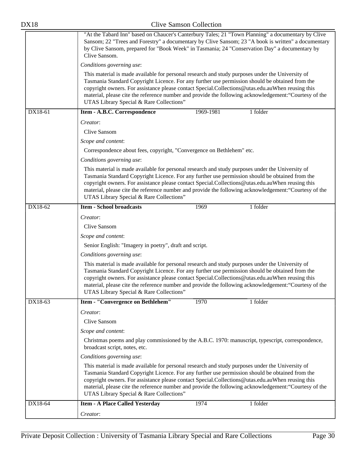| <b>DX18</b> | <b>Clive Samson Collection</b>                                                                                                                                                                                                                                                                                                                                                                                                                                |  |  |  |
|-------------|---------------------------------------------------------------------------------------------------------------------------------------------------------------------------------------------------------------------------------------------------------------------------------------------------------------------------------------------------------------------------------------------------------------------------------------------------------------|--|--|--|
|             | "At the Tabard Inn" based on Chaucer's Canterbury Tales; 21 "Town Planning" a documentary by Clive<br>Sansom; 22 "Trees and Forestry" a documentary by Clive Sansom; 23 "A book is written" a documentary<br>by Clive Sansom, prepared for "Book Week" in Tasmania; 24 "Conservation Day" a documentary by<br>Clive Sansom.                                                                                                                                   |  |  |  |
|             | Conditions governing use:                                                                                                                                                                                                                                                                                                                                                                                                                                     |  |  |  |
|             | This material is made available for personal research and study purposes under the University of<br>Tasmania Standard Copyright Licence. For any further use permission should be obtained from the<br>copyright owners. For assistance please contact Special.Collections@utas.edu.auWhen reusing this<br>material, please cite the reference number and provide the following acknowledgement: "Courtesy of the<br>UTAS Library Special & Rare Collections" |  |  |  |
| DX18-61     | Item - A.B.C. Correspondence<br>1 folder<br>1969-1981                                                                                                                                                                                                                                                                                                                                                                                                         |  |  |  |
|             | Creator:                                                                                                                                                                                                                                                                                                                                                                                                                                                      |  |  |  |
|             | Clive Sansom                                                                                                                                                                                                                                                                                                                                                                                                                                                  |  |  |  |
|             | Scope and content:                                                                                                                                                                                                                                                                                                                                                                                                                                            |  |  |  |
|             | Correspondence about fees, copyright, "Convergence on Bethlehem" etc.                                                                                                                                                                                                                                                                                                                                                                                         |  |  |  |
|             | Conditions governing use:                                                                                                                                                                                                                                                                                                                                                                                                                                     |  |  |  |
|             | This material is made available for personal research and study purposes under the University of<br>Tasmania Standard Copyright Licence. For any further use permission should be obtained from the<br>copyright owners. For assistance please contact Special.Collections@utas.edu.auWhen reusing this<br>material, please cite the reference number and provide the following acknowledgement: "Courtesy of the<br>UTAS Library Special & Rare Collections" |  |  |  |
| DX18-62     | <b>Item - School broadcasts</b><br>1 folder<br>1969                                                                                                                                                                                                                                                                                                                                                                                                           |  |  |  |
|             | Creator:                                                                                                                                                                                                                                                                                                                                                                                                                                                      |  |  |  |
|             | Clive Sansom                                                                                                                                                                                                                                                                                                                                                                                                                                                  |  |  |  |
|             | Scope and content:                                                                                                                                                                                                                                                                                                                                                                                                                                            |  |  |  |
|             | Senior English: "Imagery in poetry", draft and script.                                                                                                                                                                                                                                                                                                                                                                                                        |  |  |  |
|             | Conditions governing use:                                                                                                                                                                                                                                                                                                                                                                                                                                     |  |  |  |
|             | This material is made available for personal research and study purposes under the University of<br>Tasmania Standard Copyright Licence. For any further use permission should be obtained from the<br>copyright owners. For assistance please contact Special.Collections@utas.edu.auWhen reusing this<br>material, please cite the reference number and provide the following acknowledgement: "Courtesy of the<br>UTAS Library Special & Rare Collections" |  |  |  |
| DX18-63     | Item - "Convergence on Bethlehem"<br>1970<br>1 folder                                                                                                                                                                                                                                                                                                                                                                                                         |  |  |  |
|             | Creator:                                                                                                                                                                                                                                                                                                                                                                                                                                                      |  |  |  |
|             | Clive Sansom                                                                                                                                                                                                                                                                                                                                                                                                                                                  |  |  |  |
|             | Scope and content:                                                                                                                                                                                                                                                                                                                                                                                                                                            |  |  |  |
|             | Christmas poems and play commissioned by the A.B.C. 1970: manuscript, typescript, correspondence,<br>broadcast script, notes, etc.                                                                                                                                                                                                                                                                                                                            |  |  |  |
|             | Conditions governing use:                                                                                                                                                                                                                                                                                                                                                                                                                                     |  |  |  |
|             | This material is made available for personal research and study purposes under the University of<br>Tasmania Standard Copyright Licence. For any further use permission should be obtained from the<br>copyright owners. For assistance please contact Special.Collections@utas.edu.auWhen reusing this<br>material, please cite the reference number and provide the following acknowledgement: "Courtesy of the<br>UTAS Library Special & Rare Collections" |  |  |  |
| DX18-64     | 1974<br>1 folder<br><b>Item - A Place Called Yesterday</b>                                                                                                                                                                                                                                                                                                                                                                                                    |  |  |  |
|             | Creator:                                                                                                                                                                                                                                                                                                                                                                                                                                                      |  |  |  |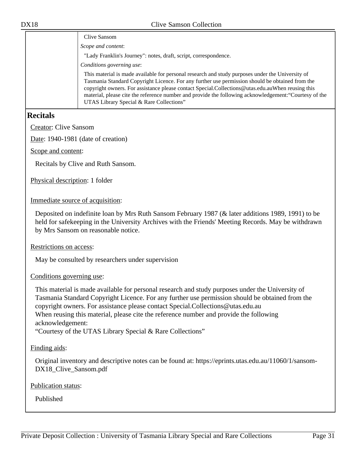| Clive Sansom                                                                                                                                                                                                                                                                                                                                                                                                                                                  |
|---------------------------------------------------------------------------------------------------------------------------------------------------------------------------------------------------------------------------------------------------------------------------------------------------------------------------------------------------------------------------------------------------------------------------------------------------------------|
| Scope and content:                                                                                                                                                                                                                                                                                                                                                                                                                                            |
| "Lady Franklin's Journey": notes, draft, script, correspondence.                                                                                                                                                                                                                                                                                                                                                                                              |
| Conditions governing use:                                                                                                                                                                                                                                                                                                                                                                                                                                     |
| This material is made available for personal research and study purposes under the University of<br>Tasmania Standard Copyright Licence. For any further use permission should be obtained from the<br>copyright owners. For assistance please contact Special.Collections@utas.edu.auWhen reusing this<br>material, please cite the reference number and provide the following acknowledgement: "Courtesy of the<br>UTAS Library Special & Rare Collections" |
|                                                                                                                                                                                                                                                                                                                                                                                                                                                               |

#### <span id="page-30-0"></span>**Recitals**

Creator: Clive Sansom

Date: 1940-1981 (date of creation)

Scope and content:

Recitals by Clive and Ruth Sansom.

Physical description: 1 folder

Immediate source of acquisition:

Deposited on indefinite loan by Mrs Ruth Sansom February 1987 (& later additions 1989, 1991) to be held for safekeeping in the University Archives with the Friends' Meeting Records. May be withdrawn by Mrs Sansom on reasonable notice.

Restrictions on access:

May be consulted by researchers under supervision

Conditions governing use:

This material is made available for personal research and study purposes under the University of Tasmania Standard Copyright Licence. For any further use permission should be obtained from the copyright owners. For assistance please contact Special.Collections@utas.edu.au When reusing this material, please cite the reference number and provide the following acknowledgement:

"Courtesy of the UTAS Library Special & Rare Collections"

Finding aids:

Original inventory and descriptive notes can be found at: https://eprints.utas.edu.au/11060/1/sansom-DX18\_Clive\_Sansom.pdf

Publication status: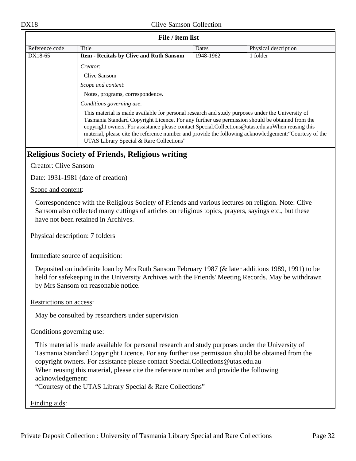#### **File / item list**

| Reference code                                                                                                                                                                                                                                                                                                                                                                                                                                                | Title                                           | Dates     | Physical description |  |  |
|---------------------------------------------------------------------------------------------------------------------------------------------------------------------------------------------------------------------------------------------------------------------------------------------------------------------------------------------------------------------------------------------------------------------------------------------------------------|-------------------------------------------------|-----------|----------------------|--|--|
| DX18-65                                                                                                                                                                                                                                                                                                                                                                                                                                                       | <b>Item - Recitals by Clive and Ruth Sansom</b> | 1948-1962 | 1 folder             |  |  |
|                                                                                                                                                                                                                                                                                                                                                                                                                                                               | <i>Creator:</i>                                 |           |                      |  |  |
|                                                                                                                                                                                                                                                                                                                                                                                                                                                               | Clive Sansom                                    |           |                      |  |  |
|                                                                                                                                                                                                                                                                                                                                                                                                                                                               | Scope and content:                              |           |                      |  |  |
|                                                                                                                                                                                                                                                                                                                                                                                                                                                               | Notes, programs, correspondence.                |           |                      |  |  |
|                                                                                                                                                                                                                                                                                                                                                                                                                                                               | Conditions governing use:                       |           |                      |  |  |
| This material is made available for personal research and study purposes under the University of<br>Tasmania Standard Copyright Licence. For any further use permission should be obtained from the<br>copyright owners. For assistance please contact Special.Collections@utas.edu.auWhen reusing this<br>material, please cite the reference number and provide the following acknowledgement: "Courtesy of the<br>UTAS Library Special & Rare Collections" |                                                 |           |                      |  |  |
|                                                                                                                                                                                                                                                                                                                                                                                                                                                               |                                                 |           |                      |  |  |

#### <span id="page-31-0"></span>**Religious Society of Friends, Religious writing**

Creator: Clive Sansom

Date: 1931-1981 (date of creation)

Scope and content:

Correspondence with the Religious Society of Friends and various lectures on religion. Note: Clive Sansom also collected many cuttings of articles on religious topics, prayers, sayings etc., but these have not been retained in Archives.

Physical description: 7 folders

Immediate source of acquisition:

Deposited on indefinite loan by Mrs Ruth Sansom February 1987 (& later additions 1989, 1991) to be held for safekeeping in the University Archives with the Friends' Meeting Records. May be withdrawn by Mrs Sansom on reasonable notice.

Restrictions on access:

May be consulted by researchers under supervision

#### Conditions governing use:

This material is made available for personal research and study purposes under the University of Tasmania Standard Copyright Licence. For any further use permission should be obtained from the copyright owners. For assistance please contact Special.Collections@utas.edu.au When reusing this material, please cite the reference number and provide the following acknowledgement:

"Courtesy of the UTAS Library Special & Rare Collections"

Finding aids: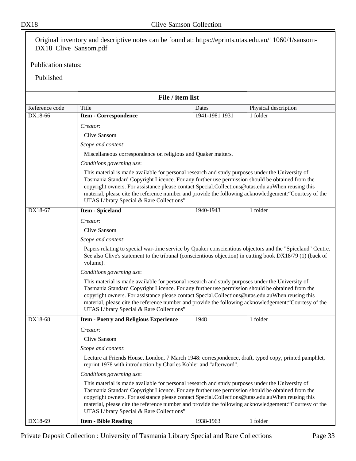DX18 Clive Samson Collection Original inventory and descriptive notes can be found at: https://eprints.utas.edu.au/11060/1/sansom-DX18\_Clive\_Sansom.pdf Publication status: Published **File / item list** Reference code Title Dates Physical description DX18-66 **Item - Correspondence** 1941-1981 1931 1 folder *Creator*: Clive Sansom *Scope and content*: Miscellaneous correspondence on religious and Quaker matters. *Conditions governing use*: This material is made available for personal research and study purposes under the University of Tasmania Standard Copyright Licence. For any further use permission should be obtained from the copyright owners. For assistance please contact Special.Collections@utas.edu.auWhen reusing this material, please cite the reference number and provide the following acknowledgement:"Courtesy of the UTAS Library Special & Rare Collections" **DX18-67 I tem - Spiceland** 1940-1943 1 folder

|         | UTAS Library Special & Rare Collections"                                                                                                                                                                                                                                                                                                                                                                                                                      |           |          |  |
|---------|---------------------------------------------------------------------------------------------------------------------------------------------------------------------------------------------------------------------------------------------------------------------------------------------------------------------------------------------------------------------------------------------------------------------------------------------------------------|-----------|----------|--|
| DX18-67 | <b>Item - Spiceland</b>                                                                                                                                                                                                                                                                                                                                                                                                                                       | 1940-1943 | 1 folder |  |
|         | Creator:                                                                                                                                                                                                                                                                                                                                                                                                                                                      |           |          |  |
|         | <b>Clive Sansom</b>                                                                                                                                                                                                                                                                                                                                                                                                                                           |           |          |  |
|         | Scope and content:                                                                                                                                                                                                                                                                                                                                                                                                                                            |           |          |  |
|         | Papers relating to special war-time service by Quaker conscientious objectors and the "Spiceland" Centre.<br>See also Clive's statement to the tribunal (conscientious objection) in cutting book DX18/79 (1) (back of<br>volume).                                                                                                                                                                                                                            |           |          |  |
|         | Conditions governing use:                                                                                                                                                                                                                                                                                                                                                                                                                                     |           |          |  |
|         | This material is made available for personal research and study purposes under the University of<br>Tasmania Standard Copyright Licence. For any further use permission should be obtained from the<br>copyright owners. For assistance please contact Special.Collections@utas.edu.auWhen reusing this<br>material, please cite the reference number and provide the following acknowledgement: "Courtesy of the<br>UTAS Library Special & Rare Collections" |           |          |  |
| DX18-68 | <b>Item - Poetry and Religious Experience</b>                                                                                                                                                                                                                                                                                                                                                                                                                 | 1948      | 1 folder |  |
|         | Creator:                                                                                                                                                                                                                                                                                                                                                                                                                                                      |           |          |  |
|         | <b>Clive Sansom</b>                                                                                                                                                                                                                                                                                                                                                                                                                                           |           |          |  |
|         | Scope and content:                                                                                                                                                                                                                                                                                                                                                                                                                                            |           |          |  |
|         | Lecture at Friends House, London, 7 March 1948: correspondence, draft, typed copy, printed pamphlet,<br>reprint 1978 with introduction by Charles Kohler and "afterword".                                                                                                                                                                                                                                                                                     |           |          |  |
|         | Conditions governing use:                                                                                                                                                                                                                                                                                                                                                                                                                                     |           |          |  |
|         | This material is made available for personal research and study purposes under the University of<br>Tasmania Standard Copyright Licence. For any further use permission should be obtained from the<br>copyright owners. For assistance please contact Special.Collections@utas.edu.auWhen reusing this<br>material, please cite the reference number and provide the following acknowledgement: "Courtesy of the<br>UTAS Library Special & Rare Collections" |           |          |  |
| DX18-69 | <b>Item - Bible Reading</b>                                                                                                                                                                                                                                                                                                                                                                                                                                   | 1938-1963 | 1 folder |  |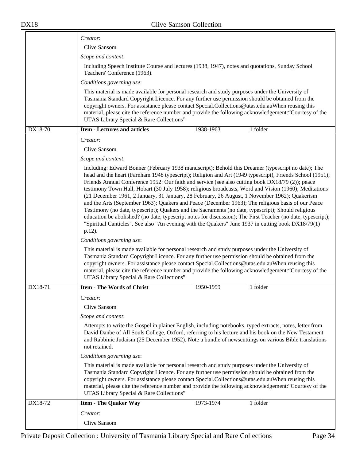$\equiv$ 

| Creator:                                                                                                                                                                                                                                                                                                                                                                                                                                                      |                                                                                                                                                                                                                                                                                                                                                                                                                                                                                                                                                                                                                                                                                                                                                                                                                                                                                                                                                                 |  |  |
|---------------------------------------------------------------------------------------------------------------------------------------------------------------------------------------------------------------------------------------------------------------------------------------------------------------------------------------------------------------------------------------------------------------------------------------------------------------|-----------------------------------------------------------------------------------------------------------------------------------------------------------------------------------------------------------------------------------------------------------------------------------------------------------------------------------------------------------------------------------------------------------------------------------------------------------------------------------------------------------------------------------------------------------------------------------------------------------------------------------------------------------------------------------------------------------------------------------------------------------------------------------------------------------------------------------------------------------------------------------------------------------------------------------------------------------------|--|--|
| Clive Sansom                                                                                                                                                                                                                                                                                                                                                                                                                                                  |                                                                                                                                                                                                                                                                                                                                                                                                                                                                                                                                                                                                                                                                                                                                                                                                                                                                                                                                                                 |  |  |
| Scope and content:                                                                                                                                                                                                                                                                                                                                                                                                                                            |                                                                                                                                                                                                                                                                                                                                                                                                                                                                                                                                                                                                                                                                                                                                                                                                                                                                                                                                                                 |  |  |
| Including Speech Institute Course and lectures (1938, 1947), notes and quotations, Sunday School<br>Teachers' Conference (1963).                                                                                                                                                                                                                                                                                                                              |                                                                                                                                                                                                                                                                                                                                                                                                                                                                                                                                                                                                                                                                                                                                                                                                                                                                                                                                                                 |  |  |
| Conditions governing use:                                                                                                                                                                                                                                                                                                                                                                                                                                     |                                                                                                                                                                                                                                                                                                                                                                                                                                                                                                                                                                                                                                                                                                                                                                                                                                                                                                                                                                 |  |  |
| This material is made available for personal research and study purposes under the University of<br>Tasmania Standard Copyright Licence. For any further use permission should be obtained from the<br>copyright owners. For assistance please contact Special.Collections@utas.edu.auWhen reusing this<br>material, please cite the reference number and provide the following acknowledgement: "Courtesy of the<br>UTAS Library Special & Rare Collections" |                                                                                                                                                                                                                                                                                                                                                                                                                                                                                                                                                                                                                                                                                                                                                                                                                                                                                                                                                                 |  |  |
| DX18-70<br><b>Item - Lectures and articles</b><br>1938-1963<br>1 folder                                                                                                                                                                                                                                                                                                                                                                                       |                                                                                                                                                                                                                                                                                                                                                                                                                                                                                                                                                                                                                                                                                                                                                                                                                                                                                                                                                                 |  |  |
| Creator:                                                                                                                                                                                                                                                                                                                                                                                                                                                      |                                                                                                                                                                                                                                                                                                                                                                                                                                                                                                                                                                                                                                                                                                                                                                                                                                                                                                                                                                 |  |  |
| Clive Sansom                                                                                                                                                                                                                                                                                                                                                                                                                                                  |                                                                                                                                                                                                                                                                                                                                                                                                                                                                                                                                                                                                                                                                                                                                                                                                                                                                                                                                                                 |  |  |
| Scope and content:                                                                                                                                                                                                                                                                                                                                                                                                                                            |                                                                                                                                                                                                                                                                                                                                                                                                                                                                                                                                                                                                                                                                                                                                                                                                                                                                                                                                                                 |  |  |
| $p.12$ ).                                                                                                                                                                                                                                                                                                                                                                                                                                                     | Including: Edward Bonner (February 1938 manuscript); Behold this Dreamer (typescript no date); The<br>head and the heart (Farnham 1948 typescript); Religion and Art (1949 typescript), Friends School (1951);<br>Friends Annual Conference 1952: Our faith and service (see also cutting book DX18/79 (2)); peace<br>testimony Town Hall, Hobart (30 July 1958); religious broadcasts, Word and Vision (1960); Meditations<br>(21 December 1961, 2 January, 31 January, 28 February, 26 August, 1 November 1962); Quakerism<br>and the Arts (September 1963); Quakers and Peace (December 1963); The religious basis of our Peace<br>Testimony (no date, typescript); Quakers and the Sacraments (no date, typescript); Should religious<br>education be abolished? (no date, typescript notes for discussion); The First Teacher (no date, typescript);<br>"Spiritual Canticles". See also "An evening with the Quakers" June 1937 in cutting book DX18/79(1) |  |  |
| Conditions governing use:                                                                                                                                                                                                                                                                                                                                                                                                                                     |                                                                                                                                                                                                                                                                                                                                                                                                                                                                                                                                                                                                                                                                                                                                                                                                                                                                                                                                                                 |  |  |
| This material is made available for personal research and study purposes under the University of<br>Tasmania Standard Copyright Licence. For any further use permission should be obtained from the<br>copyright owners. For assistance please contact Special.Collections@utas.edu.auWhen reusing this<br>material, please cite the reference number and provide the following acknowledgement: "Courtesy of the<br>UTAS Library Special & Rare Collections" |                                                                                                                                                                                                                                                                                                                                                                                                                                                                                                                                                                                                                                                                                                                                                                                                                                                                                                                                                                 |  |  |
| <b>Item - The Words of Christ</b><br>DX18-71<br>1 folder<br>1950-1959                                                                                                                                                                                                                                                                                                                                                                                         |                                                                                                                                                                                                                                                                                                                                                                                                                                                                                                                                                                                                                                                                                                                                                                                                                                                                                                                                                                 |  |  |
| Creator:                                                                                                                                                                                                                                                                                                                                                                                                                                                      |                                                                                                                                                                                                                                                                                                                                                                                                                                                                                                                                                                                                                                                                                                                                                                                                                                                                                                                                                                 |  |  |
| Clive Sansom                                                                                                                                                                                                                                                                                                                                                                                                                                                  |                                                                                                                                                                                                                                                                                                                                                                                                                                                                                                                                                                                                                                                                                                                                                                                                                                                                                                                                                                 |  |  |
| Scope and content:                                                                                                                                                                                                                                                                                                                                                                                                                                            |                                                                                                                                                                                                                                                                                                                                                                                                                                                                                                                                                                                                                                                                                                                                                                                                                                                                                                                                                                 |  |  |
| Attempts to write the Gospel in plainer English, including notebooks, typed extracts, notes, letter from<br>David Danbe of All Souls College, Oxford, referring to his lecture and his book on the New Testament<br>and Rabbinic Judaism (25 December 1952). Note a bundle of newscuttings on various Bible translations<br>not retained.                                                                                                                     |                                                                                                                                                                                                                                                                                                                                                                                                                                                                                                                                                                                                                                                                                                                                                                                                                                                                                                                                                                 |  |  |
| Conditions governing use:                                                                                                                                                                                                                                                                                                                                                                                                                                     |                                                                                                                                                                                                                                                                                                                                                                                                                                                                                                                                                                                                                                                                                                                                                                                                                                                                                                                                                                 |  |  |
| UTAS Library Special & Rare Collections"                                                                                                                                                                                                                                                                                                                                                                                                                      | This material is made available for personal research and study purposes under the University of<br>Tasmania Standard Copyright Licence. For any further use permission should be obtained from the<br>copyright owners. For assistance please contact Special.Collections@utas.edu.auWhen reusing this<br>material, please cite the reference number and provide the following acknowledgement: "Courtesy of the                                                                                                                                                                                                                                                                                                                                                                                                                                                                                                                                               |  |  |
| DX18-72<br>1 folder<br><b>Item - The Quaker Way</b><br>1973-1974                                                                                                                                                                                                                                                                                                                                                                                              |                                                                                                                                                                                                                                                                                                                                                                                                                                                                                                                                                                                                                                                                                                                                                                                                                                                                                                                                                                 |  |  |
| Creator:<br>Clive Sansom                                                                                                                                                                                                                                                                                                                                                                                                                                      |                                                                                                                                                                                                                                                                                                                                                                                                                                                                                                                                                                                                                                                                                                                                                                                                                                                                                                                                                                 |  |  |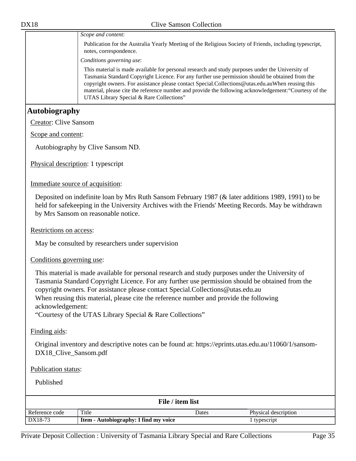<span id="page-34-0"></span>

| <b>DX18</b>                  | <b>Clive Samson Collection</b>                                                                                                                                                                                                                                                                                                                                                                                                                                |
|------------------------------|---------------------------------------------------------------------------------------------------------------------------------------------------------------------------------------------------------------------------------------------------------------------------------------------------------------------------------------------------------------------------------------------------------------------------------------------------------------|
|                              | Scope and content:                                                                                                                                                                                                                                                                                                                                                                                                                                            |
|                              | Publication for the Australia Yearly Meeting of the Religious Society of Friends, including typescript,<br>notes, correspondence.                                                                                                                                                                                                                                                                                                                             |
|                              | Conditions governing use:                                                                                                                                                                                                                                                                                                                                                                                                                                     |
|                              | This material is made available for personal research and study purposes under the University of<br>Tasmania Standard Copyright Licence. For any further use permission should be obtained from the<br>copyright owners. For assistance please contact Special.Collections@utas.edu.auWhen reusing this<br>material, please cite the reference number and provide the following acknowledgement: "Courtesy of the<br>UTAS Library Special & Rare Collections" |
| <b>Autobiography</b>         |                                                                                                                                                                                                                                                                                                                                                                                                                                                               |
| <b>Creator: Clive Sansom</b> |                                                                                                                                                                                                                                                                                                                                                                                                                                                               |
| Scope and content:           |                                                                                                                                                                                                                                                                                                                                                                                                                                                               |
|                              | Autobiography by Clive Sansom ND.                                                                                                                                                                                                                                                                                                                                                                                                                             |
|                              | Physical description: 1 typescript                                                                                                                                                                                                                                                                                                                                                                                                                            |
|                              | Immediate source of acquisition:                                                                                                                                                                                                                                                                                                                                                                                                                              |
|                              | Deposited on indefinite loan by Mrs Ruth Sansom February 1987 (& later additions 1989, 1991) to be<br>held for safekeeping in the University Archives with the Friends' Meeting Records. May be withdrawn<br>by Mrs Sansom on reasonable notice.                                                                                                                                                                                                              |
| Restrictions on access:      |                                                                                                                                                                                                                                                                                                                                                                                                                                                               |
|                              | May be consulted by researchers under supervision                                                                                                                                                                                                                                                                                                                                                                                                             |

Conditions governing use:

This material is made available for personal research and study purposes under the University of Tasmania Standard Copyright Licence. For any further use permission should be obtained from the copyright owners. For assistance please contact Special.Collections@utas.edu.au When reusing this material, please cite the reference number and provide the following acknowledgement:

"Courtesy of the UTAS Library Special & Rare Collections"

Finding aids:

Original inventory and descriptive notes can be found at: https://eprints.utas.edu.au/11060/1/sansom-DX18\_Clive\_Sansom.pdf

#### Publication status:

| File / item list |                                       |       |                      |  |
|------------------|---------------------------------------|-------|----------------------|--|
| Reference code   | Title                                 | Dates | Physical description |  |
| DX18-73          | Item - Autobiography: I find my voice |       | typescript           |  |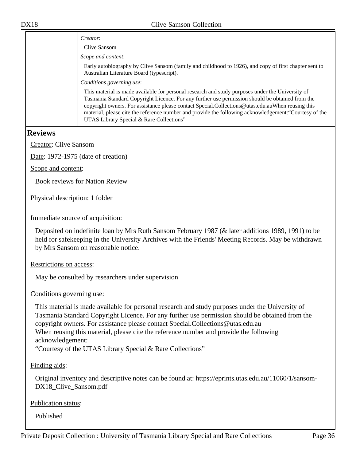|                                    | Creator:                                                                                                                                                                                                                                                                                                                                                                                                                                                      |
|------------------------------------|---------------------------------------------------------------------------------------------------------------------------------------------------------------------------------------------------------------------------------------------------------------------------------------------------------------------------------------------------------------------------------------------------------------------------------------------------------------|
|                                    | Clive Sansom                                                                                                                                                                                                                                                                                                                                                                                                                                                  |
|                                    | Scope and content:                                                                                                                                                                                                                                                                                                                                                                                                                                            |
|                                    | Early autobiography by Clive Sansom (family and childhood to 1926), and copy of first chapter sent to<br>Australian Literature Board (typescript).                                                                                                                                                                                                                                                                                                            |
|                                    | Conditions governing use:                                                                                                                                                                                                                                                                                                                                                                                                                                     |
|                                    | This material is made available for personal research and study purposes under the University of<br>Tasmania Standard Copyright Licence. For any further use permission should be obtained from the<br>copyright owners. For assistance please contact Special.Collections@utas.edu.auWhen reusing this<br>material, please cite the reference number and provide the following acknowledgement: "Courtesy of the<br>UTAS Library Special & Rare Collections" |
| <b>Reviews</b>                     |                                                                                                                                                                                                                                                                                                                                                                                                                                                               |
| <b>Creator: Clive Sansom</b>       |                                                                                                                                                                                                                                                                                                                                                                                                                                                               |
| Date: 1972-1975 (date of creation) |                                                                                                                                                                                                                                                                                                                                                                                                                                                               |

<span id="page-35-0"></span>Scope and content:

Book reviews for Nation Review

Physical description: 1 folder

Immediate source of acquisition:

Deposited on indefinite loan by Mrs Ruth Sansom February 1987 (& later additions 1989, 1991) to be held for safekeeping in the University Archives with the Friends' Meeting Records. May be withdrawn by Mrs Sansom on reasonable notice.

Restrictions on access:

May be consulted by researchers under supervision

Conditions governing use:

This material is made available for personal research and study purposes under the University of Tasmania Standard Copyright Licence. For any further use permission should be obtained from the copyright owners. For assistance please contact Special.Collections@utas.edu.au When reusing this material, please cite the reference number and provide the following acknowledgement:

"Courtesy of the UTAS Library Special & Rare Collections"

Finding aids:

Original inventory and descriptive notes can be found at: https://eprints.utas.edu.au/11060/1/sansom-DX18\_Clive\_Sansom.pdf

Publication status: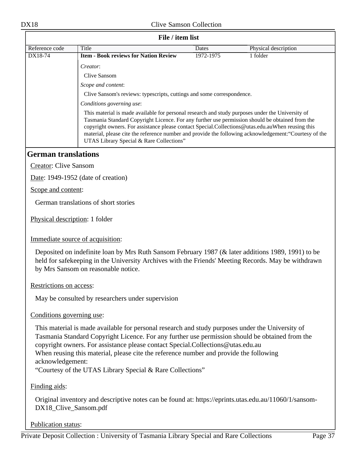| File / item list                 |                                                                                                                                                                                                                                                                                                                                                                                                                                                               |           |                      |  |
|----------------------------------|---------------------------------------------------------------------------------------------------------------------------------------------------------------------------------------------------------------------------------------------------------------------------------------------------------------------------------------------------------------------------------------------------------------------------------------------------------------|-----------|----------------------|--|
| Reference code                   | <b>Title</b>                                                                                                                                                                                                                                                                                                                                                                                                                                                  | Dates     | Physical description |  |
| DX18-74                          | <b>Item - Book reviews for Nation Review</b>                                                                                                                                                                                                                                                                                                                                                                                                                  | 1972-1975 | 1 folder             |  |
|                                  | Creator:                                                                                                                                                                                                                                                                                                                                                                                                                                                      |           |                      |  |
|                                  | Clive Sansom                                                                                                                                                                                                                                                                                                                                                                                                                                                  |           |                      |  |
|                                  | Scope and content:                                                                                                                                                                                                                                                                                                                                                                                                                                            |           |                      |  |
|                                  | Clive Sansom's reviews: typescripts, cuttings and some correspondence.                                                                                                                                                                                                                                                                                                                                                                                        |           |                      |  |
|                                  | Conditions governing use:                                                                                                                                                                                                                                                                                                                                                                                                                                     |           |                      |  |
|                                  | This material is made available for personal research and study purposes under the University of<br>Tasmania Standard Copyright Licence. For any further use permission should be obtained from the<br>copyright owners. For assistance please contact Special.Collections@utas.edu.auWhen reusing this<br>material, please cite the reference number and provide the following acknowledgement: "Courtesy of the<br>UTAS Library Special & Rare Collections" |           |                      |  |
| <b>German translations</b>       |                                                                                                                                                                                                                                                                                                                                                                                                                                                               |           |                      |  |
| <b>Creator: Clive Sansom</b>     |                                                                                                                                                                                                                                                                                                                                                                                                                                                               |           |                      |  |
|                                  | Date: 1949-1952 (date of creation)                                                                                                                                                                                                                                                                                                                                                                                                                            |           |                      |  |
| Scope and content:               |                                                                                                                                                                                                                                                                                                                                                                                                                                                               |           |                      |  |
|                                  | German translations of short stories                                                                                                                                                                                                                                                                                                                                                                                                                          |           |                      |  |
| Physical description: 1 folder   |                                                                                                                                                                                                                                                                                                                                                                                                                                                               |           |                      |  |
| Immediate source of acquisition: |                                                                                                                                                                                                                                                                                                                                                                                                                                                               |           |                      |  |
|                                  | Deposited on indefinite loan by Mrs Ruth Sansom February 1987 (& later additions 1989, 1991) to be<br>held for safekeeping in the University Archives with the Friends' Meeting Records. May be withdrawn<br>by Mrs Sansom on reasonable notice.                                                                                                                                                                                                              |           |                      |  |
| Restrictions on access:          |                                                                                                                                                                                                                                                                                                                                                                                                                                                               |           |                      |  |
|                                  | May be consulted by researchers under supervision                                                                                                                                                                                                                                                                                                                                                                                                             |           |                      |  |
| Conditions governing use:        |                                                                                                                                                                                                                                                                                                                                                                                                                                                               |           |                      |  |

This material is made available for personal research and study purposes under the University of Tasmania Standard Copyright Licence. For any further use permission should be obtained from the copyright owners. For assistance please contact Special.Collections@utas.edu.au When reusing this material, please cite the reference number and provide the following acknowledgement:

"Courtesy of the UTAS Library Special & Rare Collections"

Finding aids:

Original inventory and descriptive notes can be found at: https://eprints.utas.edu.au/11060/1/sansom-DX18\_Clive\_Sansom.pdf

Publication status: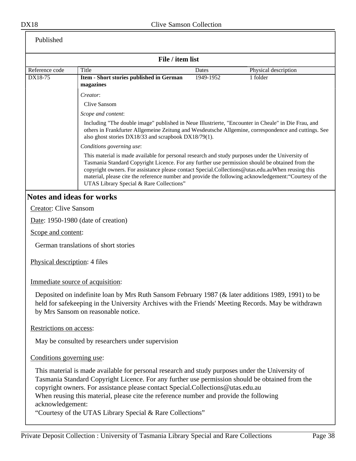| Published                    |                                                                                                                                                                                                                                                                                                                                                                                                                                                               |              |                      |
|------------------------------|---------------------------------------------------------------------------------------------------------------------------------------------------------------------------------------------------------------------------------------------------------------------------------------------------------------------------------------------------------------------------------------------------------------------------------------------------------------|--------------|----------------------|
|                              | File / item list                                                                                                                                                                                                                                                                                                                                                                                                                                              |              |                      |
| Reference code               | Title                                                                                                                                                                                                                                                                                                                                                                                                                                                         | <b>Dates</b> | Physical description |
| DX18-75                      | Item - Short stories published in German<br>magazines                                                                                                                                                                                                                                                                                                                                                                                                         | 1949-1952    | 1 folder             |
|                              | Creator:                                                                                                                                                                                                                                                                                                                                                                                                                                                      |              |                      |
|                              | Clive Sansom                                                                                                                                                                                                                                                                                                                                                                                                                                                  |              |                      |
|                              | Scope and content:                                                                                                                                                                                                                                                                                                                                                                                                                                            |              |                      |
|                              | Including "The double image" published in Neue Illustrierte, "Encounter in Cheale" in Die Frau, and<br>others in Frankfurter Allgemeine Zeitung and Wesdeutsche Allgemine, correspondence and cuttings. See<br>also ghost stories DX18/33 and scrapbook DX18/79(1).                                                                                                                                                                                           |              |                      |
|                              | Conditions governing use:                                                                                                                                                                                                                                                                                                                                                                                                                                     |              |                      |
|                              | This material is made available for personal research and study purposes under the University of<br>Tasmania Standard Copyright Licence. For any further use permission should be obtained from the<br>copyright owners. For assistance please contact Special.Collections@utas.edu.auWhen reusing this<br>material, please cite the reference number and provide the following acknowledgement: "Courtesy of the<br>UTAS Library Special & Rare Collections" |              |                      |
|                              | <b>Notes and ideas for works</b>                                                                                                                                                                                                                                                                                                                                                                                                                              |              |                      |
| <b>Creator: Clive Sansom</b> |                                                                                                                                                                                                                                                                                                                                                                                                                                                               |              |                      |
|                              | Date: 1950-1980 (date of creation)                                                                                                                                                                                                                                                                                                                                                                                                                            |              |                      |
| Scope and content:           |                                                                                                                                                                                                                                                                                                                                                                                                                                                               |              |                      |
|                              | German translations of short stories                                                                                                                                                                                                                                                                                                                                                                                                                          |              |                      |
|                              | Physical description: 4 files                                                                                                                                                                                                                                                                                                                                                                                                                                 |              |                      |
|                              | Immediate source of acquisition:                                                                                                                                                                                                                                                                                                                                                                                                                              |              |                      |
|                              | Deposited on indefinite loan by Mrs Ruth Sansom February 1987 (& later additions 1989, 1991) to be<br>held for safekeeping in the University Archives with the Friends' Meeting Records. May be withdrawn<br>by Mrs Sansom on reasonable notice.                                                                                                                                                                                                              |              |                      |
| Restrictions on access:      |                                                                                                                                                                                                                                                                                                                                                                                                                                                               |              |                      |
|                              | May be consulted by researchers under supervision                                                                                                                                                                                                                                                                                                                                                                                                             |              |                      |
| Conditions governing use:    |                                                                                                                                                                                                                                                                                                                                                                                                                                                               |              |                      |
| acknowledgement:             | This material is made available for personal research and study purposes under the University of<br>Tasmania Standard Copyright Licence. For any further use permission should be obtained from the<br>copyright owners. For assistance please contact Special.Collections@utas.edu.au<br>When reusing this material, please cite the reference number and provide the following<br>"Courtesy of the UTAS Library Special & Rare Collections"                 |              |                      |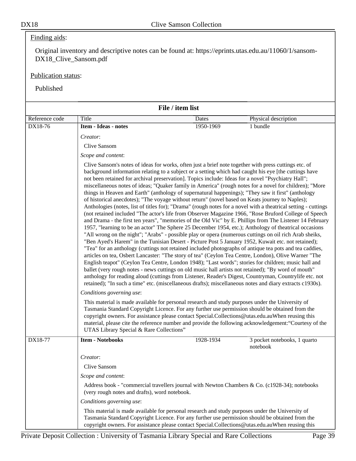# Finding aids:

Original inventory and descriptive notes can be found at: https://eprints.utas.edu.au/11060/1/sansom-DX18\_Clive\_Sansom.pdf

### Publication status:

|                |                                                                                                                                                                                                                                                                                                                                                     | File / item list                                                                                                                                                                                                                                                                                                                                                                                                                                                                                                                                                                                                                                                                                                                                                                                                                                                                                                                                                                                                                                                                                                                                                                                                                                                                                                                                                                                                                                                                                                                                                                                                                                                                                                                                                                                                                                      |                                                                                                        |  |
|----------------|-----------------------------------------------------------------------------------------------------------------------------------------------------------------------------------------------------------------------------------------------------------------------------------------------------------------------------------------------------|-------------------------------------------------------------------------------------------------------------------------------------------------------------------------------------------------------------------------------------------------------------------------------------------------------------------------------------------------------------------------------------------------------------------------------------------------------------------------------------------------------------------------------------------------------------------------------------------------------------------------------------------------------------------------------------------------------------------------------------------------------------------------------------------------------------------------------------------------------------------------------------------------------------------------------------------------------------------------------------------------------------------------------------------------------------------------------------------------------------------------------------------------------------------------------------------------------------------------------------------------------------------------------------------------------------------------------------------------------------------------------------------------------------------------------------------------------------------------------------------------------------------------------------------------------------------------------------------------------------------------------------------------------------------------------------------------------------------------------------------------------------------------------------------------------------------------------------------------------|--------------------------------------------------------------------------------------------------------|--|
| Reference code | Title                                                                                                                                                                                                                                                                                                                                               | Dates                                                                                                                                                                                                                                                                                                                                                                                                                                                                                                                                                                                                                                                                                                                                                                                                                                                                                                                                                                                                                                                                                                                                                                                                                                                                                                                                                                                                                                                                                                                                                                                                                                                                                                                                                                                                                                                 | Physical description                                                                                   |  |
| DX18-76        | Item - Ideas - notes                                                                                                                                                                                                                                                                                                                                | 1950-1969                                                                                                                                                                                                                                                                                                                                                                                                                                                                                                                                                                                                                                                                                                                                                                                                                                                                                                                                                                                                                                                                                                                                                                                                                                                                                                                                                                                                                                                                                                                                                                                                                                                                                                                                                                                                                                             | 1 bundle                                                                                               |  |
|                | Creator:                                                                                                                                                                                                                                                                                                                                            |                                                                                                                                                                                                                                                                                                                                                                                                                                                                                                                                                                                                                                                                                                                                                                                                                                                                                                                                                                                                                                                                                                                                                                                                                                                                                                                                                                                                                                                                                                                                                                                                                                                                                                                                                                                                                                                       |                                                                                                        |  |
|                | Clive Sansom                                                                                                                                                                                                                                                                                                                                        |                                                                                                                                                                                                                                                                                                                                                                                                                                                                                                                                                                                                                                                                                                                                                                                                                                                                                                                                                                                                                                                                                                                                                                                                                                                                                                                                                                                                                                                                                                                                                                                                                                                                                                                                                                                                                                                       |                                                                                                        |  |
|                | Scope and content:                                                                                                                                                                                                                                                                                                                                  |                                                                                                                                                                                                                                                                                                                                                                                                                                                                                                                                                                                                                                                                                                                                                                                                                                                                                                                                                                                                                                                                                                                                                                                                                                                                                                                                                                                                                                                                                                                                                                                                                                                                                                                                                                                                                                                       |                                                                                                        |  |
|                | retained); "In such a time" etc. (miscellaneous drafts); miscellaneous notes and diary extracts c1930s).                                                                                                                                                                                                                                            | Clive Sansom's notes of ideas for works, often just a brief note together with press cuttings etc. of<br>background information relating to a subject or a setting which had caught his eye [the cuttings have<br>not been retained for archival preservation]. Topics include: Ideas for a novel "Psychiatry Hall";<br>miscellaneous notes of ideas; "Quaker family in America" (rough notes for a novel for children); "More<br>things in Heaven and Earth" (anthology of supernatural happenings); "They saw it first" (anthology<br>of historical anecdotes); "The voyage without return" (novel based on Keats journey to Naples);<br>Anthologies (notes, list of titles for); "Drama" (rough notes for a novel with a theatrical setting - cuttings<br>(not retained included "The actor's life from Observer Magazine 1966, "Rose Bruford College of Speech<br>and Drama - the first ten years", "memories of the Old Vic" by E. Phillips from The Listener 14 February<br>1957, "learning to be an actor" The Sphere 25 December 1954, etc.); Anthology of theatrical occasions<br>"All wrong on the night"; "Arabs" - possible play or opera (numerous cuttings on oil rich Arab sheiks,<br>"Ben Ayed's Harem" in the Tunisian Desert - Picture Post 5 January 1952, Kuwait etc. not retained);<br>"Tea" for an anthology (cuttings not retained included photographs of antique tea pots and tea caddies,<br>articles on tea, Osbert Lancaster: "The story of tea" (Ceylon Tea Centre, London), Olive Warner "The<br>English teapot" (Ceylon Tea Centre, London 1948); "Last words"; stories for children; music hall and<br>ballet (very rough notes - news cuttings on old music hall artists not retained); "By word of mouth"<br>anthology for reading aloud (cuttings from Listener, Reader's Digest, Countryman, Countrylife etc. not |                                                                                                        |  |
|                | Conditions governing use:                                                                                                                                                                                                                                                                                                                           |                                                                                                                                                                                                                                                                                                                                                                                                                                                                                                                                                                                                                                                                                                                                                                                                                                                                                                                                                                                                                                                                                                                                                                                                                                                                                                                                                                                                                                                                                                                                                                                                                                                                                                                                                                                                                                                       |                                                                                                        |  |
|                | This material is made available for personal research and study purposes under the University of<br>Tasmania Standard Copyright Licence. For any further use permission should be obtained from the<br>copyright owners. For assistance please contact Special.Collections@utas.edu.auWhen reusing this<br>UTAS Library Special & Rare Collections" |                                                                                                                                                                                                                                                                                                                                                                                                                                                                                                                                                                                                                                                                                                                                                                                                                                                                                                                                                                                                                                                                                                                                                                                                                                                                                                                                                                                                                                                                                                                                                                                                                                                                                                                                                                                                                                                       | material, please cite the reference number and provide the following acknowledgement: "Courtesy of the |  |
| DX18-77        | <b>Item - Notebooks</b>                                                                                                                                                                                                                                                                                                                             | 1928-1934                                                                                                                                                                                                                                                                                                                                                                                                                                                                                                                                                                                                                                                                                                                                                                                                                                                                                                                                                                                                                                                                                                                                                                                                                                                                                                                                                                                                                                                                                                                                                                                                                                                                                                                                                                                                                                             | 3 pocket notebooks, 1 quarto                                                                           |  |
|                |                                                                                                                                                                                                                                                                                                                                                     |                                                                                                                                                                                                                                                                                                                                                                                                                                                                                                                                                                                                                                                                                                                                                                                                                                                                                                                                                                                                                                                                                                                                                                                                                                                                                                                                                                                                                                                                                                                                                                                                                                                                                                                                                                                                                                                       | notebook                                                                                               |  |
|                | Creator:                                                                                                                                                                                                                                                                                                                                            |                                                                                                                                                                                                                                                                                                                                                                                                                                                                                                                                                                                                                                                                                                                                                                                                                                                                                                                                                                                                                                                                                                                                                                                                                                                                                                                                                                                                                                                                                                                                                                                                                                                                                                                                                                                                                                                       |                                                                                                        |  |
|                | Clive Sansom                                                                                                                                                                                                                                                                                                                                        |                                                                                                                                                                                                                                                                                                                                                                                                                                                                                                                                                                                                                                                                                                                                                                                                                                                                                                                                                                                                                                                                                                                                                                                                                                                                                                                                                                                                                                                                                                                                                                                                                                                                                                                                                                                                                                                       |                                                                                                        |  |
|                | Scope and content:                                                                                                                                                                                                                                                                                                                                  |                                                                                                                                                                                                                                                                                                                                                                                                                                                                                                                                                                                                                                                                                                                                                                                                                                                                                                                                                                                                                                                                                                                                                                                                                                                                                                                                                                                                                                                                                                                                                                                                                                                                                                                                                                                                                                                       |                                                                                                        |  |
|                | Address book - "commercial travellers journal with Newton Chambers & Co. (c1928-34); notebooks<br>(very rough notes and drafts), word notebook.                                                                                                                                                                                                     |                                                                                                                                                                                                                                                                                                                                                                                                                                                                                                                                                                                                                                                                                                                                                                                                                                                                                                                                                                                                                                                                                                                                                                                                                                                                                                                                                                                                                                                                                                                                                                                                                                                                                                                                                                                                                                                       |                                                                                                        |  |
|                | Conditions governing use:                                                                                                                                                                                                                                                                                                                           |                                                                                                                                                                                                                                                                                                                                                                                                                                                                                                                                                                                                                                                                                                                                                                                                                                                                                                                                                                                                                                                                                                                                                                                                                                                                                                                                                                                                                                                                                                                                                                                                                                                                                                                                                                                                                                                       |                                                                                                        |  |
|                | This material is made available for personal research and study purposes under the University of<br>Tasmania Standard Copyright Licence. For any further use permission should be obtained from the<br>copyright owners. For assistance please contact Special.Collections@utas.edu.auWhen reusing this                                             |                                                                                                                                                                                                                                                                                                                                                                                                                                                                                                                                                                                                                                                                                                                                                                                                                                                                                                                                                                                                                                                                                                                                                                                                                                                                                                                                                                                                                                                                                                                                                                                                                                                                                                                                                                                                                                                       |                                                                                                        |  |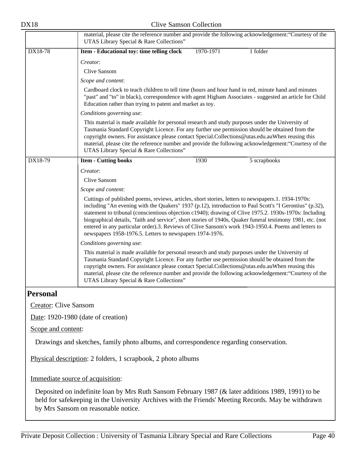|                              | material, please cite the reference number and provide the following acknowledgement: "Courtesy of the<br>UTAS Library Special & Rare Collections"                                                                                                                                                                                                                                                                                                                                                                                                                                                          |
|------------------------------|-------------------------------------------------------------------------------------------------------------------------------------------------------------------------------------------------------------------------------------------------------------------------------------------------------------------------------------------------------------------------------------------------------------------------------------------------------------------------------------------------------------------------------------------------------------------------------------------------------------|
| DX18-78                      | 1970-1971<br>1 folder<br>Item - Educational toy: time telling clock                                                                                                                                                                                                                                                                                                                                                                                                                                                                                                                                         |
|                              | Creator:                                                                                                                                                                                                                                                                                                                                                                                                                                                                                                                                                                                                    |
|                              | Clive Sansom                                                                                                                                                                                                                                                                                                                                                                                                                                                                                                                                                                                                |
|                              | Scope and content:                                                                                                                                                                                                                                                                                                                                                                                                                                                                                                                                                                                          |
|                              | Cardboard clock to teach children to tell time (hours and hour hand in red, minute hand and minutes<br>"past" and "to" in black), correspondence with agent Higham Associates - suggested an article for Child<br>Education rather than trying to patent and market as toy.                                                                                                                                                                                                                                                                                                                                 |
|                              | Conditions governing use:                                                                                                                                                                                                                                                                                                                                                                                                                                                                                                                                                                                   |
|                              | This material is made available for personal research and study purposes under the University of<br>Tasmania Standard Copyright Licence. For any further use permission should be obtained from the<br>copyright owners. For assistance please contact Special.Collections@utas.edu.auWhen reusing this<br>material, please cite the reference number and provide the following acknowledgement: "Courtesy of the<br>UTAS Library Special & Rare Collections"                                                                                                                                               |
| DX18-79                      | <b>Item - Cutting books</b><br>1930<br>5 scrapbooks                                                                                                                                                                                                                                                                                                                                                                                                                                                                                                                                                         |
|                              | Creator:                                                                                                                                                                                                                                                                                                                                                                                                                                                                                                                                                                                                    |
|                              | <b>Clive Sansom</b>                                                                                                                                                                                                                                                                                                                                                                                                                                                                                                                                                                                         |
|                              | Scope and content:                                                                                                                                                                                                                                                                                                                                                                                                                                                                                                                                                                                          |
|                              | Cuttings of published poems, reviews, articles, short stories, letters to newspapers.1. 1934-1970s:<br>including "An evening with the Quakers" 1937 (p.12), introduction to Paul Scott's "I Gerontius" (p.32),<br>statement to tribunal (conscientious objection c1940); drawing of Clive 1975.2. 1930s-1970s: Including<br>biographical details, "faith and service", short stories of 1940s, Quaker funeral testimony 1981, etc. (not<br>entered in any particular order).3. Reviews of Clive Sansom's work 1943-1950.4. Poems and letters to<br>newspapers 1958-1976.5. Letters to newspapers 1974-1976. |
|                              | Conditions governing use:                                                                                                                                                                                                                                                                                                                                                                                                                                                                                                                                                                                   |
|                              | This material is made available for personal research and study purposes under the University of<br>Tasmania Standard Copyright Licence. For any further use permission should be obtained from the<br>copyright owners. For assistance please contact Special.Collections@utas.edu.auWhen reusing this<br>material, please cite the reference number and provide the following acknowledgement: "Courtesy of the<br>UTAS Library Special & Rare Collections"                                                                                                                                               |
| <b>Personal</b>              |                                                                                                                                                                                                                                                                                                                                                                                                                                                                                                                                                                                                             |
| <b>Creator: Clive Sansom</b> |                                                                                                                                                                                                                                                                                                                                                                                                                                                                                                                                                                                                             |
|                              | Date: 1920-1980 (date of creation)                                                                                                                                                                                                                                                                                                                                                                                                                                                                                                                                                                          |
| Scope and content:           |                                                                                                                                                                                                                                                                                                                                                                                                                                                                                                                                                                                                             |
|                              | Drawings and sketches, family photo albums, and correspondence regarding conservation.                                                                                                                                                                                                                                                                                                                                                                                                                                                                                                                      |

Physical description: 2 folders, 1 scrapbook, 2 photo albums

Immediate source of acquisition:

Deposited on indefinite loan by Mrs Ruth Sansom February 1987 (& later additions 1989, 1991) to be held for safekeeping in the University Archives with the Friends' Meeting Records. May be withdrawn by Mrs Sansom on reasonable notice.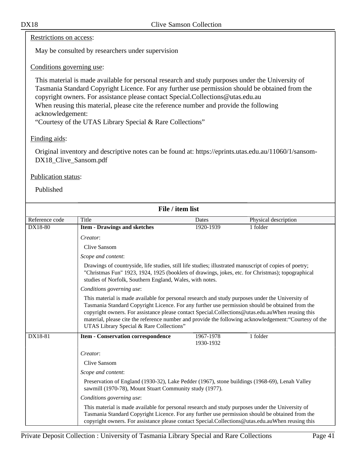#### Restrictions on access:

May be consulted by researchers under supervision

#### Conditions governing use:

This material is made available for personal research and study purposes under the University of Tasmania Standard Copyright Licence. For any further use permission should be obtained from the copyright owners. For assistance please contact Special.Collections@utas.edu.au When reusing this material, please cite the reference number and provide the following acknowledgement:

"Courtesy of the UTAS Library Special & Rare Collections"

### Finding aids:

Original inventory and descriptive notes can be found at: https://eprints.utas.edu.au/11060/1/sansom-DX18\_Clive\_Sansom.pdf

#### Publication status:

| File / item list |                                                                                                                                                                                                                                                                                                                                                                                                                                                               |                        |                      |  |  |
|------------------|---------------------------------------------------------------------------------------------------------------------------------------------------------------------------------------------------------------------------------------------------------------------------------------------------------------------------------------------------------------------------------------------------------------------------------------------------------------|------------------------|----------------------|--|--|
| Reference code   | Title                                                                                                                                                                                                                                                                                                                                                                                                                                                         | Dates                  | Physical description |  |  |
| DX18-80          | <b>Item - Drawings and sketches</b>                                                                                                                                                                                                                                                                                                                                                                                                                           | 1920-1939              | 1 folder             |  |  |
|                  | Creator:                                                                                                                                                                                                                                                                                                                                                                                                                                                      |                        |                      |  |  |
|                  | <b>Clive Sansom</b>                                                                                                                                                                                                                                                                                                                                                                                                                                           |                        |                      |  |  |
|                  | Scope and content:                                                                                                                                                                                                                                                                                                                                                                                                                                            |                        |                      |  |  |
|                  | Drawings of countryside, life studies, still life studies; illustrated manuscript of copies of poetry;<br>"Christmas Fun" 1923, 1924, 1925 (booklets of drawings, jokes, etc. for Christmas); topographical<br>studies of Norfolk, Southern England, Wales, with notes.                                                                                                                                                                                       |                        |                      |  |  |
|                  | Conditions governing use:                                                                                                                                                                                                                                                                                                                                                                                                                                     |                        |                      |  |  |
|                  | This material is made available for personal research and study purposes under the University of<br>Tasmania Standard Copyright Licence. For any further use permission should be obtained from the<br>copyright owners. For assistance please contact Special.Collections@utas.edu.auWhen reusing this<br>material, please cite the reference number and provide the following acknowledgement: "Courtesy of the<br>UTAS Library Special & Rare Collections" |                        |                      |  |  |
| DX18-81          | <b>Item - Conservation correspondence</b>                                                                                                                                                                                                                                                                                                                                                                                                                     | 1967-1978<br>1930-1932 | 1 folder             |  |  |
|                  | Creator:                                                                                                                                                                                                                                                                                                                                                                                                                                                      |                        |                      |  |  |
|                  | Clive Sansom                                                                                                                                                                                                                                                                                                                                                                                                                                                  |                        |                      |  |  |
|                  | Scope and content:                                                                                                                                                                                                                                                                                                                                                                                                                                            |                        |                      |  |  |
|                  | Preservation of England (1930-32), Lake Pedder (1967), stone buildings (1968-69), Lenah Valley<br>sawmill (1970-78), Mount Stuart Community study (1977).                                                                                                                                                                                                                                                                                                     |                        |                      |  |  |
|                  | Conditions governing use:                                                                                                                                                                                                                                                                                                                                                                                                                                     |                        |                      |  |  |
|                  | This material is made available for personal research and study purposes under the University of<br>Tasmania Standard Copyright Licence. For any further use permission should be obtained from the<br>copyright owners. For assistance please contact Special.Collections@utas.edu.auWhen reusing this                                                                                                                                                       |                        |                      |  |  |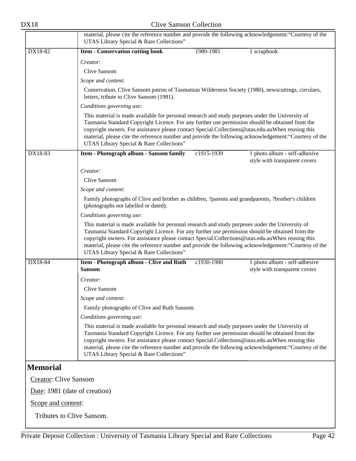|                               | material, please cite the reference number and provide the following acknowledgement: "Courtesy of the<br>UTAS Library Special & Rare Collections"                                                                                                                                                                                                                                                                                                            |            |                                                                |  |
|-------------------------------|---------------------------------------------------------------------------------------------------------------------------------------------------------------------------------------------------------------------------------------------------------------------------------------------------------------------------------------------------------------------------------------------------------------------------------------------------------------|------------|----------------------------------------------------------------|--|
| DX18-82                       | <b>Item - Conservation cutting book</b>                                                                                                                                                                                                                                                                                                                                                                                                                       | 1980-1981  | 1 scrapbook                                                    |  |
|                               | Creator:                                                                                                                                                                                                                                                                                                                                                                                                                                                      |            |                                                                |  |
|                               | Clive Sansom                                                                                                                                                                                                                                                                                                                                                                                                                                                  |            |                                                                |  |
|                               | Scope and content:                                                                                                                                                                                                                                                                                                                                                                                                                                            |            |                                                                |  |
|                               | Conservation, Clive Sansom patron of Tasmanian Wilderness Society (1980), newscuttings, circulars,<br>letters, tribute to Clive Sansom (1981).                                                                                                                                                                                                                                                                                                                |            |                                                                |  |
|                               | Conditions governing use:                                                                                                                                                                                                                                                                                                                                                                                                                                     |            |                                                                |  |
|                               | This material is made available for personal research and study purposes under the University of<br>Tasmania Standard Copyright Licence. For any further use permission should be obtained from the<br>copyright owners. For assistance please contact Special.Collections@utas.edu.auWhen reusing this<br>material, please cite the reference number and provide the following acknowledgement: "Courtesy of the<br>UTAS Library Special & Rare Collections" |            |                                                                |  |
| DX18-83                       | Item - Photograph album - Sansom family                                                                                                                                                                                                                                                                                                                                                                                                                       | c1915-1939 | 1 photo album - self-adhesive                                  |  |
|                               |                                                                                                                                                                                                                                                                                                                                                                                                                                                               |            | style with transparent covers                                  |  |
|                               | Creator:                                                                                                                                                                                                                                                                                                                                                                                                                                                      |            |                                                                |  |
|                               | Clive Sansom                                                                                                                                                                                                                                                                                                                                                                                                                                                  |            |                                                                |  |
|                               | Scope and content:                                                                                                                                                                                                                                                                                                                                                                                                                                            |            |                                                                |  |
|                               | Family photographs of Clive and brother as children, ?parents and grandparents, ?brother's children<br>(photographs not labelled or dated).                                                                                                                                                                                                                                                                                                                   |            |                                                                |  |
|                               | Conditions governing use:                                                                                                                                                                                                                                                                                                                                                                                                                                     |            |                                                                |  |
|                               | This material is made available for personal research and study purposes under the University of<br>Tasmania Standard Copyright Licence. For any further use permission should be obtained from the<br>copyright owners. For assistance please contact Special.Collections@utas.edu.auWhen reusing this<br>material, please cite the reference number and provide the following acknowledgement: "Courtesy of the<br>UTAS Library Special & Rare Collections" |            |                                                                |  |
| DX18-84                       | Item - Photograph album - Clive and Ruth<br><b>Sansom</b>                                                                                                                                                                                                                                                                                                                                                                                                     | c1930-1980 | 1 photo album - self-adhesive<br>style with transparent covers |  |
|                               | Creator:                                                                                                                                                                                                                                                                                                                                                                                                                                                      |            |                                                                |  |
|                               | Clive Sansom                                                                                                                                                                                                                                                                                                                                                                                                                                                  |            |                                                                |  |
|                               | Scope and content:                                                                                                                                                                                                                                                                                                                                                                                                                                            |            |                                                                |  |
|                               | Family photographs of Clive and Ruth Sansom.                                                                                                                                                                                                                                                                                                                                                                                                                  |            |                                                                |  |
|                               | Conditions governing use:                                                                                                                                                                                                                                                                                                                                                                                                                                     |            |                                                                |  |
|                               | This material is made available for personal research and study purposes under the University of<br>Tasmania Standard Copyright Licence. For any further use permission should be obtained from the<br>copyright owners. For assistance please contact Special.Collections@utas.edu.auWhen reusing this<br>material, please cite the reference number and provide the following acknowledgement: "Courtesy of the<br>UTAS Library Special & Rare Collections" |            |                                                                |  |
| <b>Memorial</b>               |                                                                                                                                                                                                                                                                                                                                                                                                                                                               |            |                                                                |  |
| <b>Creator: Clive Sansom</b>  |                                                                                                                                                                                                                                                                                                                                                                                                                                                               |            |                                                                |  |
| Date: 1981 (date of creation) |                                                                                                                                                                                                                                                                                                                                                                                                                                                               |            |                                                                |  |
| Scope and content:            |                                                                                                                                                                                                                                                                                                                                                                                                                                                               |            |                                                                |  |

Tributes to Clive Sansom.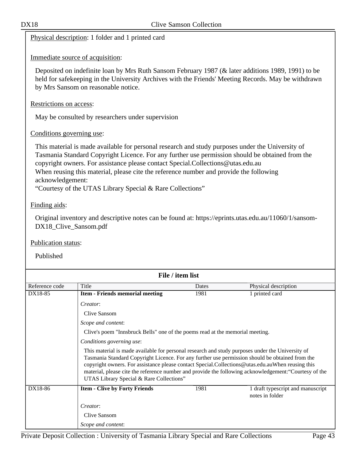|                                  | Physical description: 1 folder and 1 printed card                                                                                                                                                                                                                                                                                                   |       |                                                                                                        |
|----------------------------------|-----------------------------------------------------------------------------------------------------------------------------------------------------------------------------------------------------------------------------------------------------------------------------------------------------------------------------------------------------|-------|--------------------------------------------------------------------------------------------------------|
|                                  | Immediate source of acquisition:                                                                                                                                                                                                                                                                                                                    |       |                                                                                                        |
|                                  | Deposited on indefinite loan by Mrs Ruth Sansom February 1987 (& later additions 1989, 1991) to be<br>held for safekeeping in the University Archives with the Friends' Meeting Records. May be withdrawn<br>by Mrs Sansom on reasonable notice.                                                                                                    |       |                                                                                                        |
| Restrictions on access:          |                                                                                                                                                                                                                                                                                                                                                     |       |                                                                                                        |
|                                  | May be consulted by researchers under supervision                                                                                                                                                                                                                                                                                                   |       |                                                                                                        |
| Conditions governing use:        |                                                                                                                                                                                                                                                                                                                                                     |       |                                                                                                        |
| acknowledgement:                 | Tasmania Standard Copyright Licence. For any further use permission should be obtained from the<br>copyright owners. For assistance please contact Special.Collections@utas.edu.au<br>When reusing this material, please cite the reference number and provide the following<br>"Courtesy of the UTAS Library Special & Rare Collections"           |       |                                                                                                        |
| Finding aids:                    |                                                                                                                                                                                                                                                                                                                                                     |       |                                                                                                        |
|                                  |                                                                                                                                                                                                                                                                                                                                                     |       |                                                                                                        |
| DX18_Clive_Sansom.pdf            | Original inventory and descriptive notes can be found at: https://eprints.utas.edu.au/11060/1/sansom-                                                                                                                                                                                                                                               |       |                                                                                                        |
| Publication status:<br>Published |                                                                                                                                                                                                                                                                                                                                                     |       |                                                                                                        |
|                                  |                                                                                                                                                                                                                                                                                                                                                     |       |                                                                                                        |
|                                  | File / item list                                                                                                                                                                                                                                                                                                                                    |       |                                                                                                        |
| Reference code                   | Title                                                                                                                                                                                                                                                                                                                                               | Dates | Physical description                                                                                   |
| DX18-85                          | <b>Item - Friends memorial meeting</b>                                                                                                                                                                                                                                                                                                              | 1981  | 1 printed card                                                                                         |
|                                  | Creator:                                                                                                                                                                                                                                                                                                                                            |       |                                                                                                        |
|                                  | Clive Sansom                                                                                                                                                                                                                                                                                                                                        |       |                                                                                                        |
|                                  | Scope and content:                                                                                                                                                                                                                                                                                                                                  |       |                                                                                                        |
|                                  | Clive's poem "Innsbruck Bells" one of the poems read at the memorial meeting.                                                                                                                                                                                                                                                                       |       |                                                                                                        |
|                                  | Conditions governing use:                                                                                                                                                                                                                                                                                                                           |       |                                                                                                        |
|                                  | This material is made available for personal research and study purposes under the University of<br>Tasmania Standard Copyright Licence. For any further use permission should be obtained from the<br>copyright owners. For assistance please contact Special.Collections@utas.edu.auWhen reusing this<br>UTAS Library Special & Rare Collections" |       | material, please cite the reference number and provide the following acknowledgement: "Courtesy of the |
| DX18-86                          | <b>Item - Clive by Forty Friends</b>                                                                                                                                                                                                                                                                                                                | 1981  | 1 draft typescript and manuscript<br>notes in folder                                                   |
|                                  |                                                                                                                                                                                                                                                                                                                                                     |       |                                                                                                        |
|                                  | Creator:<br>Clive Sansom                                                                                                                                                                                                                                                                                                                            |       |                                                                                                        |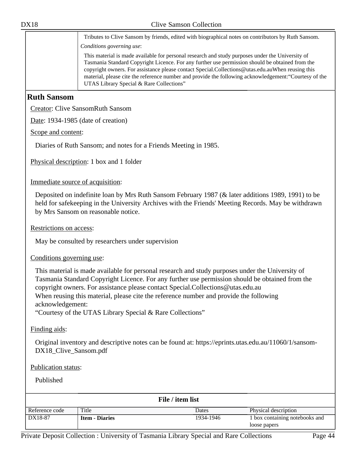Tributes to Clive Sansom by friends, edited with biographical notes on contributors by Ruth Sansom. *Conditions governing use*:

This material is made available for personal research and study purposes under the University of Tasmania Standard Copyright Licence. For any further use permission should be obtained from the copyright owners. For assistance please contact Special.Collections@utas.edu.auWhen reusing this material, please cite the reference number and provide the following acknowledgement:"Courtesy of the UTAS Library Special & Rare Collections"

# **Ruth Sansom**

Creator: Clive SansomRuth Sansom

Date: 1934-1985 (date of creation)

Scope and content:

Diaries of Ruth Sansom; and notes for a Friends Meeting in 1985.

Physical description: 1 box and 1 folder

Immediate source of acquisition:

Deposited on indefinite loan by Mrs Ruth Sansom February 1987 (& later additions 1989, 1991) to be held for safekeeping in the University Archives with the Friends' Meeting Records. May be withdrawn by Mrs Sansom on reasonable notice.

Restrictions on access:

May be consulted by researchers under supervision

#### Conditions governing use:

This material is made available for personal research and study purposes under the University of Tasmania Standard Copyright Licence. For any further use permission should be obtained from the copyright owners. For assistance please contact Special.Collections@utas.edu.au When reusing this material, please cite the reference number and provide the following acknowledgement:

"Courtesy of the UTAS Library Special & Rare Collections"

Finding aids:

Original inventory and descriptive notes can be found at: https://eprints.utas.edu.au/11060/1/sansom-DX18\_Clive\_Sansom.pdf

#### Publication status:

| File / item list |                       |           |                                |  |
|------------------|-----------------------|-----------|--------------------------------|--|
| Reference code   | Title                 | Dates     | Physical description           |  |
| DX18-87          | <b>Item - Diaries</b> | 1934-1946 | 1 box containing notebooks and |  |
|                  |                       |           | loose papers                   |  |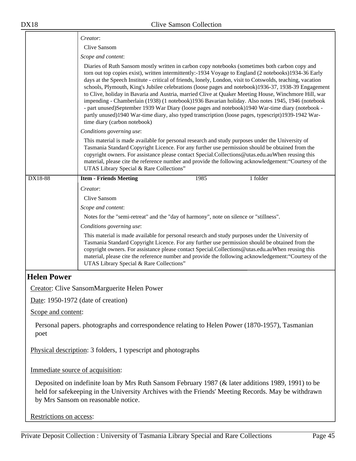|                                                               | Creator:                                                                                                                                                                                                                                                                                                                                                                                                                                                                                                                                                                                                                                                                                                                                                                                                                                                                               |  |  |  |  |
|---------------------------------------------------------------|----------------------------------------------------------------------------------------------------------------------------------------------------------------------------------------------------------------------------------------------------------------------------------------------------------------------------------------------------------------------------------------------------------------------------------------------------------------------------------------------------------------------------------------------------------------------------------------------------------------------------------------------------------------------------------------------------------------------------------------------------------------------------------------------------------------------------------------------------------------------------------------|--|--|--|--|
|                                                               | Clive Sansom                                                                                                                                                                                                                                                                                                                                                                                                                                                                                                                                                                                                                                                                                                                                                                                                                                                                           |  |  |  |  |
|                                                               | Scope and content:                                                                                                                                                                                                                                                                                                                                                                                                                                                                                                                                                                                                                                                                                                                                                                                                                                                                     |  |  |  |  |
|                                                               | Diaries of Ruth Sansom mostly written in carbon copy notebooks (sometimes both carbon copy and<br>torn out top copies exist), written intermittently:-1934 Voyage to England (2 notebooks)1934-36 Early<br>days at the Speech Institute - critical of friends, lonely, London, visit to Cotswolds, teaching, vacation<br>schools, Plymouth, King's Jubilee celebrations (loose pages and notebook)1936-37, 1938-39 Engagement<br>to Clive, holiday in Bavaria and Austria, married Clive at Quaker Meeting House, Winchmore Hill, war<br>impending - Chamberlain (1938) (1 notebook) 1936 Bavarian holiday. Also notes 1945, 1946 (notebook<br>- part unused)September 1939 War Diary (loose pages and notebook)1940 War-time diary (notebook -<br>partly unused)1940 War-time diary, also typed transcription (loose pages, typescript)1939-1942 War-<br>time diary (carbon notebook) |  |  |  |  |
|                                                               | Conditions governing use:                                                                                                                                                                                                                                                                                                                                                                                                                                                                                                                                                                                                                                                                                                                                                                                                                                                              |  |  |  |  |
|                                                               | This material is made available for personal research and study purposes under the University of<br>Tasmania Standard Copyright Licence. For any further use permission should be obtained from the<br>copyright owners. For assistance please contact Special.Collections@utas.edu.auWhen reusing this<br>material, please cite the reference number and provide the following acknowledgement: "Courtesy of the<br>UTAS Library Special & Rare Collections"                                                                                                                                                                                                                                                                                                                                                                                                                          |  |  |  |  |
| DX18-88                                                       | 1985<br>1 folder<br><b>Item - Friends Meeting</b>                                                                                                                                                                                                                                                                                                                                                                                                                                                                                                                                                                                                                                                                                                                                                                                                                                      |  |  |  |  |
|                                                               | Creator:                                                                                                                                                                                                                                                                                                                                                                                                                                                                                                                                                                                                                                                                                                                                                                                                                                                                               |  |  |  |  |
|                                                               | Clive Sansom                                                                                                                                                                                                                                                                                                                                                                                                                                                                                                                                                                                                                                                                                                                                                                                                                                                                           |  |  |  |  |
|                                                               | Scope and content:                                                                                                                                                                                                                                                                                                                                                                                                                                                                                                                                                                                                                                                                                                                                                                                                                                                                     |  |  |  |  |
|                                                               | Notes for the "semi-retreat" and the "day of harmony", note on silence or "stillness".                                                                                                                                                                                                                                                                                                                                                                                                                                                                                                                                                                                                                                                                                                                                                                                                 |  |  |  |  |
|                                                               | Conditions governing use:                                                                                                                                                                                                                                                                                                                                                                                                                                                                                                                                                                                                                                                                                                                                                                                                                                                              |  |  |  |  |
|                                                               | This material is made available for personal research and study purposes under the University of<br>Tasmania Standard Copyright Licence. For any further use permission should be obtained from the<br>copyright owners. For assistance please contact Special.Collections@utas.edu.auWhen reusing this<br>material, please cite the reference number and provide the following acknowledgement: "Courtesy of the<br>UTAS Library Special & Rare Collections"                                                                                                                                                                                                                                                                                                                                                                                                                          |  |  |  |  |
| <b>Helen Power</b>                                            |                                                                                                                                                                                                                                                                                                                                                                                                                                                                                                                                                                                                                                                                                                                                                                                                                                                                                        |  |  |  |  |
|                                                               | Creator: Clive SansomMarguerite Helen Power                                                                                                                                                                                                                                                                                                                                                                                                                                                                                                                                                                                                                                                                                                                                                                                                                                            |  |  |  |  |
|                                                               | Date: $1950-1972$ (date of creation)                                                                                                                                                                                                                                                                                                                                                                                                                                                                                                                                                                                                                                                                                                                                                                                                                                                   |  |  |  |  |
| Scope and content:                                            |                                                                                                                                                                                                                                                                                                                                                                                                                                                                                                                                                                                                                                                                                                                                                                                                                                                                                        |  |  |  |  |
| poet                                                          | Personal papers. photographs and correspondence relating to Helen Power (1870-1957), Tasmanian                                                                                                                                                                                                                                                                                                                                                                                                                                                                                                                                                                                                                                                                                                                                                                                         |  |  |  |  |
| Physical description: 3 folders, 1 typescript and photographs |                                                                                                                                                                                                                                                                                                                                                                                                                                                                                                                                                                                                                                                                                                                                                                                                                                                                                        |  |  |  |  |
| Immediate source of acquisition:                              |                                                                                                                                                                                                                                                                                                                                                                                                                                                                                                                                                                                                                                                                                                                                                                                                                                                                                        |  |  |  |  |
|                                                               | Deposited on indefinite loan by Mrs Ruth Sansom February 1987 (& later additions 1989, 1991) to be<br>held for safekeeping in the University Archives with the Friends' Meeting Records. May be withdrawn<br>by Mrs Sansom on reasonable notice.                                                                                                                                                                                                                                                                                                                                                                                                                                                                                                                                                                                                                                       |  |  |  |  |
| Restrictions on access:                                       |                                                                                                                                                                                                                                                                                                                                                                                                                                                                                                                                                                                                                                                                                                                                                                                                                                                                                        |  |  |  |  |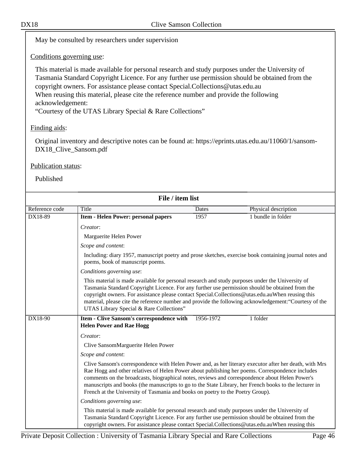May be consulted by researchers under supervision

Conditions governing use:

This material is made available for personal research and study purposes under the University of Tasmania Standard Copyright Licence. For any further use permission should be obtained from the copyright owners. For assistance please contact Special.Collections@utas.edu.au When reusing this material, please cite the reference number and provide the following acknowledgement:

"Courtesy of the UTAS Library Special & Rare Collections"

### Finding aids:

Original inventory and descriptive notes can be found at: https://eprints.utas.edu.au/11060/1/sansom-DX18\_Clive\_Sansom.pdf

#### Publication status:

|                | File / item list                                                                                                                                                                                                                                                                                                                                                                                                                                                                                        |           |                                                                                                         |
|----------------|---------------------------------------------------------------------------------------------------------------------------------------------------------------------------------------------------------------------------------------------------------------------------------------------------------------------------------------------------------------------------------------------------------------------------------------------------------------------------------------------------------|-----------|---------------------------------------------------------------------------------------------------------|
| Reference code | Title                                                                                                                                                                                                                                                                                                                                                                                                                                                                                                   | Dates     | Physical description                                                                                    |
| DX18-89        | Item - Helen Power: personal papers                                                                                                                                                                                                                                                                                                                                                                                                                                                                     | 1957      | 1 bundle in folder                                                                                      |
|                | Creator:                                                                                                                                                                                                                                                                                                                                                                                                                                                                                                |           |                                                                                                         |
|                | Marguerite Helen Power                                                                                                                                                                                                                                                                                                                                                                                                                                                                                  |           |                                                                                                         |
|                | Scope and content:                                                                                                                                                                                                                                                                                                                                                                                                                                                                                      |           |                                                                                                         |
|                | poems, book of manuscript poems.                                                                                                                                                                                                                                                                                                                                                                                                                                                                        |           | Including: diary 1957, manuscript poetry and prose sketches, exercise book containing journal notes and |
|                | Conditions governing use:                                                                                                                                                                                                                                                                                                                                                                                                                                                                               |           |                                                                                                         |
|                | This material is made available for personal research and study purposes under the University of<br>Tasmania Standard Copyright Licence. For any further use permission should be obtained from the<br>copyright owners. For assistance please contact Special.Collections@utas.edu.auWhen reusing this<br>UTAS Library Special & Rare Collections"                                                                                                                                                     |           | material, please cite the reference number and provide the following acknowledgement: "Courtesy of the  |
| DX18-90        | Item - Clive Sansom's correspondence with<br><b>Helen Power and Rae Hogg</b>                                                                                                                                                                                                                                                                                                                                                                                                                            | 1956-1972 | 1 folder                                                                                                |
|                | Creator:                                                                                                                                                                                                                                                                                                                                                                                                                                                                                                |           |                                                                                                         |
|                | Clive SansomMarguerite Helen Power                                                                                                                                                                                                                                                                                                                                                                                                                                                                      |           |                                                                                                         |
|                | Scope and content:                                                                                                                                                                                                                                                                                                                                                                                                                                                                                      |           |                                                                                                         |
|                | Clive Sansom's correspondence with Helen Power and, as her literary executor after her death, with Mrs<br>Rae Hogg and other relatives of Helen Power about publishing her poems. Correspondence includes<br>comments on the broadcasts, biographical notes, reviews and correspondence about Helen Power's<br>manuscripts and books (the manuscripts to go to the State Library, her French books to the lecturer in<br>French at the University of Tasmania and books on poetry to the Poetry Group). |           |                                                                                                         |
|                | Conditions governing use:                                                                                                                                                                                                                                                                                                                                                                                                                                                                               |           |                                                                                                         |
|                | This material is made available for personal research and study purposes under the University of<br>Tasmania Standard Copyright Licence. For any further use permission should be obtained from the<br>copyright owners. For assistance please contact Special.Collections@utas.edu.auWhen reusing this                                                                                                                                                                                                 |           |                                                                                                         |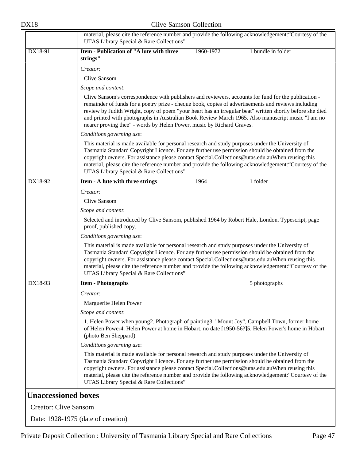|                              | material, please cite the reference number and provide the following acknowledgement: "Courtesy of the<br>UTAS Library Special & Rare Collections"                                                                                                                                                                                                                                                                                                                                                    |  |  |  |  |
|------------------------------|-------------------------------------------------------------------------------------------------------------------------------------------------------------------------------------------------------------------------------------------------------------------------------------------------------------------------------------------------------------------------------------------------------------------------------------------------------------------------------------------------------|--|--|--|--|
| DX18-91                      | <b>Item - Publication of "A lute with three</b><br>1 bundle in folder<br>1960-1972<br>strings"                                                                                                                                                                                                                                                                                                                                                                                                        |  |  |  |  |
|                              | Creator:                                                                                                                                                                                                                                                                                                                                                                                                                                                                                              |  |  |  |  |
|                              | <b>Clive Sansom</b>                                                                                                                                                                                                                                                                                                                                                                                                                                                                                   |  |  |  |  |
|                              | Scope and content:                                                                                                                                                                                                                                                                                                                                                                                                                                                                                    |  |  |  |  |
|                              | Clive Sansom's correspondence with publishers and reviewers, accounts for fund for the publication -<br>remainder of funds for a poetry prize - cheque book, copies of advertisements and reviews including<br>review by Judith Wright, copy of poem "your heart has an irregular beat" written shortly before she died<br>and printed with photographs in Australian Book Review March 1965. Also manuscript music "I am no<br>nearer proving thee" - words by Helen Power, music by Richard Graves. |  |  |  |  |
|                              | Conditions governing use:                                                                                                                                                                                                                                                                                                                                                                                                                                                                             |  |  |  |  |
|                              | This material is made available for personal research and study purposes under the University of<br>Tasmania Standard Copyright Licence. For any further use permission should be obtained from the<br>copyright owners. For assistance please contact Special.Collections@utas.edu.auWhen reusing this<br>material, please cite the reference number and provide the following acknowledgement: "Courtesy of the<br>UTAS Library Special & Rare Collections"                                         |  |  |  |  |
| DX18-92                      | 1964<br>1 folder<br>Item - A lute with three strings                                                                                                                                                                                                                                                                                                                                                                                                                                                  |  |  |  |  |
|                              | Creator:                                                                                                                                                                                                                                                                                                                                                                                                                                                                                              |  |  |  |  |
|                              | <b>Clive Sansom</b>                                                                                                                                                                                                                                                                                                                                                                                                                                                                                   |  |  |  |  |
|                              | Scope and content:                                                                                                                                                                                                                                                                                                                                                                                                                                                                                    |  |  |  |  |
|                              | Selected and introduced by Clive Sansom, published 1964 by Robert Hale, London. Typescript, page<br>proof, published copy.                                                                                                                                                                                                                                                                                                                                                                            |  |  |  |  |
|                              | Conditions governing use:                                                                                                                                                                                                                                                                                                                                                                                                                                                                             |  |  |  |  |
|                              | This material is made available for personal research and study purposes under the University of<br>Tasmania Standard Copyright Licence. For any further use permission should be obtained from the<br>copyright owners. For assistance please contact Special.Collections@utas.edu.auWhen reusing this<br>material, please cite the reference number and provide the following acknowledgement: "Courtesy of the<br>UTAS Library Special & Rare Collections"                                         |  |  |  |  |
| DX18-93                      | <b>Item - Photographs</b><br>5 photographs                                                                                                                                                                                                                                                                                                                                                                                                                                                            |  |  |  |  |
|                              | Creator:                                                                                                                                                                                                                                                                                                                                                                                                                                                                                              |  |  |  |  |
|                              | Marguerite Helen Power                                                                                                                                                                                                                                                                                                                                                                                                                                                                                |  |  |  |  |
|                              | Scope and content:                                                                                                                                                                                                                                                                                                                                                                                                                                                                                    |  |  |  |  |
|                              | 1. Helen Power when young2. Photograph of painting3. "Mount Joy", Campbell Town, former home<br>of Helen Power4. Helen Power at home in Hobart, no date [1950-56?]5. Helen Power's home in Hobart<br>(photo Ben Sheppard)                                                                                                                                                                                                                                                                             |  |  |  |  |
|                              | Conditions governing use:                                                                                                                                                                                                                                                                                                                                                                                                                                                                             |  |  |  |  |
|                              | This material is made available for personal research and study purposes under the University of<br>Tasmania Standard Copyright Licence. For any further use permission should be obtained from the<br>copyright owners. For assistance please contact Special.Collections@utas.edu.auWhen reusing this<br>material, please cite the reference number and provide the following acknowledgement: "Courtesy of the<br>UTAS Library Special & Rare Collections"                                         |  |  |  |  |
| <b>Unaccessioned boxes</b>   |                                                                                                                                                                                                                                                                                                                                                                                                                                                                                                       |  |  |  |  |
| <b>Creator: Clive Sansom</b> |                                                                                                                                                                                                                                                                                                                                                                                                                                                                                                       |  |  |  |  |
|                              | Date: 1928-1975 (date of creation)                                                                                                                                                                                                                                                                                                                                                                                                                                                                    |  |  |  |  |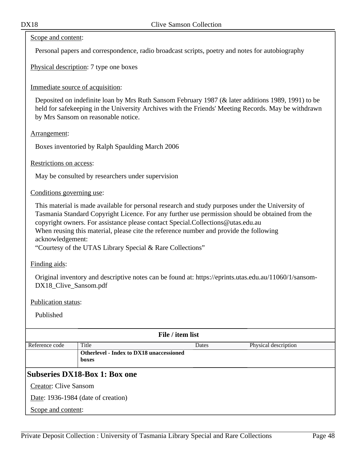#### Scope and content:

Personal papers and correspondence, radio broadcast scripts, poetry and notes for autobiography

Physical description: 7 type one boxes

### Immediate source of acquisition:

Deposited on indefinite loan by Mrs Ruth Sansom February 1987 (& later additions 1989, 1991) to be held for safekeeping in the University Archives with the Friends' Meeting Records. May be withdrawn by Mrs Sansom on reasonable notice.

#### Arrangement:

Boxes inventoried by Ralph Spaulding March 2006

Restrictions on access:

May be consulted by researchers under supervision

#### Conditions governing use:

This material is made available for personal research and study purposes under the University of Tasmania Standard Copyright Licence. For any further use permission should be obtained from the copyright owners. For assistance please contact Special.Collections@utas.edu.au When reusing this material, please cite the reference number and provide the following acknowledgement:

"Courtesy of the UTAS Library Special & Rare Collections"

Finding aids:

Original inventory and descriptive notes can be found at: https://eprints.utas.edu.au/11060/1/sansom-DX18 Clive Sansom.pdf

Publication status:

| File / item list                   |                                                 |       |                      |  |
|------------------------------------|-------------------------------------------------|-------|----------------------|--|
| Reference code                     | Title                                           | Dates | Physical description |  |
|                                    | <b>Otherlevel - Index to DX18 unaccessioned</b> |       |                      |  |
|                                    | boxes                                           |       |                      |  |
|                                    | Subseries DX18-Box 1: Box one                   |       |                      |  |
| <b>Creator: Clive Sansom</b>       |                                                 |       |                      |  |
| Date: 1936-1984 (date of creation) |                                                 |       |                      |  |
| Scope and content:                 |                                                 |       |                      |  |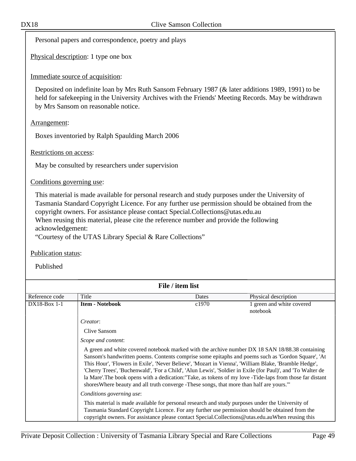Personal papers and correspondence, poetry and plays

Physical description: 1 type one box

#### Immediate source of acquisition:

Deposited on indefinite loan by Mrs Ruth Sansom February 1987 (& later additions 1989, 1991) to be held for safekeeping in the University Archives with the Friends' Meeting Records. May be withdrawn by Mrs Sansom on reasonable notice.

#### Arrangement:

Boxes inventoried by Ralph Spaulding March 2006

Restrictions on access:

May be consulted by researchers under supervision

Conditions governing use:

This material is made available for personal research and study purposes under the University of Tasmania Standard Copyright Licence. For any further use permission should be obtained from the copyright owners. For assistance please contact Special.Collections@utas.edu.au When reusing this material, please cite the reference number and provide the following acknowledgement:

"Courtesy of the UTAS Library Special & Rare Collections"

Publication status:

| File / item list |                                                                                           |       |                                                                                                                                                                                                                                                                                                                                                                                                                                                                                                                                            |
|------------------|-------------------------------------------------------------------------------------------|-------|--------------------------------------------------------------------------------------------------------------------------------------------------------------------------------------------------------------------------------------------------------------------------------------------------------------------------------------------------------------------------------------------------------------------------------------------------------------------------------------------------------------------------------------------|
| Reference code   | Title                                                                                     | Dates | Physical description                                                                                                                                                                                                                                                                                                                                                                                                                                                                                                                       |
| $DX18-Box 1-1$   | <b>Item - Notebook</b>                                                                    | c1970 | 1 green and white covered<br>notebook                                                                                                                                                                                                                                                                                                                                                                                                                                                                                                      |
|                  | <i>Creator:</i>                                                                           |       |                                                                                                                                                                                                                                                                                                                                                                                                                                                                                                                                            |
|                  | Clive Sansom                                                                              |       |                                                                                                                                                                                                                                                                                                                                                                                                                                                                                                                                            |
|                  | Scope and content:                                                                        |       |                                                                                                                                                                                                                                                                                                                                                                                                                                                                                                                                            |
|                  | shores Where beauty and all truth converge - These songs, that more than half are yours." |       | A green and white covered notebook marked with the archive number DX 18 SAN 18/88.38 containing<br>Sansom's handwritten poems. Contents comprise some epitaphs and poems such as 'Gordon Square', 'At<br>This Hour', 'Flowers in Exile', 'Never Believe', 'Mozart in Vienna', 'William Blake, 'Bramble Hedge',<br>'Cherry Trees', 'Buchenwald', 'For a Child', 'Alun Lewis', 'Soldier in Exile (for Paul)', and 'To Walter de<br>la Mare'. The book opens with a dedication: "Take, as tokens of my love -Tide-laps from those far distant |
|                  | Conditions governing use:                                                                 |       |                                                                                                                                                                                                                                                                                                                                                                                                                                                                                                                                            |
|                  |                                                                                           |       | This material is made available for personal research and study purposes under the University of<br>Tasmania Standard Copyright Licence. For any further use permission should be obtained from the<br>copyright owners. For assistance please contact Special.Collections@utas.edu.auWhen reusing this                                                                                                                                                                                                                                    |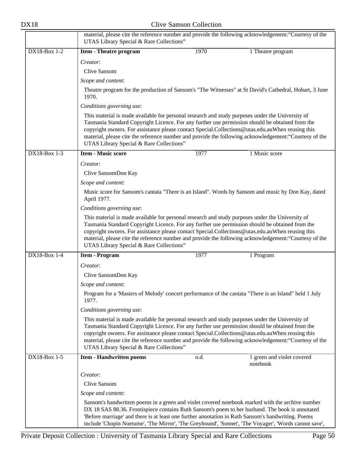|                     | UTAS Library Special & Rare Collections"                                                                                                                                                                                                                                                                                                            |      | material, please cite the reference number and provide the following acknowledgement: "Courtesy of the |
|---------------------|-----------------------------------------------------------------------------------------------------------------------------------------------------------------------------------------------------------------------------------------------------------------------------------------------------------------------------------------------------|------|--------------------------------------------------------------------------------------------------------|
| DX18-Box 1-2        | <b>Item - Theatre program</b>                                                                                                                                                                                                                                                                                                                       | 1970 | 1 Theatre program                                                                                      |
|                     | Creator:                                                                                                                                                                                                                                                                                                                                            |      |                                                                                                        |
|                     | Clive Sansom                                                                                                                                                                                                                                                                                                                                        |      |                                                                                                        |
|                     | Scope and content:                                                                                                                                                                                                                                                                                                                                  |      |                                                                                                        |
|                     | 1970.                                                                                                                                                                                                                                                                                                                                               |      | Theatre program for the production of Sansom's "The Witnesses" at St David's Cathedral, Hobart, 3 June |
|                     | Conditions governing use:                                                                                                                                                                                                                                                                                                                           |      |                                                                                                        |
|                     | This material is made available for personal research and study purposes under the University of<br>Tasmania Standard Copyright Licence. For any further use permission should be obtained from the<br>copyright owners. For assistance please contact Special.Collections@utas.edu.auWhen reusing this<br>UTAS Library Special & Rare Collections" |      | material, please cite the reference number and provide the following acknowledgement: "Courtesy of the |
| DX18-Box 1-3        | <b>Item - Music score</b>                                                                                                                                                                                                                                                                                                                           | 1977 | 1 Music score                                                                                          |
|                     | Creator:                                                                                                                                                                                                                                                                                                                                            |      |                                                                                                        |
|                     | Clive SansomDon Kay                                                                                                                                                                                                                                                                                                                                 |      |                                                                                                        |
|                     | Scope and content:                                                                                                                                                                                                                                                                                                                                  |      |                                                                                                        |
|                     | April 1977.                                                                                                                                                                                                                                                                                                                                         |      | Music score for Sansom's cantata "There is an Island". Words by Sansom and music by Don Kay, dated     |
|                     | Conditions governing use:                                                                                                                                                                                                                                                                                                                           |      |                                                                                                        |
|                     | This material is made available for personal research and study purposes under the University of<br>Tasmania Standard Copyright Licence. For any further use permission should be obtained from the<br>copyright owners. For assistance please contact Special.Collections@utas.edu.auWhen reusing this<br>UTAS Library Special & Rare Collections" |      | material, please cite the reference number and provide the following acknowledgement: "Courtesy of the |
| <b>DX18-Box 1-4</b> | <b>Item - Program</b>                                                                                                                                                                                                                                                                                                                               | 1977 | 1 Program                                                                                              |
|                     | Creator:                                                                                                                                                                                                                                                                                                                                            |      |                                                                                                        |
|                     | Clive SansomDon Kay                                                                                                                                                                                                                                                                                                                                 |      |                                                                                                        |
|                     | Scope and content:                                                                                                                                                                                                                                                                                                                                  |      |                                                                                                        |
|                     | Program for a 'Masters of Melody' concert performance of the cantata "There is an Island" held 1 July<br>1977.                                                                                                                                                                                                                                      |      |                                                                                                        |
|                     | Conditions governing use:                                                                                                                                                                                                                                                                                                                           |      |                                                                                                        |
|                     | This material is made available for personal research and study purposes under the University of<br>Tasmania Standard Copyright Licence. For any further use permission should be obtained from the<br>copyright owners. For assistance please contact Special.Collections@utas.edu.auWhen reusing this<br>UTAS Library Special & Rare Collections" |      | material, please cite the reference number and provide the following acknowledgement: "Courtesy of the |
| DX18-Box 1-5        | <b>Item - Handwritten poems</b>                                                                                                                                                                                                                                                                                                                     | n.d. | 1 green and violet covered                                                                             |
|                     |                                                                                                                                                                                                                                                                                                                                                     |      | notebook                                                                                               |
|                     | Creator:                                                                                                                                                                                                                                                                                                                                            |      |                                                                                                        |
|                     | Clive Sansom                                                                                                                                                                                                                                                                                                                                        |      |                                                                                                        |
|                     | Scope and content:                                                                                                                                                                                                                                                                                                                                  |      |                                                                                                        |
|                     | Sansom's handwritten poems in a green and violet covered notebook marked with the archive number<br>DX 18 SAS 88.36. Frontispiece contains Ruth Sansom's poem to her husband. The book is annotated<br>'Before marriage' and there is at least one further annotation in Ruth Sansom's handwriting. Poems                                           |      | include 'Chopin Noetume', 'The Mirror', 'The Greyhound', 'Sonnet', 'The Voyager', 'Words cannot save', |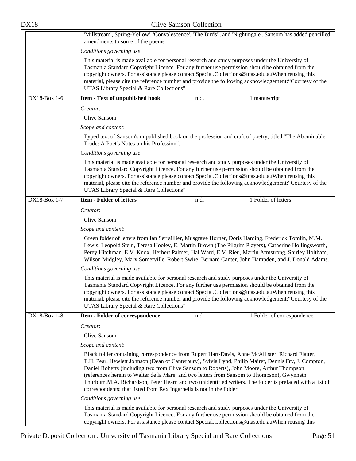| DX18                                                                                                                                                                                                                                                                                                                                                                                                                                                          |                                                                                                                                                                                                                                                                                                                                                                                                                                                                                                                                                                                           | <b>Clive Samson Collection</b> |                                                                                                           |  |
|---------------------------------------------------------------------------------------------------------------------------------------------------------------------------------------------------------------------------------------------------------------------------------------------------------------------------------------------------------------------------------------------------------------------------------------------------------------|-------------------------------------------------------------------------------------------------------------------------------------------------------------------------------------------------------------------------------------------------------------------------------------------------------------------------------------------------------------------------------------------------------------------------------------------------------------------------------------------------------------------------------------------------------------------------------------------|--------------------------------|-----------------------------------------------------------------------------------------------------------|--|
|                                                                                                                                                                                                                                                                                                                                                                                                                                                               | amendments to some of the poems.                                                                                                                                                                                                                                                                                                                                                                                                                                                                                                                                                          |                                | 'Millstream', Spring-Yellow', 'Convalescence', 'The Birds", and 'Nightingale'. Sansom has added pencilled |  |
|                                                                                                                                                                                                                                                                                                                                                                                                                                                               | Conditions governing use:                                                                                                                                                                                                                                                                                                                                                                                                                                                                                                                                                                 |                                |                                                                                                           |  |
|                                                                                                                                                                                                                                                                                                                                                                                                                                                               | This material is made available for personal research and study purposes under the University of<br>Tasmania Standard Copyright Licence. For any further use permission should be obtained from the<br>copyright owners. For assistance please contact Special.Collections@utas.edu.auWhen reusing this<br>UTAS Library Special & Rare Collections"                                                                                                                                                                                                                                       |                                | material, please cite the reference number and provide the following acknowledgement: "Courtesy of the    |  |
| DX18-Box 1-6                                                                                                                                                                                                                                                                                                                                                                                                                                                  | <b>Item - Text of unpublished book</b>                                                                                                                                                                                                                                                                                                                                                                                                                                                                                                                                                    | n.d.                           | 1 manuscript                                                                                              |  |
|                                                                                                                                                                                                                                                                                                                                                                                                                                                               | Creator:                                                                                                                                                                                                                                                                                                                                                                                                                                                                                                                                                                                  |                                |                                                                                                           |  |
|                                                                                                                                                                                                                                                                                                                                                                                                                                                               | Clive Sansom                                                                                                                                                                                                                                                                                                                                                                                                                                                                                                                                                                              |                                |                                                                                                           |  |
|                                                                                                                                                                                                                                                                                                                                                                                                                                                               | Scope and content:                                                                                                                                                                                                                                                                                                                                                                                                                                                                                                                                                                        |                                |                                                                                                           |  |
|                                                                                                                                                                                                                                                                                                                                                                                                                                                               | Trade: A Poet's Notes on his Profession".                                                                                                                                                                                                                                                                                                                                                                                                                                                                                                                                                 |                                | Typed text of Sansom's unpublished book on the profession and craft of poetry, titled "The Abominable     |  |
|                                                                                                                                                                                                                                                                                                                                                                                                                                                               | Conditions governing use:                                                                                                                                                                                                                                                                                                                                                                                                                                                                                                                                                                 |                                |                                                                                                           |  |
| This material is made available for personal research and study purposes under the University of<br>Tasmania Standard Copyright Licence. For any further use permission should be obtained from the<br>copyright owners. For assistance please contact Special.Collections@utas.edu.auWhen reusing this<br>material, please cite the reference number and provide the following acknowledgement: "Courtesy of the<br>UTAS Library Special & Rare Collections" |                                                                                                                                                                                                                                                                                                                                                                                                                                                                                                                                                                                           |                                |                                                                                                           |  |
| <b>DX18-Box 1-7</b>                                                                                                                                                                                                                                                                                                                                                                                                                                           | <b>Item - Folder of letters</b>                                                                                                                                                                                                                                                                                                                                                                                                                                                                                                                                                           | n.d.                           | 1 Folder of letters                                                                                       |  |
|                                                                                                                                                                                                                                                                                                                                                                                                                                                               | Creator:                                                                                                                                                                                                                                                                                                                                                                                                                                                                                                                                                                                  |                                |                                                                                                           |  |
|                                                                                                                                                                                                                                                                                                                                                                                                                                                               | Clive Sansom                                                                                                                                                                                                                                                                                                                                                                                                                                                                                                                                                                              |                                |                                                                                                           |  |
|                                                                                                                                                                                                                                                                                                                                                                                                                                                               | Scope and content:                                                                                                                                                                                                                                                                                                                                                                                                                                                                                                                                                                        |                                |                                                                                                           |  |
|                                                                                                                                                                                                                                                                                                                                                                                                                                                               | Green folder of letters from Ian Serraillier, Musgrave Horner, Doris Harding, Frederick Tomlin, M.M.<br>Lewis, Leopold Stein, Teresa Hooley, E. Martin Brown (The Pilgrim Players), Catherine Hollingsworth,<br>Perey Hitchman, E.V. Knox, Herbert Palmer, Hal Ward, E.V. Rieu, Martin Armstrong, Shirley Holtham,<br>Wilson Midgley, Mary Somerville, Robert Swire, Bernard Canter, John Hampden, and J. Donald Adams.                                                                                                                                                                   |                                |                                                                                                           |  |
|                                                                                                                                                                                                                                                                                                                                                                                                                                                               | Conditions governing use:                                                                                                                                                                                                                                                                                                                                                                                                                                                                                                                                                                 |                                |                                                                                                           |  |
|                                                                                                                                                                                                                                                                                                                                                                                                                                                               | This material is made available for personal research and study purposes under the University of<br>Tasmania Standard Copyright Licence. For any further use permission should be obtained from the<br>copyright owners. For assistance please contact Special.Collections@utas.edu.auWhen reusing this<br>UTAS Library Special & Rare Collections"                                                                                                                                                                                                                                       |                                | material, please cite the reference number and provide the following acknowledgement: "Courtesy of the    |  |
| DX18-Box 1-8                                                                                                                                                                                                                                                                                                                                                                                                                                                  | Item - Folder of correspondence                                                                                                                                                                                                                                                                                                                                                                                                                                                                                                                                                           | n.d.                           | 1 Folder of correspondence                                                                                |  |
|                                                                                                                                                                                                                                                                                                                                                                                                                                                               | Creator:                                                                                                                                                                                                                                                                                                                                                                                                                                                                                                                                                                                  |                                |                                                                                                           |  |
|                                                                                                                                                                                                                                                                                                                                                                                                                                                               | Clive Sansom                                                                                                                                                                                                                                                                                                                                                                                                                                                                                                                                                                              |                                |                                                                                                           |  |
|                                                                                                                                                                                                                                                                                                                                                                                                                                                               | Scope and content:                                                                                                                                                                                                                                                                                                                                                                                                                                                                                                                                                                        |                                |                                                                                                           |  |
|                                                                                                                                                                                                                                                                                                                                                                                                                                                               | Black folder containing correspondence from Rupert Hart-Davis, Anne McAllister, Richard Flatter,<br>T.H. Pear, Hewlett Johnson (Dean of Canterbury), Sylvia Lynd, Philip Mairet, Dennis Fry, J. Compton,<br>Daniel Roberts (including two from Clive Sansom to Roberts), John Moore, Arthur Thompson<br>(references herein to Walter de la Mare, and two letters from Sansom to Thompson), Gwynneth<br>Thurbum, M.A. Richardson, Peter Hearn and two unidentified writers. The folder is prefaced with a list of<br>correspondents; that listed from Rex Ingarnells is not in the folder. |                                |                                                                                                           |  |
|                                                                                                                                                                                                                                                                                                                                                                                                                                                               | Conditions governing use:                                                                                                                                                                                                                                                                                                                                                                                                                                                                                                                                                                 |                                |                                                                                                           |  |
|                                                                                                                                                                                                                                                                                                                                                                                                                                                               | This material is made available for personal research and study purposes under the University of<br>Tasmania Standard Copyright Licence. For any further use permission should be obtained from the<br>copyright owners. For assistance please contact Special.Collections@utas.edu.auWhen reusing this                                                                                                                                                                                                                                                                                   |                                |                                                                                                           |  |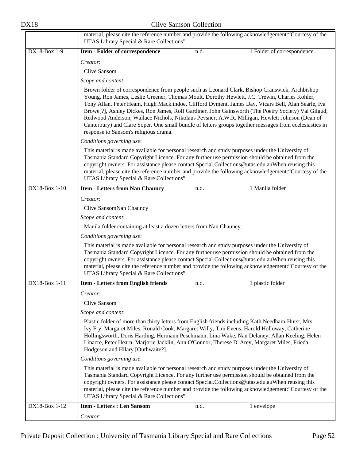|                     | material, please cite the reference number and provide the following acknowledgement: "Courtesy of the<br>UTAS Library Special & Rare Collections"                                                                                                                                                                                                  |      |                                                                                                                                                                                                                                                                                                                                                                                                                        |
|---------------------|-----------------------------------------------------------------------------------------------------------------------------------------------------------------------------------------------------------------------------------------------------------------------------------------------------------------------------------------------------|------|------------------------------------------------------------------------------------------------------------------------------------------------------------------------------------------------------------------------------------------------------------------------------------------------------------------------------------------------------------------------------------------------------------------------|
| <b>DX18-Box 1-9</b> | <b>Item - Folder of correspondence</b>                                                                                                                                                                                                                                                                                                              | n.d. | 1 Folder of correspondence                                                                                                                                                                                                                                                                                                                                                                                             |
|                     | Creator:                                                                                                                                                                                                                                                                                                                                            |      |                                                                                                                                                                                                                                                                                                                                                                                                                        |
|                     | <b>Clive Sansom</b>                                                                                                                                                                                                                                                                                                                                 |      |                                                                                                                                                                                                                                                                                                                                                                                                                        |
|                     | Scope and content:                                                                                                                                                                                                                                                                                                                                  |      |                                                                                                                                                                                                                                                                                                                                                                                                                        |
|                     | Brown folder of correspondence from people such as Leonard Clark, Bishop Cranswick, Archbishop<br>Young, Ron James, Leslie Greener, Thomas Moult, Dorothy Hewlett, J.C. Trewin, Charles Kohler,<br>response to Sansom's religious drama.                                                                                                            |      | Tony Allan, Peter Heam, Hugh Mack.indoe, Clifford Dyment, James Day, Vicars Bell, Alan Searle, Iva<br>Browe[?], Ashley Dickes, Ron James, Rolf Gardiner, John Gainsworth (The Poetry Society) Val Gilgud,<br>Redwood Anderson, Wallace Nichols, Nikolaus Pevsner, A.W.R. Milligan, Hewlett Johnson (Dean of<br>Canterbury) and Clare Soper. One small bundle of letters groups together messages from ecclesiastics in |
|                     | Conditions governing use:                                                                                                                                                                                                                                                                                                                           |      |                                                                                                                                                                                                                                                                                                                                                                                                                        |
|                     | This material is made available for personal research and study purposes under the University of<br>Tasmania Standard Copyright Licence. For any further use permission should be obtained from the<br>copyright owners. For assistance please contact Special.Collections@utas.edu.auWhen reusing this<br>UTAS Library Special & Rare Collections" |      | material, please cite the reference number and provide the following acknowledgement: "Courtesy of the                                                                                                                                                                                                                                                                                                                 |
| DX18-Box 1-10       | <b>Item - Letters from Nan Chauncy</b>                                                                                                                                                                                                                                                                                                              | n.d. | 1 Manila folder                                                                                                                                                                                                                                                                                                                                                                                                        |
|                     | Creator:                                                                                                                                                                                                                                                                                                                                            |      |                                                                                                                                                                                                                                                                                                                                                                                                                        |
|                     | Clive SansomNan Chauncy                                                                                                                                                                                                                                                                                                                             |      |                                                                                                                                                                                                                                                                                                                                                                                                                        |
|                     | Scope and content:                                                                                                                                                                                                                                                                                                                                  |      |                                                                                                                                                                                                                                                                                                                                                                                                                        |
|                     | Manila folder containing at least a dozen letters from Nan Chauncy.                                                                                                                                                                                                                                                                                 |      |                                                                                                                                                                                                                                                                                                                                                                                                                        |
|                     | Conditions governing use:                                                                                                                                                                                                                                                                                                                           |      |                                                                                                                                                                                                                                                                                                                                                                                                                        |
|                     | This material is made available for personal research and study purposes under the University of<br>Tasmania Standard Copyright Licence. For any further use permission should be obtained from the<br>copyright owners. For assistance please contact Special.Collections@utas.edu.auWhen reusing this<br>UTAS Library Special & Rare Collections" |      | material, please cite the reference number and provide the following acknowledgement: "Courtesy of the                                                                                                                                                                                                                                                                                                                 |
| DX18-Box 1-11       | <b>Item - Letters from English friends</b>                                                                                                                                                                                                                                                                                                          | n.d. | 1 plastic folder                                                                                                                                                                                                                                                                                                                                                                                                       |
|                     | Creator:                                                                                                                                                                                                                                                                                                                                            |      |                                                                                                                                                                                                                                                                                                                                                                                                                        |
|                     | <b>Clive Sansom</b>                                                                                                                                                                                                                                                                                                                                 |      |                                                                                                                                                                                                                                                                                                                                                                                                                        |
|                     | Scope and content:                                                                                                                                                                                                                                                                                                                                  |      |                                                                                                                                                                                                                                                                                                                                                                                                                        |
|                     | Plastic folder of more than thirty letters from English friends including Kath Needham-Hurst, Mrs<br>Ivy Fry, Margaret Miles, Ronald Cook, Margaret Willy, Tim Evens, Harold Holloway, Catherine<br>Linacre, Peter Hearn, Marjorie Jacklin, Ann O'Connor, Therese D' Arey, Margaret Miles, Frieda<br>Hodgeson and Hilary [Outhwaite?].              |      | Hollingsworth, Doris Harding, Hermann Peschmann, Lina Wake, Nan Delaney, Allan Keeling, Helen                                                                                                                                                                                                                                                                                                                          |
|                     | Conditions governing use:                                                                                                                                                                                                                                                                                                                           |      |                                                                                                                                                                                                                                                                                                                                                                                                                        |
|                     | This material is made available for personal research and study purposes under the University of<br>Tasmania Standard Copyright Licence. For any further use permission should be obtained from the<br>copyright owners. For assistance please contact Special.Collections@utas.edu.auWhen reusing this<br>UTAS Library Special & Rare Collections" |      | material, please cite the reference number and provide the following acknowledgement: "Courtesy of the                                                                                                                                                                                                                                                                                                                 |
| DX18-Box 1-12       | <b>Item - Letters : Len Sansom</b>                                                                                                                                                                                                                                                                                                                  | n.d. | 1 envelope                                                                                                                                                                                                                                                                                                                                                                                                             |
|                     | Creator:                                                                                                                                                                                                                                                                                                                                            |      |                                                                                                                                                                                                                                                                                                                                                                                                                        |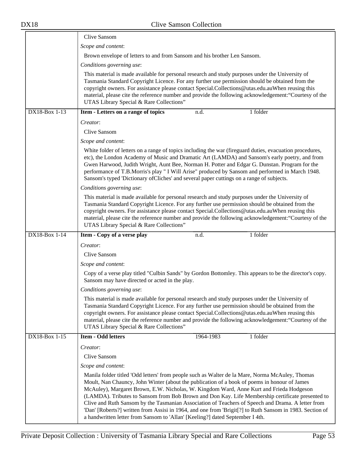|               | Clive Sansom                                                                                                                                                                                                                                                                                                                                                                                                                                                                                                                                                                                                                                                                                     |  |  |
|---------------|--------------------------------------------------------------------------------------------------------------------------------------------------------------------------------------------------------------------------------------------------------------------------------------------------------------------------------------------------------------------------------------------------------------------------------------------------------------------------------------------------------------------------------------------------------------------------------------------------------------------------------------------------------------------------------------------------|--|--|
|               | Scope and content:                                                                                                                                                                                                                                                                                                                                                                                                                                                                                                                                                                                                                                                                               |  |  |
|               | Brown envelope of letters to and from Sansom and his brother Len Sansom.                                                                                                                                                                                                                                                                                                                                                                                                                                                                                                                                                                                                                         |  |  |
|               | Conditions governing use:                                                                                                                                                                                                                                                                                                                                                                                                                                                                                                                                                                                                                                                                        |  |  |
|               | This material is made available for personal research and study purposes under the University of<br>Tasmania Standard Copyright Licence. For any further use permission should be obtained from the<br>copyright owners. For assistance please contact Special.Collections@utas.edu.auWhen reusing this<br>material, please cite the reference number and provide the following acknowledgement: "Courtesy of the<br>UTAS Library Special & Rare Collections"                                                                                                                                                                                                                                    |  |  |
| DX18-Box 1-13 | Item - Letters on a range of topics<br>1 folder<br>n.d.                                                                                                                                                                                                                                                                                                                                                                                                                                                                                                                                                                                                                                          |  |  |
|               | Creator:                                                                                                                                                                                                                                                                                                                                                                                                                                                                                                                                                                                                                                                                                         |  |  |
|               | Clive Sansom                                                                                                                                                                                                                                                                                                                                                                                                                                                                                                                                                                                                                                                                                     |  |  |
|               | Scope and content:                                                                                                                                                                                                                                                                                                                                                                                                                                                                                                                                                                                                                                                                               |  |  |
|               | White folder of letters on a range of topics including the war (fireguard duties, evacuation procedures,<br>etc), the London Academy of Music and Dramatic Art (LAMDA) and Sansom's early poetry, and from<br>Gwen Harwood, Judith Wright, Aunt Bee, Norman H. Potter and Edgar G. Dunstan. Program for the<br>performance of T.B.Morris's play " I Will Arise" produced by Sansom and performed in March 1948.<br>Sansom's typed 'Dictionary ofCliches' and several paper cuttings on a range of subjects.                                                                                                                                                                                      |  |  |
|               | Conditions governing use:                                                                                                                                                                                                                                                                                                                                                                                                                                                                                                                                                                                                                                                                        |  |  |
|               | This material is made available for personal research and study purposes under the University of<br>Tasmania Standard Copyright Licence. For any further use permission should be obtained from the<br>copyright owners. For assistance please contact Special.Collections@utas.edu.auWhen reusing this<br>material, please cite the reference number and provide the following acknowledgement: "Courtesy of the<br>UTAS Library Special & Rare Collections"                                                                                                                                                                                                                                    |  |  |
| DX18-Box 1-14 | 1 folder<br>Item - Copy of a verse play<br>n.d.                                                                                                                                                                                                                                                                                                                                                                                                                                                                                                                                                                                                                                                  |  |  |
|               | Creator:                                                                                                                                                                                                                                                                                                                                                                                                                                                                                                                                                                                                                                                                                         |  |  |
|               | Clive Sansom                                                                                                                                                                                                                                                                                                                                                                                                                                                                                                                                                                                                                                                                                     |  |  |
|               | Scope and content:                                                                                                                                                                                                                                                                                                                                                                                                                                                                                                                                                                                                                                                                               |  |  |
|               | Copy of a verse play titled "Culbin Sands" by Gordon Bottomley. This appears to be the director's copy.<br>Sansom may have directed or acted in the play.                                                                                                                                                                                                                                                                                                                                                                                                                                                                                                                                        |  |  |
|               | Conditions governing use:                                                                                                                                                                                                                                                                                                                                                                                                                                                                                                                                                                                                                                                                        |  |  |
|               | This material is made available for personal research and study purposes under the University of<br>Tasmania Standard Copyright Licence. For any further use permission should be obtained from the<br>copyright owners. For assistance please contact Special.Collections@utas.edu.auWhen reusing this<br>material, please cite the reference number and provide the following acknowledgement: "Courtesy of the<br>UTAS Library Special & Rare Collections"                                                                                                                                                                                                                                    |  |  |
| DX18-Box 1-15 | <b>Item - Odd letters</b><br>1 folder<br>1964-1983                                                                                                                                                                                                                                                                                                                                                                                                                                                                                                                                                                                                                                               |  |  |
|               | Creator:                                                                                                                                                                                                                                                                                                                                                                                                                                                                                                                                                                                                                                                                                         |  |  |
|               | Clive Sansom                                                                                                                                                                                                                                                                                                                                                                                                                                                                                                                                                                                                                                                                                     |  |  |
|               | Scope and content:                                                                                                                                                                                                                                                                                                                                                                                                                                                                                                                                                                                                                                                                               |  |  |
|               | Manila folder titled 'Odd letters' from people such as Walter de la Mare, Norma McAuley, Thomas<br>Moult, Nan Chauncy, John Winter (about the publication of a book of poems in honour of James<br>McAuley), Margaret Brown, E.W. Nicholas, W. Kingdom Ward, Anne Kurt and Frieda Hodgeson<br>(LAMDA). Tributes to Sansom from Bob Brown and Don Kay. Life Membership certificate presented to<br>Clive and Ruth Sansom by the Tasmanian Association of Teachers of Speech and Drama. A letter from<br>'Dan' [Roberts?] written from Assisi in 1964, and one from 'Brigit[?] to Ruth Sansom in 1983. Section of<br>a handwritten letter from Sansom to 'Allan' [Keeling?] dated September I 4th. |  |  |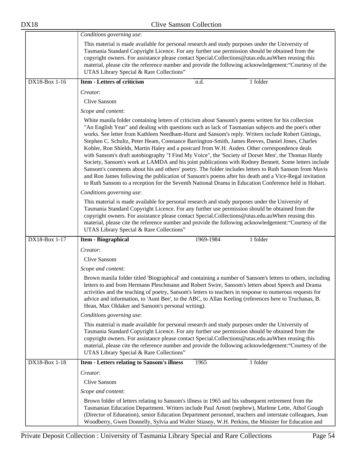|               | Conditions governing use:                                                                                                                                                                                                                                                                                                                                                                                                                                                                                                                                                                                                                                                                                                                                                                                                                                                                                                                                                                                                                                    |      |           |          |
|---------------|--------------------------------------------------------------------------------------------------------------------------------------------------------------------------------------------------------------------------------------------------------------------------------------------------------------------------------------------------------------------------------------------------------------------------------------------------------------------------------------------------------------------------------------------------------------------------------------------------------------------------------------------------------------------------------------------------------------------------------------------------------------------------------------------------------------------------------------------------------------------------------------------------------------------------------------------------------------------------------------------------------------------------------------------------------------|------|-----------|----------|
|               | This material is made available for personal research and study purposes under the University of<br>Tasmania Standard Copyright Licence. For any further use permission should be obtained from the<br>copyright owners. For assistance please contact Special.Collections@utas.edu.auWhen reusing this<br>material, please cite the reference number and provide the following acknowledgement: "Courtesy of the<br>UTAS Library Special & Rare Collections"                                                                                                                                                                                                                                                                                                                                                                                                                                                                                                                                                                                                |      |           |          |
| DX18-Box 1-16 | <b>Item - Letters of criticism</b>                                                                                                                                                                                                                                                                                                                                                                                                                                                                                                                                                                                                                                                                                                                                                                                                                                                                                                                                                                                                                           | n.d. |           | 1 folder |
|               | Creator:                                                                                                                                                                                                                                                                                                                                                                                                                                                                                                                                                                                                                                                                                                                                                                                                                                                                                                                                                                                                                                                     |      |           |          |
|               | Clive Sansom                                                                                                                                                                                                                                                                                                                                                                                                                                                                                                                                                                                                                                                                                                                                                                                                                                                                                                                                                                                                                                                 |      |           |          |
|               | Scope and content:                                                                                                                                                                                                                                                                                                                                                                                                                                                                                                                                                                                                                                                                                                                                                                                                                                                                                                                                                                                                                                           |      |           |          |
|               | White manila folder containing letters of criticism about Sansom's poems written for his collection<br>"An English Year" and dealing with questions such as lack of Tasmanian subjects and the poet's other<br>works. See letter from Kathleen Needham-Hurst and Sansom's reply. Writers include Robert Gittings,<br>Stephen C. Schultz, Peter Heam, Constance Barrington-Smith, James Reeves, Daniel Jones, Charles<br>Kohler, Ron Shields, Martin Haley and a postcard from W.H. Auden. Other correspondence deals<br>with Sansom's draft autobiography "I Find My Voice", the 'Society of Dorset Men', the Thomas Hardy<br>Society, Sansom's work at LAMDA and his joint publications with Rodney Bennett. Some letters include<br>Sansom's comments about his and others' poetry. The folder includes letters to Ruth Sansom from Mavis<br>and Ron James following the publication of Sansom's poems after his death and a Vice-Regal invitation<br>to Ruth Sansom to a reception for the Seventh National Drama in Education Conference held in Hobart. |      |           |          |
|               | Conditions governing use:                                                                                                                                                                                                                                                                                                                                                                                                                                                                                                                                                                                                                                                                                                                                                                                                                                                                                                                                                                                                                                    |      |           |          |
|               | This material is made available for personal research and study purposes under the University of<br>Tasmania Standard Copyright Licence. For any further use permission should be obtained from the<br>copyright owners. For assistance please contact Special.Collections@utas.edu.auWhen reusing this<br>material, please cite the reference number and provide the following acknowledgement: "Courtesy of the<br>UTAS Library Special & Rare Collections"                                                                                                                                                                                                                                                                                                                                                                                                                                                                                                                                                                                                |      |           |          |
| DX18-Box 1-17 | <b>Item - Biographical</b>                                                                                                                                                                                                                                                                                                                                                                                                                                                                                                                                                                                                                                                                                                                                                                                                                                                                                                                                                                                                                                   |      | 1969-1984 | 1 folder |
|               | Creator:                                                                                                                                                                                                                                                                                                                                                                                                                                                                                                                                                                                                                                                                                                                                                                                                                                                                                                                                                                                                                                                     |      |           |          |
|               | Clive Sansom                                                                                                                                                                                                                                                                                                                                                                                                                                                                                                                                                                                                                                                                                                                                                                                                                                                                                                                                                                                                                                                 |      |           |          |
|               | Scope and content:                                                                                                                                                                                                                                                                                                                                                                                                                                                                                                                                                                                                                                                                                                                                                                                                                                                                                                                                                                                                                                           |      |           |          |
|               | Brown manila folder titled 'Biographical' and containing a number of Sansom's letters to others, including<br>letters to and from Hermann Pleschmann and Robert Swire, Sansom's letters about Speech and Drama<br>activities and the teaching of poetry, Sansom's letters to teachers in response to numerous requests for<br>advice and information, to 'Aunt Bee', to the ABC, to Allan Keeling (references here to Truchanas, B.<br>Hean, Max Oldaker and Sansom's personal writing).                                                                                                                                                                                                                                                                                                                                                                                                                                                                                                                                                                     |      |           |          |
|               | Conditions governing use:                                                                                                                                                                                                                                                                                                                                                                                                                                                                                                                                                                                                                                                                                                                                                                                                                                                                                                                                                                                                                                    |      |           |          |
|               | This material is made available for personal research and study purposes under the University of<br>Tasmania Standard Copyright Licence. For any further use permission should be obtained from the<br>copyright owners. For assistance please contact Special.Collections@utas.edu.auWhen reusing this<br>material, please cite the reference number and provide the following acknowledgement: "Courtesy of the<br>UTAS Library Special & Rare Collections"                                                                                                                                                                                                                                                                                                                                                                                                                                                                                                                                                                                                |      |           |          |
| DX18-Box 1-18 | Item - Letters relating to Sansom's illness                                                                                                                                                                                                                                                                                                                                                                                                                                                                                                                                                                                                                                                                                                                                                                                                                                                                                                                                                                                                                  | 1965 |           | 1 folder |
|               | Creator:                                                                                                                                                                                                                                                                                                                                                                                                                                                                                                                                                                                                                                                                                                                                                                                                                                                                                                                                                                                                                                                     |      |           |          |
|               | Clive Sansom                                                                                                                                                                                                                                                                                                                                                                                                                                                                                                                                                                                                                                                                                                                                                                                                                                                                                                                                                                                                                                                 |      |           |          |
|               | Scope and content:                                                                                                                                                                                                                                                                                                                                                                                                                                                                                                                                                                                                                                                                                                                                                                                                                                                                                                                                                                                                                                           |      |           |          |
|               | Brown folder of letters relating to Sansom's illness in 1965 and his subsequent retirement from the<br>Tasmanian Education Department. Writers include Paul Arnott (nephew), Marlene Lette, Athol Gough<br>(Director of Edueation), senior Education Department personnel, teachers and interstate colleagues, Joan<br>Woodberry, Gwen Donnelly, Sylvia and Walter Stiasny, W.H. Perkins, the Minister for Education and                                                                                                                                                                                                                                                                                                                                                                                                                                                                                                                                                                                                                                     |      |           |          |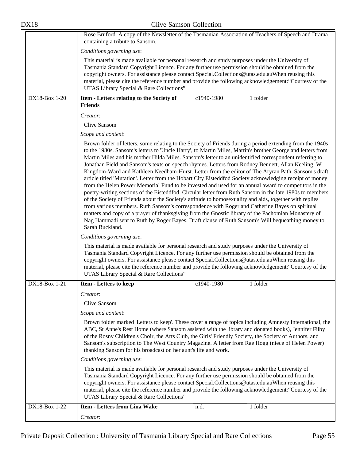|               | Rose Bruford. A copy of the Newsletter of the Tasmanian Association of Teachers of Speech and Drama<br>containing a tribute to Sansom.                                                                                                                                                                                                                                                                                                                                                                                                                                                                                                                                                                                                                                                                                                                                                                                                                                                                                                                                                                                                                                                                                                                                                                                                                                                                                                                                                                                                                                                                                                                                                                                                                                     |
|---------------|----------------------------------------------------------------------------------------------------------------------------------------------------------------------------------------------------------------------------------------------------------------------------------------------------------------------------------------------------------------------------------------------------------------------------------------------------------------------------------------------------------------------------------------------------------------------------------------------------------------------------------------------------------------------------------------------------------------------------------------------------------------------------------------------------------------------------------------------------------------------------------------------------------------------------------------------------------------------------------------------------------------------------------------------------------------------------------------------------------------------------------------------------------------------------------------------------------------------------------------------------------------------------------------------------------------------------------------------------------------------------------------------------------------------------------------------------------------------------------------------------------------------------------------------------------------------------------------------------------------------------------------------------------------------------------------------------------------------------------------------------------------------------|
|               | Conditions governing use:                                                                                                                                                                                                                                                                                                                                                                                                                                                                                                                                                                                                                                                                                                                                                                                                                                                                                                                                                                                                                                                                                                                                                                                                                                                                                                                                                                                                                                                                                                                                                                                                                                                                                                                                                  |
|               | This material is made available for personal research and study purposes under the University of<br>Tasmania Standard Copyright Licence. For any further use permission should be obtained from the<br>copyright owners. For assistance please contact Special.Collections@utas.edu.auWhen reusing this<br>material, please cite the reference number and provide the following acknowledgement: "Courtesy of the<br>UTAS Library Special & Rare Collections"                                                                                                                                                                                                                                                                                                                                                                                                                                                                                                                                                                                                                                                                                                                                                                                                                                                                                                                                                                                                                                                                                                                                                                                                                                                                                                              |
| DX18-Box 1-20 | c1940-1980<br>1 folder<br>Item - Letters relating to the Society of<br><b>Friends</b>                                                                                                                                                                                                                                                                                                                                                                                                                                                                                                                                                                                                                                                                                                                                                                                                                                                                                                                                                                                                                                                                                                                                                                                                                                                                                                                                                                                                                                                                                                                                                                                                                                                                                      |
|               | Creator:                                                                                                                                                                                                                                                                                                                                                                                                                                                                                                                                                                                                                                                                                                                                                                                                                                                                                                                                                                                                                                                                                                                                                                                                                                                                                                                                                                                                                                                                                                                                                                                                                                                                                                                                                                   |
|               | Clive Sansom                                                                                                                                                                                                                                                                                                                                                                                                                                                                                                                                                                                                                                                                                                                                                                                                                                                                                                                                                                                                                                                                                                                                                                                                                                                                                                                                                                                                                                                                                                                                                                                                                                                                                                                                                               |
|               | Scope and content:                                                                                                                                                                                                                                                                                                                                                                                                                                                                                                                                                                                                                                                                                                                                                                                                                                                                                                                                                                                                                                                                                                                                                                                                                                                                                                                                                                                                                                                                                                                                                                                                                                                                                                                                                         |
|               | Brown folder of letters, some relating to the Society of Friends during a period extending from the 1940s<br>to the 1980s. Sansom's letters to 'Uncle Harry', to Martin Miles, Martin's brother George and letters from<br>Martin Miles and his mother Hilda Miles. Sansom's letter to an unidentified correspondent referring to<br>Jonathan Field and Sansom's texts on speech rhymes. Letters from Rodney Bennett, Allan Keeling, W.<br>Kingdom-Ward and Kathleen Needham-Hurst. Letter from the editor of The Aryran Path. Sansom's draft<br>article titled 'Mutation'. Letter from the Hobart City Eisteddfod Society acknowledging receipt of money<br>from the Helen Power Memorial Fund to be invested and used for an annual award to competitors in the<br>poetry-writing sections of the Eisteddfod. Circular letter from Ruth Sansom in the late 1980s to members<br>of the Society of Friends about the Society's attitude to homosexuality and aids, together with replies<br>from various members. Ruth Sansom's correspondence with Roger and Catherine Bayes on spiritual<br>matters and copy of a prayer of thanksgiving from the Gnostic library of the Pachomian Monastery of<br>Nag Hammadi sent to Ruth by Roger Bayes. Draft clause of Ruth Sansom's Will bequeathing money to<br>Sarah Buckland.<br>Conditions governing use:<br>This material is made available for personal research and study purposes under the University of<br>Tasmania Standard Copyright Licence. For any further use permission should be obtained from the<br>copyright owners. For assistance please contact Special.Collections@utas.edu.auWhen reusing this<br>material, please cite the reference number and provide the following acknowledgement: "Courtesy of the |
|               | UTAS Library Special & Rare Collections"                                                                                                                                                                                                                                                                                                                                                                                                                                                                                                                                                                                                                                                                                                                                                                                                                                                                                                                                                                                                                                                                                                                                                                                                                                                                                                                                                                                                                                                                                                                                                                                                                                                                                                                                   |
| DX18-Box 1-21 | <b>Item - Letters to keep</b><br>1 folder<br>c1940-1980                                                                                                                                                                                                                                                                                                                                                                                                                                                                                                                                                                                                                                                                                                                                                                                                                                                                                                                                                                                                                                                                                                                                                                                                                                                                                                                                                                                                                                                                                                                                                                                                                                                                                                                    |
|               | Creator:                                                                                                                                                                                                                                                                                                                                                                                                                                                                                                                                                                                                                                                                                                                                                                                                                                                                                                                                                                                                                                                                                                                                                                                                                                                                                                                                                                                                                                                                                                                                                                                                                                                                                                                                                                   |
|               | Clive Sansom                                                                                                                                                                                                                                                                                                                                                                                                                                                                                                                                                                                                                                                                                                                                                                                                                                                                                                                                                                                                                                                                                                                                                                                                                                                                                                                                                                                                                                                                                                                                                                                                                                                                                                                                                               |
|               | Scope and content:                                                                                                                                                                                                                                                                                                                                                                                                                                                                                                                                                                                                                                                                                                                                                                                                                                                                                                                                                                                                                                                                                                                                                                                                                                                                                                                                                                                                                                                                                                                                                                                                                                                                                                                                                         |
|               | Brown folder marked 'Letters to keep'. These cover a range of topics including Amnesty International, the<br>ABC, St Anne's Rest Home (where Sansom assisted with the library and donated books), Jennifer Filby<br>of the Rosny Children's Choir, the Arts Club, the Girls' Friendly Society, the Society of Authors, and<br>Sansom's subscription to The West Country Magazine. A letter from Rae Hogg (niece of Helen Power)<br>thanking Sansom for his broadcast on her aunt's life and work.                                                                                                                                                                                                                                                                                                                                                                                                                                                                                                                                                                                                                                                                                                                                                                                                                                                                                                                                                                                                                                                                                                                                                                                                                                                                          |
|               | Conditions governing use:                                                                                                                                                                                                                                                                                                                                                                                                                                                                                                                                                                                                                                                                                                                                                                                                                                                                                                                                                                                                                                                                                                                                                                                                                                                                                                                                                                                                                                                                                                                                                                                                                                                                                                                                                  |
|               | This material is made available for personal research and study purposes under the University of<br>Tasmania Standard Copyright Licence. For any further use permission should be obtained from the<br>copyright owners. For assistance please contact Special.Collections@utas.edu.auWhen reusing this<br>material, please cite the reference number and provide the following acknowledgement: "Courtesy of the<br>UTAS Library Special & Rare Collections"                                                                                                                                                                                                                                                                                                                                                                                                                                                                                                                                                                                                                                                                                                                                                                                                                                                                                                                                                                                                                                                                                                                                                                                                                                                                                                              |
| DX18-Box 1-22 | <b>Item - Letters from Lina Wake</b><br>1 folder<br>n.d.                                                                                                                                                                                                                                                                                                                                                                                                                                                                                                                                                                                                                                                                                                                                                                                                                                                                                                                                                                                                                                                                                                                                                                                                                                                                                                                                                                                                                                                                                                                                                                                                                                                                                                                   |
|               | Creator:                                                                                                                                                                                                                                                                                                                                                                                                                                                                                                                                                                                                                                                                                                                                                                                                                                                                                                                                                                                                                                                                                                                                                                                                                                                                                                                                                                                                                                                                                                                                                                                                                                                                                                                                                                   |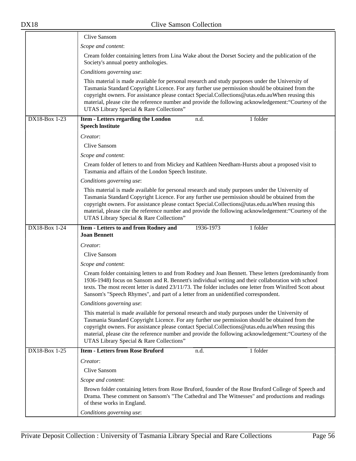|               | Clive Sansom                                                                                                                                                                                                                                                                                                                                                                                                                                                  |
|---------------|---------------------------------------------------------------------------------------------------------------------------------------------------------------------------------------------------------------------------------------------------------------------------------------------------------------------------------------------------------------------------------------------------------------------------------------------------------------|
|               | Scope and content:                                                                                                                                                                                                                                                                                                                                                                                                                                            |
|               | Cream folder containing letters from Lina Wake about the Dorset Society and the publication of the<br>Society's annual poetry anthologies.                                                                                                                                                                                                                                                                                                                    |
|               | Conditions governing use:                                                                                                                                                                                                                                                                                                                                                                                                                                     |
|               | This material is made available for personal research and study purposes under the University of<br>Tasmania Standard Copyright Licence. For any further use permission should be obtained from the<br>copyright owners. For assistance please contact Special.Collections@utas.edu.auWhen reusing this<br>material, please cite the reference number and provide the following acknowledgement: "Courtesy of the<br>UTAS Library Special & Rare Collections" |
| DX18-Box 1-23 | 1 folder<br>Item - Letters regarding the London<br>n.d.<br><b>Speech Institute</b>                                                                                                                                                                                                                                                                                                                                                                            |
|               | Creator:                                                                                                                                                                                                                                                                                                                                                                                                                                                      |
|               | Clive Sansom                                                                                                                                                                                                                                                                                                                                                                                                                                                  |
|               | Scope and content:                                                                                                                                                                                                                                                                                                                                                                                                                                            |
|               | Cream folder of letters to and from Mickey and Kathleen Needham-Hursts about a proposed visit to<br>Tasmania and affairs of the London Speech Institute.                                                                                                                                                                                                                                                                                                      |
|               | Conditions governing use:                                                                                                                                                                                                                                                                                                                                                                                                                                     |
|               | This material is made available for personal research and study purposes under the University of<br>Tasmania Standard Copyright Licence. For any further use permission should be obtained from the<br>copyright owners. For assistance please contact Special.Collections@utas.edu.auWhen reusing this<br>material, please cite the reference number and provide the following acknowledgement: "Courtesy of the<br>UTAS Library Special & Rare Collections" |
|               |                                                                                                                                                                                                                                                                                                                                                                                                                                                               |
| DX18-Box 1-24 | 1936-1973<br>1 folder<br>Item - Letters to and from Rodney and                                                                                                                                                                                                                                                                                                                                                                                                |
|               | <b>Joan Bennett</b>                                                                                                                                                                                                                                                                                                                                                                                                                                           |
|               | Creator:                                                                                                                                                                                                                                                                                                                                                                                                                                                      |
|               | Clive Sansom                                                                                                                                                                                                                                                                                                                                                                                                                                                  |
|               | Scope and content:<br>Cream folder containing letters to and from Rodney and Joan Bennett. These letters (predominantly from<br>1936-1948) focus on Sansom and R. Bennett's individual writing and their collaboration with school<br>texts. The most recent letter is dated 23/11/73. The folder includes one letter from Winifred Scott about<br>Sansom's "Speech Rhymes", and part of a letter from an unidentified correspondent.                         |
|               | Conditions governing use:                                                                                                                                                                                                                                                                                                                                                                                                                                     |
|               | This material is made available for personal research and study purposes under the University of<br>Tasmania Standard Copyright Licence. For any further use permission should be obtained from the<br>copyright owners. For assistance please contact Special.Collections@utas.edu.auWhen reusing this<br>material, please cite the reference number and provide the following acknowledgement: "Courtesy of the<br>UTAS Library Special & Rare Collections" |
| DX18-Box 1-25 | <b>Item - Letters from Rose Bruford</b><br>1 folder<br>n.d.                                                                                                                                                                                                                                                                                                                                                                                                   |
|               | Creator:                                                                                                                                                                                                                                                                                                                                                                                                                                                      |
|               | Clive Sansom                                                                                                                                                                                                                                                                                                                                                                                                                                                  |
|               | Scope and content:                                                                                                                                                                                                                                                                                                                                                                                                                                            |
|               | Brown folder containing letters from Rose Bruford, founder of the Rose Bruford College of Speech and<br>Drama. These comment on Sansom's "The Cathedral and The Witnesses" and productions and readings<br>of these works in England.                                                                                                                                                                                                                         |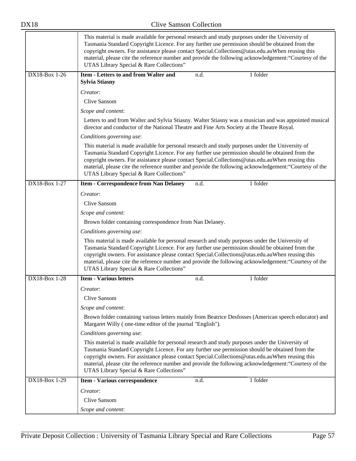|                      | This material is made available for personal research and study purposes under the University of<br>Tasmania Standard Copyright Licence. For any further use permission should be obtained from the<br>copyright owners. For assistance please contact Special.Collections@utas.edu.auWhen reusing this<br>material, please cite the reference number and provide the following acknowledgement: "Courtesy of the<br>UTAS Library Special & Rare Collections" |
|----------------------|---------------------------------------------------------------------------------------------------------------------------------------------------------------------------------------------------------------------------------------------------------------------------------------------------------------------------------------------------------------------------------------------------------------------------------------------------------------|
| DX18-Box 1-26        | <b>Item - Letters to and from Walter and</b><br>1 folder<br>n.d.<br><b>Sylvia Stiasny</b>                                                                                                                                                                                                                                                                                                                                                                     |
|                      | Creator:                                                                                                                                                                                                                                                                                                                                                                                                                                                      |
|                      | Clive Sansom                                                                                                                                                                                                                                                                                                                                                                                                                                                  |
|                      | Scope and content:                                                                                                                                                                                                                                                                                                                                                                                                                                            |
|                      | Letters to and from Walter and Sylvia Stiasny. Walter Stiasny was a musician and was appointed musical<br>director and conductor of the National Theatre and Fine Arts Society at the Theatre Royal.                                                                                                                                                                                                                                                          |
|                      | Conditions governing use:                                                                                                                                                                                                                                                                                                                                                                                                                                     |
|                      | This material is made available for personal research and study purposes under the University of<br>Tasmania Standard Copyright Licence. For any further use permission should be obtained from the<br>copyright owners. For assistance please contact Special.Collections@utas.edu.auWhen reusing this<br>material, please cite the reference number and provide the following acknowledgement: "Courtesy of the<br>UTAS Library Special & Rare Collections" |
| DX18-Box 1-27        | 1 folder<br><b>Item - Correspondence from Nan Delaney</b><br>n.d.                                                                                                                                                                                                                                                                                                                                                                                             |
|                      | Creator:                                                                                                                                                                                                                                                                                                                                                                                                                                                      |
|                      | Clive Sansom                                                                                                                                                                                                                                                                                                                                                                                                                                                  |
|                      | Scope and content:                                                                                                                                                                                                                                                                                                                                                                                                                                            |
|                      | Brown folder containing correspondence from Nan Delaney.                                                                                                                                                                                                                                                                                                                                                                                                      |
|                      | Conditions governing use:                                                                                                                                                                                                                                                                                                                                                                                                                                     |
|                      | This material is made available for personal research and study purposes under the University of<br>Tasmania Standard Copyright Licence. For any further use permission should be obtained from the<br>copyright owners. For assistance please contact Special.Collections@utas.edu.auWhen reusing this<br>material, please cite the reference number and provide the following acknowledgement: "Courtesy of the<br>UTAS Library Special & Rare Collections" |
| <b>DX18-Box 1-28</b> | <b>Item - Various letters</b><br>1 folder<br>n.d.                                                                                                                                                                                                                                                                                                                                                                                                             |
|                      | Creator:                                                                                                                                                                                                                                                                                                                                                                                                                                                      |
|                      | <b>Clive Sansom</b>                                                                                                                                                                                                                                                                                                                                                                                                                                           |
|                      | Scope and content:                                                                                                                                                                                                                                                                                                                                                                                                                                            |
|                      | Brown folder containing various letters mainly from Beatrice Desfosses (American speech educator) and<br>Margaret Willy (one-time editor of the journal "English").                                                                                                                                                                                                                                                                                           |
|                      | Conditions governing use:                                                                                                                                                                                                                                                                                                                                                                                                                                     |
|                      | This material is made available for personal research and study purposes under the University of<br>Tasmania Standard Copyright Licence. For any further use permission should be obtained from the<br>copyright owners. For assistance please contact Special.Collections@utas.edu.auWhen reusing this<br>material, please cite the reference number and provide the following acknowledgement: "Courtesy of the<br>UTAS Library Special & Rare Collections" |
| DX18-Box 1-29        | 1 folder<br>Item - Various correspondence<br>n.d.                                                                                                                                                                                                                                                                                                                                                                                                             |
|                      | Creator:                                                                                                                                                                                                                                                                                                                                                                                                                                                      |
|                      | <b>Clive Sansom</b>                                                                                                                                                                                                                                                                                                                                                                                                                                           |
|                      | Scope and content:                                                                                                                                                                                                                                                                                                                                                                                                                                            |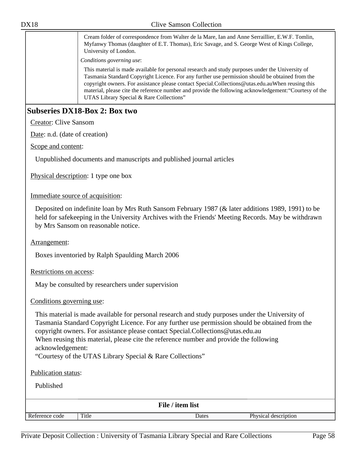Cream folder of correspondence from Walter de la Mare, Ian and Anne Serraillier, E.W.F. Tomlin, Myfanwy Thomas (daughter of E.T. Thomas), Eric Savage, and S. George West of Kings College, University of London.

*Conditions governing use*:

This material is made available for personal research and study purposes under the University of Tasmania Standard Copyright Licence. For any further use permission should be obtained from the copyright owners. For assistance please contact Special.Collections@utas.edu.auWhen reusing this material, please cite the reference number and provide the following acknowledgement:"Courtesy of the UTAS Library Special & Rare Collections"

# **Subseries DX18-Box 2: Box two**

Creator: Clive Sansom

Date: n.d. (date of creation)

Scope and content:

Unpublished documents and manuscripts and published journal articles

Physical description: 1 type one box

#### Immediate source of acquisition:

Deposited on indefinite loan by Mrs Ruth Sansom February 1987 (& later additions 1989, 1991) to be held for safekeeping in the University Archives with the Friends' Meeting Records. May be withdrawn by Mrs Sansom on reasonable notice.

#### Arrangement:

Boxes inventoried by Ralph Spaulding March 2006

Restrictions on access:

May be consulted by researchers under supervision

#### Conditions governing use:

This material is made available for personal research and study purposes under the University of Tasmania Standard Copyright Licence. For any further use permission should be obtained from the copyright owners. For assistance please contact Special.Collections@utas.edu.au When reusing this material, please cite the reference number and provide the following acknowledgement:

"Courtesy of the UTAS Library Special & Rare Collections"

Publication status:

| File / item list |       |       |                      |  |
|------------------|-------|-------|----------------------|--|
| Reference code   | Title | Dates | Physical description |  |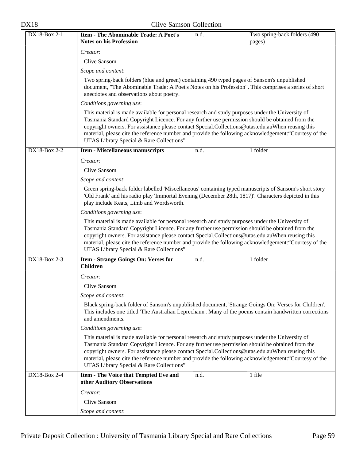| DX18-Box 2-1   | <b>Item - The Abominable Trade: A Poet's</b><br>Two spring-back folders (490<br>n.d.                                                                                                                                                                                                                                                                                                                                                                          |
|----------------|---------------------------------------------------------------------------------------------------------------------------------------------------------------------------------------------------------------------------------------------------------------------------------------------------------------------------------------------------------------------------------------------------------------------------------------------------------------|
|                | <b>Notes on his Profession</b><br>pages)                                                                                                                                                                                                                                                                                                                                                                                                                      |
|                | Creator:                                                                                                                                                                                                                                                                                                                                                                                                                                                      |
|                | <b>Clive Sansom</b>                                                                                                                                                                                                                                                                                                                                                                                                                                           |
|                | Scope and content:                                                                                                                                                                                                                                                                                                                                                                                                                                            |
|                | Two spring-back folders (blue and green) containing 490 typed pages of Sansom's unpublished<br>document, "The Abominable Trade: A Poet's Notes on his Profession". This comprises a series of short<br>anecdotes and observations about poetry.                                                                                                                                                                                                               |
|                | Conditions governing use:                                                                                                                                                                                                                                                                                                                                                                                                                                     |
|                | This material is made available for personal research and study purposes under the University of<br>Tasmania Standard Copyright Licence. For any further use permission should be obtained from the<br>copyright owners. For assistance please contact Special.Collections@utas.edu.auWhen reusing this<br>material, please cite the reference number and provide the following acknowledgement: "Courtesy of the<br>UTAS Library Special & Rare Collections" |
| $DX18-Box 2-2$ | 1 folder<br><b>Item - Miscellaneous manuscripts</b><br>n.d.                                                                                                                                                                                                                                                                                                                                                                                                   |
|                | Creator:                                                                                                                                                                                                                                                                                                                                                                                                                                                      |
|                | Clive Sansom                                                                                                                                                                                                                                                                                                                                                                                                                                                  |
|                | Scope and content:                                                                                                                                                                                                                                                                                                                                                                                                                                            |
|                | Green spring-back folder labelled 'Miscellaneous' containing typed manuscripts of Sansom's short story<br>'Old Frank' and his radio play 'Immortal Evening (December 28th, 1817)'. Characters depicted in this<br>play include Keats, Limb and Wordsworth.                                                                                                                                                                                                    |
|                | Conditions governing use:                                                                                                                                                                                                                                                                                                                                                                                                                                     |
|                | This material is made available for personal research and study purposes under the University of<br>Tasmania Standard Copyright Licence. For any further use permission should be obtained from the<br>copyright owners. For assistance please contact Special.Collections@utas.edu.auWhen reusing this<br>material, please cite the reference number and provide the following acknowledgement: "Courtesy of the<br>UTAS Library Special & Rare Collections" |
| DX18-Box 2-3   | <b>Item - Strange Goings On: Verses for</b><br>1 folder<br>n.d.<br><b>Children</b>                                                                                                                                                                                                                                                                                                                                                                            |
|                | Creator:                                                                                                                                                                                                                                                                                                                                                                                                                                                      |
|                | Clive Sansom                                                                                                                                                                                                                                                                                                                                                                                                                                                  |
|                | Scope and content:                                                                                                                                                                                                                                                                                                                                                                                                                                            |
|                | Black spring-back folder of Sansom's unpublished document, 'Strange Goings On: Verses for Children'.<br>This includes one titled 'The Australian Leprechaun'. Many of the poems contain handwritten corrections<br>and amendments.                                                                                                                                                                                                                            |
|                | Conditions governing use:                                                                                                                                                                                                                                                                                                                                                                                                                                     |
|                | This material is made available for personal research and study purposes under the University of<br>Tasmania Standard Copyright Licence. For any further use permission should be obtained from the<br>copyright owners. For assistance please contact Special.Collections@utas.edu.auWhen reusing this<br>material, please cite the reference number and provide the following acknowledgement: "Courtesy of the<br>UTAS Library Special & Rare Collections" |
| DX18-Box 2-4   | Item - The Voice that Tempted Eve and<br>1 file<br>n.d.<br>other Auditory Observations                                                                                                                                                                                                                                                                                                                                                                        |
|                | Creator:                                                                                                                                                                                                                                                                                                                                                                                                                                                      |
|                | Clive Sansom                                                                                                                                                                                                                                                                                                                                                                                                                                                  |
|                | Scope and content:                                                                                                                                                                                                                                                                                                                                                                                                                                            |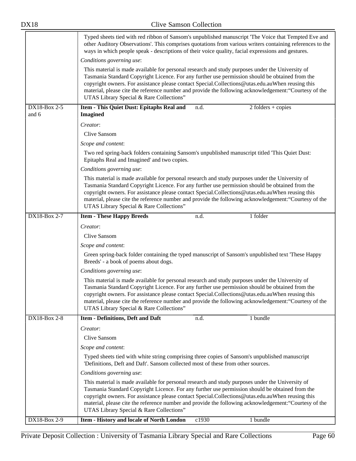|                       | Typed sheets tied with red ribbon of Sansom's unpublished manuscript 'The Voice that Tempted Eve and<br>other Auditory Observations'. This comprises quotations from various writers containing references to the<br>ways in which people speak - descriptions of their voice quality, facial expressions and gestures.<br>Conditions governing use:<br>This material is made available for personal research and study purposes under the University of      |
|-----------------------|---------------------------------------------------------------------------------------------------------------------------------------------------------------------------------------------------------------------------------------------------------------------------------------------------------------------------------------------------------------------------------------------------------------------------------------------------------------|
|                       | Tasmania Standard Copyright Licence. For any further use permission should be obtained from the<br>copyright owners. For assistance please contact Special.Collections@utas.edu.auWhen reusing this<br>material, please cite the reference number and provide the following acknowledgement: "Courtesy of the<br>UTAS Library Special & Rare Collections"                                                                                                     |
| DX18-Box 2-5<br>and 6 | Item - This Quiet Dust: Epitaphs Real and<br>n.d.<br>$2$ folders + copies<br><b>Imagined</b>                                                                                                                                                                                                                                                                                                                                                                  |
|                       | Creator:                                                                                                                                                                                                                                                                                                                                                                                                                                                      |
|                       | Clive Sansom                                                                                                                                                                                                                                                                                                                                                                                                                                                  |
|                       | Scope and content:                                                                                                                                                                                                                                                                                                                                                                                                                                            |
|                       | Two red spring-back folders containing Sansom's unpublished manuscript titled 'This Quiet Dust:<br>Epitaphs Real and Imagined' and two copies.                                                                                                                                                                                                                                                                                                                |
|                       | Conditions governing use:                                                                                                                                                                                                                                                                                                                                                                                                                                     |
|                       | This material is made available for personal research and study purposes under the University of<br>Tasmania Standard Copyright Licence. For any further use permission should be obtained from the<br>copyright owners. For assistance please contact Special.Collections@utas.edu.auWhen reusing this<br>material, please cite the reference number and provide the following acknowledgement: "Courtesy of the<br>UTAS Library Special & Rare Collections" |
| DX18-Box 2-7          | 1 folder<br><b>Item - These Happy Breeds</b><br>n.d.                                                                                                                                                                                                                                                                                                                                                                                                          |
|                       | Creator:                                                                                                                                                                                                                                                                                                                                                                                                                                                      |
|                       | Clive Sansom                                                                                                                                                                                                                                                                                                                                                                                                                                                  |
|                       | Scope and content:                                                                                                                                                                                                                                                                                                                                                                                                                                            |
|                       | Green spring-back folder containing the typed manuscript of Sansom's unpublished text 'These Happy<br>Breeds' - a book of poems about dogs.                                                                                                                                                                                                                                                                                                                   |
|                       | Conditions governing use:                                                                                                                                                                                                                                                                                                                                                                                                                                     |
|                       | This material is made available for personal research and study purposes under the University of<br>Tasmania Standard Copyright Licence. For any further use permission should be obtained from the<br>copyright owners. For assistance please contact Special.Collections@utas.edu.auWhen reusing this<br>material, please cite the reference number and provide the following acknowledgement: "Courtesy of the<br>UTAS Library Special & Rare Collections" |
| DX18-Box 2-8          | <b>Item - Definitions, Deft and Daft</b><br>1 bundle<br>n.d.                                                                                                                                                                                                                                                                                                                                                                                                  |
|                       | Creator:                                                                                                                                                                                                                                                                                                                                                                                                                                                      |
|                       | Clive Sansom                                                                                                                                                                                                                                                                                                                                                                                                                                                  |
|                       | Scope and content:                                                                                                                                                                                                                                                                                                                                                                                                                                            |
|                       | Typed sheets tied with white string comprising three copies of Sansom's unpublished manuscript<br>'Definitions, Deft and Daft'. Sansom collected most of these from other sources.                                                                                                                                                                                                                                                                            |
|                       | Conditions governing use:                                                                                                                                                                                                                                                                                                                                                                                                                                     |
|                       | This material is made available for personal research and study purposes under the University of<br>Tasmania Standard Copyright Licence. For any further use permission should be obtained from the<br>copyright owners. For assistance please contact Special.Collections@utas.edu.auWhen reusing this<br>material, please cite the reference number and provide the following acknowledgement: "Courtesy of the<br>UTAS Library Special & Rare Collections" |
| DX18-Box 2-9          | Item - History and locale of North London<br>c1930<br>1 bundle                                                                                                                                                                                                                                                                                                                                                                                                |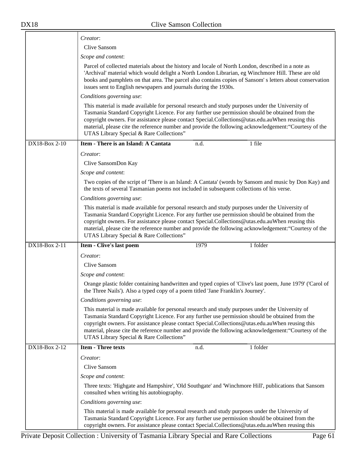|               | Creator:                                                                                                                                                                                                                                                                                                                                                                                                                                                      |  |  |
|---------------|---------------------------------------------------------------------------------------------------------------------------------------------------------------------------------------------------------------------------------------------------------------------------------------------------------------------------------------------------------------------------------------------------------------------------------------------------------------|--|--|
|               | Clive Sansom                                                                                                                                                                                                                                                                                                                                                                                                                                                  |  |  |
|               | Scope and content:                                                                                                                                                                                                                                                                                                                                                                                                                                            |  |  |
|               | Parcel of collected materials about the history and locale of North London, described in a note as<br>'Archival' material which would delight a North London Librarian, eg Winchmore Hill. These are old<br>books and pamphlets on that area. The parcel also contains copies of Sansom's letters about conservation<br>issues sent to English newspapers and journals during the 1930s.                                                                      |  |  |
|               | Conditions governing use:                                                                                                                                                                                                                                                                                                                                                                                                                                     |  |  |
|               | This material is made available for personal research and study purposes under the University of<br>Tasmania Standard Copyright Licence. For any further use permission should be obtained from the<br>copyright owners. For assistance please contact Special.Collections@utas.edu.auWhen reusing this<br>material, please cite the reference number and provide the following acknowledgement: "Courtesy of the<br>UTAS Library Special & Rare Collections" |  |  |
| DX18-Box 2-10 | Item - There is an Island: A Cantata<br>1 file<br>n.d.                                                                                                                                                                                                                                                                                                                                                                                                        |  |  |
|               | Creator:                                                                                                                                                                                                                                                                                                                                                                                                                                                      |  |  |
|               | Clive SansomDon Kay                                                                                                                                                                                                                                                                                                                                                                                                                                           |  |  |
|               | Scope and content:                                                                                                                                                                                                                                                                                                                                                                                                                                            |  |  |
|               | Two copies of the script of 'There is an Island: A Cantata' (words by Sansom and music by Don Kay) and<br>the texts of several Tasmanian poems not included in subsequent collections of his verse.                                                                                                                                                                                                                                                           |  |  |
|               | Conditions governing use:                                                                                                                                                                                                                                                                                                                                                                                                                                     |  |  |
|               | This material is made available for personal research and study purposes under the University of<br>Tasmania Standard Copyright Licence. For any further use permission should be obtained from the<br>copyright owners. For assistance please contact Special.Collections@utas.edu.auWhen reusing this<br>material, please cite the reference number and provide the following acknowledgement: "Courtesy of the<br>UTAS Library Special & Rare Collections" |  |  |
| DX18-Box 2-11 | 1979<br>1 folder<br>Item - Clive's last poem                                                                                                                                                                                                                                                                                                                                                                                                                  |  |  |
|               | Creator:                                                                                                                                                                                                                                                                                                                                                                                                                                                      |  |  |
|               | Clive Sansom                                                                                                                                                                                                                                                                                                                                                                                                                                                  |  |  |
|               | Scope and content:                                                                                                                                                                                                                                                                                                                                                                                                                                            |  |  |
|               | Orange plastic folder containing handwritten and typed copies of 'Clive's last poem, June 1979' ('Carol of<br>the Three Nails'). Also a typed copy of a poem titled 'Jane Franklin's Journey'.                                                                                                                                                                                                                                                                |  |  |
|               | Conditions governing use:                                                                                                                                                                                                                                                                                                                                                                                                                                     |  |  |
|               | This material is made available for personal research and study purposes under the University of<br>Tasmania Standard Copyright Licence. For any further use permission should be obtained from the<br>copyright owners. For assistance please contact Special.Collections@utas.edu.auWhen reusing this<br>material, please cite the reference number and provide the following acknowledgement: "Courtesy of the<br>UTAS Library Special & Rare Collections" |  |  |
| DX18-Box 2-12 | <b>Item - Three texts</b><br>1 folder<br>n.d.                                                                                                                                                                                                                                                                                                                                                                                                                 |  |  |
|               | Creator:                                                                                                                                                                                                                                                                                                                                                                                                                                                      |  |  |
|               | Clive Sansom                                                                                                                                                                                                                                                                                                                                                                                                                                                  |  |  |
|               | Scope and content:                                                                                                                                                                                                                                                                                                                                                                                                                                            |  |  |
|               | Three texts: 'Highgate and Hampshire', 'Old Southgate' and 'Winchmore Hill', publications that Sansom<br>consulted when writing his autobiography.                                                                                                                                                                                                                                                                                                            |  |  |
|               | Conditions governing use:                                                                                                                                                                                                                                                                                                                                                                                                                                     |  |  |
|               | This material is made available for personal research and study purposes under the University of<br>Tasmania Standard Copyright Licence. For any further use permission should be obtained from the<br>copyright owners. For assistance please contact Special.Collections@utas.edu.auWhen reusing this                                                                                                                                                       |  |  |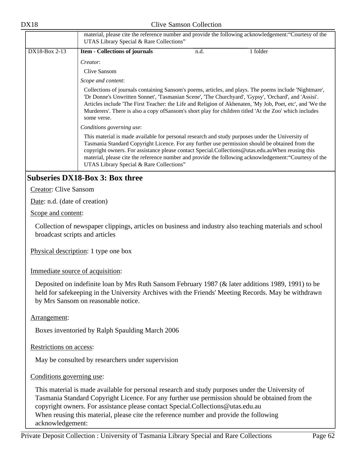|               | material, please cite the reference number and provide the following acknowledgement: "Courtesy of the<br>UTAS Library Special & Rare Collections" |      |                                                                                                                                                                                                                                                                                                                                                                                                                                         |
|---------------|----------------------------------------------------------------------------------------------------------------------------------------------------|------|-----------------------------------------------------------------------------------------------------------------------------------------------------------------------------------------------------------------------------------------------------------------------------------------------------------------------------------------------------------------------------------------------------------------------------------------|
| DX18-Box 2-13 | <b>Item - Collections of journals</b>                                                                                                              | n.d. | 1 folder                                                                                                                                                                                                                                                                                                                                                                                                                                |
|               | Creator:                                                                                                                                           |      |                                                                                                                                                                                                                                                                                                                                                                                                                                         |
|               | Clive Sansom                                                                                                                                       |      |                                                                                                                                                                                                                                                                                                                                                                                                                                         |
|               | Scope and content:                                                                                                                                 |      |                                                                                                                                                                                                                                                                                                                                                                                                                                         |
|               | some verse.                                                                                                                                        |      | Collections of journals containing Sansom's poems, articles, and plays. The poems include 'Nightmare',<br>'Dr Donne's Unwritten Sonnet', 'Tasmanian Scene', 'The Churchyard', 'Gypsy', 'Orchard', and 'Assisi'.<br>Articles include 'The First Teacher: the Life and Religion of Akhenaten, 'My Job, Poet, etc', and 'We the<br>Murderers'. There is also a copy of Sansom's short play for children titled 'At the Zoo' which includes |
|               | Conditions governing use:                                                                                                                          |      |                                                                                                                                                                                                                                                                                                                                                                                                                                         |
|               | This material is made available for personal research and study purposes under the University of<br>UTAS Library Special & Rare Collections"       |      | Tasmania Standard Copyright Licence. For any further use permission should be obtained from the<br>copyright owners. For assistance please contact Special.Collections@utas.edu.auWhen reusing this<br>material, please cite the reference number and provide the following acknowledgement: "Courtesy of the                                                                                                                           |

# **Subseries DX18-Box 3: Box three**

Creator: Clive Sansom

Date: n.d. (date of creation)

Scope and content:

Collection of newspaper clippings, articles on business and industry also teaching materials and school broadcast scripts and articles

Physical description: 1 type one box

Immediate source of acquisition:

Deposited on indefinite loan by Mrs Ruth Sansom February 1987 (& later additions 1989, 1991) to be held for safekeeping in the University Archives with the Friends' Meeting Records. May be withdrawn by Mrs Sansom on reasonable notice.

Arrangement:

Boxes inventoried by Ralph Spaulding March 2006

Restrictions on access:

May be consulted by researchers under supervision

Conditions governing use:

This material is made available for personal research and study purposes under the University of Tasmania Standard Copyright Licence. For any further use permission should be obtained from the copyright owners. For assistance please contact Special.Collections@utas.edu.au When reusing this material, please cite the reference number and provide the following acknowledgement: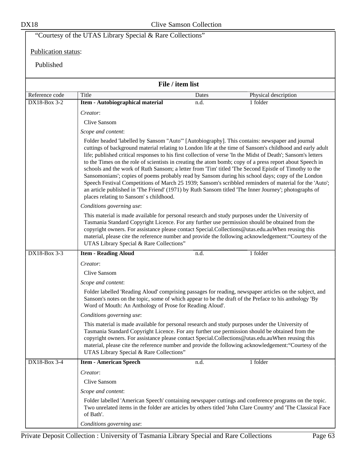# "Courtesy of the UTAS Library Special & Rare Collections" Publication status: Published **File / item list** Reference code Title Title Dates Dates Physical description DX18-Box 3-2 **Item - Autobiographical material** n.d. 1 folder *Creator*: Clive Sansom *Scope and content*: Folder headed 'labelled by Sansom "Auto"' [Autobiography]. This contains: newspaper and journal cuttings of background material relating to London life at the time of Sansom's childhood and early adult life; published critical responses to his first collection of verse 'In the Midst of Death'; Sansom's letters to the Times on the role of scientists in creating the atom bomb; copy of a press report about Speech in schools and the work of Ruth Sansom; a letter from 'Tim' titled 'The Second Epistle of Timothy to the Sansomonians'; copies of poems probably read by Sansom during his school days; copy of the London Speech Festival Competitions of March 25 1939; Sansom's scribbled reminders of material for the 'Auto'; an article published in 'The Friend' (1971) by Ruth Sansom titled 'The Inner Journey'; photographs of places relating to Sansom' s childhood. *Conditions governing use*: This material is made available for personal research and study purposes under the University of Tasmania Standard Copyright Licence. For any further use permission should be obtained from the copyright owners. For assistance please contact Special.Collections@utas.edu.auWhen reusing this material, please cite the reference number and provide the following acknowledgement:"Courtesy of the UTAS Library Special & Rare Collections" DX18-Box 3-3 **Item - Reading Aloud** n.d. 1 folder *Creator*: Clive Sansom *Scope and content*: Folder labelled 'Reading Aloud' comprising passages for reading, newspaper articles on the subject, and Sansom's notes on the topic, some of which appear to be the draft of the Preface to his anthology 'By Word of Mouth: An Anthology of Prose for Reading Aloud'. *Conditions governing use*: This material is made available for personal research and study purposes under the University of Tasmania Standard Copyright Licence. For any further use permission should be obtained from the copyright owners. For assistance please contact Special.Collections@utas.edu.auWhen reusing this material, please cite the reference number and provide the following acknowledgement:"Courtesy of the UTAS Library Special & Rare Collections" DX18-Box 3-4 **I tem - American Speech** n.d. 1 folder *Creator*: Clive Sansom *Scope and content*: Folder labelled 'American Speech' containing newspaper cuttings and conference programs on the topic. Two unrelated items in the folder are articles by others titled 'John Clare Country' and 'The Classical Face of Bath'. *Conditions governing use*: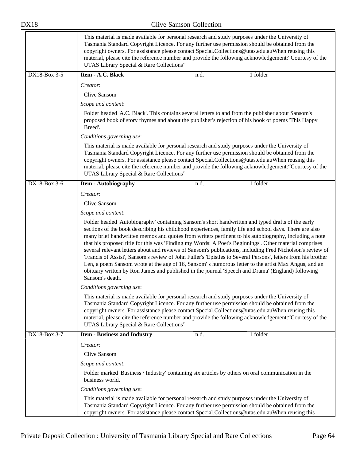|              | This material is made available for personal research and study purposes under the University of<br>Tasmania Standard Copyright Licence. For any further use permission should be obtained from the<br>copyright owners. For assistance please contact Special.Collections@utas.edu.auWhen reusing this<br>material, please cite the reference number and provide the following acknowledgement: "Courtesy of the<br>UTAS Library Special & Rare Collections"                                                                                                                                                                                                                                                                                                                                                                                                                               |
|--------------|---------------------------------------------------------------------------------------------------------------------------------------------------------------------------------------------------------------------------------------------------------------------------------------------------------------------------------------------------------------------------------------------------------------------------------------------------------------------------------------------------------------------------------------------------------------------------------------------------------------------------------------------------------------------------------------------------------------------------------------------------------------------------------------------------------------------------------------------------------------------------------------------|
| DX18-Box 3-5 | Item - A.C. Black<br>1 folder<br>n.d.                                                                                                                                                                                                                                                                                                                                                                                                                                                                                                                                                                                                                                                                                                                                                                                                                                                       |
|              | Creator:                                                                                                                                                                                                                                                                                                                                                                                                                                                                                                                                                                                                                                                                                                                                                                                                                                                                                    |
|              | <b>Clive Sansom</b>                                                                                                                                                                                                                                                                                                                                                                                                                                                                                                                                                                                                                                                                                                                                                                                                                                                                         |
|              | Scope and content:                                                                                                                                                                                                                                                                                                                                                                                                                                                                                                                                                                                                                                                                                                                                                                                                                                                                          |
|              | Folder headed 'A.C. Black'. This contains several letters to and from the publisher about Sansom's<br>proposed book of story rhymes and about the publisher's rejection of his book of poems 'This Happy<br>Breed'.                                                                                                                                                                                                                                                                                                                                                                                                                                                                                                                                                                                                                                                                         |
|              | Conditions governing use:                                                                                                                                                                                                                                                                                                                                                                                                                                                                                                                                                                                                                                                                                                                                                                                                                                                                   |
|              | This material is made available for personal research and study purposes under the University of<br>Tasmania Standard Copyright Licence. For any further use permission should be obtained from the<br>copyright owners. For assistance please contact Special.Collections@utas.edu.auWhen reusing this<br>material, please cite the reference number and provide the following acknowledgement: "Courtesy of the<br>UTAS Library Special & Rare Collections"                                                                                                                                                                                                                                                                                                                                                                                                                               |
| DX18-Box 3-6 | 1 folder<br><b>Item - Autobiography</b><br>n.d.                                                                                                                                                                                                                                                                                                                                                                                                                                                                                                                                                                                                                                                                                                                                                                                                                                             |
|              | Creator:                                                                                                                                                                                                                                                                                                                                                                                                                                                                                                                                                                                                                                                                                                                                                                                                                                                                                    |
|              | Clive Sansom                                                                                                                                                                                                                                                                                                                                                                                                                                                                                                                                                                                                                                                                                                                                                                                                                                                                                |
|              | Scope and content:                                                                                                                                                                                                                                                                                                                                                                                                                                                                                                                                                                                                                                                                                                                                                                                                                                                                          |
|              | Folder headed 'Autobiography' containing Sansom's short handwritten and typed drafts of the early<br>sections of the book describing his childhood experiences, family life and school days. There are also<br>many brief handwritten memos and quotes from writers pertinent to his autobiography, including a note<br>that his proposed title for this was 'Finding my Words: A Poet's Beginnings'. Other material comprises<br>several relevant letters about and reviews of Sansom's publications, including Fred Nicholson's review of<br>'Francis of Assisi', Sansom's review of John Fuller's 'Epistles to Several Persons', letters from his brother<br>Len, a poem Sansom wrote at the age of 16, Sansom's humorous letter to the artist Max Angus, and an<br>obituary written by Ron James and published in the journal 'Speech and Drama' (England) following<br>Sansom's death. |
|              | Conditions governing use:                                                                                                                                                                                                                                                                                                                                                                                                                                                                                                                                                                                                                                                                                                                                                                                                                                                                   |
|              | This material is made available for personal research and study purposes under the University of<br>Tasmania Standard Copyright Licence. For any further use permission should be obtained from the<br>copyright owners. For assistance please contact Special.Collections@utas.edu.auWhen reusing this<br>material, please cite the reference number and provide the following acknowledgement: "Courtesy of the<br>UTAS Library Special & Rare Collections"                                                                                                                                                                                                                                                                                                                                                                                                                               |
| DX18-Box 3-7 | 1 folder<br><b>Item - Business and Industry</b><br>n.d.                                                                                                                                                                                                                                                                                                                                                                                                                                                                                                                                                                                                                                                                                                                                                                                                                                     |
|              | Creator:                                                                                                                                                                                                                                                                                                                                                                                                                                                                                                                                                                                                                                                                                                                                                                                                                                                                                    |
|              | Clive Sansom                                                                                                                                                                                                                                                                                                                                                                                                                                                                                                                                                                                                                                                                                                                                                                                                                                                                                |
|              | Scope and content:                                                                                                                                                                                                                                                                                                                                                                                                                                                                                                                                                                                                                                                                                                                                                                                                                                                                          |
|              | Folder marked 'Business / Industry' containing six articles by others on oral communication in the<br>business world.                                                                                                                                                                                                                                                                                                                                                                                                                                                                                                                                                                                                                                                                                                                                                                       |
|              | Conditions governing use:                                                                                                                                                                                                                                                                                                                                                                                                                                                                                                                                                                                                                                                                                                                                                                                                                                                                   |
|              | This material is made available for personal research and study purposes under the University of<br>Tasmania Standard Copyright Licence. For any further use permission should be obtained from the<br>copyright owners. For assistance please contact Special.Collections@utas.edu.auWhen reusing this                                                                                                                                                                                                                                                                                                                                                                                                                                                                                                                                                                                     |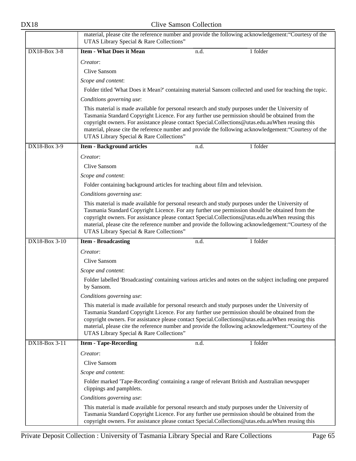|               | material, please cite the reference number and provide the following acknowledgement: "Courtesy of the<br>UTAS Library Special & Rare Collections"                                                                                                                                                                                                  |      |                                                                                                            |
|---------------|-----------------------------------------------------------------------------------------------------------------------------------------------------------------------------------------------------------------------------------------------------------------------------------------------------------------------------------------------------|------|------------------------------------------------------------------------------------------------------------|
| DX18-Box 3-8  | <b>Item - What Does it Mean</b>                                                                                                                                                                                                                                                                                                                     | n.d. | 1 folder                                                                                                   |
|               | Creator:                                                                                                                                                                                                                                                                                                                                            |      |                                                                                                            |
|               | Clive Sansom                                                                                                                                                                                                                                                                                                                                        |      |                                                                                                            |
|               | Scope and content:                                                                                                                                                                                                                                                                                                                                  |      |                                                                                                            |
|               |                                                                                                                                                                                                                                                                                                                                                     |      | Folder titled 'What Does it Mean?' containing material Sansom collected and used for teaching the topic.   |
|               | Conditions governing use:                                                                                                                                                                                                                                                                                                                           |      |                                                                                                            |
|               | This material is made available for personal research and study purposes under the University of<br>Tasmania Standard Copyright Licence. For any further use permission should be obtained from the<br>copyright owners. For assistance please contact Special.Collections@utas.edu.auWhen reusing this<br>UTAS Library Special & Rare Collections" |      | material, please cite the reference number and provide the following acknowledgement: "Courtesy of the     |
| DX18-Box 3-9  | <b>Item - Background articles</b>                                                                                                                                                                                                                                                                                                                   | n.d. | 1 folder                                                                                                   |
|               | Creator:                                                                                                                                                                                                                                                                                                                                            |      |                                                                                                            |
|               | <b>Clive Sansom</b>                                                                                                                                                                                                                                                                                                                                 |      |                                                                                                            |
|               | Scope and content:                                                                                                                                                                                                                                                                                                                                  |      |                                                                                                            |
|               | Folder containing background articles for teaching about film and television.                                                                                                                                                                                                                                                                       |      |                                                                                                            |
|               | Conditions governing use:                                                                                                                                                                                                                                                                                                                           |      |                                                                                                            |
|               | This material is made available for personal research and study purposes under the University of<br>Tasmania Standard Copyright Licence. For any further use permission should be obtained from the<br>copyright owners. For assistance please contact Special.Collections@utas.edu.auWhen reusing this<br>UTAS Library Special & Rare Collections" |      | material, please cite the reference number and provide the following acknowledgement: "Courtesy of the     |
| DX18-Box 3-10 | <b>Item - Broadcasting</b>                                                                                                                                                                                                                                                                                                                          | n.d. | 1 folder                                                                                                   |
|               | Creator:                                                                                                                                                                                                                                                                                                                                            |      |                                                                                                            |
|               | Clive Sansom                                                                                                                                                                                                                                                                                                                                        |      |                                                                                                            |
|               | Scope and content:                                                                                                                                                                                                                                                                                                                                  |      |                                                                                                            |
|               | by Sansom.                                                                                                                                                                                                                                                                                                                                          |      | Folder labelled 'Broadcasting' containing various articles and notes on the subject including one prepared |
|               | Conditions governing use:                                                                                                                                                                                                                                                                                                                           |      |                                                                                                            |
|               | This material is made available for personal research and study purposes under the University of<br>Tasmania Standard Copyright Licence. For any further use permission should be obtained from the<br>copyright owners. For assistance please contact Special.Collections@utas.edu.auWhen reusing this<br>UTAS Library Special & Rare Collections" |      | material, please cite the reference number and provide the following acknowledgement: "Courtesy of the     |
| DX18-Box 3-11 | <b>Item - Tape-Recording</b>                                                                                                                                                                                                                                                                                                                        | n.d. | 1 folder                                                                                                   |
|               | Creator:                                                                                                                                                                                                                                                                                                                                            |      |                                                                                                            |
|               | Clive Sansom                                                                                                                                                                                                                                                                                                                                        |      |                                                                                                            |
|               | Scope and content:                                                                                                                                                                                                                                                                                                                                  |      |                                                                                                            |
|               | Folder marked 'Tape-Recording' containing a range of relevant British and Australian newspaper<br>clippings and pamphlets.                                                                                                                                                                                                                          |      |                                                                                                            |
|               | Conditions governing use:                                                                                                                                                                                                                                                                                                                           |      |                                                                                                            |
|               | This material is made available for personal research and study purposes under the University of<br>Tasmania Standard Copyright Licence. For any further use permission should be obtained from the<br>copyright owners. For assistance please contact Special.Collections@utas.edu.auWhen reusing this                                             |      |                                                                                                            |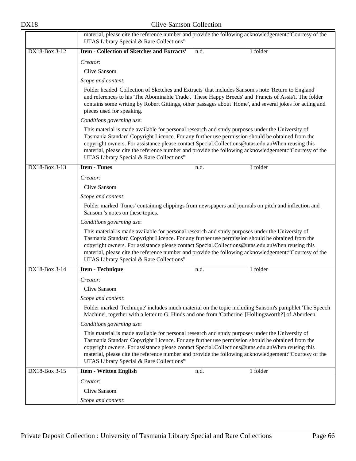|                           | material, please cite the reference number and provide the following acknowledgement: "Courtesy of the<br>UTAS Library Special & Rare Collections"                                                                                                                                                                                                                                                                                                            |  |
|---------------------------|---------------------------------------------------------------------------------------------------------------------------------------------------------------------------------------------------------------------------------------------------------------------------------------------------------------------------------------------------------------------------------------------------------------------------------------------------------------|--|
| DX18-Box 3-12             | <b>Item - Collection of Sketches and Extracts'</b><br>1 folder<br>n.d.                                                                                                                                                                                                                                                                                                                                                                                        |  |
|                           | Creator:                                                                                                                                                                                                                                                                                                                                                                                                                                                      |  |
|                           | Clive Sansom                                                                                                                                                                                                                                                                                                                                                                                                                                                  |  |
|                           | Scope and content:                                                                                                                                                                                                                                                                                                                                                                                                                                            |  |
|                           | Folder headed 'Collection of Sketches and Extracts' that includes Sansom's note 'Return to England'<br>and references to his 'The Abominable Trade', 'These Happy Breeds' and 'Francis of Assis'i. The folder<br>contains some writing by Robert Gittings, other passages about 'Home', and several jokes for acting and<br>pieces used for speaking.                                                                                                         |  |
|                           | Conditions governing use:                                                                                                                                                                                                                                                                                                                                                                                                                                     |  |
|                           | This material is made available for personal research and study purposes under the University of<br>Tasmania Standard Copyright Licence. For any further use permission should be obtained from the<br>copyright owners. For assistance please contact Special.Collections@utas.edu.auWhen reusing this<br>material, please cite the reference number and provide the following acknowledgement: "Courtesy of the<br>UTAS Library Special & Rare Collections" |  |
| DX18-Box 3-13             | <b>Item - Tunes</b><br>1 folder<br>n.d.                                                                                                                                                                                                                                                                                                                                                                                                                       |  |
|                           | Creator:                                                                                                                                                                                                                                                                                                                                                                                                                                                      |  |
|                           | Clive Sansom                                                                                                                                                                                                                                                                                                                                                                                                                                                  |  |
|                           | Scope and content:                                                                                                                                                                                                                                                                                                                                                                                                                                            |  |
|                           | Folder marked 'Tunes' containing clippings from newspapers and journals on pitch and inflection and<br>Sansom 's notes on these topics.                                                                                                                                                                                                                                                                                                                       |  |
| Conditions governing use: |                                                                                                                                                                                                                                                                                                                                                                                                                                                               |  |
|                           | This material is made available for personal research and study purposes under the University of<br>Tasmania Standard Copyright Licence. For any further use permission should be obtained from the<br>copyright owners. For assistance please contact Special.Collections@utas.edu.auWhen reusing this<br>material, please cite the reference number and provide the following acknowledgement: "Courtesy of the<br>UTAS Library Special & Rare Collections" |  |
| DX18-Box 3-14             | 1 folder<br><b>Item - Technique</b><br>n.d.                                                                                                                                                                                                                                                                                                                                                                                                                   |  |
|                           | Creator:                                                                                                                                                                                                                                                                                                                                                                                                                                                      |  |
|                           | Clive Sansom                                                                                                                                                                                                                                                                                                                                                                                                                                                  |  |
|                           | Scope and content:                                                                                                                                                                                                                                                                                                                                                                                                                                            |  |
|                           | Folder marked 'Technique' includes much material on the topic including Sansom's pamphlet 'The Speech<br>Machine', together with a letter to G. Hinds and one from 'Catherine' [Hollingsworth?] of Aberdeen.                                                                                                                                                                                                                                                  |  |
|                           | Conditions governing use:                                                                                                                                                                                                                                                                                                                                                                                                                                     |  |
|                           | This material is made available for personal research and study purposes under the University of<br>Tasmania Standard Copyright Licence. For any further use permission should be obtained from the<br>copyright owners. For assistance please contact Special.Collections@utas.edu.auWhen reusing this<br>material, please cite the reference number and provide the following acknowledgement: "Courtesy of the<br>UTAS Library Special & Rare Collections" |  |
| DX18-Box 3-15             | 1 folder<br><b>Item - Written English</b><br>n.d.                                                                                                                                                                                                                                                                                                                                                                                                             |  |
|                           | Creator:                                                                                                                                                                                                                                                                                                                                                                                                                                                      |  |
|                           | Clive Sansom                                                                                                                                                                                                                                                                                                                                                                                                                                                  |  |
|                           | Scope and content:                                                                                                                                                                                                                                                                                                                                                                                                                                            |  |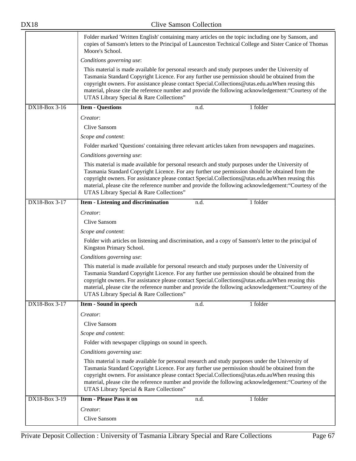|               | Moore's School.                                                                                                                                                                                                                                                                                                                                     |      | Folder marked 'Written English' containing many articles on the topic including one by Sansom, and<br>copies of Sansom's letters to the Principal of Launceston Technical College and Sister Canice of Thomas |  |
|---------------|-----------------------------------------------------------------------------------------------------------------------------------------------------------------------------------------------------------------------------------------------------------------------------------------------------------------------------------------------------|------|---------------------------------------------------------------------------------------------------------------------------------------------------------------------------------------------------------------|--|
|               | Conditions governing use:                                                                                                                                                                                                                                                                                                                           |      |                                                                                                                                                                                                               |  |
|               | This material is made available for personal research and study purposes under the University of<br>Tasmania Standard Copyright Licence. For any further use permission should be obtained from the<br>copyright owners. For assistance please contact Special.Collections@utas.edu.auWhen reusing this<br>UTAS Library Special & Rare Collections" |      | material, please cite the reference number and provide the following acknowledgement: "Courtesy of the                                                                                                        |  |
| DX18-Box 3-16 | <b>Item - Questions</b>                                                                                                                                                                                                                                                                                                                             | n.d. | 1 folder                                                                                                                                                                                                      |  |
|               | Creator:                                                                                                                                                                                                                                                                                                                                            |      |                                                                                                                                                                                                               |  |
|               | Clive Sansom                                                                                                                                                                                                                                                                                                                                        |      |                                                                                                                                                                                                               |  |
|               | Scope and content:                                                                                                                                                                                                                                                                                                                                  |      |                                                                                                                                                                                                               |  |
|               | Folder marked 'Questions' containing three relevant articles taken from newspapers and magazines.                                                                                                                                                                                                                                                   |      |                                                                                                                                                                                                               |  |
|               | Conditions governing use:                                                                                                                                                                                                                                                                                                                           |      |                                                                                                                                                                                                               |  |
|               | This material is made available for personal research and study purposes under the University of<br>Tasmania Standard Copyright Licence. For any further use permission should be obtained from the<br>copyright owners. For assistance please contact Special.Collections@utas.edu.auWhen reusing this<br>UTAS Library Special & Rare Collections" |      | material, please cite the reference number and provide the following acknowledgement: "Courtesy of the                                                                                                        |  |
| DX18-Box 3-17 | <b>Item - Listening and discrimination</b>                                                                                                                                                                                                                                                                                                          | n.d. | 1 folder                                                                                                                                                                                                      |  |
|               | Creator:                                                                                                                                                                                                                                                                                                                                            |      |                                                                                                                                                                                                               |  |
|               | Clive Sansom                                                                                                                                                                                                                                                                                                                                        |      |                                                                                                                                                                                                               |  |
|               | Scope and content:                                                                                                                                                                                                                                                                                                                                  |      |                                                                                                                                                                                                               |  |
|               | Folder with articles on listening and discrimination, and a copy of Sansom's letter to the principal of<br>Kingston Primary School.                                                                                                                                                                                                                 |      |                                                                                                                                                                                                               |  |
|               | Conditions governing use:                                                                                                                                                                                                                                                                                                                           |      |                                                                                                                                                                                                               |  |
|               | This material is made available for personal research and study purposes under the University of<br>Tasmania Standard Copyright Licence. For any further use permission should be obtained from the<br>copyright owners. For assistance please contact Special.Collections@utas.edu.auWhen reusing this<br>UTAS Library Special & Rare Collections" |      | material, please cite the reference number and provide the following acknowledgement: "Courtesy of the                                                                                                        |  |
| DX18-Box 3-17 | <b>Item - Sound in speech</b>                                                                                                                                                                                                                                                                                                                       | n.d. | 1 folder                                                                                                                                                                                                      |  |
|               | Creator:                                                                                                                                                                                                                                                                                                                                            |      |                                                                                                                                                                                                               |  |
|               | Clive Sansom                                                                                                                                                                                                                                                                                                                                        |      |                                                                                                                                                                                                               |  |
|               | Scope and content:                                                                                                                                                                                                                                                                                                                                  |      |                                                                                                                                                                                                               |  |
|               | Folder with newspaper clippings on sound in speech.                                                                                                                                                                                                                                                                                                 |      |                                                                                                                                                                                                               |  |
|               | Conditions governing use:                                                                                                                                                                                                                                                                                                                           |      |                                                                                                                                                                                                               |  |
|               | This material is made available for personal research and study purposes under the University of<br>Tasmania Standard Copyright Licence. For any further use permission should be obtained from the<br>copyright owners. For assistance please contact Special.Collections@utas.edu.auWhen reusing this<br>UTAS Library Special & Rare Collections" |      | material, please cite the reference number and provide the following acknowledgement: "Courtesy of the                                                                                                        |  |
| DX18-Box 3-19 | <b>Item - Please Pass it on</b>                                                                                                                                                                                                                                                                                                                     | n.d. | 1 folder                                                                                                                                                                                                      |  |
|               | Creator:                                                                                                                                                                                                                                                                                                                                            |      |                                                                                                                                                                                                               |  |
|               | Clive Sansom                                                                                                                                                                                                                                                                                                                                        |      |                                                                                                                                                                                                               |  |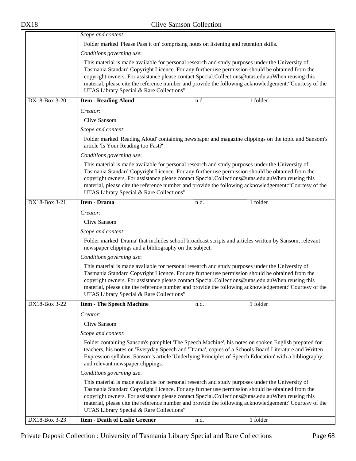|               | Scope and content:                                                                                                                           |      |                                                                                                                                                                                                                                                                                                                       |
|---------------|----------------------------------------------------------------------------------------------------------------------------------------------|------|-----------------------------------------------------------------------------------------------------------------------------------------------------------------------------------------------------------------------------------------------------------------------------------------------------------------------|
|               | Folder marked 'Please Pass it on' comprising notes on listening and retention skills.                                                        |      |                                                                                                                                                                                                                                                                                                                       |
|               | Conditions governing use:                                                                                                                    |      |                                                                                                                                                                                                                                                                                                                       |
|               | This material is made available for personal research and study purposes under the University of<br>UTAS Library Special & Rare Collections" |      | Tasmania Standard Copyright Licence. For any further use permission should be obtained from the<br>copyright owners. For assistance please contact Special.Collections@utas.edu.auWhen reusing this<br>material, please cite the reference number and provide the following acknowledgement: "Courtesy of the         |
| DX18-Box 3-20 | <b>Item - Reading Aloud</b>                                                                                                                  | n.d. | 1 folder                                                                                                                                                                                                                                                                                                              |
|               | Creator:                                                                                                                                     |      |                                                                                                                                                                                                                                                                                                                       |
|               | Clive Sansom                                                                                                                                 |      |                                                                                                                                                                                                                                                                                                                       |
|               | Scope and content:                                                                                                                           |      |                                                                                                                                                                                                                                                                                                                       |
|               | article 'Is Your Reading too Fast?'                                                                                                          |      | Folder marked 'Reading Aloud' containing newspaper and magazine clippings on the topic and Sansom's                                                                                                                                                                                                                   |
|               | Conditions governing use:                                                                                                                    |      |                                                                                                                                                                                                                                                                                                                       |
|               | This material is made available for personal research and study purposes under the University of<br>UTAS Library Special & Rare Collections" |      | Tasmania Standard Copyright Licence. For any further use permission should be obtained from the<br>copyright owners. For assistance please contact Special.Collections@utas.edu.auWhen reusing this<br>material, please cite the reference number and provide the following acknowledgement: "Courtesy of the         |
| DX18-Box 3-21 | Item - Drama                                                                                                                                 | n.d. | 1 folder                                                                                                                                                                                                                                                                                                              |
|               | Creator:                                                                                                                                     |      |                                                                                                                                                                                                                                                                                                                       |
|               | Clive Sansom                                                                                                                                 |      |                                                                                                                                                                                                                                                                                                                       |
|               | Scope and content:                                                                                                                           |      |                                                                                                                                                                                                                                                                                                                       |
|               | newspaper clippings and a bibliography on the subject.                                                                                       |      | Folder marked 'Drama' that includes school broadcast scripts and articles written by Sansom, relevant                                                                                                                                                                                                                 |
|               | Conditions governing use:                                                                                                                    |      |                                                                                                                                                                                                                                                                                                                       |
|               | This material is made available for personal research and study purposes under the University of<br>UTAS Library Special & Rare Collections" |      | Tasmania Standard Copyright Licence. For any further use permission should be obtained from the<br>copyright owners. For assistance please contact Special.Collections@utas.edu.auWhen reusing this<br>material, please cite the reference number and provide the following acknowledgement: "Courtesy of the         |
| DX18-Box 3-22 | <b>Item - The Speech Machine</b>                                                                                                             | n.d. | 1 folder                                                                                                                                                                                                                                                                                                              |
|               | Creator:                                                                                                                                     |      |                                                                                                                                                                                                                                                                                                                       |
|               | Clive Sansom                                                                                                                                 |      |                                                                                                                                                                                                                                                                                                                       |
|               | Scope and content:                                                                                                                           |      |                                                                                                                                                                                                                                                                                                                       |
|               | and relevant newspaper clippings.                                                                                                            |      | Folder containing Sansom's pamphlet 'The Speech Machine', his notes on spoken English prepared for<br>teachers, his notes on 'Everyday Speech and 'Drama', copies of a Schools Board Literature and Written<br>Expression syllabus, Sansom's article 'Underlying Principles of Speech Education' with a bibliography; |
|               | Conditions governing use:                                                                                                                    |      |                                                                                                                                                                                                                                                                                                                       |
|               | This material is made available for personal research and study purposes under the University of<br>UTAS Library Special & Rare Collections" |      | Tasmania Standard Copyright Licence. For any further use permission should be obtained from the<br>copyright owners. For assistance please contact Special.Collections@utas.edu.auWhen reusing this<br>material, please cite the reference number and provide the following acknowledgement: "Courtesy of the         |
| DX18-Box 3-23 | <b>Item - Death of Leslie Greener</b>                                                                                                        | n.d. | 1 folder                                                                                                                                                                                                                                                                                                              |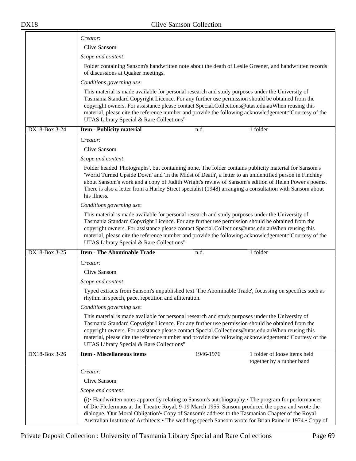|               | Creator:                                                                                                                                                                                                                                                                                                                                                                                                                                                      |           |                              |
|---------------|---------------------------------------------------------------------------------------------------------------------------------------------------------------------------------------------------------------------------------------------------------------------------------------------------------------------------------------------------------------------------------------------------------------------------------------------------------------|-----------|------------------------------|
|               | Clive Sansom                                                                                                                                                                                                                                                                                                                                                                                                                                                  |           |                              |
|               | Scope and content:                                                                                                                                                                                                                                                                                                                                                                                                                                            |           |                              |
|               | Folder containing Sansom's handwritten note about the death of Leslie Greener, and handwritten records<br>of discussions at Quaker meetings.                                                                                                                                                                                                                                                                                                                  |           |                              |
|               | Conditions governing use:                                                                                                                                                                                                                                                                                                                                                                                                                                     |           |                              |
|               | This material is made available for personal research and study purposes under the University of<br>Tasmania Standard Copyright Licence. For any further use permission should be obtained from the<br>copyright owners. For assistance please contact Special.Collections@utas.edu.auWhen reusing this<br>material, please cite the reference number and provide the following acknowledgement: "Courtesy of the<br>UTAS Library Special & Rare Collections" |           |                              |
| DX18-Box 3-24 | <b>Item - Publicity material</b>                                                                                                                                                                                                                                                                                                                                                                                                                              | n.d.      | 1 folder                     |
|               | Creator:                                                                                                                                                                                                                                                                                                                                                                                                                                                      |           |                              |
|               | Clive Sansom                                                                                                                                                                                                                                                                                                                                                                                                                                                  |           |                              |
|               | Scope and content:                                                                                                                                                                                                                                                                                                                                                                                                                                            |           |                              |
|               | Folder headed 'Photographs', but containing none. The folder contains publicity material for Sansom's<br>'World Turned Upside Down' and 'In the Midst of Death', a letter to an unidentified person in Finchley<br>about Sansom's work and a copy of Judith Wright's review of Sansom's edition of Helen Power's poems.<br>There is also a letter from a Harley Street specialist (1948) arranging a consultation with Sansom about<br>his illness.           |           |                              |
|               | Conditions governing use:                                                                                                                                                                                                                                                                                                                                                                                                                                     |           |                              |
|               | This material is made available for personal research and study purposes under the University of<br>Tasmania Standard Copyright Licence. For any further use permission should be obtained from the<br>copyright owners. For assistance please contact Special.Collections@utas.edu.auWhen reusing this<br>material, please cite the reference number and provide the following acknowledgement: "Courtesy of the<br>UTAS Library Special & Rare Collections" |           |                              |
| DX18-Box 3-25 | <b>Item - The Abominable Trade</b>                                                                                                                                                                                                                                                                                                                                                                                                                            | n.d.      | 1 folder                     |
|               | Creator:                                                                                                                                                                                                                                                                                                                                                                                                                                                      |           |                              |
|               | Clive Sansom                                                                                                                                                                                                                                                                                                                                                                                                                                                  |           |                              |
|               | Scope and content:                                                                                                                                                                                                                                                                                                                                                                                                                                            |           |                              |
|               | Typed extracts from Sansom's unpublished text 'The Abominable Trade', focussing on specifics such as<br>rhythm in speech, pace, repetition and alliteration.                                                                                                                                                                                                                                                                                                  |           |                              |
|               | Conditions governing use:                                                                                                                                                                                                                                                                                                                                                                                                                                     |           |                              |
|               | This material is made available for personal research and study purposes under the University of<br>Tasmania Standard Copyright Licence. For any further use permission should be obtained from the<br>copyright owners. For assistance please contact Special.Collections@utas.edu.auWhen reusing this<br>material, please cite the reference number and provide the following acknowledgement: "Courtesy of the<br>UTAS Library Special & Rare Collections" |           |                              |
| DX18-Box 3-26 | <b>Item - Miscellaneous items</b>                                                                                                                                                                                                                                                                                                                                                                                                                             | 1946-1976 | 1 folder of loose items held |
|               |                                                                                                                                                                                                                                                                                                                                                                                                                                                               |           | together by a rubber band    |
|               | Creator:                                                                                                                                                                                                                                                                                                                                                                                                                                                      |           |                              |
|               | Clive Sansom                                                                                                                                                                                                                                                                                                                                                                                                                                                  |           |                              |
|               | Scope and content:                                                                                                                                                                                                                                                                                                                                                                                                                                            |           |                              |
|               | (i) • Handwritten notes apparently relating to Sansom's autobiography. • The program for performances<br>of Die Fledermaus at the Theatre Royal, 9-19 March 1955. Sansom produced the opera and wrote the<br>dialogue. 'Our Moral Obligation'. Copy of Sansom's address to the Tasmanian Chapter of the Royal<br>Australian Institute of Architects.• The wedding speech Sansom wrote for Brian Paine in 1974.• Copy of                                       |           |                              |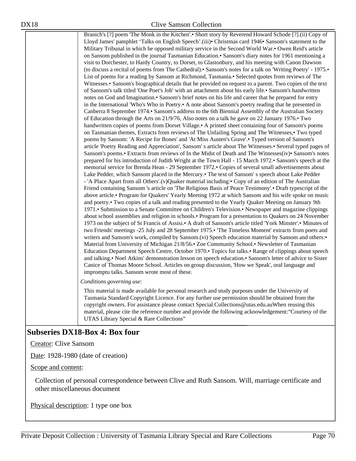Branich's [?] poem 'The Monk in the Kitchen'.• Short story by Reverend Howard Schode [?].(ii) Copy of Lloyd James' pamphlet 'Talks on English Speech'.(iii)• Christmas card 1946• Sansom's statement to the Military Tribunal in which he opposed military service in the Second World War.• Owen Reid's article on Sansom published in the journal Tasmanian Education.• Sansom's diary notes for 1961 mentioning a visit to Dorchester, to Hardy Country, to Dorset, to Glastonbury, and his meeting with Canon Dawson (to discuss a recital of poems from The Cathedral).• Sansom's notes for a talk on 'Writing Poetry' - 1975.• List of poems for a reading by Sansom at Richmond, Tasmania.• Selected quotes from reviews of The Witnesses.• Sansom's biographical details that he provided on request to a parent. Two copies of the text of Sansom's talk titled 'One Poet's Job' with an attachment about his early life.• Sansom's handwritten notes on God and Imagination.• Sansom's brief notes on his life and career that he prepared for entry in the International 'Who's Who in Poetry.• A note about Sansom's poetry reading that he presented in Canberra 8 September 1974.• Sansom's address to the 6th Biennial Assembly of the Australian Society of Education through the Arts on 21/9/76, Also notes on a talk he gave on 22 January 1976.• Two handwritten copies of poems from Dorset Village. A printed sheet containing four of Sansom's poems on Tasmanian themes, Extracts from reviews of The Unfailing Spring and The Witnesses,• Two typed poems by Sansom: 'A Recipe for Bones' and 'At Miss Austen's Grave'.• Typed version of Sansom's article 'Poetry Reading and Appreciation', Sansom' s article about The Witnesses.• Several typed pages of Sansom's poems.• Extracts from reviews of In the Midst of Death and The Witnesses(iv)• Sansom's notes prepared for his introduction of Judith Wright at the Town Hall - 15 March 1972.• Sansom's speech at the memorial service for Brenda Hean - 29 September 1972.• Copies of several small advertisements about Lake Pedder, which Sansom placed in the Mercury.• The text of Sansom' s speech about Lake Pedder - 'A Place Apart from all Others'.(v)Quaker material including:• Copy of an edition of The Australian Friend containing Sansom 's article on 'The Religious Basis of Peace Testimony'.• Draft typescript of the above article.• Program for Quakers' Yearly Meeting 1972 at which Sansom and his wife spoke on music and poetry.• Two copies of a talk and reading presented to the Yearly Quaker Meeting on January 9th 1971.• Submission to a Senate Committee on Children's Television.• Newspaper and magazine clippings about school assemblies and religion in schools.• Program for a presentation to Quakers on 24 November 1973 on the subject of St Francis of Assisi.• A draft of Sansom's article titled 'York Minster'.• Minutes of two Friends' meetings -25 July and 28 September 1975.• 'The Timeless Moment' extracts from poets and writers and Sansom's work, compiled by Sansom.(vi) Speech education material by Sansom and others:• Material from University of Michigan 21/8/56.• Zoe Community School.• Newsletter of Tasmanian Education Department Speech Centre, October 1970.• Topics for talks.• Range of clippings about speech and talking.• Noel Atkins' demonstration lesson on speech education.• Sansom's letter of advice to Sister Canice of Thomas Moore School. Articles on group discussion, 'How we Speak', oral language and impromptu talks. Sansom wrote most of these.

*Conditions governing use*:

This material is made available for personal research and study purposes under the University of Tasmania Standard Copyright Licence. For any further use permission should be obtained from the copyright owners. For assistance please contact Special.Collections@utas.edu.auWhen reusing this material, please cite the reference number and provide the following acknowledgement:"Courtesy of the UTAS Library Special & Rare Collections"

# **Subseries DX18-Box 4: Box four**

Creator: Clive Sansom

Date: 1928-1980 (date of creation)

Scope and content:

Collection of personal correspondence between Clive and Ruth Sansom. Will, marriage certificate and other miscellaneous document

Physical description: 1 type one box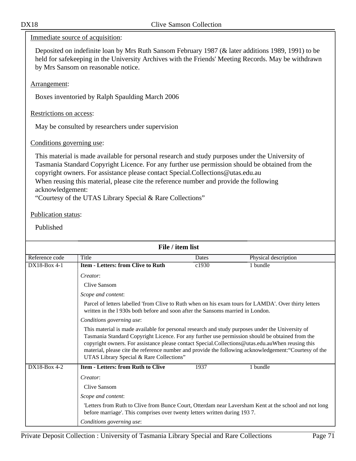Immediate source of acquisition:

Deposited on indefinite loan by Mrs Ruth Sansom February 1987 (& later additions 1989, 1991) to be held for safekeeping in the University Archives with the Friends' Meeting Records. May be withdrawn by Mrs Sansom on reasonable notice.

Arrangement:

Boxes inventoried by Ralph Spaulding March 2006

Restrictions on access:

May be consulted by researchers under supervision

Conditions governing use:

This material is made available for personal research and study purposes under the University of Tasmania Standard Copyright Licence. For any further use permission should be obtained from the copyright owners. For assistance please contact Special.Collections@utas.edu.au When reusing this material, please cite the reference number and provide the following acknowledgement:

"Courtesy of the UTAS Library Special & Rare Collections"

#### Publication status:

| File / item list |                                                                                                                                                                                                                                                                                                                                                     |                                                                                                                                                                                         |                                                                                                        |  |
|------------------|-----------------------------------------------------------------------------------------------------------------------------------------------------------------------------------------------------------------------------------------------------------------------------------------------------------------------------------------------------|-----------------------------------------------------------------------------------------------------------------------------------------------------------------------------------------|--------------------------------------------------------------------------------------------------------|--|
| Reference code   | Title                                                                                                                                                                                                                                                                                                                                               | Dates                                                                                                                                                                                   | Physical description                                                                                   |  |
| $DX18-Box 4-1$   | <b>Item - Letters: from Clive to Ruth</b>                                                                                                                                                                                                                                                                                                           | c1930                                                                                                                                                                                   | 1 bundle                                                                                               |  |
|                  | Creator:                                                                                                                                                                                                                                                                                                                                            |                                                                                                                                                                                         |                                                                                                        |  |
|                  | Clive Sansom                                                                                                                                                                                                                                                                                                                                        |                                                                                                                                                                                         |                                                                                                        |  |
|                  | Scope and content:                                                                                                                                                                                                                                                                                                                                  |                                                                                                                                                                                         |                                                                                                        |  |
|                  |                                                                                                                                                                                                                                                                                                                                                     | Parcel of letters labelled 'from Clive to Ruth when on his exam tours for LAMDA'. Over thirty letters<br>written in the 1930s both before and soon after the Sansoms married in London. |                                                                                                        |  |
|                  | Conditions governing use:                                                                                                                                                                                                                                                                                                                           |                                                                                                                                                                                         |                                                                                                        |  |
|                  | This material is made available for personal research and study purposes under the University of<br>Tasmania Standard Copyright Licence. For any further use permission should be obtained from the<br>copyright owners. For assistance please contact Special.Collections@utas.edu.auWhen reusing this<br>UTAS Library Special & Rare Collections" |                                                                                                                                                                                         | material, please cite the reference number and provide the following acknowledgement: "Courtesy of the |  |
| DX18-Box 4-2     | <b>Item - Letters: from Ruth to Clive</b>                                                                                                                                                                                                                                                                                                           | 1937                                                                                                                                                                                    | 1 bundle                                                                                               |  |
|                  | Creator:                                                                                                                                                                                                                                                                                                                                            |                                                                                                                                                                                         |                                                                                                        |  |
|                  | Clive Sansom                                                                                                                                                                                                                                                                                                                                        |                                                                                                                                                                                         |                                                                                                        |  |
|                  | Scope and content:                                                                                                                                                                                                                                                                                                                                  |                                                                                                                                                                                         |                                                                                                        |  |
|                  | before marriage'. This comprises over twenty letters written during 1937.                                                                                                                                                                                                                                                                           |                                                                                                                                                                                         | 'Letters from Ruth to Clive from Bunce Court, Otterdam near Laversham Kent at the school and not long  |  |
|                  | Conditions governing use:                                                                                                                                                                                                                                                                                                                           |                                                                                                                                                                                         |                                                                                                        |  |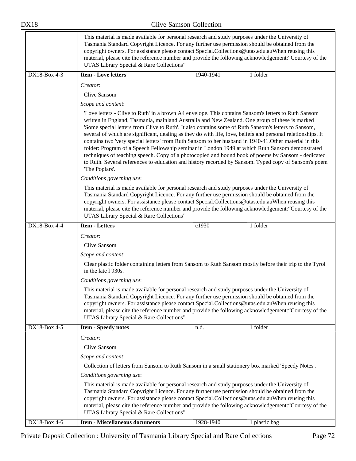|              | This material is made available for personal research and study purposes under the University of<br>Tasmania Standard Copyright Licence. For any further use permission should be obtained from the<br>copyright owners. For assistance please contact Special.Collections@utas.edu.auWhen reusing this<br>material, please cite the reference number and provide the following acknowledgement: "Courtesy of the<br>UTAS Library Special & Rare Collections"                                                                                                                                                                                                                                                                                                                                                                                                               |  |  |
|--------------|-----------------------------------------------------------------------------------------------------------------------------------------------------------------------------------------------------------------------------------------------------------------------------------------------------------------------------------------------------------------------------------------------------------------------------------------------------------------------------------------------------------------------------------------------------------------------------------------------------------------------------------------------------------------------------------------------------------------------------------------------------------------------------------------------------------------------------------------------------------------------------|--|--|
| DX18-Box 4-3 | <b>Item - Love letters</b><br>1 folder<br>1940-1941                                                                                                                                                                                                                                                                                                                                                                                                                                                                                                                                                                                                                                                                                                                                                                                                                         |  |  |
|              | Creator:                                                                                                                                                                                                                                                                                                                                                                                                                                                                                                                                                                                                                                                                                                                                                                                                                                                                    |  |  |
|              | Clive Sansom                                                                                                                                                                                                                                                                                                                                                                                                                                                                                                                                                                                                                                                                                                                                                                                                                                                                |  |  |
|              | Scope and content:                                                                                                                                                                                                                                                                                                                                                                                                                                                                                                                                                                                                                                                                                                                                                                                                                                                          |  |  |
|              | 'Love letters - Clive to Ruth' in a brown A4 envelope. This contains Sansom's letters to Ruth Sansom<br>written in England, Tasmania, mainland Australia and New Zealand. One group of these is marked<br>'Some special letters from Clive to Ruth'. It also contains some of Ruth Sansom's letters to Sansom,<br>several of which are significant, dealing as they do with life, love, beliefs and personal relationships. It<br>contains two 'very special letters' from Ruth Sansom to her husband in 1940-41. Other material in this<br>folder: Program of a Speech Fellowship seminar in London 1949 at which Ruth Sansom demonstrated<br>techniques of teaching speech. Copy of a photocopied and bound book of poems by Sansom - dedicated<br>to Ruth. Several references to education and history recorded by Sansom. Typed copy of Sansom's poem<br>'The Poplars'. |  |  |
|              | Conditions governing use:                                                                                                                                                                                                                                                                                                                                                                                                                                                                                                                                                                                                                                                                                                                                                                                                                                                   |  |  |
|              | This material is made available for personal research and study purposes under the University of<br>Tasmania Standard Copyright Licence. For any further use permission should be obtained from the<br>copyright owners. For assistance please contact Special.Collections@utas.edu.auWhen reusing this<br>material, please cite the reference number and provide the following acknowledgement: "Courtesy of the<br>UTAS Library Special & Rare Collections"                                                                                                                                                                                                                                                                                                                                                                                                               |  |  |
| DX18-Box 4-4 | <b>Item - Letters</b><br>c1930<br>1 folder                                                                                                                                                                                                                                                                                                                                                                                                                                                                                                                                                                                                                                                                                                                                                                                                                                  |  |  |
|              | Creator:<br>Clive Sansom<br>Scope and content:<br>Clear plastic folder containing letters from Sansom to Ruth Sansom mostly before their trip to the Tyrol<br>in the late 1930s.<br>Conditions governing use:<br>This material is made available for personal research and study purposes under the University of<br>Tasmania Standard Copyright Licence. For any further use permission should be obtained from the                                                                                                                                                                                                                                                                                                                                                                                                                                                        |  |  |
|              | copyright owners. For assistance please contact Special.Collections@utas.edu.auWhen reusing this<br>material, please cite the reference number and provide the following acknowledgement: "Courtesy of the<br>UTAS Library Special & Rare Collections"                                                                                                                                                                                                                                                                                                                                                                                                                                                                                                                                                                                                                      |  |  |
| DX18-Box 4-5 | 1 folder<br>n.d.<br><b>Item - Speedy notes</b>                                                                                                                                                                                                                                                                                                                                                                                                                                                                                                                                                                                                                                                                                                                                                                                                                              |  |  |
|              | Creator:                                                                                                                                                                                                                                                                                                                                                                                                                                                                                                                                                                                                                                                                                                                                                                                                                                                                    |  |  |
|              | Clive Sansom                                                                                                                                                                                                                                                                                                                                                                                                                                                                                                                                                                                                                                                                                                                                                                                                                                                                |  |  |
|              | Scope and content:                                                                                                                                                                                                                                                                                                                                                                                                                                                                                                                                                                                                                                                                                                                                                                                                                                                          |  |  |
|              | Collection of letters from Sansom to Ruth Sansom in a small stationery box marked 'Speedy Notes'.                                                                                                                                                                                                                                                                                                                                                                                                                                                                                                                                                                                                                                                                                                                                                                           |  |  |
|              | Conditions governing use:                                                                                                                                                                                                                                                                                                                                                                                                                                                                                                                                                                                                                                                                                                                                                                                                                                                   |  |  |
|              | This material is made available for personal research and study purposes under the University of<br>Tasmania Standard Copyright Licence. For any further use permission should be obtained from the<br>copyright owners. For assistance please contact Special.Collections@utas.edu.auWhen reusing this<br>material, please cite the reference number and provide the following acknowledgement: "Courtesy of the<br>UTAS Library Special & Rare Collections"                                                                                                                                                                                                                                                                                                                                                                                                               |  |  |
| DX18-Box 4-6 | <b>Item - Miscellaneous documents</b><br>1928-1940<br>1 plastic bag                                                                                                                                                                                                                                                                                                                                                                                                                                                                                                                                                                                                                                                                                                                                                                                                         |  |  |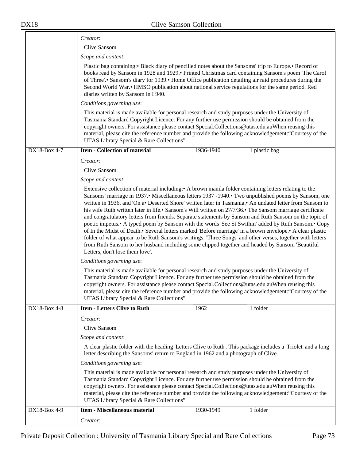|              | Creator:                                                                                                                                                                                                                                                                                                                                                                                                                                                                                                                                                                                                                                                                                                                                                                                                                                                                                                                                                                                                       |           |               |
|--------------|----------------------------------------------------------------------------------------------------------------------------------------------------------------------------------------------------------------------------------------------------------------------------------------------------------------------------------------------------------------------------------------------------------------------------------------------------------------------------------------------------------------------------------------------------------------------------------------------------------------------------------------------------------------------------------------------------------------------------------------------------------------------------------------------------------------------------------------------------------------------------------------------------------------------------------------------------------------------------------------------------------------|-----------|---------------|
|              | Clive Sansom                                                                                                                                                                                                                                                                                                                                                                                                                                                                                                                                                                                                                                                                                                                                                                                                                                                                                                                                                                                                   |           |               |
|              | Scope and content:                                                                                                                                                                                                                                                                                                                                                                                                                                                                                                                                                                                                                                                                                                                                                                                                                                                                                                                                                                                             |           |               |
|              | Plastic bag containing: • Black diary of pencilled notes about the Sansoms' trip to Europe. • Record of<br>books read by Sansom in 1928 and 1929. Printed Christmas card containing Sansom's poem 'The Carol<br>of Three'.• Sansom's diary for 1939.• Home Office publication detailing air raid procedures during the<br>Second World War.• HMSO publication about national service regulations for the same period. Red<br>diaries written by Sansom in I 940.                                                                                                                                                                                                                                                                                                                                                                                                                                                                                                                                               |           |               |
|              | Conditions governing use:                                                                                                                                                                                                                                                                                                                                                                                                                                                                                                                                                                                                                                                                                                                                                                                                                                                                                                                                                                                      |           |               |
|              | This material is made available for personal research and study purposes under the University of<br>Tasmania Standard Copyright Licence. For any further use permission should be obtained from the<br>copyright owners. For assistance please contact Special.Collections@utas.edu.auWhen reusing this<br>material, please cite the reference number and provide the following acknowledgement: "Courtesy of the<br>UTAS Library Special & Rare Collections"                                                                                                                                                                                                                                                                                                                                                                                                                                                                                                                                                  |           |               |
| DX18-Box 4-7 | <b>Item - Collection of material</b>                                                                                                                                                                                                                                                                                                                                                                                                                                                                                                                                                                                                                                                                                                                                                                                                                                                                                                                                                                           | 1936-1940 | 1 plastic bag |
|              | Creator:                                                                                                                                                                                                                                                                                                                                                                                                                                                                                                                                                                                                                                                                                                                                                                                                                                                                                                                                                                                                       |           |               |
|              | Clive Sansom                                                                                                                                                                                                                                                                                                                                                                                                                                                                                                                                                                                                                                                                                                                                                                                                                                                                                                                                                                                                   |           |               |
|              | Scope and content:                                                                                                                                                                                                                                                                                                                                                                                                                                                                                                                                                                                                                                                                                                                                                                                                                                                                                                                                                                                             |           |               |
|              | Extensive collection of material including: A brown manila folder containing letters relating to the<br>Sansoms' marriage in 1937. Miscellaneous letters 1937 -1940. Two unpublished poems by Sansom, one<br>written in 1936, and 'On a Deserted Shore' written later in Tasmania. An undated letter from Sansom to<br>his wife Ruth written later in life.• Sansom's Will written on 27/7/36.• The Sansom marriage certificate<br>and congratulatory letters from friends. Separate statements by Sansom and Ruth Sansom on the topic of<br>poetic impetus. A typed poem by Sansom with the words 'See St Swithin' added by Ruth Sansom. Copy<br>of In the Midst of Death.• Several letters marked 'Before marriage' in a brown envelope.• A clear plastic<br>folder of what appear to be Ruth Sansom's writings: 'Three Songs' and other verses, together with letters<br>from Ruth Sansom to her husband including some clipped together and headed by Sansom 'Beautiful<br>Letters, don't lose them love'. |           |               |
|              | Conditions governing use:                                                                                                                                                                                                                                                                                                                                                                                                                                                                                                                                                                                                                                                                                                                                                                                                                                                                                                                                                                                      |           |               |
|              | This material is made available for personal research and study purposes under the University of<br>Tasmania Standard Copyright Licence. For any further use permission should be obtained from the<br>copyright owners. For assistance please contact Special.Collections@utas.edu.auWhen reusing this<br>material, please cite the reference number and provide the following acknowledgement: "Courtesy of the<br>UTAS Library Special & Rare Collections"                                                                                                                                                                                                                                                                                                                                                                                                                                                                                                                                                  |           |               |
| DX18-Box 4-8 | <b>Item - Letters Clive to Ruth</b>                                                                                                                                                                                                                                                                                                                                                                                                                                                                                                                                                                                                                                                                                                                                                                                                                                                                                                                                                                            | 1962      | 1 folder      |
|              | Creator:                                                                                                                                                                                                                                                                                                                                                                                                                                                                                                                                                                                                                                                                                                                                                                                                                                                                                                                                                                                                       |           |               |
|              | <b>Clive Sansom</b>                                                                                                                                                                                                                                                                                                                                                                                                                                                                                                                                                                                                                                                                                                                                                                                                                                                                                                                                                                                            |           |               |
|              | Scope and content:                                                                                                                                                                                                                                                                                                                                                                                                                                                                                                                                                                                                                                                                                                                                                                                                                                                                                                                                                                                             |           |               |
|              | A clear plastic folder with the heading 'Letters Clive to Ruth'. This package includes a 'Triolet' and a long<br>letter describing the Sansoms' return to England in 1962 and a photograph of Clive.                                                                                                                                                                                                                                                                                                                                                                                                                                                                                                                                                                                                                                                                                                                                                                                                           |           |               |
|              | Conditions governing use:                                                                                                                                                                                                                                                                                                                                                                                                                                                                                                                                                                                                                                                                                                                                                                                                                                                                                                                                                                                      |           |               |
|              | This material is made available for personal research and study purposes under the University of<br>Tasmania Standard Copyright Licence. For any further use permission should be obtained from the<br>copyright owners. For assistance please contact Special.Collections@utas.edu.auWhen reusing this<br>material, please cite the reference number and provide the following acknowledgement: "Courtesy of the<br>UTAS Library Special & Rare Collections"                                                                                                                                                                                                                                                                                                                                                                                                                                                                                                                                                  |           |               |
| DX18-Box 4-9 | <b>Item - Miscellaneous material</b>                                                                                                                                                                                                                                                                                                                                                                                                                                                                                                                                                                                                                                                                                                                                                                                                                                                                                                                                                                           | 1930-1949 | 1 folder      |
|              | Creator:                                                                                                                                                                                                                                                                                                                                                                                                                                                                                                                                                                                                                                                                                                                                                                                                                                                                                                                                                                                                       |           |               |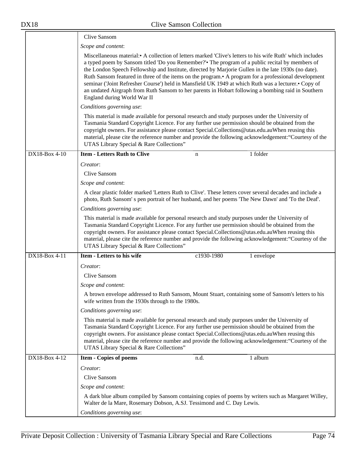|               | <b>Clive Sansom</b>                                                                                                                                                                                                                                                                                                                                                                                                                                                                                                                                                                                                                                                   |
|---------------|-----------------------------------------------------------------------------------------------------------------------------------------------------------------------------------------------------------------------------------------------------------------------------------------------------------------------------------------------------------------------------------------------------------------------------------------------------------------------------------------------------------------------------------------------------------------------------------------------------------------------------------------------------------------------|
|               | Scope and content:                                                                                                                                                                                                                                                                                                                                                                                                                                                                                                                                                                                                                                                    |
|               | Miscellaneous material: A collection of letters marked 'Clive's letters to his wife Ruth' which includes<br>a typed poem by Sansom titled 'Do you Remember?' The program of a public recital by members of<br>the London Speech Fellowship and Institute, directed by Marjorie Gullen in the late 1930s (no date).<br>Ruth Sansom featured in three of the items on the program. A program for a professional development<br>seminar ('Joint Refresher Course') held in Mansfield UK 1949 at which Ruth was a lecturer.• Copy of<br>an undated Airgraph from Ruth Sansom to her parents in Hobart following a bombing raid in Southern<br>England during World War II |
|               | Conditions governing use:                                                                                                                                                                                                                                                                                                                                                                                                                                                                                                                                                                                                                                             |
|               | This material is made available for personal research and study purposes under the University of<br>Tasmania Standard Copyright Licence. For any further use permission should be obtained from the<br>copyright owners. For assistance please contact Special.Collections@utas.edu.auWhen reusing this<br>material, please cite the reference number and provide the following acknowledgement: "Courtesy of the<br>UTAS Library Special & Rare Collections"                                                                                                                                                                                                         |
| DX18-Box 4-10 | <b>Item - Letters Ruth to Clive</b><br>1 folder<br>$\mathbf n$                                                                                                                                                                                                                                                                                                                                                                                                                                                                                                                                                                                                        |
|               | Creator:                                                                                                                                                                                                                                                                                                                                                                                                                                                                                                                                                                                                                                                              |
|               | Clive Sansom                                                                                                                                                                                                                                                                                                                                                                                                                                                                                                                                                                                                                                                          |
|               | Scope and content:                                                                                                                                                                                                                                                                                                                                                                                                                                                                                                                                                                                                                                                    |
|               | A clear plastic folder marked 'Letters Ruth to Clive'. These letters cover several decades and include a<br>photo, Ruth Sansom's pen portrait of her husband, and her poems 'The New Dawn' and 'To the Deaf'.                                                                                                                                                                                                                                                                                                                                                                                                                                                         |
|               | Conditions governing use:                                                                                                                                                                                                                                                                                                                                                                                                                                                                                                                                                                                                                                             |
|               | This material is made available for personal research and study purposes under the University of<br>Tasmania Standard Copyright Licence. For any further use permission should be obtained from the<br>copyright owners. For assistance please contact Special.Collections@utas.edu.auWhen reusing this<br>material, please cite the reference number and provide the following acknowledgement: "Courtesy of the<br>UTAS Library Special & Rare Collections"                                                                                                                                                                                                         |
| DX18-Box 4-11 | <b>Item - Letters to his wife</b><br>c1930-1980<br>1 envelope                                                                                                                                                                                                                                                                                                                                                                                                                                                                                                                                                                                                         |
|               | Creator:                                                                                                                                                                                                                                                                                                                                                                                                                                                                                                                                                                                                                                                              |
|               | Clive Sansom                                                                                                                                                                                                                                                                                                                                                                                                                                                                                                                                                                                                                                                          |
|               | Scope and content:                                                                                                                                                                                                                                                                                                                                                                                                                                                                                                                                                                                                                                                    |
|               | A brown envelope addressed to Ruth Sansom, Mount Stuart, containing some of Sansom's letters to his<br>wife written from the 1930s through to the 1980s.                                                                                                                                                                                                                                                                                                                                                                                                                                                                                                              |
|               | Conditions governing use:                                                                                                                                                                                                                                                                                                                                                                                                                                                                                                                                                                                                                                             |
|               | This material is made available for personal research and study purposes under the University of<br>Tasmania Standard Copyright Licence. For any further use permission should be obtained from the<br>copyright owners. For assistance please contact Special.Collections@utas.edu.auWhen reusing this<br>material, please cite the reference number and provide the following acknowledgement: "Courtesy of the<br>UTAS Library Special & Rare Collections"                                                                                                                                                                                                         |
| DX18-Box 4-12 | <b>Item - Copies of poems</b><br>n.d.<br>1 album                                                                                                                                                                                                                                                                                                                                                                                                                                                                                                                                                                                                                      |
|               | Creator:                                                                                                                                                                                                                                                                                                                                                                                                                                                                                                                                                                                                                                                              |
|               | Clive Sansom                                                                                                                                                                                                                                                                                                                                                                                                                                                                                                                                                                                                                                                          |
|               | Scope and content:                                                                                                                                                                                                                                                                                                                                                                                                                                                                                                                                                                                                                                                    |
|               | A dark blue album compiled by Sansom containing copies of poems by writers such as Margaret Willey,<br>Walter de la Mare, Rosemary Dobson, A.SJ. Tessimond and C. Day Lewis.                                                                                                                                                                                                                                                                                                                                                                                                                                                                                          |
|               | Conditions governing use:                                                                                                                                                                                                                                                                                                                                                                                                                                                                                                                                                                                                                                             |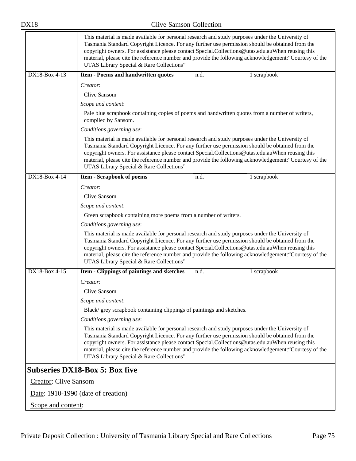|                              | This material is made available for personal research and study purposes under the University of<br>Tasmania Standard Copyright Licence. For any further use permission should be obtained from the<br>copyright owners. For assistance please contact Special.Collections@utas.edu.auWhen reusing this<br>material, please cite the reference number and provide the following acknowledgement: "Courtesy of the<br>UTAS Library Special & Rare Collections" |  |
|------------------------------|---------------------------------------------------------------------------------------------------------------------------------------------------------------------------------------------------------------------------------------------------------------------------------------------------------------------------------------------------------------------------------------------------------------------------------------------------------------|--|
| DX18-Box 4-13                | Item - Poems and handwritten quotes<br>n.d.<br>1 scrapbook                                                                                                                                                                                                                                                                                                                                                                                                    |  |
|                              | Creator:                                                                                                                                                                                                                                                                                                                                                                                                                                                      |  |
|                              | Clive Sansom                                                                                                                                                                                                                                                                                                                                                                                                                                                  |  |
|                              | Scope and content:                                                                                                                                                                                                                                                                                                                                                                                                                                            |  |
|                              | Pale blue scrapbook containing copies of poems and handwritten quotes from a number of writers,<br>compiled by Sansom.                                                                                                                                                                                                                                                                                                                                        |  |
|                              | Conditions governing use:                                                                                                                                                                                                                                                                                                                                                                                                                                     |  |
|                              | This material is made available for personal research and study purposes under the University of<br>Tasmania Standard Copyright Licence. For any further use permission should be obtained from the<br>copyright owners. For assistance please contact Special.Collections@utas.edu.auWhen reusing this<br>material, please cite the reference number and provide the following acknowledgement: "Courtesy of the<br>UTAS Library Special & Rare Collections" |  |
| DX18-Box 4-14                | 1 scrapbook<br><b>Item - Scrapbook of poems</b><br>n.d.                                                                                                                                                                                                                                                                                                                                                                                                       |  |
|                              | Creator:                                                                                                                                                                                                                                                                                                                                                                                                                                                      |  |
|                              | <b>Clive Sansom</b>                                                                                                                                                                                                                                                                                                                                                                                                                                           |  |
|                              | Scope and content:                                                                                                                                                                                                                                                                                                                                                                                                                                            |  |
|                              | Green scrapbook containing more poems from a number of writers.                                                                                                                                                                                                                                                                                                                                                                                               |  |
|                              | Conditions governing use:                                                                                                                                                                                                                                                                                                                                                                                                                                     |  |
|                              | This material is made available for personal research and study purposes under the University of<br>Tasmania Standard Copyright Licence. For any further use permission should be obtained from the<br>copyright owners. For assistance please contact Special.Collections@utas.edu.auWhen reusing this<br>material, please cite the reference number and provide the following acknowledgement: "Courtesy of the<br>UTAS Library Special & Rare Collections" |  |
| $\overline{DX18-Box4-15}$    | Item - Clippings of paintings and sketches<br>n.d.<br>1 scrapbook                                                                                                                                                                                                                                                                                                                                                                                             |  |
|                              | Creator:                                                                                                                                                                                                                                                                                                                                                                                                                                                      |  |
|                              | Clive Sansom                                                                                                                                                                                                                                                                                                                                                                                                                                                  |  |
|                              | Scope and content:                                                                                                                                                                                                                                                                                                                                                                                                                                            |  |
|                              | Black/grey scrapbook containing clippings of paintings and sketches.                                                                                                                                                                                                                                                                                                                                                                                          |  |
|                              | Conditions governing use:                                                                                                                                                                                                                                                                                                                                                                                                                                     |  |
|                              | This material is made available for personal research and study purposes under the University of<br>Tasmania Standard Copyright Licence. For any further use permission should be obtained from the<br>copyright owners. For assistance please contact Special.Collections@utas.edu.auWhen reusing this<br>material, please cite the reference number and provide the following acknowledgement: "Courtesy of the<br>UTAS Library Special & Rare Collections" |  |
|                              | <b>Subseries DX18-Box 5: Box five</b>                                                                                                                                                                                                                                                                                                                                                                                                                         |  |
| <b>Creator: Clive Sansom</b> |                                                                                                                                                                                                                                                                                                                                                                                                                                                               |  |
|                              | Date: 1910-1990 (date of creation)                                                                                                                                                                                                                                                                                                                                                                                                                            |  |
| Scope and content:           |                                                                                                                                                                                                                                                                                                                                                                                                                                                               |  |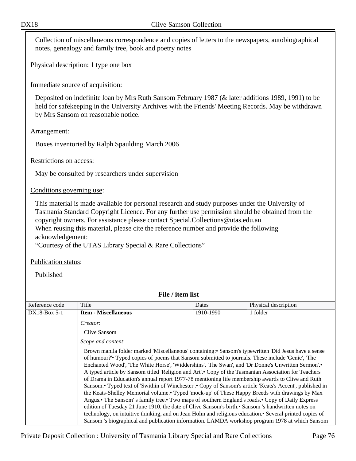Collection of miscellaneous correspondence and copies of letters to the newspapers, autobiographical notes, genealogy and family tree, book and poetry notes

Physical description: 1 type one box

## Immediate source of acquisition:

Deposited on indefinite loan by Mrs Ruth Sansom February 1987 (& later additions 1989, 1991) to be held for safekeeping in the University Archives with the Friends' Meeting Records. May be withdrawn by Mrs Sansom on reasonable notice.

## Arrangement:

Boxes inventoried by Ralph Spaulding March 2006

## Restrictions on access:

May be consulted by researchers under supervision

## Conditions governing use:

This material is made available for personal research and study purposes under the University of Tasmania Standard Copyright Licence. For any further use permission should be obtained from the copyright owners. For assistance please contact Special.Collections@utas.edu.au When reusing this material, please cite the reference number and provide the following acknowledgement:

"Courtesy of the UTAS Library Special & Rare Collections"

## Publication status:

Published

| File / item list |                                                                                                                                                                                                                                                                                                       |           |                                                                                                                                                                                                                                                                                                                                                                                                                                                                                                                                                                                                                                                                                                                                                                                                                                                   |
|------------------|-------------------------------------------------------------------------------------------------------------------------------------------------------------------------------------------------------------------------------------------------------------------------------------------------------|-----------|---------------------------------------------------------------------------------------------------------------------------------------------------------------------------------------------------------------------------------------------------------------------------------------------------------------------------------------------------------------------------------------------------------------------------------------------------------------------------------------------------------------------------------------------------------------------------------------------------------------------------------------------------------------------------------------------------------------------------------------------------------------------------------------------------------------------------------------------------|
| Reference code   | Title                                                                                                                                                                                                                                                                                                 | Dates     | Physical description                                                                                                                                                                                                                                                                                                                                                                                                                                                                                                                                                                                                                                                                                                                                                                                                                              |
| $DX18-Box 5-1$   | <b>Item - Miscellaneous</b>                                                                                                                                                                                                                                                                           | 1910-1990 | 1 folder                                                                                                                                                                                                                                                                                                                                                                                                                                                                                                                                                                                                                                                                                                                                                                                                                                          |
|                  | Creator:                                                                                                                                                                                                                                                                                              |           |                                                                                                                                                                                                                                                                                                                                                                                                                                                                                                                                                                                                                                                                                                                                                                                                                                                   |
|                  | Clive Sansom                                                                                                                                                                                                                                                                                          |           |                                                                                                                                                                                                                                                                                                                                                                                                                                                                                                                                                                                                                                                                                                                                                                                                                                                   |
|                  | Scope and content:                                                                                                                                                                                                                                                                                    |           |                                                                                                                                                                                                                                                                                                                                                                                                                                                                                                                                                                                                                                                                                                                                                                                                                                                   |
|                  | of humour?' Typed copies of poems that Sansom submitted to journals. These include 'Genie', 'The<br>Angus. The Sansom's family tree. Two maps of southern England's roads. Copy of Daily Express<br>edition of Tuesday 21 June 1910, the date of Clive Sansom's birth. Sansom 's handwritten notes on |           | Brown manila folder marked 'Miscellaneous' containing: Sansom's typewritten 'Did Jesus have a sense<br>Enchanted Wood', 'The White Horse', 'Widdershins', 'The Swan', and 'Dr Donne's Unwritten Sermon'.<br>A typed article by Sansom titled 'Religion and Art'.• Copy of the Tasmanian Association for Teachers<br>of Drama in Education's annual report 1977-78 mentioning life membership awards to Clive and Ruth<br>Sansom.• Typed text of 'Swithin of Winchester'.• Copy of Sansom's article 'Keats's Accent', published in<br>the Keats-Shelley Memorial volume.• Typed 'mock-up' of These Happy Breeds with drawings by Max<br>technology, on intuitive thinking, and on Jean Holm and religious education.• Several printed copies of<br>Sansom 's biographical and publication information. LAMDA workshop program 1978 at which Sansom |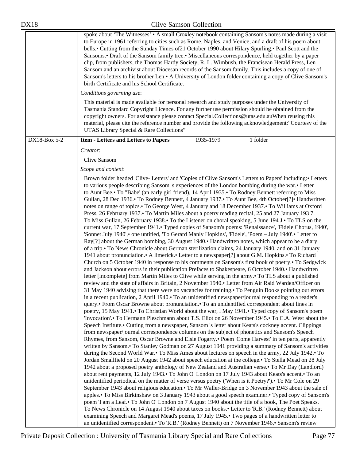| Sansom and an archivist about Diocesan records of the Sansom family. This includes a copy of one of<br>Sansom's letters to his brother Len.• A University of London folder containing a copy of Clive Sansom's<br>birth Certificate and his School Certificate.<br>Conditions governing use:                                                                                                                                                                                                                                                                                                                                                                                                                                                                                                                                                                                                                                                                                                                                                                                                                                                                                                                                                                                                                                                                                                                                                                                                                                                                                                                                                                                                                                                                                                                                                                                                                                                                                                                                                                                                                                                                                                                                                                                                                                                                                                                                                                                                                                                                                                                                                                                                                                                                                                                                                                                                                                                                                                                                                                                                                                                                                                                                                                                                                                                                                                                                                                                                                                                                                                                         |
|----------------------------------------------------------------------------------------------------------------------------------------------------------------------------------------------------------------------------------------------------------------------------------------------------------------------------------------------------------------------------------------------------------------------------------------------------------------------------------------------------------------------------------------------------------------------------------------------------------------------------------------------------------------------------------------------------------------------------------------------------------------------------------------------------------------------------------------------------------------------------------------------------------------------------------------------------------------------------------------------------------------------------------------------------------------------------------------------------------------------------------------------------------------------------------------------------------------------------------------------------------------------------------------------------------------------------------------------------------------------------------------------------------------------------------------------------------------------------------------------------------------------------------------------------------------------------------------------------------------------------------------------------------------------------------------------------------------------------------------------------------------------------------------------------------------------------------------------------------------------------------------------------------------------------------------------------------------------------------------------------------------------------------------------------------------------------------------------------------------------------------------------------------------------------------------------------------------------------------------------------------------------------------------------------------------------------------------------------------------------------------------------------------------------------------------------------------------------------------------------------------------------------------------------------------------------------------------------------------------------------------------------------------------------------------------------------------------------------------------------------------------------------------------------------------------------------------------------------------------------------------------------------------------------------------------------------------------------------------------------------------------------------------------------------------------------------------------------------------------------------------------------------------------------------------------------------------------------------------------------------------------------------------------------------------------------------------------------------------------------------------------------------------------------------------------------------------------------------------------------------------------------------------------------------------------------------------------------------------------------|
| This material is made available for personal research and study purposes under the University of<br>Tasmania Standard Copyright Licence. For any further use permission should be obtained from the<br>copyright owners. For assistance please contact Special.Collections@utas.edu.auWhen reusing this<br>material, please cite the reference number and provide the following acknowledgement: "Courtesy of the<br>UTAS Library Special & Rare Collections"                                                                                                                                                                                                                                                                                                                                                                                                                                                                                                                                                                                                                                                                                                                                                                                                                                                                                                                                                                                                                                                                                                                                                                                                                                                                                                                                                                                                                                                                                                                                                                                                                                                                                                                                                                                                                                                                                                                                                                                                                                                                                                                                                                                                                                                                                                                                                                                                                                                                                                                                                                                                                                                                                                                                                                                                                                                                                                                                                                                                                                                                                                                                                        |
| 1935-1979<br>1 folder<br><b>Item - Letters and Letters to Papers</b>                                                                                                                                                                                                                                                                                                                                                                                                                                                                                                                                                                                                                                                                                                                                                                                                                                                                                                                                                                                                                                                                                                                                                                                                                                                                                                                                                                                                                                                                                                                                                                                                                                                                                                                                                                                                                                                                                                                                                                                                                                                                                                                                                                                                                                                                                                                                                                                                                                                                                                                                                                                                                                                                                                                                                                                                                                                                                                                                                                                                                                                                                                                                                                                                                                                                                                                                                                                                                                                                                                                                                 |
| Creator:                                                                                                                                                                                                                                                                                                                                                                                                                                                                                                                                                                                                                                                                                                                                                                                                                                                                                                                                                                                                                                                                                                                                                                                                                                                                                                                                                                                                                                                                                                                                                                                                                                                                                                                                                                                                                                                                                                                                                                                                                                                                                                                                                                                                                                                                                                                                                                                                                                                                                                                                                                                                                                                                                                                                                                                                                                                                                                                                                                                                                                                                                                                                                                                                                                                                                                                                                                                                                                                                                                                                                                                                             |
| Clive Sansom                                                                                                                                                                                                                                                                                                                                                                                                                                                                                                                                                                                                                                                                                                                                                                                                                                                                                                                                                                                                                                                                                                                                                                                                                                                                                                                                                                                                                                                                                                                                                                                                                                                                                                                                                                                                                                                                                                                                                                                                                                                                                                                                                                                                                                                                                                                                                                                                                                                                                                                                                                                                                                                                                                                                                                                                                                                                                                                                                                                                                                                                                                                                                                                                                                                                                                                                                                                                                                                                                                                                                                                                         |
| Scope and content:                                                                                                                                                                                                                                                                                                                                                                                                                                                                                                                                                                                                                                                                                                                                                                                                                                                                                                                                                                                                                                                                                                                                                                                                                                                                                                                                                                                                                                                                                                                                                                                                                                                                                                                                                                                                                                                                                                                                                                                                                                                                                                                                                                                                                                                                                                                                                                                                                                                                                                                                                                                                                                                                                                                                                                                                                                                                                                                                                                                                                                                                                                                                                                                                                                                                                                                                                                                                                                                                                                                                                                                                   |
| Brown folder headed 'Clive- Letters' and 'Copies of Clive Sansom's Letters to Papers' including: • Letters<br>to various people describing Sansom's experiences of the London bombing during the war.• Letter<br>to Aunt Bee.• To "Babe' (an early girl friend), 14 April 1935.• To Rodney Bennett referring to Miss<br>Gullan, 28 Dec 1936.• To Rodney Bennett, 4 January 1937.• To Aunt Bee, 4th October[?]• Handwritten<br>notes on range of topics.• To George West, 4 January and 18 December 1937.• To Williams at Oxford<br>Press, 26 February 1937. To Martin Miles about a poetry reading recital, 25 and 27 January 1937.<br>To Miss Gullan, 26 February 1938. To the Listener on choral speaking, 5 June 194 J. To TLS on the<br>current war, 17 September 1941. Typed copies of Sansom's poems: 'Renaissance', 'Fidele Chorus, 1940',<br>'Sonnet July 1940', • one untitled, 'To Gerard Manly Hopkins', 'Fidele', 'Poem - July 1940'. • Letter to<br>Ray[?] about the German bombing, 30 August 1940. Handwritten notes, which appear to be a diary<br>of a trip.• To News Chronicle about German sterilization claims, 24 January 1940, and on 31 January<br>1941 about pronunciation. • A limerick. • Letter to a newspaper[?] about G.M. Hopkins. • To Richard<br>Church on 5 October 1940 in response to his comments on Sansom's first book of poetry. To Sedgwick<br>and Jackson about errors in their publication Prefaces to Shakespeare, 6 October 1940.• Handwritten<br>letter [incomplete] from Martin Miles to Clive while serving in the army.• To TLS about a published<br>review and the state of affairs in Britain, 2 November 1940. Letter from Air Raid Warden/Officer on<br>31 May 1940 advising that there were no vacancies for training. To Penguin Books pointing out errors<br>in a recent publication, 2 April 1940. To an unidentified newspaper/journal responding to a reader's<br>query.• From Oscar Browne about pronunciation.• To an unidentified correspondent about lines in<br>poetry, 15 May 1941. To Christian World about the war, 1 May 1941. Typed copy of Sansom's poem<br>Throcation'.• To Hermann Pleschmann about T.S. Eliot on 26 November 1945.• To C.A. West about the<br>Speech Institute.• Cutting from a newspaper, Sansom 's letter about Keats's cockney accent. Clippings<br>from newspaper/journal correspondence columns on the subject of phonetics and Sansom's Speech<br>Rhymes, from Sansom, Oscar Browne and Elsie Fogarty. • Poem 'Come Harvest' in ten parts, apparently<br>written by Sansom.• To Stanley Godman on 27 August 1941 providing a summary of Sansom's activities<br>during the Second World War. To Miss Ames about lectures on speech in the army, 22 July 1942. To<br>Jordan Smallfield on 20 August 1942 about speech education at the college. To Stella Mead on 28 July<br>1942 about a proposed poetry anthology of New Zealand and Australian verse.• To Mr Day (Landlord)<br>about rent payments, 12 July 1943.• To John O' London on 17 July 1943 about Keats's accent.• To an<br>unidentified periodical on the matter of verse versus poetry ('When is it Poetry?').• To Mr Cole on 29<br>September 1943 about religious education.• To Mr Waller-Bridge on 3 November 1943 about the sale of<br>apples.• To Miss Birkinshaw on 3 January 1943 about a good speech examiner.• Typed copy of Sansom's<br>poem 'I am a Leaf.• To John O' London on 7 August 1940 about the title of a book, The Poet Speaks.<br>To News Chronicle on 14 August 1940 about taxes on books.• Letter to 'R.B.' (Rodney Bennett) about |
|                                                                                                                                                                                                                                                                                                                                                                                                                                                                                                                                                                                                                                                                                                                                                                                                                                                                                                                                                                                                                                                                                                                                                                                                                                                                                                                                                                                                                                                                                                                                                                                                                                                                                                                                                                                                                                                                                                                                                                                                                                                                                                                                                                                                                                                                                                                                                                                                                                                                                                                                                                                                                                                                                                                                                                                                                                                                                                                                                                                                                                                                                                                                                                                                                                                                                                                                                                                                                                                                                                                                                                                                                      |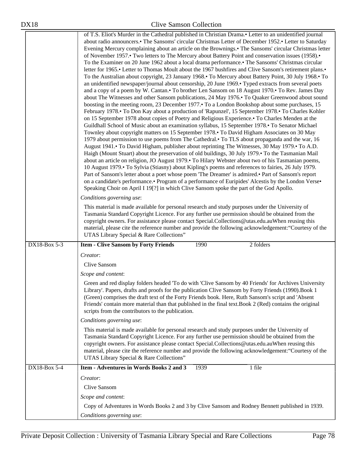|              | of T.S. Eliot's Murder in the Cathedral published in Christian Drama.• Letter to an unidentified journal<br>about radio announcers.• The Sansoms' circular Christmas Letter of December 1952.• Letter to Saturday<br>Evening Mercury complaining about an article on the Brownings.• The Sansoms' circular Christmas letter<br>of November 1957.• Two letters to The Mercury about Battery Point and conservation issues (1958).•<br>To the Examiner on 20 June 1962 about a local drama performance. The Sansoms' Christmas circular<br>letter for 1965.• Letter to Thomas Moult about the 1967 bushfires and Clive Sansom's retirement plans.•<br>To the Australian about copyright, 23 January 1968. To Mercury about Battery Point, 30 July 1968. To<br>an unidentified newspaper/journal about censorship, 20 June 1969. Typed extracts from several poets<br>and a copy of a poem by W. Cantan. To brother Len Sansom on 18 August 1970. To Rev. James Day<br>about The Witnesses and other Sansom publications, 24 May 1976. To Quaker Greenwood about sound<br>boosting in the meeting room, 23 December 1977. To a London Bookshop about some purchases, 15<br>February 1978. To Don Kay about a production of 'Rapunzel', 15 September 1978. To Charles Kohler<br>on 15 September 1978 about copies of Poetry and Religious Experience. To Charles Menden at the<br>Guildhall School of Music about an examination syllabus, 15 September 1978. To Senator Michael<br>Townley about copyright matters on 15 September 1978. To David Higham Associates on 30 May<br>1979 about permission to use poems from The Cathedral. To TLS about propaganda and the war, 16<br>August 1941. To David Higham, publisher about reprinting The Witnesses, 30 May 1979. To A.D.<br>Haigh (Mount Stuart) about the preservation of old buildings, 30 July 1979. To the Tasmanian Mail<br>about an article on religion, JO August 1979. To Hilary Webster about two of his Tasmanian poems,<br>10 August 1979. To Sylvia (Stiasny) about Kipling's poems and references to fairies, 26 July 1979.<br>Part of Sansom's letter about a poet whose poem 'The Dreamer' is admired. Part of Sansom's report<br>on a candidate's performance.• Program of a performance of Euripides' Alcestis by the London Verse•<br>Speaking Choir on April I 19 <sup>[?]</sup> in which Clive Sansom spoke the part of the God Apollo.<br>Conditions governing use:<br>This material is made available for personal research and study purposes under the University of<br>Tasmania Standard Copyright Licence. For any further use permission should be obtained from the<br>copyright owners. For assistance please contact Special.Collections@utas.edu.auWhen reusing this |
|--------------|---------------------------------------------------------------------------------------------------------------------------------------------------------------------------------------------------------------------------------------------------------------------------------------------------------------------------------------------------------------------------------------------------------------------------------------------------------------------------------------------------------------------------------------------------------------------------------------------------------------------------------------------------------------------------------------------------------------------------------------------------------------------------------------------------------------------------------------------------------------------------------------------------------------------------------------------------------------------------------------------------------------------------------------------------------------------------------------------------------------------------------------------------------------------------------------------------------------------------------------------------------------------------------------------------------------------------------------------------------------------------------------------------------------------------------------------------------------------------------------------------------------------------------------------------------------------------------------------------------------------------------------------------------------------------------------------------------------------------------------------------------------------------------------------------------------------------------------------------------------------------------------------------------------------------------------------------------------------------------------------------------------------------------------------------------------------------------------------------------------------------------------------------------------------------------------------------------------------------------------------------------------------------------------------------------------------------------------------------------------------------------------------------------------------------------------------------------------------------------------------------------------------------------------------------------------------------------------------------------------------------------------------------------------------------------------------------------------------------------------------------------|
|              | material, please cite the reference number and provide the following acknowledgement: "Courtesy of the<br>UTAS Library Special & Rare Collections"                                                                                                                                                                                                                                                                                                                                                                                                                                                                                                                                                                                                                                                                                                                                                                                                                                                                                                                                                                                                                                                                                                                                                                                                                                                                                                                                                                                                                                                                                                                                                                                                                                                                                                                                                                                                                                                                                                                                                                                                                                                                                                                                                                                                                                                                                                                                                                                                                                                                                                                                                                                                      |
| DX18-Box 5-3 | <b>Item - Clive Sansom by Forty Friends</b><br>1990<br>2 folders                                                                                                                                                                                                                                                                                                                                                                                                                                                                                                                                                                                                                                                                                                                                                                                                                                                                                                                                                                                                                                                                                                                                                                                                                                                                                                                                                                                                                                                                                                                                                                                                                                                                                                                                                                                                                                                                                                                                                                                                                                                                                                                                                                                                                                                                                                                                                                                                                                                                                                                                                                                                                                                                                        |
|              | Creator:                                                                                                                                                                                                                                                                                                                                                                                                                                                                                                                                                                                                                                                                                                                                                                                                                                                                                                                                                                                                                                                                                                                                                                                                                                                                                                                                                                                                                                                                                                                                                                                                                                                                                                                                                                                                                                                                                                                                                                                                                                                                                                                                                                                                                                                                                                                                                                                                                                                                                                                                                                                                                                                                                                                                                |
|              | Clive Sansom                                                                                                                                                                                                                                                                                                                                                                                                                                                                                                                                                                                                                                                                                                                                                                                                                                                                                                                                                                                                                                                                                                                                                                                                                                                                                                                                                                                                                                                                                                                                                                                                                                                                                                                                                                                                                                                                                                                                                                                                                                                                                                                                                                                                                                                                                                                                                                                                                                                                                                                                                                                                                                                                                                                                            |
|              | Scope and content:                                                                                                                                                                                                                                                                                                                                                                                                                                                                                                                                                                                                                                                                                                                                                                                                                                                                                                                                                                                                                                                                                                                                                                                                                                                                                                                                                                                                                                                                                                                                                                                                                                                                                                                                                                                                                                                                                                                                                                                                                                                                                                                                                                                                                                                                                                                                                                                                                                                                                                                                                                                                                                                                                                                                      |
|              | Green and red display folders headed 'To do with 'Clive Sansom by 40 Friends' for Archives University<br>Library'. Papers, drafts and proofs for the publication Clive Sansom by Forty Friends (1990). Book 1<br>(Green) comprises the draft text of the Forty Friends book. Here, Ruth Sansom's script and 'Absent<br>Friends' contain more material than that published in the final text. Book 2 (Red) contains the original<br>scripts from the contributors to the publication.                                                                                                                                                                                                                                                                                                                                                                                                                                                                                                                                                                                                                                                                                                                                                                                                                                                                                                                                                                                                                                                                                                                                                                                                                                                                                                                                                                                                                                                                                                                                                                                                                                                                                                                                                                                                                                                                                                                                                                                                                                                                                                                                                                                                                                                                    |
|              | Conditions governing use:                                                                                                                                                                                                                                                                                                                                                                                                                                                                                                                                                                                                                                                                                                                                                                                                                                                                                                                                                                                                                                                                                                                                                                                                                                                                                                                                                                                                                                                                                                                                                                                                                                                                                                                                                                                                                                                                                                                                                                                                                                                                                                                                                                                                                                                                                                                                                                                                                                                                                                                                                                                                                                                                                                                               |
|              | This material is made available for personal research and study purposes under the University of<br>Tasmania Standard Copyright Licence. For any further use permission should be obtained from the<br>copyright owners. For assistance please contact Special.Collections@utas.edu.auWhen reusing this<br>material, please cite the reference number and provide the following acknowledgement: "Courtesy of the<br>UTAS Library Special & Rare Collections"                                                                                                                                                                                                                                                                                                                                                                                                                                                                                                                                                                                                                                                                                                                                                                                                                                                                                                                                                                                                                                                                                                                                                                                                                                                                                                                                                                                                                                                                                                                                                                                                                                                                                                                                                                                                                                                                                                                                                                                                                                                                                                                                                                                                                                                                                           |
| DX18-Box 5-4 | Item - Adventures in Words Books 2 and 3<br>1 file<br>1939                                                                                                                                                                                                                                                                                                                                                                                                                                                                                                                                                                                                                                                                                                                                                                                                                                                                                                                                                                                                                                                                                                                                                                                                                                                                                                                                                                                                                                                                                                                                                                                                                                                                                                                                                                                                                                                                                                                                                                                                                                                                                                                                                                                                                                                                                                                                                                                                                                                                                                                                                                                                                                                                                              |
|              | Creator:                                                                                                                                                                                                                                                                                                                                                                                                                                                                                                                                                                                                                                                                                                                                                                                                                                                                                                                                                                                                                                                                                                                                                                                                                                                                                                                                                                                                                                                                                                                                                                                                                                                                                                                                                                                                                                                                                                                                                                                                                                                                                                                                                                                                                                                                                                                                                                                                                                                                                                                                                                                                                                                                                                                                                |
|              | Clive Sansom                                                                                                                                                                                                                                                                                                                                                                                                                                                                                                                                                                                                                                                                                                                                                                                                                                                                                                                                                                                                                                                                                                                                                                                                                                                                                                                                                                                                                                                                                                                                                                                                                                                                                                                                                                                                                                                                                                                                                                                                                                                                                                                                                                                                                                                                                                                                                                                                                                                                                                                                                                                                                                                                                                                                            |
|              | Scope and content:                                                                                                                                                                                                                                                                                                                                                                                                                                                                                                                                                                                                                                                                                                                                                                                                                                                                                                                                                                                                                                                                                                                                                                                                                                                                                                                                                                                                                                                                                                                                                                                                                                                                                                                                                                                                                                                                                                                                                                                                                                                                                                                                                                                                                                                                                                                                                                                                                                                                                                                                                                                                                                                                                                                                      |
|              | Copy of Adventures in Words Books 2 and 3 by Clive Sansom and Rodney Bennett published in 1939.                                                                                                                                                                                                                                                                                                                                                                                                                                                                                                                                                                                                                                                                                                                                                                                                                                                                                                                                                                                                                                                                                                                                                                                                                                                                                                                                                                                                                                                                                                                                                                                                                                                                                                                                                                                                                                                                                                                                                                                                                                                                                                                                                                                                                                                                                                                                                                                                                                                                                                                                                                                                                                                         |
|              | Conditions governing use:                                                                                                                                                                                                                                                                                                                                                                                                                                                                                                                                                                                                                                                                                                                                                                                                                                                                                                                                                                                                                                                                                                                                                                                                                                                                                                                                                                                                                                                                                                                                                                                                                                                                                                                                                                                                                                                                                                                                                                                                                                                                                                                                                                                                                                                                                                                                                                                                                                                                                                                                                                                                                                                                                                                               |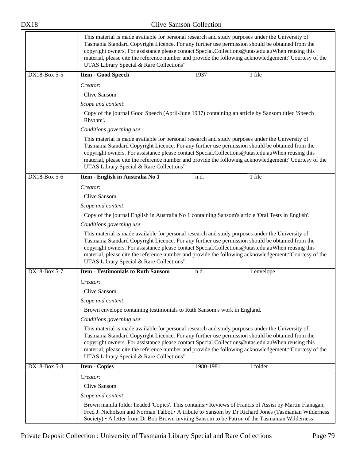|              | This material is made available for personal research and study purposes under the University of<br>Tasmania Standard Copyright Licence. For any further use permission should be obtained from the<br>copyright owners. For assistance please contact Special.Collections@utas.edu.auWhen reusing this<br>material, please cite the reference number and provide the following acknowledgement: "Courtesy of the<br>UTAS Library Special & Rare Collections" |           |                                                                                                                                                                                                            |
|--------------|---------------------------------------------------------------------------------------------------------------------------------------------------------------------------------------------------------------------------------------------------------------------------------------------------------------------------------------------------------------------------------------------------------------------------------------------------------------|-----------|------------------------------------------------------------------------------------------------------------------------------------------------------------------------------------------------------------|
| DX18-Box 5-5 | <b>Item - Good Speech</b>                                                                                                                                                                                                                                                                                                                                                                                                                                     | 1937      | 1 file                                                                                                                                                                                                     |
|              | Creator:                                                                                                                                                                                                                                                                                                                                                                                                                                                      |           |                                                                                                                                                                                                            |
|              | Clive Sansom                                                                                                                                                                                                                                                                                                                                                                                                                                                  |           |                                                                                                                                                                                                            |
|              | Scope and content:                                                                                                                                                                                                                                                                                                                                                                                                                                            |           |                                                                                                                                                                                                            |
|              | Copy of the journal Good Speech (April-June 1937) containing an article by Sansom titled 'Speech<br>Rhythm'.                                                                                                                                                                                                                                                                                                                                                  |           |                                                                                                                                                                                                            |
|              | Conditions governing use:                                                                                                                                                                                                                                                                                                                                                                                                                                     |           |                                                                                                                                                                                                            |
|              | This material is made available for personal research and study purposes under the University of<br>Tasmania Standard Copyright Licence. For any further use permission should be obtained from the<br>copyright owners. For assistance please contact Special.Collections@utas.edu.auWhen reusing this<br>UTAS Library Special & Rare Collections"                                                                                                           |           | material, please cite the reference number and provide the following acknowledgement: "Courtesy of the                                                                                                     |
| DX18-Box 5-6 | Item - English in Australia No 1                                                                                                                                                                                                                                                                                                                                                                                                                              | n.d.      | 1 file                                                                                                                                                                                                     |
|              | Creator:                                                                                                                                                                                                                                                                                                                                                                                                                                                      |           |                                                                                                                                                                                                            |
|              | Clive Sansom                                                                                                                                                                                                                                                                                                                                                                                                                                                  |           |                                                                                                                                                                                                            |
|              | Scope and content:                                                                                                                                                                                                                                                                                                                                                                                                                                            |           |                                                                                                                                                                                                            |
|              | Copy of the journal English in Australia No 1 containing Sansom's article 'Oral Tests in English'.                                                                                                                                                                                                                                                                                                                                                            |           |                                                                                                                                                                                                            |
|              | Conditions governing use:                                                                                                                                                                                                                                                                                                                                                                                                                                     |           |                                                                                                                                                                                                            |
|              | This material is made available for personal research and study purposes under the University of<br>Tasmania Standard Copyright Licence. For any further use permission should be obtained from the<br>copyright owners. For assistance please contact Special.Collections@utas.edu.auWhen reusing this<br>UTAS Library Special & Rare Collections"                                                                                                           |           | material, please cite the reference number and provide the following acknowledgement: "Courtesy of the                                                                                                     |
| DX18-Box 5-7 | <b>Item - Testimonials to Ruth Sansom</b>                                                                                                                                                                                                                                                                                                                                                                                                                     | n.d.      | 1 envelope                                                                                                                                                                                                 |
|              | Creator:                                                                                                                                                                                                                                                                                                                                                                                                                                                      |           |                                                                                                                                                                                                            |
|              | Clive Sansom                                                                                                                                                                                                                                                                                                                                                                                                                                                  |           |                                                                                                                                                                                                            |
|              | Scope and content:                                                                                                                                                                                                                                                                                                                                                                                                                                            |           |                                                                                                                                                                                                            |
|              | Brown envelope containing testimonials to Ruth Sansom's work in England.                                                                                                                                                                                                                                                                                                                                                                                      |           |                                                                                                                                                                                                            |
|              | Conditions governing use:                                                                                                                                                                                                                                                                                                                                                                                                                                     |           |                                                                                                                                                                                                            |
|              | This material is made available for personal research and study purposes under the University of<br>Tasmania Standard Copyright Licence. For any further use permission should be obtained from the<br>copyright owners. For assistance please contact Special.Collections@utas.edu.auWhen reusing this<br>UTAS Library Special & Rare Collections"                                                                                                           |           | material, please cite the reference number and provide the following acknowledgement: "Courtesy of the                                                                                                     |
| DX18-Box 5-8 | <b>Item - Copies</b>                                                                                                                                                                                                                                                                                                                                                                                                                                          | 1980-1981 | 1 folder                                                                                                                                                                                                   |
|              | Creator:                                                                                                                                                                                                                                                                                                                                                                                                                                                      |           |                                                                                                                                                                                                            |
|              | Clive Sansom                                                                                                                                                                                                                                                                                                                                                                                                                                                  |           |                                                                                                                                                                                                            |
|              | Scope and content:                                                                                                                                                                                                                                                                                                                                                                                                                                            |           |                                                                                                                                                                                                            |
|              | Society).• A letter from Dr Bob Brown inviting Sansom to be Patron of the Tasmanian Wilderness                                                                                                                                                                                                                                                                                                                                                                |           | Brown manila folder headed 'Copies'. This contains: Reviews of Francis of Assisi by Martin Flanagan,<br>Fred J. Nicholson and Norman Talbot. A tribute to Sansom by Dr Richard Jones (Tasmanian Wilderness |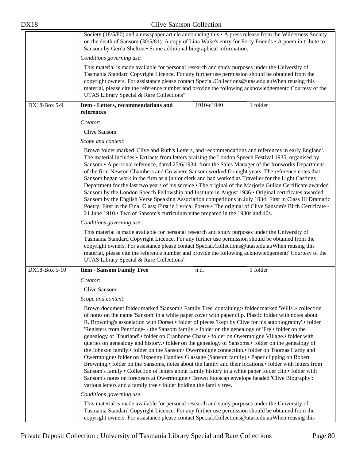| <b>DX18</b>   | <b>Clive Samson Collection</b>                                                                                                                                                                                                                                                                                                                                                                                                                                                                                                                                                                                                                                                                                                                                                                                                                                                                                                                                                                                                                                                                                                                                                                                                                                                                                                                                                                                                                                                                                                                            |
|---------------|-----------------------------------------------------------------------------------------------------------------------------------------------------------------------------------------------------------------------------------------------------------------------------------------------------------------------------------------------------------------------------------------------------------------------------------------------------------------------------------------------------------------------------------------------------------------------------------------------------------------------------------------------------------------------------------------------------------------------------------------------------------------------------------------------------------------------------------------------------------------------------------------------------------------------------------------------------------------------------------------------------------------------------------------------------------------------------------------------------------------------------------------------------------------------------------------------------------------------------------------------------------------------------------------------------------------------------------------------------------------------------------------------------------------------------------------------------------------------------------------------------------------------------------------------------------|
|               | Society (18/5/80) and a newspaper article announcing this. A press release from the Wilderness Society<br>on the death of Sansom (30/5/81). A copy of Lina Wake's entry for Forty Friends. A poem in tribute to<br>Sansom by Gerda Shelton.• Some additional biographical information.                                                                                                                                                                                                                                                                                                                                                                                                                                                                                                                                                                                                                                                                                                                                                                                                                                                                                                                                                                                                                                                                                                                                                                                                                                                                    |
|               | Conditions governing use:                                                                                                                                                                                                                                                                                                                                                                                                                                                                                                                                                                                                                                                                                                                                                                                                                                                                                                                                                                                                                                                                                                                                                                                                                                                                                                                                                                                                                                                                                                                                 |
|               | This material is made available for personal research and study purposes under the University of<br>Tasmania Standard Copyright Licence. For any further use permission should be obtained from the<br>copyright owners. For assistance please contact Special.Collections@utas.edu.auWhen reusing this<br>material, please cite the reference number and provide the following acknowledgement: "Courtesy of the<br>UTAS Library Special & Rare Collections"                                                                                                                                                                                                                                                                                                                                                                                                                                                                                                                                                                                                                                                                                                                                                                                                                                                                                                                                                                                                                                                                                             |
| DX18-Box 5-9  | 1910-c1940<br>Item - Letters, recommendations and<br>1 folder<br>references                                                                                                                                                                                                                                                                                                                                                                                                                                                                                                                                                                                                                                                                                                                                                                                                                                                                                                                                                                                                                                                                                                                                                                                                                                                                                                                                                                                                                                                                               |
|               | Creator:                                                                                                                                                                                                                                                                                                                                                                                                                                                                                                                                                                                                                                                                                                                                                                                                                                                                                                                                                                                                                                                                                                                                                                                                                                                                                                                                                                                                                                                                                                                                                  |
|               | <b>Clive Sansom</b>                                                                                                                                                                                                                                                                                                                                                                                                                                                                                                                                                                                                                                                                                                                                                                                                                                                                                                                                                                                                                                                                                                                                                                                                                                                                                                                                                                                                                                                                                                                                       |
|               | Scope and content:                                                                                                                                                                                                                                                                                                                                                                                                                                                                                                                                                                                                                                                                                                                                                                                                                                                                                                                                                                                                                                                                                                                                                                                                                                                                                                                                                                                                                                                                                                                                        |
|               | Brown folder marked 'Clive and Ruth's Letters, and recommendations and references in early England'.<br>The material includes: Extracts from letters praising the London Speech Festival 1935, organised by<br>Sansom.• A personal reference, dated 25/6/1934, from the Sales Manager of the Ironworks Department<br>of the firm Newton Chambers and Co where Sansom worked for eight years. The reference notes that<br>Sansom began work in the firm as a junior clerk and had worked as Traveller for the Light Castings<br>Department for the last two years of his service. The original of the Marjorie Gullan Certificate awarded<br>Sansom by the London Speech Fellowship and Institute in August 1936. Original certificates awarded<br>Sansom by the English Verse Speaking Association competitions in July 1934: First in Class III Dramatic<br>Poetry; First in the Final Class; First in Lyrical Poetry. The original of Clive Sansom's Birth Certificate -<br>21 June 1910. Two of Sansom's curriculum vitae prepared in the 1930s and 40s.<br>Conditions governing use:<br>This material is made available for personal research and study purposes under the University of<br>Tasmania Standard Copyright Licence. For any further use permission should be obtained from the<br>copyright owners. For assistance please contact Special.Collections@utas.edu.auWhen reusing this<br>material, please cite the reference number and provide the following acknowledgement: "Courtesy of the<br>UTAS Library Special & Rare Collections" |
| DX18-Box 5-10 | <b>Item - Sansom Family Tree</b><br>1 folder<br>n.d.                                                                                                                                                                                                                                                                                                                                                                                                                                                                                                                                                                                                                                                                                                                                                                                                                                                                                                                                                                                                                                                                                                                                                                                                                                                                                                                                                                                                                                                                                                      |
|               | Creator:                                                                                                                                                                                                                                                                                                                                                                                                                                                                                                                                                                                                                                                                                                                                                                                                                                                                                                                                                                                                                                                                                                                                                                                                                                                                                                                                                                                                                                                                                                                                                  |
|               | Clive Sansom                                                                                                                                                                                                                                                                                                                                                                                                                                                                                                                                                                                                                                                                                                                                                                                                                                                                                                                                                                                                                                                                                                                                                                                                                                                                                                                                                                                                                                                                                                                                              |
|               | Scope and content:                                                                                                                                                                                                                                                                                                                                                                                                                                                                                                                                                                                                                                                                                                                                                                                                                                                                                                                                                                                                                                                                                                                                                                                                                                                                                                                                                                                                                                                                                                                                        |
|               | Brown document folder marked 'Sansom's Family Tree' containing: • folder marked 'Wills'. • collection<br>of notes on the name 'Sansom' in a white paper cover with paper clip. Plastic folder with notes about<br>R. Browning's association with Dorset. • folder of pieces 'Kept by Clive for his autobiography'. • folder<br>'Registers from Pentridge- - the Sansom family'.• folder on the genealogy of 'Fry'• folder on the<br>genealogy of 'Thurland'.• folder on Cranbome Chase.• folder on Owermoigne Village.• folder with<br>queries on genealogy and history.• folder on the genealogy of Sansoms.• folder on the genealogy of<br>the Johnson family.• folder on the Sansom/Owermoigne connection.• folder on Thomas Hardy and<br>Owermoigne• folder on Sixpenny Handley Glassage (Sansom family).• Paper clipping on Robert<br>Browning. • folder on the Sansoms, notes about the family and their locations. • folder with letters from<br>Sansom's family.• Collection of letters about family history in a white paper folder clip.• folder with<br>Sansom's notes on forebears at Owermoigne. Brown foolscap envelope headed 'Clive Biography':<br>various letters and a family tree.• folder holding the family tree.                                                                                                                                                                                                                                                                                                                    |
|               | Conditions governing use:                                                                                                                                                                                                                                                                                                                                                                                                                                                                                                                                                                                                                                                                                                                                                                                                                                                                                                                                                                                                                                                                                                                                                                                                                                                                                                                                                                                                                                                                                                                                 |
|               | This material is made available for personal research and study purposes under the University of<br>Tasmania Standard Copyright Licence. For any further use permission should be obtained from the<br>copyright owners. For assistance please contact Special.Collections@utas.edu.auWhen reusing this                                                                                                                                                                                                                                                                                                                                                                                                                                                                                                                                                                                                                                                                                                                                                                                                                                                                                                                                                                                                                                                                                                                                                                                                                                                   |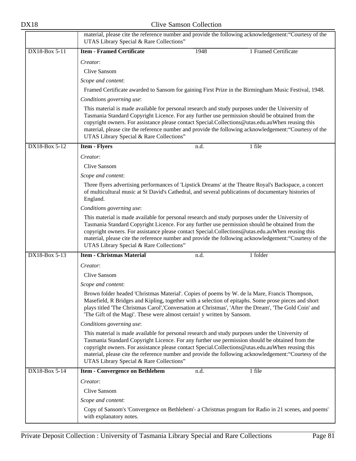|               | material, please cite the reference number and provide the following acknowledgement: "Courtesy of the<br>UTAS Library Special & Rare Collections"                       |      |                                                                                                                                                                                                                                                                                                               |
|---------------|--------------------------------------------------------------------------------------------------------------------------------------------------------------------------|------|---------------------------------------------------------------------------------------------------------------------------------------------------------------------------------------------------------------------------------------------------------------------------------------------------------------|
| DX18-Box 5-11 | <b>Item - Framed Certificate</b>                                                                                                                                         | 1948 | 1 Framed Certificate                                                                                                                                                                                                                                                                                          |
|               | Creator:                                                                                                                                                                 |      |                                                                                                                                                                                                                                                                                                               |
|               | Clive Sansom                                                                                                                                                             |      |                                                                                                                                                                                                                                                                                                               |
|               | Scope and content:                                                                                                                                                       |      |                                                                                                                                                                                                                                                                                                               |
|               |                                                                                                                                                                          |      | Framed Certificate awarded to Sansom for gaining First Prize in the Birmingham Music Festival, 1948.                                                                                                                                                                                                          |
|               | Conditions governing use:                                                                                                                                                |      |                                                                                                                                                                                                                                                                                                               |
|               | This material is made available for personal research and study purposes under the University of<br>UTAS Library Special & Rare Collections"                             |      | Tasmania Standard Copyright Licence. For any further use permission should be obtained from the<br>copyright owners. For assistance please contact Special.Collections@utas.edu.auWhen reusing this<br>material, please cite the reference number and provide the following acknowledgement: "Courtesy of the |
| DX18-Box 5-12 | <b>Item - Flyers</b>                                                                                                                                                     | n.d. | 1 file                                                                                                                                                                                                                                                                                                        |
|               | Creator:                                                                                                                                                                 |      |                                                                                                                                                                                                                                                                                                               |
|               | Clive Sansom                                                                                                                                                             |      |                                                                                                                                                                                                                                                                                                               |
|               | Scope and content:                                                                                                                                                       |      |                                                                                                                                                                                                                                                                                                               |
|               | England.                                                                                                                                                                 |      | Three flyers advertising performances of 'Lipstick Dreams' at the Theatre Royal's Backspace, a concert<br>of multicultural music at St David's Cathedral, and several publications of documentary histories of                                                                                                |
|               | Conditions governing use:                                                                                                                                                |      |                                                                                                                                                                                                                                                                                                               |
|               | This material is made available for personal research and study purposes under the University of<br>UTAS Library Special & Rare Collections"                             |      | Tasmania Standard Copyright Licence. For any further use permission should be obtained from the<br>copyright owners. For assistance please contact Special.Collections@utas.edu.auWhen reusing this<br>material, please cite the reference number and provide the following acknowledgement: "Courtesy of the |
| DX18-Box 5-13 | <b>Item - Christmas Material</b>                                                                                                                                         | n.d. | 1 folder                                                                                                                                                                                                                                                                                                      |
|               | Creator:                                                                                                                                                                 |      |                                                                                                                                                                                                                                                                                                               |
|               | Clive Sansom                                                                                                                                                             |      |                                                                                                                                                                                                                                                                                                               |
|               | Scope and content:                                                                                                                                                       |      |                                                                                                                                                                                                                                                                                                               |
|               | Brown folder headed 'Christmas Material'. Copies of poems by W. de la Mare, Francis Thompson,<br>'The Gift of the Magi'. These were almost certain! y written by Sansom. |      | Masefield, R Bridges and Kipling, together with a selection of epitaphs. Some prose pieces and short<br>plays titled 'The Christmas Carol','Conversation at Christmas', 'After the Dream', 'The Gold Coin' and                                                                                                |
|               | Conditions governing use:                                                                                                                                                |      |                                                                                                                                                                                                                                                                                                               |
|               | This material is made available for personal research and study purposes under the University of<br>UTAS Library Special & Rare Collections"                             |      | Tasmania Standard Copyright Licence. For any further use permission should be obtained from the<br>copyright owners. For assistance please contact Special.Collections@utas.edu.auWhen reusing this<br>material, please cite the reference number and provide the following acknowledgement: "Courtesy of the |
| DX18-Box 5-14 | <b>Item - Convergence on Bethlehem</b>                                                                                                                                   | n.d. | 1 file                                                                                                                                                                                                                                                                                                        |
|               | Creator:                                                                                                                                                                 |      |                                                                                                                                                                                                                                                                                                               |
|               | Clive Sansom                                                                                                                                                             |      |                                                                                                                                                                                                                                                                                                               |
|               | Scope and content:                                                                                                                                                       |      |                                                                                                                                                                                                                                                                                                               |
|               | with explanatory notes.                                                                                                                                                  |      | Copy of Sansom's 'Convergence on Bethlehem'- a Christmas program for Radio in 21 scenes, and poems'                                                                                                                                                                                                           |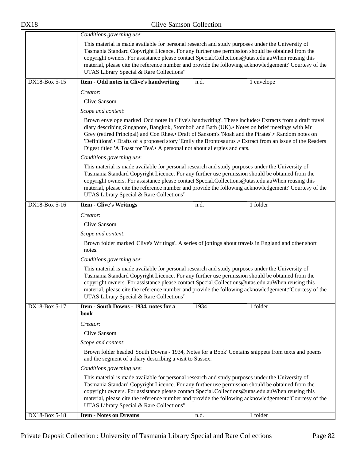|               | Conditions governing use:                                                                                                                                                                                                                                                                                                                           |      |                                                                                                                                                                                                                     |
|---------------|-----------------------------------------------------------------------------------------------------------------------------------------------------------------------------------------------------------------------------------------------------------------------------------------------------------------------------------------------------|------|---------------------------------------------------------------------------------------------------------------------------------------------------------------------------------------------------------------------|
|               | This material is made available for personal research and study purposes under the University of<br>Tasmania Standard Copyright Licence. For any further use permission should be obtained from the<br>copyright owners. For assistance please contact Special.Collections@utas.edu.auWhen reusing this<br>UTAS Library Special & Rare Collections" |      | material, please cite the reference number and provide the following acknowledgement: "Courtesy of the                                                                                                              |
| DX18-Box 5-15 | Item - Odd notes in Clive's handwriting                                                                                                                                                                                                                                                                                                             | n.d. | 1 envelope                                                                                                                                                                                                          |
|               | Creator:                                                                                                                                                                                                                                                                                                                                            |      |                                                                                                                                                                                                                     |
|               | Clive Sansom                                                                                                                                                                                                                                                                                                                                        |      |                                                                                                                                                                                                                     |
|               | Scope and content:                                                                                                                                                                                                                                                                                                                                  |      |                                                                                                                                                                                                                     |
|               | diary describing Singapore, Bangkok, Stomboli and Bath (UK). Notes on brief meetings with Mr<br>Grey (retired Principal) and Con Rhee. Draft of Sansom's 'Noah and the Pirates'. • Random notes on<br>Digest titled 'A Toast for Tea'.• A personal not about allergies and cats.                                                                    |      | Brown envelope marked 'Odd notes in Clive's handwriting'. These include: Extracts from a draft travel<br>'Definitions'.• Drafts of a proposed story 'Emily the Brontosaurus'.• Extract from an issue of the Readers |
|               | Conditions governing use:                                                                                                                                                                                                                                                                                                                           |      |                                                                                                                                                                                                                     |
|               | This material is made available for personal research and study purposes under the University of<br>Tasmania Standard Copyright Licence. For any further use permission should be obtained from the<br>copyright owners. For assistance please contact Special.Collections@utas.edu.auWhen reusing this<br>UTAS Library Special & Rare Collections" |      | material, please cite the reference number and provide the following acknowledgement: "Courtesy of the                                                                                                              |
| DX18-Box 5-16 | <b>Item - Clive's Writings</b>                                                                                                                                                                                                                                                                                                                      | n.d. | 1 folder                                                                                                                                                                                                            |
|               | Creator:                                                                                                                                                                                                                                                                                                                                            |      |                                                                                                                                                                                                                     |
|               | Clive Sansom                                                                                                                                                                                                                                                                                                                                        |      |                                                                                                                                                                                                                     |
|               | Scope and content:                                                                                                                                                                                                                                                                                                                                  |      |                                                                                                                                                                                                                     |
|               | Brown folder marked 'Clive's Writings'. A series of jottings about travels in England and other short<br>notes.                                                                                                                                                                                                                                     |      |                                                                                                                                                                                                                     |
|               | Conditions governing use:                                                                                                                                                                                                                                                                                                                           |      |                                                                                                                                                                                                                     |
|               | This material is made available for personal research and study purposes under the University of<br>Tasmania Standard Copyright Licence. For any further use permission should be obtained from the<br>copyright owners. For assistance please contact Special.Collections@utas.edu.auWhen reusing this<br>UTAS Library Special & Rare Collections" |      | material, please cite the reference number and provide the following acknowledgement: "Courtesy of the                                                                                                              |
| DX18-Box 5-17 | Item - South Downs - 1934, notes for a<br>book                                                                                                                                                                                                                                                                                                      | 1934 | 1 folder                                                                                                                                                                                                            |
|               | Creator:                                                                                                                                                                                                                                                                                                                                            |      |                                                                                                                                                                                                                     |
|               | Clive Sansom                                                                                                                                                                                                                                                                                                                                        |      |                                                                                                                                                                                                                     |
|               | Scope and content:                                                                                                                                                                                                                                                                                                                                  |      |                                                                                                                                                                                                                     |
|               | and the segment of a diary describing a visit to Sussex.                                                                                                                                                                                                                                                                                            |      | Brown folder headed 'South Downs - 1934, Notes for a Book' Contains snippets from texts and poems                                                                                                                   |
|               | Conditions governing use:                                                                                                                                                                                                                                                                                                                           |      |                                                                                                                                                                                                                     |
|               | This material is made available for personal research and study purposes under the University of<br>Tasmania Standard Copyright Licence. For any further use permission should be obtained from the<br>copyright owners. For assistance please contact Special.Collections@utas.edu.auWhen reusing this<br>UTAS Library Special & Rare Collections" |      | material, please cite the reference number and provide the following acknowledgement: "Courtesy of the                                                                                                              |
| DX18-Box 5-18 | <b>Item - Notes on Dreams</b>                                                                                                                                                                                                                                                                                                                       | n.d. | 1 folder                                                                                                                                                                                                            |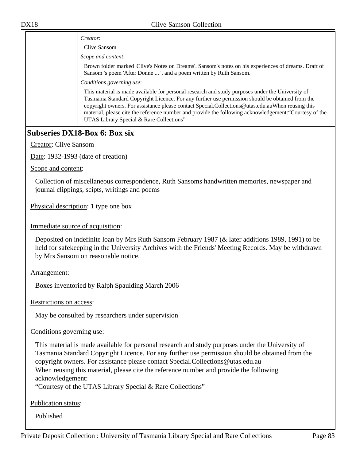*Creator*: Clive Sansom

*Scope and content*:

Brown folder marked 'Clive's Notes on Dreams'. Sansom's notes on his experiences of dreams. Draft of Sansom 's poem 'After Donne ... ', and a poem written by Ruth Sansom.

*Conditions governing use*:

This material is made available for personal research and study purposes under the University of Tasmania Standard Copyright Licence. For any further use permission should be obtained from the copyright owners. For assistance please contact Special.Collections@utas.edu.auWhen reusing this material, please cite the reference number and provide the following acknowledgement:"Courtesy of the UTAS Library Special & Rare Collections"

## **Subseries DX18-Box 6: Box six**

Creator: Clive Sansom

Date: 1932-1993 (date of creation)

Scope and content:

Collection of miscellaneous correspondence, Ruth Sansoms handwritten memories, newspaper and journal clippings, scipts, writings and poems

Physical description: 1 type one box

Immediate source of acquisition:

Deposited on indefinite loan by Mrs Ruth Sansom February 1987 (& later additions 1989, 1991) to be held for safekeeping in the University Archives with the Friends' Meeting Records. May be withdrawn by Mrs Sansom on reasonable notice.

Arrangement:

Boxes inventoried by Ralph Spaulding March 2006

Restrictions on access:

May be consulted by researchers under supervision

Conditions governing use:

This material is made available for personal research and study purposes under the University of Tasmania Standard Copyright Licence. For any further use permission should be obtained from the copyright owners. For assistance please contact Special.Collections@utas.edu.au When reusing this material, please cite the reference number and provide the following acknowledgement:

"Courtesy of the UTAS Library Special & Rare Collections"

Publication status:

Published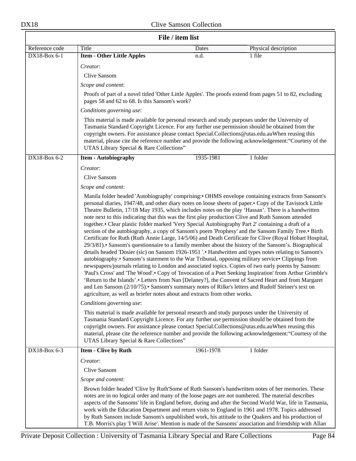| File / item list                                                                                                                                                                                                                                                                                                                                                                                                                                                                                                                                                                                                                                                                                                                                                                                                                                                                                                                                                                                                                                                                                                                                                                                                                                                                                                                                                                                                                                                                                                                                                                                                    |                                                                                                                                                                                                                                                                                                                                                     |           |                                                                                                                                                                                                                                                                                                                                                                                                                                                                                                                                       |
|---------------------------------------------------------------------------------------------------------------------------------------------------------------------------------------------------------------------------------------------------------------------------------------------------------------------------------------------------------------------------------------------------------------------------------------------------------------------------------------------------------------------------------------------------------------------------------------------------------------------------------------------------------------------------------------------------------------------------------------------------------------------------------------------------------------------------------------------------------------------------------------------------------------------------------------------------------------------------------------------------------------------------------------------------------------------------------------------------------------------------------------------------------------------------------------------------------------------------------------------------------------------------------------------------------------------------------------------------------------------------------------------------------------------------------------------------------------------------------------------------------------------------------------------------------------------------------------------------------------------|-----------------------------------------------------------------------------------------------------------------------------------------------------------------------------------------------------------------------------------------------------------------------------------------------------------------------------------------------------|-----------|---------------------------------------------------------------------------------------------------------------------------------------------------------------------------------------------------------------------------------------------------------------------------------------------------------------------------------------------------------------------------------------------------------------------------------------------------------------------------------------------------------------------------------------|
| Reference code                                                                                                                                                                                                                                                                                                                                                                                                                                                                                                                                                                                                                                                                                                                                                                                                                                                                                                                                                                                                                                                                                                                                                                                                                                                                                                                                                                                                                                                                                                                                                                                                      | Title                                                                                                                                                                                                                                                                                                                                               | Dates     | Physical description                                                                                                                                                                                                                                                                                                                                                                                                                                                                                                                  |
| DX18-Box 6-1                                                                                                                                                                                                                                                                                                                                                                                                                                                                                                                                                                                                                                                                                                                                                                                                                                                                                                                                                                                                                                                                                                                                                                                                                                                                                                                                                                                                                                                                                                                                                                                                        | <b>Item - Other Little Apples</b>                                                                                                                                                                                                                                                                                                                   | n.d.      | 1 file                                                                                                                                                                                                                                                                                                                                                                                                                                                                                                                                |
|                                                                                                                                                                                                                                                                                                                                                                                                                                                                                                                                                                                                                                                                                                                                                                                                                                                                                                                                                                                                                                                                                                                                                                                                                                                                                                                                                                                                                                                                                                                                                                                                                     | Creator:                                                                                                                                                                                                                                                                                                                                            |           |                                                                                                                                                                                                                                                                                                                                                                                                                                                                                                                                       |
|                                                                                                                                                                                                                                                                                                                                                                                                                                                                                                                                                                                                                                                                                                                                                                                                                                                                                                                                                                                                                                                                                                                                                                                                                                                                                                                                                                                                                                                                                                                                                                                                                     | Clive Sansom                                                                                                                                                                                                                                                                                                                                        |           |                                                                                                                                                                                                                                                                                                                                                                                                                                                                                                                                       |
|                                                                                                                                                                                                                                                                                                                                                                                                                                                                                                                                                                                                                                                                                                                                                                                                                                                                                                                                                                                                                                                                                                                                                                                                                                                                                                                                                                                                                                                                                                                                                                                                                     | Scope and content:                                                                                                                                                                                                                                                                                                                                  |           |                                                                                                                                                                                                                                                                                                                                                                                                                                                                                                                                       |
|                                                                                                                                                                                                                                                                                                                                                                                                                                                                                                                                                                                                                                                                                                                                                                                                                                                                                                                                                                                                                                                                                                                                                                                                                                                                                                                                                                                                                                                                                                                                                                                                                     | pages 58 and 62 to 68. Is this Sansom's work?                                                                                                                                                                                                                                                                                                       |           | Proofs of part of a novel titled 'Other Little Apples'. The proofs extend from pages 51 to 82, excluding                                                                                                                                                                                                                                                                                                                                                                                                                              |
|                                                                                                                                                                                                                                                                                                                                                                                                                                                                                                                                                                                                                                                                                                                                                                                                                                                                                                                                                                                                                                                                                                                                                                                                                                                                                                                                                                                                                                                                                                                                                                                                                     | Conditions governing use:                                                                                                                                                                                                                                                                                                                           |           |                                                                                                                                                                                                                                                                                                                                                                                                                                                                                                                                       |
|                                                                                                                                                                                                                                                                                                                                                                                                                                                                                                                                                                                                                                                                                                                                                                                                                                                                                                                                                                                                                                                                                                                                                                                                                                                                                                                                                                                                                                                                                                                                                                                                                     | This material is made available for personal research and study purposes under the University of<br>Tasmania Standard Copyright Licence. For any further use permission should be obtained from the<br>copyright owners. For assistance please contact Special.Collections@utas.edu.auWhen reusing this<br>UTAS Library Special & Rare Collections" |           | material, please cite the reference number and provide the following acknowledgement: "Courtesy of the                                                                                                                                                                                                                                                                                                                                                                                                                                |
| DX18-Box 6-2                                                                                                                                                                                                                                                                                                                                                                                                                                                                                                                                                                                                                                                                                                                                                                                                                                                                                                                                                                                                                                                                                                                                                                                                                                                                                                                                                                                                                                                                                                                                                                                                        | <b>Item - Autobiography</b>                                                                                                                                                                                                                                                                                                                         | 1935-1981 | 1 folder                                                                                                                                                                                                                                                                                                                                                                                                                                                                                                                              |
|                                                                                                                                                                                                                                                                                                                                                                                                                                                                                                                                                                                                                                                                                                                                                                                                                                                                                                                                                                                                                                                                                                                                                                                                                                                                                                                                                                                                                                                                                                                                                                                                                     | Creator:                                                                                                                                                                                                                                                                                                                                            |           |                                                                                                                                                                                                                                                                                                                                                                                                                                                                                                                                       |
|                                                                                                                                                                                                                                                                                                                                                                                                                                                                                                                                                                                                                                                                                                                                                                                                                                                                                                                                                                                                                                                                                                                                                                                                                                                                                                                                                                                                                                                                                                                                                                                                                     | Clive Sansom                                                                                                                                                                                                                                                                                                                                        |           |                                                                                                                                                                                                                                                                                                                                                                                                                                                                                                                                       |
|                                                                                                                                                                                                                                                                                                                                                                                                                                                                                                                                                                                                                                                                                                                                                                                                                                                                                                                                                                                                                                                                                                                                                                                                                                                                                                                                                                                                                                                                                                                                                                                                                     | Scope and content:                                                                                                                                                                                                                                                                                                                                  |           |                                                                                                                                                                                                                                                                                                                                                                                                                                                                                                                                       |
| Manila folder headed 'Autobiography' comprising: • OHMS envelope containing extracts from Sansom's<br>personal diaries, 1947/48, and other diary notes on loose sheets of paper.• Copy of the Tavistock Little<br>Theatre Bulletin, 17/18 May 1935, which includes notes on the play 'Hassan'. There is a handwritten<br>note next to this indicating that this was the first play production Clive and Ruth Sansom attended<br>together.• Clear plastic folder marked 'Very Special Autobiography Part 2' containing a draft of a<br>section of the autobiography, a copy of Sansom's poem 'Prophesy' and the Sansom Family Tree.• Birth<br>Certificate for Ruth (Ruth Annie Large, 14/5/06) and Death Certificate for Clive (Royal Hobart Hospital,<br>29/3/81). Sansom's questionnaire to a family member about the history of the Sansom's. Biographical<br>details headed 'Dosier (sic) on Sansom 1926-1951 '.• Handwritten and types notes relating to Sansom's<br>autobiography.• Sansom's statement to the War Tribunal, opposing military service• Clippings from<br>newspapers/journals relating to London and associated topics. Copies of two early poems by Sansom:<br>'Paul's Cross' and 'The Wood'.• Copy of 'Invocation of a Poet Seeking Inspiration' from Arthur Grimble's<br>'Return to the Islands'.• Letters from Nan [Delaney?], the Convent of Sacred Heart and from Margaret<br>and Len Sansom (2/10/75). Sansom's summary notes of Rilke's letters and Rudolf Steiner's text on<br>agriculture, as well as briefer notes about and extracts from other works.<br>Conditions governing use: |                                                                                                                                                                                                                                                                                                                                                     |           |                                                                                                                                                                                                                                                                                                                                                                                                                                                                                                                                       |
|                                                                                                                                                                                                                                                                                                                                                                                                                                                                                                                                                                                                                                                                                                                                                                                                                                                                                                                                                                                                                                                                                                                                                                                                                                                                                                                                                                                                                                                                                                                                                                                                                     | This material is made available for personal research and study purposes under the University of<br>Tasmania Standard Copyright Licence. For any further use permission should be obtained from the<br>copyright owners. For assistance please contact Special.Collections@utas.edu.auWhen reusing this<br>UTAS Library Special & Rare Collections" |           | material, please cite the reference number and provide the following acknowledgement: "Courtesy of the                                                                                                                                                                                                                                                                                                                                                                                                                                |
| DX18-Box 6-3                                                                                                                                                                                                                                                                                                                                                                                                                                                                                                                                                                                                                                                                                                                                                                                                                                                                                                                                                                                                                                                                                                                                                                                                                                                                                                                                                                                                                                                                                                                                                                                                        | <b>Item - Clive by Ruth</b>                                                                                                                                                                                                                                                                                                                         | 1961-1978 | 1 folder                                                                                                                                                                                                                                                                                                                                                                                                                                                                                                                              |
|                                                                                                                                                                                                                                                                                                                                                                                                                                                                                                                                                                                                                                                                                                                                                                                                                                                                                                                                                                                                                                                                                                                                                                                                                                                                                                                                                                                                                                                                                                                                                                                                                     | Creator:                                                                                                                                                                                                                                                                                                                                            |           |                                                                                                                                                                                                                                                                                                                                                                                                                                                                                                                                       |
|                                                                                                                                                                                                                                                                                                                                                                                                                                                                                                                                                                                                                                                                                                                                                                                                                                                                                                                                                                                                                                                                                                                                                                                                                                                                                                                                                                                                                                                                                                                                                                                                                     | Clive Sansom                                                                                                                                                                                                                                                                                                                                        |           |                                                                                                                                                                                                                                                                                                                                                                                                                                                                                                                                       |
|                                                                                                                                                                                                                                                                                                                                                                                                                                                                                                                                                                                                                                                                                                                                                                                                                                                                                                                                                                                                                                                                                                                                                                                                                                                                                                                                                                                                                                                                                                                                                                                                                     | Scope and content:                                                                                                                                                                                                                                                                                                                                  |           |                                                                                                                                                                                                                                                                                                                                                                                                                                                                                                                                       |
|                                                                                                                                                                                                                                                                                                                                                                                                                                                                                                                                                                                                                                                                                                                                                                                                                                                                                                                                                                                                                                                                                                                                                                                                                                                                                                                                                                                                                                                                                                                                                                                                                     | notes are in no logical order and many of the loose pages are not numbered. The material describes                                                                                                                                                                                                                                                  |           | Brown folder headed 'Clive by Ruth'Some of Ruth Sansom's handwritten notes of her memories. These<br>aspects of the Sansoms' life in England before, during and after the Second World War, life in Tasmania,<br>work with the Education Department and return visits to England in 1961 and 1978. Topics addressed<br>by Ruth Sansom include Sansom's unpublished work, his attitude to the Quakers and his production of<br>T.B. Morris's play T Will Arise'. Mention is made of the Sansoms' association and friendship with Allan |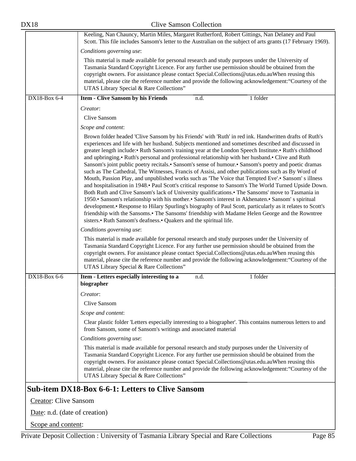|                              | Keeling, Nan Chauncy, Martin Miles, Margaret Rutherford, Robert Gittings, Nan Delaney and Paul<br>Scott. This file includes Sansom's letter to the Australian on the subject of arts grants (17 February 1969).                                                                                                                                                                                                                                                                                                                                                                                                                                                                                                                                                                                                                                                                                                                                                                                                                                                                                                                                                                                                                                                                                                                                       |  |  |
|------------------------------|-------------------------------------------------------------------------------------------------------------------------------------------------------------------------------------------------------------------------------------------------------------------------------------------------------------------------------------------------------------------------------------------------------------------------------------------------------------------------------------------------------------------------------------------------------------------------------------------------------------------------------------------------------------------------------------------------------------------------------------------------------------------------------------------------------------------------------------------------------------------------------------------------------------------------------------------------------------------------------------------------------------------------------------------------------------------------------------------------------------------------------------------------------------------------------------------------------------------------------------------------------------------------------------------------------------------------------------------------------|--|--|
|                              | Conditions governing use:                                                                                                                                                                                                                                                                                                                                                                                                                                                                                                                                                                                                                                                                                                                                                                                                                                                                                                                                                                                                                                                                                                                                                                                                                                                                                                                             |  |  |
|                              | This material is made available for personal research and study purposes under the University of<br>Tasmania Standard Copyright Licence. For any further use permission should be obtained from the<br>copyright owners. For assistance please contact Special.Collections@utas.edu.auWhen reusing this<br>material, please cite the reference number and provide the following acknowledgement: "Courtesy of the<br>UTAS Library Special & Rare Collections"                                                                                                                                                                                                                                                                                                                                                                                                                                                                                                                                                                                                                                                                                                                                                                                                                                                                                         |  |  |
| DX18-Box 6-4                 | <b>Item - Clive Sansom by his Friends</b><br>1 folder<br>n.d.                                                                                                                                                                                                                                                                                                                                                                                                                                                                                                                                                                                                                                                                                                                                                                                                                                                                                                                                                                                                                                                                                                                                                                                                                                                                                         |  |  |
|                              | Creator:                                                                                                                                                                                                                                                                                                                                                                                                                                                                                                                                                                                                                                                                                                                                                                                                                                                                                                                                                                                                                                                                                                                                                                                                                                                                                                                                              |  |  |
|                              | Clive Sansom                                                                                                                                                                                                                                                                                                                                                                                                                                                                                                                                                                                                                                                                                                                                                                                                                                                                                                                                                                                                                                                                                                                                                                                                                                                                                                                                          |  |  |
|                              | Scope and content:                                                                                                                                                                                                                                                                                                                                                                                                                                                                                                                                                                                                                                                                                                                                                                                                                                                                                                                                                                                                                                                                                                                                                                                                                                                                                                                                    |  |  |
|                              | Brown folder headed 'Clive Sansom by his Friends' with 'Ruth' in red ink. Handwritten drafts of Ruth's<br>experiences and life with her husband. Subjects mentioned and sometimes described and discussed in<br>greater length include: • Ruth Sansom's training year at the London Speech Institute. • Ruth's childhood<br>and upbringing. Ruth's personal and professional relationship with her husband. Clive and Ruth<br>Sansom's joint public poetry recitals.• Sansom's sense of humour.• Sansom's poetry and poetic dramas<br>such as The Cathedral, The Witnesses, Francis of Assisi, and other publications such as By Word of<br>Mouth, Passion Play, and unpublished works such as 'The Voice that Tempted Eve'.• Sansom's illness<br>and hospitalisation in 1948.• Paul Scott's critical response to Sansom's The World Turned Upside Down.<br>Both Ruth and Clive Sansom's lack of University qualifications. The Sansoms' move to Tasmania in<br>1950. Sansom's relationship with his mother. Sansom's interest in Akhenaten. Sansom's spiritual<br>development. Response to Hilary Spurling's biography of Paul Scott, particularly as it relates to Scott's<br>friendship with the Sansoms.• The Sansoms' friendship with Madame Helen George and the Rowntree<br>sisters.• Ruth Sansom's deafness.• Quakers and the spiritual life. |  |  |
|                              | Conditions governing use:                                                                                                                                                                                                                                                                                                                                                                                                                                                                                                                                                                                                                                                                                                                                                                                                                                                                                                                                                                                                                                                                                                                                                                                                                                                                                                                             |  |  |
|                              | This material is made available for personal research and study purposes under the University of<br>Tasmania Standard Copyright Licence. For any further use permission should be obtained from the<br>copyright owners. For assistance please contact Special.Collections@utas.edu.auWhen reusing this<br>material, please cite the reference number and provide the following acknowledgement: "Courtesy of the<br>UTAS Library Special & Rare Collections"                                                                                                                                                                                                                                                                                                                                                                                                                                                                                                                                                                                                                                                                                                                                                                                                                                                                                         |  |  |
| $DX18-Box 6-6$               | Item - Letters especially interesting to a<br>1 folder<br>n.d.                                                                                                                                                                                                                                                                                                                                                                                                                                                                                                                                                                                                                                                                                                                                                                                                                                                                                                                                                                                                                                                                                                                                                                                                                                                                                        |  |  |
|                              | biographer                                                                                                                                                                                                                                                                                                                                                                                                                                                                                                                                                                                                                                                                                                                                                                                                                                                                                                                                                                                                                                                                                                                                                                                                                                                                                                                                            |  |  |
|                              | Creator:                                                                                                                                                                                                                                                                                                                                                                                                                                                                                                                                                                                                                                                                                                                                                                                                                                                                                                                                                                                                                                                                                                                                                                                                                                                                                                                                              |  |  |
|                              | <b>Clive Sansom</b>                                                                                                                                                                                                                                                                                                                                                                                                                                                                                                                                                                                                                                                                                                                                                                                                                                                                                                                                                                                                                                                                                                                                                                                                                                                                                                                                   |  |  |
|                              | Scope and content:                                                                                                                                                                                                                                                                                                                                                                                                                                                                                                                                                                                                                                                                                                                                                                                                                                                                                                                                                                                                                                                                                                                                                                                                                                                                                                                                    |  |  |
|                              | Clear plastic folder 'Letters especially interesting to a biographer'. This contains numerous letters to and<br>from Sansom, some of Sansom's writings and associated material                                                                                                                                                                                                                                                                                                                                                                                                                                                                                                                                                                                                                                                                                                                                                                                                                                                                                                                                                                                                                                                                                                                                                                        |  |  |
|                              | Conditions governing use:                                                                                                                                                                                                                                                                                                                                                                                                                                                                                                                                                                                                                                                                                                                                                                                                                                                                                                                                                                                                                                                                                                                                                                                                                                                                                                                             |  |  |
|                              | This material is made available for personal research and study purposes under the University of<br>Tasmania Standard Copyright Licence. For any further use permission should be obtained from the<br>copyright owners. For assistance please contact Special.Collections@utas.edu.auWhen reusing this<br>material, please cite the reference number and provide the following acknowledgement: "Courtesy of the<br>UTAS Library Special & Rare Collections"                                                                                                                                                                                                                                                                                                                                                                                                                                                                                                                                                                                                                                                                                                                                                                                                                                                                                         |  |  |
|                              | Sub-item DX18-Box 6-6-1: Letters to Clive Sansom                                                                                                                                                                                                                                                                                                                                                                                                                                                                                                                                                                                                                                                                                                                                                                                                                                                                                                                                                                                                                                                                                                                                                                                                                                                                                                      |  |  |
| <b>Creator:</b> Clive Sansom |                                                                                                                                                                                                                                                                                                                                                                                                                                                                                                                                                                                                                                                                                                                                                                                                                                                                                                                                                                                                                                                                                                                                                                                                                                                                                                                                                       |  |  |

Date: n.d. (date of creation)

Scope and content: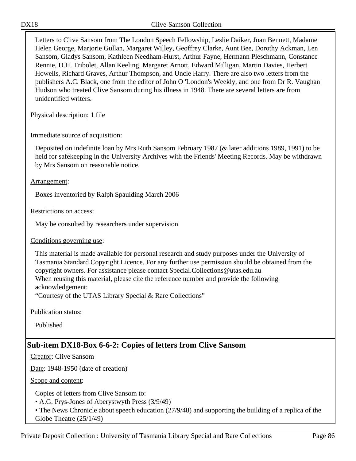Letters to Clive Sansom from The London Speech Fellowship, Leslie Daiker, Joan Bennett, Madame Helen George, Marjorie Gullan, Margaret Willey, Geoffrey Clarke, Aunt Bee, Dorothy Ackman, Len Sansom, Gladys Sansom, Kathleen Needham-Hurst, Arthur Fayne, Hermann Pleschmann, Constance Rennie, D.H. Tribolet, Allan Keeling, Margaret Arnott, Edward Milligan, Martin Davies, Herbert Howells, Richard Graves, Arthur Thompson, and Uncle Harry. There are also two letters from the publishers A.C. Black, one from the editor of John O 'London's Weekly, and one from Dr R. Vaughan Hudson who treated Clive Sansom during his illness in 1948. There are several letters are from unidentified writers.

Physical description: 1 file

## Immediate source of acquisition:

Deposited on indefinite loan by Mrs Ruth Sansom February 1987 (& later additions 1989, 1991) to be held for safekeeping in the University Archives with the Friends' Meeting Records. May be withdrawn by Mrs Sansom on reasonable notice.

## Arrangement:

Boxes inventoried by Ralph Spaulding March 2006

Restrictions on access:

May be consulted by researchers under supervision

Conditions governing use:

This material is made available for personal research and study purposes under the University of Tasmania Standard Copyright Licence. For any further use permission should be obtained from the copyright owners. For assistance please contact Special.Collections@utas.edu.au When reusing this material, please cite the reference number and provide the following acknowledgement:

"Courtesy of the UTAS Library Special & Rare Collections"

Publication status:

Published

# **Sub-item DX18-Box 6-6-2: Copies of letters from Clive Sansom**

Creator: Clive Sansom

Date: 1948-1950 (date of creation)

Scope and content:

Copies of letters from Clive Sansom to:

• A.G. Prys-Jones of Aberystwyth Press (3/9/49)

• The News Chronicle about speech education (27/9/48) and supporting the building of a replica of the Globe Theatre (25/1/49)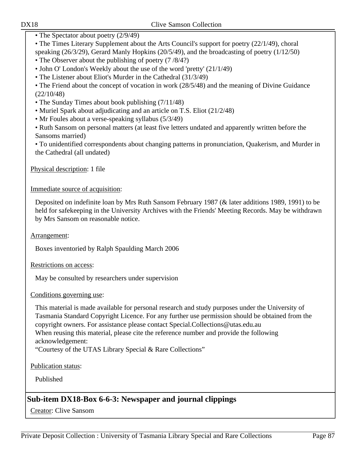• The Spectator about poetry  $(2/9/49)$ 

• The Times Literary Supplement about the Arts Council's support for poetry (22/1/49), choral speaking (26/3/29), Gerard Manly Hopkins (20/5/49), and the broadcasting of poetry (1/12/50)

- The Observer about the publishing of poetry (7/8/4?)
- John O' London's Weekly about the use of the word 'pretty' (21/1/49)
- The Listener about Eliot's Murder in the Cathedral (31/3/49)

• The Friend about the concept of vocation in work (28/5/48) and the meaning of Divine Guidance (22/10/48)

- The Sunday Times about book publishing (7/11/48)
- Muriel Spark about adjudicating and an article on T.S. Eliot (21/2/48)
- Mr Foules about a verse-speaking syllabus (5/3/49)

• Ruth Sansom on personal matters (at least five letters undated and apparently written before the Sansoms married)

• To unidentified correspondents about changing patterns in pronunciation, Quakerism, and Murder in the Cathedral (all undated)

Physical description: 1 file

## Immediate source of acquisition:

Deposited on indefinite loan by Mrs Ruth Sansom February 1987 (& later additions 1989, 1991) to be held for safekeeping in the University Archives with the Friends' Meeting Records. May be withdrawn by Mrs Sansom on reasonable notice.

## Arrangement:

Boxes inventoried by Ralph Spaulding March 2006

## Restrictions on access:

May be consulted by researchers under supervision

## Conditions governing use:

This material is made available for personal research and study purposes under the University of Tasmania Standard Copyright Licence. For any further use permission should be obtained from the copyright owners. For assistance please contact Special.Collections@utas.edu.au When reusing this material, please cite the reference number and provide the following acknowledgement:

"Courtesy of the UTAS Library Special & Rare Collections"

Publication status:

Published

# **Sub-item DX18-Box 6-6-3: Newspaper and journal clippings**

Creator: Clive Sansom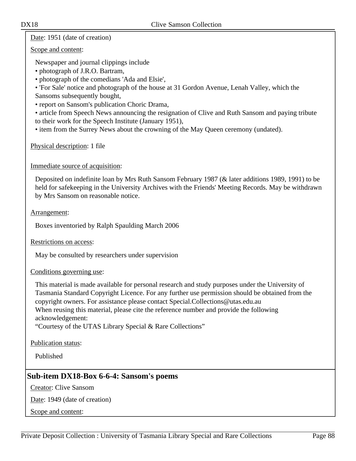Date: 1951 (date of creation)

Scope and content:

Newspaper and journal clippings include

- photograph of J.R.O. Bartram,
- photograph of the comedians 'Ada and Elsie',

• 'For Sale' notice and photograph of the house at 31 Gordon Avenue, Lenah Valley, which the Sansoms subsequently bought,

• report on Sansom's publication Choric Drama,

• article from Speech News announcing the resignation of Clive and Ruth Sansom and paying tribute to their work for the Speech Institute (January 1951),

• item from the Surrey News about the crowning of the May Queen ceremony (undated).

Physical description: 1 file

Immediate source of acquisition:

Deposited on indefinite loan by Mrs Ruth Sansom February 1987 (& later additions 1989, 1991) to be held for safekeeping in the University Archives with the Friends' Meeting Records. May be withdrawn by Mrs Sansom on reasonable notice.

Arrangement:

Boxes inventoried by Ralph Spaulding March 2006

Restrictions on access:

May be consulted by researchers under supervision

Conditions governing use:

This material is made available for personal research and study purposes under the University of Tasmania Standard Copyright Licence. For any further use permission should be obtained from the copyright owners. For assistance please contact Special.Collections@utas.edu.au When reusing this material, please cite the reference number and provide the following acknowledgement:

"Courtesy of the UTAS Library Special & Rare Collections"

Publication status:

Published

# **Sub-item DX18-Box 6-6-4: Sansom's poems**

Creator: Clive Sansom

Date: 1949 (date of creation)

Scope and content: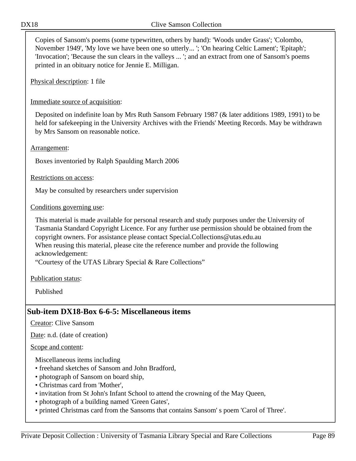Copies of Sansom's poems (some typewritten, others by hand): 'Woods under Grass'; 'Colombo, November 1949', 'My love we have been one so utterly... '; 'On hearing Celtic Lament'; 'Epitaph'; 'Invocation'; 'Because the sun clears in the valleys ... '; and an extract from one of Sansom's poems printed in an obituary notice for Jennie E. Milligan.

Physical description: 1 file

## Immediate source of acquisition:

Deposited on indefinite loan by Mrs Ruth Sansom February 1987 (& later additions 1989, 1991) to be held for safekeeping in the University Archives with the Friends' Meeting Records. May be withdrawn by Mrs Sansom on reasonable notice.

#### Arrangement:

Boxes inventoried by Ralph Spaulding March 2006

### Restrictions on access:

May be consulted by researchers under supervision

### Conditions governing use:

This material is made available for personal research and study purposes under the University of Tasmania Standard Copyright Licence. For any further use permission should be obtained from the copyright owners. For assistance please contact Special.Collections@utas.edu.au When reusing this material, please cite the reference number and provide the following acknowledgement:

"Courtesy of the UTAS Library Special & Rare Collections"

#### Publication status:

Published

## **Sub-item DX18-Box 6-6-5: Miscellaneous items**

Creator: Clive Sansom

Date: n.d. (date of creation)

Scope and content:

Miscellaneous items including

- freehand sketches of Sansom and John Bradford,
- photograph of Sansom on board ship,
- Christmas card from 'Mother',
- invitation from St John's Infant School to attend the crowning of the May Queen,
- photograph of a building named 'Green Gates',
- printed Christmas card from the Sansoms that contains Sansom' s poem 'Carol of Three'.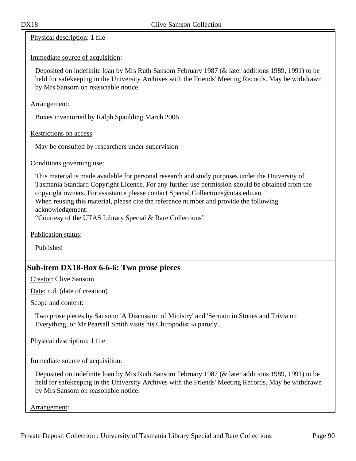Physical description: 1 file

Immediate source of acquisition:

Deposited on indefinite loan by Mrs Ruth Sansom February 1987 (& later additions 1989, 1991) to be held for safekeeping in the University Archives with the Friends' Meeting Records. May be withdrawn by Mrs Sansom on reasonable notice.

Arrangement:

Boxes inventoried by Ralph Spaulding March 2006

Restrictions on access:

May be consulted by researchers under supervision

Conditions governing use:

This material is made available for personal research and study purposes under the University of Tasmania Standard Copyright Licence. For any further use permission should be obtained from the copyright owners. For assistance please contact Special.Collections@utas.edu.au When reusing this material, please cite the reference number and provide the following acknowledgement:

"Courtesy of the UTAS Library Special & Rare Collections"

Publication status:

Published

# **Sub-item DX18-Box 6-6-6: Two prose pieces**

Creator: Clive Sansom

Date: n.d. (date of creation)

Scope and content:

Two prose pieces by Sansom: 'A Discussion of Ministry' and 'Sermon in Stones and Trivia on Everything, or Mr Pearsall Smith visits his Chiropodist -a parody'.

Physical description: 1 file

Immediate source of acquisition:

Deposited on indefinite loan by Mrs Ruth Sansom February 1987 (& later additions 1989, 1991) to be held for safekeeping in the University Archives with the Friends' Meeting Records. May be withdrawn by Mrs Sansom on reasonable notice.

Arrangement: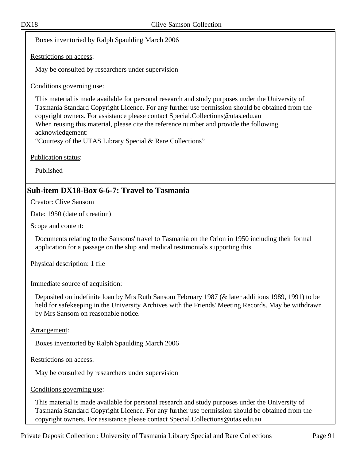Boxes inventoried by Ralph Spaulding March 2006

Restrictions on access:

May be consulted by researchers under supervision

Conditions governing use:

This material is made available for personal research and study purposes under the University of Tasmania Standard Copyright Licence. For any further use permission should be obtained from the copyright owners. For assistance please contact Special.Collections@utas.edu.au When reusing this material, please cite the reference number and provide the following acknowledgement:

"Courtesy of the UTAS Library Special & Rare Collections"

Publication status:

Published

# **Sub-item DX18-Box 6-6-7: Travel to Tasmania**

Creator: Clive Sansom

Date: 1950 (date of creation)

Scope and content:

Documents relating to the Sansoms' travel to Tasmania on the Orion in 1950 including their formal application for a passage on the ship and medical testimonials supporting this.

Physical description: 1 file

Immediate source of acquisition:

Deposited on indefinite loan by Mrs Ruth Sansom February 1987 (& later additions 1989, 1991) to be held for safekeeping in the University Archives with the Friends' Meeting Records. May be withdrawn by Mrs Sansom on reasonable notice.

Arrangement:

Boxes inventoried by Ralph Spaulding March 2006

Restrictions on access:

May be consulted by researchers under supervision

Conditions governing use:

This material is made available for personal research and study purposes under the University of Tasmania Standard Copyright Licence. For any further use permission should be obtained from the copyright owners. For assistance please contact Special.Collections@utas.edu.au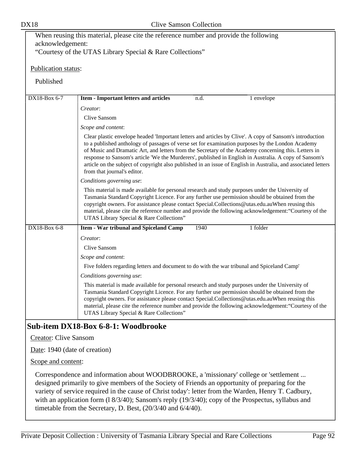| When reusing this material, please cite the reference number and provide the following                                                                                                                                                                                                                                                                                                                                                                                                              |                                                                                                                                                                                                                                                                                                                                                                                                                                                                                                                                                                                 |  |  |
|-----------------------------------------------------------------------------------------------------------------------------------------------------------------------------------------------------------------------------------------------------------------------------------------------------------------------------------------------------------------------------------------------------------------------------------------------------------------------------------------------------|---------------------------------------------------------------------------------------------------------------------------------------------------------------------------------------------------------------------------------------------------------------------------------------------------------------------------------------------------------------------------------------------------------------------------------------------------------------------------------------------------------------------------------------------------------------------------------|--|--|
| acknowledgement:                                                                                                                                                                                                                                                                                                                                                                                                                                                                                    |                                                                                                                                                                                                                                                                                                                                                                                                                                                                                                                                                                                 |  |  |
|                                                                                                                                                                                                                                                                                                                                                                                                                                                                                                     | "Courtesy of the UTAS Library Special & Rare Collections"                                                                                                                                                                                                                                                                                                                                                                                                                                                                                                                       |  |  |
| Publication status:                                                                                                                                                                                                                                                                                                                                                                                                                                                                                 |                                                                                                                                                                                                                                                                                                                                                                                                                                                                                                                                                                                 |  |  |
| Published                                                                                                                                                                                                                                                                                                                                                                                                                                                                                           |                                                                                                                                                                                                                                                                                                                                                                                                                                                                                                                                                                                 |  |  |
| DX18-Box 6-7                                                                                                                                                                                                                                                                                                                                                                                                                                                                                        | <b>Item - Important letters and articles</b><br>1 envelope<br>n.d.                                                                                                                                                                                                                                                                                                                                                                                                                                                                                                              |  |  |
|                                                                                                                                                                                                                                                                                                                                                                                                                                                                                                     | Creator:                                                                                                                                                                                                                                                                                                                                                                                                                                                                                                                                                                        |  |  |
|                                                                                                                                                                                                                                                                                                                                                                                                                                                                                                     | Clive Sansom                                                                                                                                                                                                                                                                                                                                                                                                                                                                                                                                                                    |  |  |
|                                                                                                                                                                                                                                                                                                                                                                                                                                                                                                     | Scope and content:                                                                                                                                                                                                                                                                                                                                                                                                                                                                                                                                                              |  |  |
|                                                                                                                                                                                                                                                                                                                                                                                                                                                                                                     | Clear plastic envelope headed 'Important letters and articles by Clive'. A copy of Sansom's introduction<br>to a published anthology of passages of verse set for examination purposes by the London Academy<br>of Music and Dramatic Art, and letters from the Secretary of the Academy concerning this. Letters in<br>response to Sansom's article 'We the Murderers', published in English in Australia. A copy of Sansom's<br>article on the subject of copyright also published in an issue of English in Australia, and associated letters<br>from that journal's editor. |  |  |
|                                                                                                                                                                                                                                                                                                                                                                                                                                                                                                     | Conditions governing use:                                                                                                                                                                                                                                                                                                                                                                                                                                                                                                                                                       |  |  |
|                                                                                                                                                                                                                                                                                                                                                                                                                                                                                                     | This material is made available for personal research and study purposes under the University of<br>Tasmania Standard Copyright Licence. For any further use permission should be obtained from the<br>copyright owners. For assistance please contact Special.Collections@utas.edu.auWhen reusing this<br>material, please cite the reference number and provide the following acknowledgement: "Courtesy of the<br>UTAS Library Special & Rare Collections"                                                                                                                   |  |  |
| DX18-Box 6-8                                                                                                                                                                                                                                                                                                                                                                                                                                                                                        | <b>Item - War tribunal and Spiceland Camp</b><br>1 folder<br>1940                                                                                                                                                                                                                                                                                                                                                                                                                                                                                                               |  |  |
|                                                                                                                                                                                                                                                                                                                                                                                                                                                                                                     | Creator:                                                                                                                                                                                                                                                                                                                                                                                                                                                                                                                                                                        |  |  |
|                                                                                                                                                                                                                                                                                                                                                                                                                                                                                                     | Clive Sansom                                                                                                                                                                                                                                                                                                                                                                                                                                                                                                                                                                    |  |  |
|                                                                                                                                                                                                                                                                                                                                                                                                                                                                                                     | Scope and content:                                                                                                                                                                                                                                                                                                                                                                                                                                                                                                                                                              |  |  |
|                                                                                                                                                                                                                                                                                                                                                                                                                                                                                                     | Five folders regarding letters and document to do with the war tribunal and Spiceland Camp'                                                                                                                                                                                                                                                                                                                                                                                                                                                                                     |  |  |
|                                                                                                                                                                                                                                                                                                                                                                                                                                                                                                     | Conditions governing use:<br>This material is made available for personal research and study purposes under the University of<br>Tasmania Standard Copyright Licence. For any further use permission should be obtained from the<br>copyright owners. For assistance please contact Special.Collections@utas.edu.auWhen reusing this<br>material, please cite the reference number and provide the following acknowledgement: "Courtesy of the<br>UTAS Library Special & Rare Collections"                                                                                      |  |  |
|                                                                                                                                                                                                                                                                                                                                                                                                                                                                                                     | Sub-item DX18-Box 6-8-1: Woodbrooke                                                                                                                                                                                                                                                                                                                                                                                                                                                                                                                                             |  |  |
| <b>Creator: Clive Sansom</b>                                                                                                                                                                                                                                                                                                                                                                                                                                                                        |                                                                                                                                                                                                                                                                                                                                                                                                                                                                                                                                                                                 |  |  |
| Date: 1940 (date of creation)                                                                                                                                                                                                                                                                                                                                                                                                                                                                       |                                                                                                                                                                                                                                                                                                                                                                                                                                                                                                                                                                                 |  |  |
| Scope and content:                                                                                                                                                                                                                                                                                                                                                                                                                                                                                  |                                                                                                                                                                                                                                                                                                                                                                                                                                                                                                                                                                                 |  |  |
| Correspondence and information about WOODBROOKE, a 'missionary' college or 'settlement<br>designed primarily to give members of the Society of Friends an opportunity of preparing for the<br>variety of service required in the cause of Christ today': letter from the Warden, Henry T. Cadbury,<br>with an application form $(1\frac{8}{3}/40)$ ; Sansom's reply $(1\frac{9}{3}/40)$ ; copy of the Prospectus, syllabus and<br>timetable from the Secretary, D. Best, $(20/3/40$ and $6/4/40)$ . |                                                                                                                                                                                                                                                                                                                                                                                                                                                                                                                                                                                 |  |  |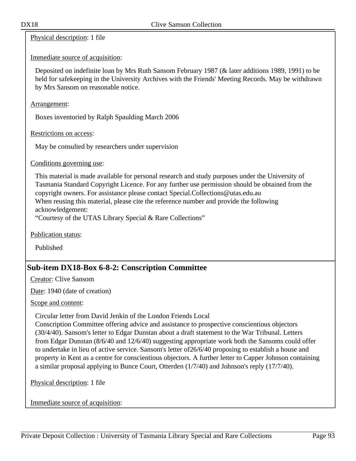Physical description: 1 file

Immediate source of acquisition:

Deposited on indefinite loan by Mrs Ruth Sansom February 1987 (& later additions 1989, 1991) to be held for safekeeping in the University Archives with the Friends' Meeting Records. May be withdrawn by Mrs Sansom on reasonable notice.

Arrangement:

Boxes inventoried by Ralph Spaulding March 2006

Restrictions on access:

May be consulted by researchers under supervision

Conditions governing use:

This material is made available for personal research and study purposes under the University of Tasmania Standard Copyright Licence. For any further use permission should be obtained from the copyright owners. For assistance please contact Special.Collections@utas.edu.au When reusing this material, please cite the reference number and provide the following acknowledgement:

"Courtesy of the UTAS Library Special & Rare Collections"

Publication status:

Published

# **Sub-item DX18-Box 6-8-2: Conscription Committee**

Creator: Clive Sansom

Date: 1940 (date of creation)

Scope and content:

Circular letter from David Jenkin of the London Friends Local

Conscription Committee offering advice and assistance to prospective conscientious objectors (30/4/40). Sansom's letter to Edgar Dunstan about a draft statement to the War Tribunal. Letters from Edgar Dunstan (8/6/40 and 12/6/40) suggesting appropriate work both the Sansoms could offer to undertake in lieu of active service. Sansom's letter of26/6/40 proposing to establish a house and property in Kent as a centre for conscientious objectors. A further letter to Capper Johnson containing a similar proposal applying to Bunce Court, Otterden (1/7/40) and Johnson's reply (17/7/40).

Physical description: 1 file

Immediate source of acquisition: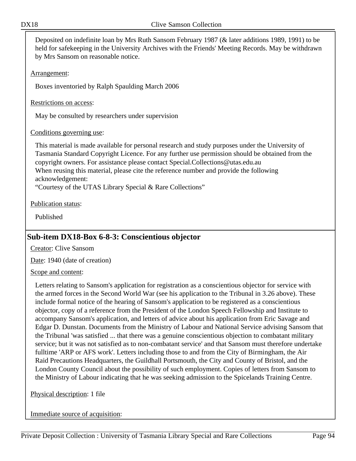Deposited on indefinite loan by Mrs Ruth Sansom February 1987 (& later additions 1989, 1991) to be held for safekeeping in the University Archives with the Friends' Meeting Records. May be withdrawn by Mrs Sansom on reasonable notice.

Arrangement:

Boxes inventoried by Ralph Spaulding March 2006

Restrictions on access:

May be consulted by researchers under supervision

## Conditions governing use:

This material is made available for personal research and study purposes under the University of Tasmania Standard Copyright Licence. For any further use permission should be obtained from the copyright owners. For assistance please contact Special.Collections@utas.edu.au When reusing this material, please cite the reference number and provide the following acknowledgement:

"Courtesy of the UTAS Library Special & Rare Collections"

Publication status:

Published

# **Sub-item DX18-Box 6-8-3: Conscientious objector**

Creator: Clive Sansom

Date: 1940 (date of creation)

## Scope and content:

Letters relating to Sansom's application for registration as a conscientious objector for service with the armed forces in the Second World War (see his application to the Tribunal in 3.26 above). These include formal notice of the hearing of Sansom's application to be registered as a conscientious objector, copy of a reference from the President of the London Speech Fellowship and Institute to accompany Sansom's application, and letters of advice about his application from Eric Savage and Edgar D. Dunstan. Documents from the Ministry of Labour and National Service advising Sansom that the Tribunal 'was satisfied ... that there was a genuine conscientious objection to combatant military service; but it was not satisfied as to non-combatant service' and that Sansom must therefore undertake fulltime 'ARP or AFS work'. Letters including those to and from the City of Birmingham, the Air Raid Precautions Headquarters, the Guildhall Portsmouth, the City and County of Bristol, and the London County Council about the possibility of such employment. Copies of letters from Sansom to the Ministry of Labour indicating that he was seeking admission to the Spicelands Training Centre.

## Physical description: 1 file

Immediate source of acquisition: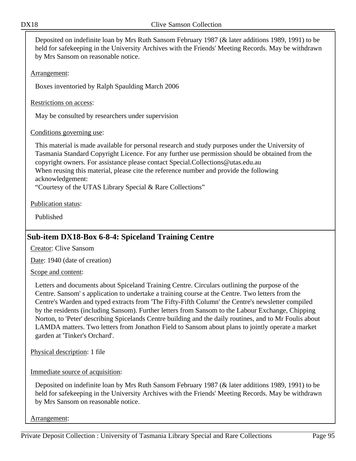Deposited on indefinite loan by Mrs Ruth Sansom February 1987 (& later additions 1989, 1991) to be held for safekeeping in the University Archives with the Friends' Meeting Records. May be withdrawn by Mrs Sansom on reasonable notice.

Arrangement:

Boxes inventoried by Ralph Spaulding March 2006

Restrictions on access:

May be consulted by researchers under supervision

## Conditions governing use:

This material is made available for personal research and study purposes under the University of Tasmania Standard Copyright Licence. For any further use permission should be obtained from the copyright owners. For assistance please contact Special.Collections@utas.edu.au When reusing this material, please cite the reference number and provide the following acknowledgement:

"Courtesy of the UTAS Library Special & Rare Collections"

Publication status:

Published

# **Sub-item DX18-Box 6-8-4: Spiceland Training Centre**

Creator: Clive Sansom

Date: 1940 (date of creation)

Scope and content:

Letters and documents about Spiceland Training Centre. Circulars outlining the purpose of the Centre. Sansom' s application to undertake a training course at the Centre. Two letters from the Centre's Warden and typed extracts from 'The Fifty-Fifth Column' the Centre's newsletter compiled by the residents (including Sansom). Further letters from Sansom to the Labour Exchange, Chipping Norton, to 'Peter' describing Spicelands Centre building and the daily routines, and to Mr Foulis about LAMDA matters. Two letters from Jonathon Field to Sansom about plans to jointly operate a market garden at 'Tinker's Orchard'.

Physical description: 1 file

Immediate source of acquisition:

Deposited on indefinite loan by Mrs Ruth Sansom February 1987 (& later additions 1989, 1991) to be held for safekeeping in the University Archives with the Friends' Meeting Records. May be withdrawn by Mrs Sansom on reasonable notice.

Arrangement: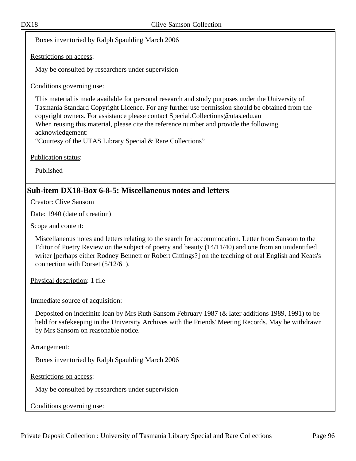Boxes inventoried by Ralph Spaulding March 2006

Restrictions on access:

May be consulted by researchers under supervision

Conditions governing use:

This material is made available for personal research and study purposes under the University of Tasmania Standard Copyright Licence. For any further use permission should be obtained from the copyright owners. For assistance please contact Special.Collections@utas.edu.au When reusing this material, please cite the reference number and provide the following acknowledgement:

"Courtesy of the UTAS Library Special & Rare Collections"

Publication status:

Published

## **Sub-item DX18-Box 6-8-5: Miscellaneous notes and letters**

Creator: Clive Sansom

Date: 1940 (date of creation)

Scope and content:

Miscellaneous notes and letters relating to the search for accommodation. Letter from Sansom to the Editor of Poetry Review on the subject of poetry and beauty (14/11/40) and one from an unidentified writer [perhaps either Rodney Bennett or Robert Gittings?] on the teaching of oral English and Keats's connection with Dorset (5/12/61).

Physical description: 1 file

Immediate source of acquisition:

Deposited on indefinite loan by Mrs Ruth Sansom February 1987 (& later additions 1989, 1991) to be held for safekeeping in the University Archives with the Friends' Meeting Records. May be withdrawn by Mrs Sansom on reasonable notice.

Arrangement:

Boxes inventoried by Ralph Spaulding March 2006

Restrictions on access:

May be consulted by researchers under supervision

Conditions governing use: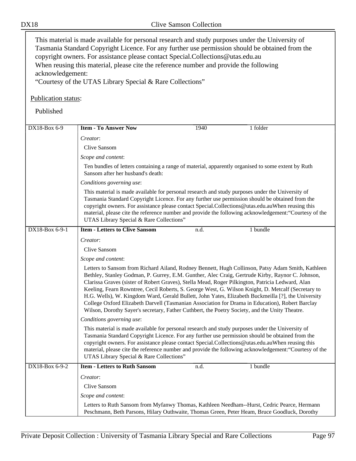This material is made available for personal research and study purposes under the University of Tasmania Standard Copyright Licence. For any further use permission should be obtained from the copyright owners. For assistance please contact Special.Collections@utas.edu.au When reusing this material, please cite the reference number and provide the following acknowledgement:

"Courtesy of the UTAS Library Special & Rare Collections"

## Publication status:

Published

| DX18-Box 6-9   | <b>Item - To Answer Now</b>                                                                                                                                                                                                                                                                                                                                                                                                                                                                                                                                                                                                                                                                                                | 1940                                                                                                                                    | 1 folder |  |  |  |
|----------------|----------------------------------------------------------------------------------------------------------------------------------------------------------------------------------------------------------------------------------------------------------------------------------------------------------------------------------------------------------------------------------------------------------------------------------------------------------------------------------------------------------------------------------------------------------------------------------------------------------------------------------------------------------------------------------------------------------------------------|-----------------------------------------------------------------------------------------------------------------------------------------|----------|--|--|--|
|                | Creator:                                                                                                                                                                                                                                                                                                                                                                                                                                                                                                                                                                                                                                                                                                                   |                                                                                                                                         |          |  |  |  |
|                | <b>Clive Sansom</b>                                                                                                                                                                                                                                                                                                                                                                                                                                                                                                                                                                                                                                                                                                        |                                                                                                                                         |          |  |  |  |
|                | Scope and content:                                                                                                                                                                                                                                                                                                                                                                                                                                                                                                                                                                                                                                                                                                         |                                                                                                                                         |          |  |  |  |
|                |                                                                                                                                                                                                                                                                                                                                                                                                                                                                                                                                                                                                                                                                                                                            | Ten bundles of letters containing a range of material, apparently organised to some extent by Ruth<br>Sansom after her husband's death: |          |  |  |  |
|                | Conditions governing use:                                                                                                                                                                                                                                                                                                                                                                                                                                                                                                                                                                                                                                                                                                  |                                                                                                                                         |          |  |  |  |
|                | This material is made available for personal research and study purposes under the University of<br>Tasmania Standard Copyright Licence. For any further use permission should be obtained from the<br>copyright owners. For assistance please contact Special.Collections@utas.edu.auWhen reusing this<br>material, please cite the reference number and provide the following acknowledgement: "Courtesy of the<br>UTAS Library Special & Rare Collections"                                                                                                                                                                                                                                                              |                                                                                                                                         |          |  |  |  |
| DX18-Box 6-9-1 | <b>Item - Letters to Clive Sansom</b>                                                                                                                                                                                                                                                                                                                                                                                                                                                                                                                                                                                                                                                                                      | n.d.                                                                                                                                    | 1 bundle |  |  |  |
|                | Creator:                                                                                                                                                                                                                                                                                                                                                                                                                                                                                                                                                                                                                                                                                                                   |                                                                                                                                         |          |  |  |  |
|                | Clive Sansom                                                                                                                                                                                                                                                                                                                                                                                                                                                                                                                                                                                                                                                                                                               |                                                                                                                                         |          |  |  |  |
|                | Scope and content:                                                                                                                                                                                                                                                                                                                                                                                                                                                                                                                                                                                                                                                                                                         |                                                                                                                                         |          |  |  |  |
|                | Letters to Sansom from Richard Ailand, Rodney Bennett, Hugh Collinson, Patsy Adam Smith, Kathleen<br>Bethley, Stanley Godman, P. Gurrey, E.M. Gunther, Alec Craig, Gertrude Kirby, Raynor C. Johnson,<br>Clarissa Graves (sister of Robert Graves), Stella Mead, Roger Pilkington, Patricia Ledward, Alan<br>Keeling, Fearn Rowntree, Cecil Roberts, S. George West, G. Wilson Knight, D. Metcalf (Secretary to<br>H.G. Wells), W. Kingdom Ward, Gerald Bullett, John Yates, Elizabeth Buckmeilla [?], the University<br>College Oxford Elizabeth Darvell (Tasmanian Association for Drama in Education), Robert Barclay<br>Wilson, Dorothy Sayer's secretary, Father Cuthbert, the Poetry Society, and the Unity Theatre. |                                                                                                                                         |          |  |  |  |
|                | Conditions governing use:                                                                                                                                                                                                                                                                                                                                                                                                                                                                                                                                                                                                                                                                                                  |                                                                                                                                         |          |  |  |  |
|                | This material is made available for personal research and study purposes under the University of<br>Tasmania Standard Copyright Licence. For any further use permission should be obtained from the<br>copyright owners. For assistance please contact Special.Collections@utas.edu.auWhen reusing this<br>material, please cite the reference number and provide the following acknowledgement: "Courtesy of the<br>UTAS Library Special & Rare Collections"                                                                                                                                                                                                                                                              |                                                                                                                                         |          |  |  |  |
| DX18-Box 6-9-2 | <b>Item - Letters to Ruth Sansom</b>                                                                                                                                                                                                                                                                                                                                                                                                                                                                                                                                                                                                                                                                                       | n.d.                                                                                                                                    | 1 bundle |  |  |  |
|                | Creator:                                                                                                                                                                                                                                                                                                                                                                                                                                                                                                                                                                                                                                                                                                                   |                                                                                                                                         |          |  |  |  |
|                | Clive Sansom                                                                                                                                                                                                                                                                                                                                                                                                                                                                                                                                                                                                                                                                                                               |                                                                                                                                         |          |  |  |  |
|                | Scope and content:                                                                                                                                                                                                                                                                                                                                                                                                                                                                                                                                                                                                                                                                                                         |                                                                                                                                         |          |  |  |  |
|                | Letters to Ruth Sansom from Myfanwy Thomas, Kathleen Needham--Hurst, Cedric Pearce, Hermann<br>Peschmann, Beth Parsons, Hilary Outhwaite, Thomas Green, Peter Heam, Bruce Goodluck, Dorothy                                                                                                                                                                                                                                                                                                                                                                                                                                                                                                                                |                                                                                                                                         |          |  |  |  |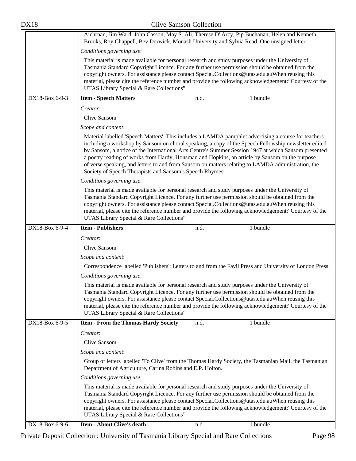| <b>DX18</b>                                                                                                                                                                                                                                                                                                                                                                                                                                                   | <b>Clive Samson Collection</b>                                                                                                                                                                                                                                                                                                                                                                                                                                                                                                                                                           |                                                                                                                                                                                                                                                                                                                                                                                                                                                               |          |  |
|---------------------------------------------------------------------------------------------------------------------------------------------------------------------------------------------------------------------------------------------------------------------------------------------------------------------------------------------------------------------------------------------------------------------------------------------------------------|------------------------------------------------------------------------------------------------------------------------------------------------------------------------------------------------------------------------------------------------------------------------------------------------------------------------------------------------------------------------------------------------------------------------------------------------------------------------------------------------------------------------------------------------------------------------------------------|---------------------------------------------------------------------------------------------------------------------------------------------------------------------------------------------------------------------------------------------------------------------------------------------------------------------------------------------------------------------------------------------------------------------------------------------------------------|----------|--|
|                                                                                                                                                                                                                                                                                                                                                                                                                                                               | Aichrnan, Jim Ward, John Casson, May S. Ali, Therese D' Arcy, Pip Buchanan, Helen and Kenneth<br>Brooks, Roy Chappell, Bev Dorwick, Monash University and Sylvia Read. One unsigned letter.                                                                                                                                                                                                                                                                                                                                                                                              |                                                                                                                                                                                                                                                                                                                                                                                                                                                               |          |  |
|                                                                                                                                                                                                                                                                                                                                                                                                                                                               | Conditions governing use:                                                                                                                                                                                                                                                                                                                                                                                                                                                                                                                                                                |                                                                                                                                                                                                                                                                                                                                                                                                                                                               |          |  |
|                                                                                                                                                                                                                                                                                                                                                                                                                                                               |                                                                                                                                                                                                                                                                                                                                                                                                                                                                                                                                                                                          | This material is made available for personal research and study purposes under the University of<br>Tasmania Standard Copyright Licence. For any further use permission should be obtained from the<br>copyright owners. For assistance please contact Special.Collections@utas.edu.auWhen reusing this<br>material, please cite the reference number and provide the following acknowledgement: "Courtesy of the<br>UTAS Library Special & Rare Collections" |          |  |
| $DX18-Box6--9-3$                                                                                                                                                                                                                                                                                                                                                                                                                                              | <b>Item - Speech Matters</b>                                                                                                                                                                                                                                                                                                                                                                                                                                                                                                                                                             | n.d.                                                                                                                                                                                                                                                                                                                                                                                                                                                          | 1 bundle |  |
|                                                                                                                                                                                                                                                                                                                                                                                                                                                               | Creator:                                                                                                                                                                                                                                                                                                                                                                                                                                                                                                                                                                                 |                                                                                                                                                                                                                                                                                                                                                                                                                                                               |          |  |
|                                                                                                                                                                                                                                                                                                                                                                                                                                                               | Clive Sansom                                                                                                                                                                                                                                                                                                                                                                                                                                                                                                                                                                             |                                                                                                                                                                                                                                                                                                                                                                                                                                                               |          |  |
|                                                                                                                                                                                                                                                                                                                                                                                                                                                               | Scope and content:                                                                                                                                                                                                                                                                                                                                                                                                                                                                                                                                                                       |                                                                                                                                                                                                                                                                                                                                                                                                                                                               |          |  |
|                                                                                                                                                                                                                                                                                                                                                                                                                                                               | Material labelled 'Speech Matters'. This includes a LAMDA pamphlet advertising a course for teachers<br>including a workshop by Sansom on choral speaking, a copy of the Speech Fellowship newsletter edited<br>by Sansom, a notice of the International Arts Centre's Summer Session 1947 at which Sansom presented<br>a poetry reading of works from Hardy, Housman and Hopkins, an article by Sansom on the purpose<br>of verse speaking, and letters to and from Sansom on matters relating to LAMDA administration, the<br>Society of Speech Therapists and Sansom's Speech Rhymes. |                                                                                                                                                                                                                                                                                                                                                                                                                                                               |          |  |
|                                                                                                                                                                                                                                                                                                                                                                                                                                                               | Conditions governing use:                                                                                                                                                                                                                                                                                                                                                                                                                                                                                                                                                                |                                                                                                                                                                                                                                                                                                                                                                                                                                                               |          |  |
|                                                                                                                                                                                                                                                                                                                                                                                                                                                               | This material is made available for personal research and study purposes under the University of<br>Tasmania Standard Copyright Licence. For any further use permission should be obtained from the<br>copyright owners. For assistance please contact Special.Collections@utas.edu.auWhen reusing this<br>material, please cite the reference number and provide the following acknowledgement: "Courtesy of the<br>UTAS Library Special & Rare Collections"                                                                                                                            |                                                                                                                                                                                                                                                                                                                                                                                                                                                               |          |  |
| DX18-Box 6-9-4                                                                                                                                                                                                                                                                                                                                                                                                                                                | <b>Item - Publishers</b>                                                                                                                                                                                                                                                                                                                                                                                                                                                                                                                                                                 | n.d.                                                                                                                                                                                                                                                                                                                                                                                                                                                          | 1 bundle |  |
|                                                                                                                                                                                                                                                                                                                                                                                                                                                               | Creator:                                                                                                                                                                                                                                                                                                                                                                                                                                                                                                                                                                                 |                                                                                                                                                                                                                                                                                                                                                                                                                                                               |          |  |
|                                                                                                                                                                                                                                                                                                                                                                                                                                                               | <b>Clive Sansom</b>                                                                                                                                                                                                                                                                                                                                                                                                                                                                                                                                                                      |                                                                                                                                                                                                                                                                                                                                                                                                                                                               |          |  |
|                                                                                                                                                                                                                                                                                                                                                                                                                                                               | Scope and content:                                                                                                                                                                                                                                                                                                                                                                                                                                                                                                                                                                       |                                                                                                                                                                                                                                                                                                                                                                                                                                                               |          |  |
|                                                                                                                                                                                                                                                                                                                                                                                                                                                               | Correspondence labelled 'Publishers': Letters to and from the Favil Press and University of London Press.                                                                                                                                                                                                                                                                                                                                                                                                                                                                                |                                                                                                                                                                                                                                                                                                                                                                                                                                                               |          |  |
|                                                                                                                                                                                                                                                                                                                                                                                                                                                               | Conditions governing use:                                                                                                                                                                                                                                                                                                                                                                                                                                                                                                                                                                |                                                                                                                                                                                                                                                                                                                                                                                                                                                               |          |  |
| This material is made available for personal research and study purposes under the University of<br>Tasmania Standard Copyright Licence. For any further use permission should be obtained from the<br>copyright owners. For assistance please contact Special.Collections@utas.edu.auWhen reusing this<br>material, please cite the reference number and provide the following acknowledgement: "Courtesy of the<br>UTAS Library Special & Rare Collections" |                                                                                                                                                                                                                                                                                                                                                                                                                                                                                                                                                                                          |                                                                                                                                                                                                                                                                                                                                                                                                                                                               |          |  |
| DX18-Box 6-9-5                                                                                                                                                                                                                                                                                                                                                                                                                                                | <b>Item - From the Thomas Hardy Society</b>                                                                                                                                                                                                                                                                                                                                                                                                                                                                                                                                              | n.d.                                                                                                                                                                                                                                                                                                                                                                                                                                                          | 1 bundle |  |
|                                                                                                                                                                                                                                                                                                                                                                                                                                                               | Creator:                                                                                                                                                                                                                                                                                                                                                                                                                                                                                                                                                                                 |                                                                                                                                                                                                                                                                                                                                                                                                                                                               |          |  |
|                                                                                                                                                                                                                                                                                                                                                                                                                                                               | Clive Sansom                                                                                                                                                                                                                                                                                                                                                                                                                                                                                                                                                                             |                                                                                                                                                                                                                                                                                                                                                                                                                                                               |          |  |
|                                                                                                                                                                                                                                                                                                                                                                                                                                                               | Scope and content:                                                                                                                                                                                                                                                                                                                                                                                                                                                                                                                                                                       |                                                                                                                                                                                                                                                                                                                                                                                                                                                               |          |  |
|                                                                                                                                                                                                                                                                                                                                                                                                                                                               | Group of letters labelled 'To Clive' from the Thomas Hardy Society, the Tasmanian Mail, the Tasmanian                                                                                                                                                                                                                                                                                                                                                                                                                                                                                    |                                                                                                                                                                                                                                                                                                                                                                                                                                                               |          |  |
|                                                                                                                                                                                                                                                                                                                                                                                                                                                               |                                                                                                                                                                                                                                                                                                                                                                                                                                                                                                                                                                                          |                                                                                                                                                                                                                                                                                                                                                                                                                                                               |          |  |
|                                                                                                                                                                                                                                                                                                                                                                                                                                                               |                                                                                                                                                                                                                                                                                                                                                                                                                                                                                                                                                                                          | This material is made available for personal research and study purposes under the University of<br>Tasmania Standard Copyright Licence. For any further use permission should be obtained from the<br>copyright owners. For assistance please contact Special.Collections@utas.edu.auWhen reusing this<br>material, please cite the reference number and provide the following acknowledgement: "Courtesy of the                                             |          |  |
|                                                                                                                                                                                                                                                                                                                                                                                                                                                               | UTAS Library Special & Rare Collections"                                                                                                                                                                                                                                                                                                                                                                                                                                                                                                                                                 |                                                                                                                                                                                                                                                                                                                                                                                                                                                               |          |  |
| DX18-Box 6-9-6                                                                                                                                                                                                                                                                                                                                                                                                                                                | <b>Item - About Clive's death</b>                                                                                                                                                                                                                                                                                                                                                                                                                                                                                                                                                        | n.d.                                                                                                                                                                                                                                                                                                                                                                                                                                                          | 1 bundle |  |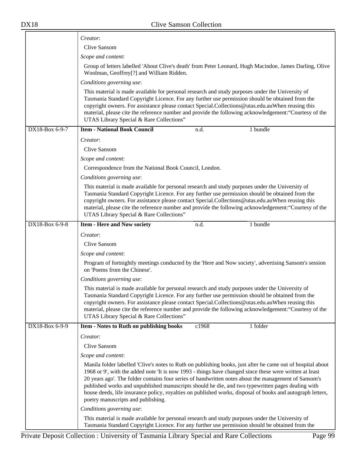$\equiv$ 

|                | Creator:                                                                                                                                                                                                                                                                                                                                                                                                                                                                                                                                                                                |  |  |
|----------------|-----------------------------------------------------------------------------------------------------------------------------------------------------------------------------------------------------------------------------------------------------------------------------------------------------------------------------------------------------------------------------------------------------------------------------------------------------------------------------------------------------------------------------------------------------------------------------------------|--|--|
|                | Clive Sansom                                                                                                                                                                                                                                                                                                                                                                                                                                                                                                                                                                            |  |  |
|                | Scope and content:                                                                                                                                                                                                                                                                                                                                                                                                                                                                                                                                                                      |  |  |
|                | Group of letters labelled 'About Clive's death' from Peter Leonard, Hugh Macindoe, James Darling, Olive<br>Woolman, Geoffrey[?] and William Ridden.                                                                                                                                                                                                                                                                                                                                                                                                                                     |  |  |
|                | Conditions governing use:                                                                                                                                                                                                                                                                                                                                                                                                                                                                                                                                                               |  |  |
|                | This material is made available for personal research and study purposes under the University of<br>Tasmania Standard Copyright Licence. For any further use permission should be obtained from the<br>copyright owners. For assistance please contact Special.Collections@utas.edu.auWhen reusing this<br>material, please cite the reference number and provide the following acknowledgement: "Courtesy of the<br>UTAS Library Special & Rare Collections"                                                                                                                           |  |  |
| DX18-Box 6-9-7 | <b>Item - National Book Council</b><br>1 bundle<br>n.d.                                                                                                                                                                                                                                                                                                                                                                                                                                                                                                                                 |  |  |
|                | Creator:                                                                                                                                                                                                                                                                                                                                                                                                                                                                                                                                                                                |  |  |
|                | Clive Sansom                                                                                                                                                                                                                                                                                                                                                                                                                                                                                                                                                                            |  |  |
|                | Scope and content:                                                                                                                                                                                                                                                                                                                                                                                                                                                                                                                                                                      |  |  |
|                | Correspondence from the National Book Council, London.                                                                                                                                                                                                                                                                                                                                                                                                                                                                                                                                  |  |  |
|                | Conditions governing use:                                                                                                                                                                                                                                                                                                                                                                                                                                                                                                                                                               |  |  |
|                | This material is made available for personal research and study purposes under the University of<br>Tasmania Standard Copyright Licence. For any further use permission should be obtained from the<br>copyright owners. For assistance please contact Special.Collections@utas.edu.auWhen reusing this<br>material, please cite the reference number and provide the following acknowledgement: "Courtesy of the<br>UTAS Library Special & Rare Collections"                                                                                                                           |  |  |
| DX18-Box 6-9-8 | 1 bundle<br><b>Item - Here and Now society</b><br>n.d.                                                                                                                                                                                                                                                                                                                                                                                                                                                                                                                                  |  |  |
|                | Creator:                                                                                                                                                                                                                                                                                                                                                                                                                                                                                                                                                                                |  |  |
|                | Clive Sansom                                                                                                                                                                                                                                                                                                                                                                                                                                                                                                                                                                            |  |  |
|                | Scope and content:                                                                                                                                                                                                                                                                                                                                                                                                                                                                                                                                                                      |  |  |
|                | Program of fortnightly meetings conducted by the 'Here and Now society', advertising Sansom's session<br>on 'Poems from the Chinese'.                                                                                                                                                                                                                                                                                                                                                                                                                                                   |  |  |
|                | Conditions governing use:                                                                                                                                                                                                                                                                                                                                                                                                                                                                                                                                                               |  |  |
|                | This material is made available for personal research and study purposes under the University of<br>Tasmania Standard Copyright Licence. For any further use permission should be obtained from the<br>copyright owners. For assistance please contact Special.Collections@utas.edu.auWhen reusing this<br>material, please cite the reference number and provide the following acknowledgement: "Courtesy of the<br>UTAS Library Special & Rare Collections"                                                                                                                           |  |  |
| DX18-Box 6-9-9 | 1 folder<br>Item - Notes to Ruth on publishing books<br>c1968                                                                                                                                                                                                                                                                                                                                                                                                                                                                                                                           |  |  |
|                | Creator:                                                                                                                                                                                                                                                                                                                                                                                                                                                                                                                                                                                |  |  |
|                | <b>Clive Sansom</b>                                                                                                                                                                                                                                                                                                                                                                                                                                                                                                                                                                     |  |  |
|                | Scope and content:                                                                                                                                                                                                                                                                                                                                                                                                                                                                                                                                                                      |  |  |
|                | Manila folder labelled 'Clive's notes to Ruth on publishing books, just after he came out of hospital about<br>1968 or 9', with the added note 'It is now 1993 - things have changed since these were written at least<br>20 years ago'. The folder contains four series of handwritten notes about the management of Sansom's<br>published works and unpublished manuscripts should he die, and two typewritten pages dealing with<br>house deeds, life insurance policy, royalties on published works, disposal of books and autograph letters,<br>poetry manuscripts and publishing. |  |  |
|                | Conditions governing use:                                                                                                                                                                                                                                                                                                                                                                                                                                                                                                                                                               |  |  |
|                | This material is made available for personal research and study purposes under the University of<br>Tasmania Standard Copyright Licence. For any further use permission should be obtained from the                                                                                                                                                                                                                                                                                                                                                                                     |  |  |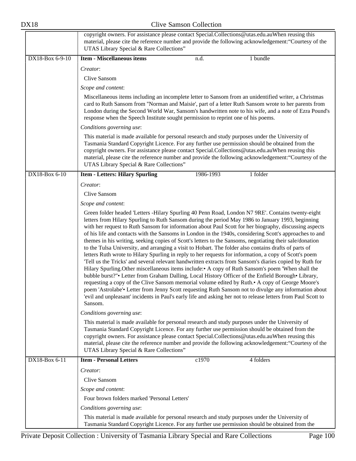|                 | copyright owners. For assistance please contact Special.Collections@utas.edu.auWhen reusing this<br>material, please cite the reference number and provide the following acknowledgement: "Courtesy of the<br>UTAS Library Special & Rare Collections"                                                                                                                                                                                                                                                                                                                                                                                                                                                                                                                                                                                                                                                                                                                                                                                                                                                                                                                                                                                                                                                                                                                                                                  |  |  |  |
|-----------------|-------------------------------------------------------------------------------------------------------------------------------------------------------------------------------------------------------------------------------------------------------------------------------------------------------------------------------------------------------------------------------------------------------------------------------------------------------------------------------------------------------------------------------------------------------------------------------------------------------------------------------------------------------------------------------------------------------------------------------------------------------------------------------------------------------------------------------------------------------------------------------------------------------------------------------------------------------------------------------------------------------------------------------------------------------------------------------------------------------------------------------------------------------------------------------------------------------------------------------------------------------------------------------------------------------------------------------------------------------------------------------------------------------------------------|--|--|--|
| DX18-Box 6-9-10 | <b>Item - Miscellaneous items</b><br>1 bundle<br>n.d.                                                                                                                                                                                                                                                                                                                                                                                                                                                                                                                                                                                                                                                                                                                                                                                                                                                                                                                                                                                                                                                                                                                                                                                                                                                                                                                                                                   |  |  |  |
|                 | Creator:                                                                                                                                                                                                                                                                                                                                                                                                                                                                                                                                                                                                                                                                                                                                                                                                                                                                                                                                                                                                                                                                                                                                                                                                                                                                                                                                                                                                                |  |  |  |
|                 | Clive Sansom                                                                                                                                                                                                                                                                                                                                                                                                                                                                                                                                                                                                                                                                                                                                                                                                                                                                                                                                                                                                                                                                                                                                                                                                                                                                                                                                                                                                            |  |  |  |
|                 | Scope and content:                                                                                                                                                                                                                                                                                                                                                                                                                                                                                                                                                                                                                                                                                                                                                                                                                                                                                                                                                                                                                                                                                                                                                                                                                                                                                                                                                                                                      |  |  |  |
|                 | Miscellaneous items including an incomplete letter to Sansom from an unidentified writer, a Christmas<br>card to Ruth Sansom from "Norman and Maisie', part of a letter Ruth Sansom wrote to her parents from<br>London during the Second World War, Sansom's handwritten note to his wife, and a note of Ezra Pound's<br>response when the Speech Institute sought permission to reprint one of his poems.                                                                                                                                                                                                                                                                                                                                                                                                                                                                                                                                                                                                                                                                                                                                                                                                                                                                                                                                                                                                             |  |  |  |
|                 | Conditions governing use:                                                                                                                                                                                                                                                                                                                                                                                                                                                                                                                                                                                                                                                                                                                                                                                                                                                                                                                                                                                                                                                                                                                                                                                                                                                                                                                                                                                               |  |  |  |
|                 | This material is made available for personal research and study purposes under the University of<br>Tasmania Standard Copyright Licence. For any further use permission should be obtained from the<br>copyright owners. For assistance please contact Special.Collections@utas.edu.auWhen reusing this<br>material, please cite the reference number and provide the following acknowledgement: "Courtesy of the<br>UTAS Library Special & Rare Collections"                                                                                                                                                                                                                                                                                                                                                                                                                                                                                                                                                                                                                                                                                                                                                                                                                                                                                                                                                           |  |  |  |
| DX18-Box 6-10   | 1986-1993<br><b>Item - Letters: Hilary Spurling</b><br>1 folder                                                                                                                                                                                                                                                                                                                                                                                                                                                                                                                                                                                                                                                                                                                                                                                                                                                                                                                                                                                                                                                                                                                                                                                                                                                                                                                                                         |  |  |  |
|                 | Creator:                                                                                                                                                                                                                                                                                                                                                                                                                                                                                                                                                                                                                                                                                                                                                                                                                                                                                                                                                                                                                                                                                                                                                                                                                                                                                                                                                                                                                |  |  |  |
|                 | Clive Sansom                                                                                                                                                                                                                                                                                                                                                                                                                                                                                                                                                                                                                                                                                                                                                                                                                                                                                                                                                                                                                                                                                                                                                                                                                                                                                                                                                                                                            |  |  |  |
|                 | Scope and content:                                                                                                                                                                                                                                                                                                                                                                                                                                                                                                                                                                                                                                                                                                                                                                                                                                                                                                                                                                                                                                                                                                                                                                                                                                                                                                                                                                                                      |  |  |  |
|                 | Green folder headed 'Letters -Hilary Spurling 40 Penn Road, London N7 9RE'. Contains twenty-eight<br>letters from Hilary Spurling to Ruth Sansom during the period May 1986 to January 1993, beginning<br>with her request to Ruth Sansom for information about Paul Scott for her biography, discussing aspects<br>of his life and contacts with the Sansoms in London in the 1940s, considering Scott's approaches to and<br>themes in his writing, seeking copies of Scott's letters to the Sansoms, negotiating their sale/donation<br>to the Tulsa University, and arranging a visit to Hobart. The folder also contains drafts of parts of<br>letters Ruth wrote to Hilary Spurling in reply to her requests for information, a copy of Scott's poem<br>Tell us the Tricks' and several relevant handwritten extracts from Sansom's diaries copied by Ruth for<br>Hilary Spurling. Other miscellaneous items include: A copy of Ruth Sansom's poem 'When shall the<br>bubble burst?" • Letter from Graham Dalling, Local History Officer of the Enfield Borough • Library,<br>requesting a copy of the Clive Sansom memorial volume edited by Ruth. A copy of George Moore's<br>poem 'Astrolabe'. Letter from Jenny Scott requesting Ruth Sansom not to divulge any information about<br>'evil and unpleasant' incidents in Paul's early life and asking her not to release letters from Paul Scott to<br>Sansom. |  |  |  |
|                 | Conditions governing use:                                                                                                                                                                                                                                                                                                                                                                                                                                                                                                                                                                                                                                                                                                                                                                                                                                                                                                                                                                                                                                                                                                                                                                                                                                                                                                                                                                                               |  |  |  |
|                 | This material is made available for personal research and study purposes under the University of<br>Tasmania Standard Copyright Licence. For any further use permission should be obtained from the<br>copyright owners. For assistance please contact Special.Collections@utas.edu.auWhen reusing this<br>material, please cite the reference number and provide the following acknowledgement: "Courtesy of the<br>UTAS Library Special & Rare Collections"                                                                                                                                                                                                                                                                                                                                                                                                                                                                                                                                                                                                                                                                                                                                                                                                                                                                                                                                                           |  |  |  |
| DX18-Box 6-11   | <b>Item - Personal Letters</b><br>c1970<br>4 folders                                                                                                                                                                                                                                                                                                                                                                                                                                                                                                                                                                                                                                                                                                                                                                                                                                                                                                                                                                                                                                                                                                                                                                                                                                                                                                                                                                    |  |  |  |
|                 | Creator:                                                                                                                                                                                                                                                                                                                                                                                                                                                                                                                                                                                                                                                                                                                                                                                                                                                                                                                                                                                                                                                                                                                                                                                                                                                                                                                                                                                                                |  |  |  |
|                 | Clive Sansom                                                                                                                                                                                                                                                                                                                                                                                                                                                                                                                                                                                                                                                                                                                                                                                                                                                                                                                                                                                                                                                                                                                                                                                                                                                                                                                                                                                                            |  |  |  |
|                 | Scope and content:                                                                                                                                                                                                                                                                                                                                                                                                                                                                                                                                                                                                                                                                                                                                                                                                                                                                                                                                                                                                                                                                                                                                                                                                                                                                                                                                                                                                      |  |  |  |
|                 | Four brown folders marked 'Personal Letters'                                                                                                                                                                                                                                                                                                                                                                                                                                                                                                                                                                                                                                                                                                                                                                                                                                                                                                                                                                                                                                                                                                                                                                                                                                                                                                                                                                            |  |  |  |
|                 | Conditions governing use:                                                                                                                                                                                                                                                                                                                                                                                                                                                                                                                                                                                                                                                                                                                                                                                                                                                                                                                                                                                                                                                                                                                                                                                                                                                                                                                                                                                               |  |  |  |
|                 | This material is made available for personal research and study purposes under the University of<br>Tasmania Standard Copyright Licence. For any further use permission should be obtained from the                                                                                                                                                                                                                                                                                                                                                                                                                                                                                                                                                                                                                                                                                                                                                                                                                                                                                                                                                                                                                                                                                                                                                                                                                     |  |  |  |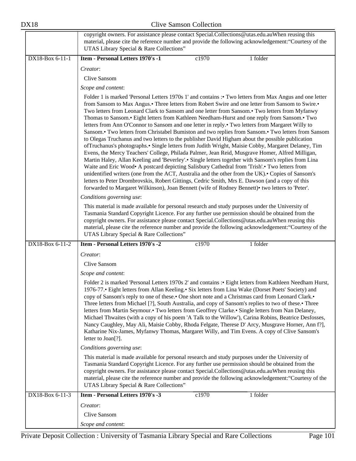|                 | copyright owners. For assistance please contact Special.Collections@utas.edu.auWhen reusing this<br>material, please cite the reference number and provide the following acknowledgement: "Courtesy of the<br>UTAS Library Special & Rare Collections"                                                                                                                                                                                                                                                                                                                                                                                                                                                                                                                                                                                                                                                                                                                                                                                                                                                                                                                                                                                                                                                                                                                                                                                                                                |  |  |  |  |
|-----------------|---------------------------------------------------------------------------------------------------------------------------------------------------------------------------------------------------------------------------------------------------------------------------------------------------------------------------------------------------------------------------------------------------------------------------------------------------------------------------------------------------------------------------------------------------------------------------------------------------------------------------------------------------------------------------------------------------------------------------------------------------------------------------------------------------------------------------------------------------------------------------------------------------------------------------------------------------------------------------------------------------------------------------------------------------------------------------------------------------------------------------------------------------------------------------------------------------------------------------------------------------------------------------------------------------------------------------------------------------------------------------------------------------------------------------------------------------------------------------------------|--|--|--|--|
| DX18-Box 6-11-1 | Item - Personal Letters 1970's -1<br>c1970<br>1 folder                                                                                                                                                                                                                                                                                                                                                                                                                                                                                                                                                                                                                                                                                                                                                                                                                                                                                                                                                                                                                                                                                                                                                                                                                                                                                                                                                                                                                                |  |  |  |  |
|                 | Creator:                                                                                                                                                                                                                                                                                                                                                                                                                                                                                                                                                                                                                                                                                                                                                                                                                                                                                                                                                                                                                                                                                                                                                                                                                                                                                                                                                                                                                                                                              |  |  |  |  |
|                 | Clive Sansom                                                                                                                                                                                                                                                                                                                                                                                                                                                                                                                                                                                                                                                                                                                                                                                                                                                                                                                                                                                                                                                                                                                                                                                                                                                                                                                                                                                                                                                                          |  |  |  |  |
|                 | Scope and content:                                                                                                                                                                                                                                                                                                                                                                                                                                                                                                                                                                                                                                                                                                                                                                                                                                                                                                                                                                                                                                                                                                                                                                                                                                                                                                                                                                                                                                                                    |  |  |  |  |
|                 | Folder 1 is marked 'Personal Letters 1970s 1' and contains : Two letters from Max Angus and one letter<br>from Sansom to Max Angus. Three letters from Robert Swire and one letter from Sansom to Swire.<br>Two letters from Leonard Clark to Sansom and one letter from Sansom.• Two letters from Myfanwy<br>Thomas to Sansom.• Eight letters from Kathleen Needham-Hurst and one reply from Sansom.• Two<br>letters from Ann O'Connor to Sansom and one letter in reply.• Two letters from Margaret Willy to<br>Sansom.• Two letters from Christabel Bumiston and two replies from Sansom.• Two letters from Sansom<br>to Olegas Truchanus and two letters to the publisher David Higham about the possible publication<br>of Truchanus's photographs.• Single letters from Judith Wright, Maisie Cobby, Margaret Delaney, Tim<br>Evens, the Mercy Teachers' College, Philada Palmer, Jean Reid, Musgrave Homer, Alfred Milligan,<br>Martin Haley, Allan Keeling and 'Beverley'.• Single letters together with Sansom's replies from Lina<br>Waite and Eric Wood• A postcard depicting Salisbury Cathedral from 'Trish'.• Two letters from<br>unidentified writers (one from the ACT, Australia and the other from the UK). Copies of Sansom's<br>letters to Peter Drombrovskis, Robert Gittings, Cedric Smith, Mrs E. Dawson (and a copy of this<br>forwarded to Margaret Wilkinson), Joan Bennett (wife of Rodney Bennett) • two letters to 'Peter'.<br>Conditions governing use: |  |  |  |  |
|                 | This material is made available for personal research and study purposes under the University of<br>Tasmania Standard Copyright Licence. For any further use permission should be obtained from the<br>copyright owners. For assistance please contact Special.Collections@utas.edu.auWhen reusing this<br>material, please cite the reference number and provide the following acknowledgement: "Courtesy of the<br>UTAS Library Special & Rare Collections"                                                                                                                                                                                                                                                                                                                                                                                                                                                                                                                                                                                                                                                                                                                                                                                                                                                                                                                                                                                                                         |  |  |  |  |
| DX18-Box 6-11-2 | Item - Personal Letters 1970's -2<br>c1970<br>1 folder<br>Creator:                                                                                                                                                                                                                                                                                                                                                                                                                                                                                                                                                                                                                                                                                                                                                                                                                                                                                                                                                                                                                                                                                                                                                                                                                                                                                                                                                                                                                    |  |  |  |  |
|                 |                                                                                                                                                                                                                                                                                                                                                                                                                                                                                                                                                                                                                                                                                                                                                                                                                                                                                                                                                                                                                                                                                                                                                                                                                                                                                                                                                                                                                                                                                       |  |  |  |  |
|                 | Clive Sansom                                                                                                                                                                                                                                                                                                                                                                                                                                                                                                                                                                                                                                                                                                                                                                                                                                                                                                                                                                                                                                                                                                                                                                                                                                                                                                                                                                                                                                                                          |  |  |  |  |
|                 | Scope and content:                                                                                                                                                                                                                                                                                                                                                                                                                                                                                                                                                                                                                                                                                                                                                                                                                                                                                                                                                                                                                                                                                                                                                                                                                                                                                                                                                                                                                                                                    |  |  |  |  |
|                 | Folder 2 is marked 'Personal Letters 1970s 2' and contains : Eight letters from Kathleen Needham Hurst,<br>1976-77.• Eight letters from Allan Keeling.• Six letters from Lina Wake (Dorset Poets' Society) and<br>copy of Sansom's reply to one of these. One short note and a Christmas card from Leonard Clark.<br>Three letters from Michael [?], South Australia, and copy of Sansom's replies to two of these.• Three<br>letters from Martin Seymour. Two letters from Geoffrey Clarke. Single letters from Nan Delaney,<br>Michael Thwaites (with a copy of his poem 'A Talk to the Willow'), Carina Robins, Beatrice Desfosses,<br>Nancy Caughley, May Ali, Maisie Cobby, Rhoda Felgate, Therese D' Arcy, Musgrave Horner, Ann f?],<br>Katharine Nix-James, Myfanwy Thomas, Margaret Willy, and Tim Evens. A copy of Clive Sansom's<br>letter to Joan[?].                                                                                                                                                                                                                                                                                                                                                                                                                                                                                                                                                                                                                      |  |  |  |  |
|                 | Conditions governing use:                                                                                                                                                                                                                                                                                                                                                                                                                                                                                                                                                                                                                                                                                                                                                                                                                                                                                                                                                                                                                                                                                                                                                                                                                                                                                                                                                                                                                                                             |  |  |  |  |
|                 | This material is made available for personal research and study purposes under the University of<br>Tasmania Standard Copyright Licence. For any further use permission should be obtained from the<br>copyright owners. For assistance please contact Special.Collections@utas.edu.auWhen reusing this<br>material, please cite the reference number and provide the following acknowledgement: "Courtesy of the<br>UTAS Library Special & Rare Collections"                                                                                                                                                                                                                                                                                                                                                                                                                                                                                                                                                                                                                                                                                                                                                                                                                                                                                                                                                                                                                         |  |  |  |  |
| DX18-Box 6-11-3 | c1970<br>Item - Personal Letters 1970's -3<br>1 folder                                                                                                                                                                                                                                                                                                                                                                                                                                                                                                                                                                                                                                                                                                                                                                                                                                                                                                                                                                                                                                                                                                                                                                                                                                                                                                                                                                                                                                |  |  |  |  |
|                 | Creator:<br>Clive Sansom<br>Scope and content:                                                                                                                                                                                                                                                                                                                                                                                                                                                                                                                                                                                                                                                                                                                                                                                                                                                                                                                                                                                                                                                                                                                                                                                                                                                                                                                                                                                                                                        |  |  |  |  |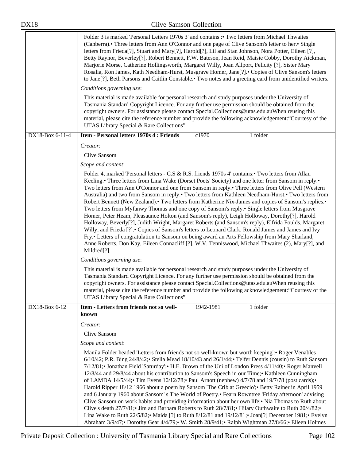|                 | Folder 3 is marked 'Personal Letters 1970s 3' and contains: • Two letters from Michael Thwaites<br>(Canberra). Three letters from Ann O'Connor and one page of Clive Sansom's letter to her. Single<br>letters from Frieda[?], Stuart and Mary[?], Harold[?], Lil and Stan Johnson, Nora Potter, Eileen [?],<br>Betty Raynor, Beverley[?], Robert Bennett, F.W. Bateson, Jean Reid, Maisie Cobby, Dorothy Aickman,<br>Marjorie Morse, Catherine Hollingsworth, Margaret Willy, Joan Allport, Felicity [?], Sister Mary<br>Rosalia, Ron James, Kath Needham-Hurst, Musgrave Homer, Jane[?]. • Copies of Clive Sansom's letters<br>to Jane[?], Beth Parsons and Caitlin Constable.• Two notes and a greeting card from unidentified writers.                                                                                                                                                                                                                                                                                                                                                                                                                              |  |  |  |  |
|-----------------|-------------------------------------------------------------------------------------------------------------------------------------------------------------------------------------------------------------------------------------------------------------------------------------------------------------------------------------------------------------------------------------------------------------------------------------------------------------------------------------------------------------------------------------------------------------------------------------------------------------------------------------------------------------------------------------------------------------------------------------------------------------------------------------------------------------------------------------------------------------------------------------------------------------------------------------------------------------------------------------------------------------------------------------------------------------------------------------------------------------------------------------------------------------------------|--|--|--|--|
|                 | Conditions governing use:                                                                                                                                                                                                                                                                                                                                                                                                                                                                                                                                                                                                                                                                                                                                                                                                                                                                                                                                                                                                                                                                                                                                               |  |  |  |  |
|                 | This material is made available for personal research and study purposes under the University of<br>Tasmania Standard Copyright Licence. For any further use permission should be obtained from the<br>copyright owners. For assistance please contact Special.Collections@utas.edu.auWhen reusing this<br>material, please cite the reference number and provide the following acknowledgement: "Courtesy of the<br>UTAS Library Special & Rare Collections"                                                                                                                                                                                                                                                                                                                                                                                                                                                                                                                                                                                                                                                                                                           |  |  |  |  |
| DX18-Box 6-11-4 | Item - Personal letters 1970s 4 : Friends<br>c1970<br>1 folder                                                                                                                                                                                                                                                                                                                                                                                                                                                                                                                                                                                                                                                                                                                                                                                                                                                                                                                                                                                                                                                                                                          |  |  |  |  |
|                 | Creator:<br><b>Clive Sansom</b><br>Scope and content:                                                                                                                                                                                                                                                                                                                                                                                                                                                                                                                                                                                                                                                                                                                                                                                                                                                                                                                                                                                                                                                                                                                   |  |  |  |  |
|                 | Folder 4, marked 'Personal letters - C.S & R.S. friends 1970s 4' contains: Two letters from Allan<br>Keeling.• Three letters from Lina Wake (Dorset Poets' Society) and one letter from Sansom in reply.•<br>Two letters from Ann O'Connor and one from Sansom in reply.• Three letters from Olive Pell (Western<br>Australia) and two from Sansom in reply.• Two letters from Kathleen Needham-Hurst.• Two letters from<br>Robert Bennett (New Zealand). Two letters from Katherine Nix-James and copies of Sansom's replies.<br>Two letters from Myfanwy Thomas and one copy of Sansom's reply.• Single letters from Musgrave<br>Homer, Peter Heam, Pleasaunce Holton (and Sansom's reply), Leigh Holloway, Dorothy[?], Harold<br>Holloway, Beverly[?], Judith Wright, Margaret Roberts (and Sansom's reply), Elfrida Foulds, Margaret<br>Willy, and Frieda [?]. • Copies of Sansom's letters to Leonard Clark, Ronald James and James and Ivy<br>Fry.• Letters of congratulation to Sansom on being award an Arts Fellowship from Mary Sharland,<br>Anne Roberts, Don Kay, Eileen Connacliff [?], W.V. Tenniswood, Michael Thwaites (2), Mary[?], and<br>Mildred[?]. |  |  |  |  |
|                 | Conditions governing use:                                                                                                                                                                                                                                                                                                                                                                                                                                                                                                                                                                                                                                                                                                                                                                                                                                                                                                                                                                                                                                                                                                                                               |  |  |  |  |
|                 | This material is made available for personal research and study purposes under the University of<br>Tasmania Standard Copyright Licence. For any further use permission should be obtained from the<br>copyright owners. For assistance please contact Special.Collections@utas.edu.auWhen reusing this<br>material, please cite the reference number and provide the following acknowledgement: "Courtesy of the<br>UTAS Library Special & Rare Collections"                                                                                                                                                                                                                                                                                                                                                                                                                                                                                                                                                                                                                                                                                                           |  |  |  |  |
| DX18-Box 6-12   | Item - Letters from friends not so well-<br>1 folder<br>1942-1981<br>known                                                                                                                                                                                                                                                                                                                                                                                                                                                                                                                                                                                                                                                                                                                                                                                                                                                                                                                                                                                                                                                                                              |  |  |  |  |
|                 | Creator:                                                                                                                                                                                                                                                                                                                                                                                                                                                                                                                                                                                                                                                                                                                                                                                                                                                                                                                                                                                                                                                                                                                                                                |  |  |  |  |
|                 | Clive Sansom                                                                                                                                                                                                                                                                                                                                                                                                                                                                                                                                                                                                                                                                                                                                                                                                                                                                                                                                                                                                                                                                                                                                                            |  |  |  |  |
|                 | Scope and content:                                                                                                                                                                                                                                                                                                                                                                                                                                                                                                                                                                                                                                                                                                                                                                                                                                                                                                                                                                                                                                                                                                                                                      |  |  |  |  |
|                 | Manila Folder headed 'Letters from friends not so well-known but worth keeping': • Roger Venables<br>$6/10/42$ ; P.R. Bing $24/8/42$ ; Stella Mead $18/10/43$ and $26/1/44$ ; Telfer Dennis (cousin) to Ruth Sansom<br>7/12/81; Jonathan Field 'Saturday'; H.E. Brown of the Uni of London Press 4/11/40; Roger Manvell<br>12/8/44 and 29/8/44 about his contribution to Sansom's Speech in our Time; Kathleen Cunningham<br>of LAMDA $14/5/44$ ; Tim Evens $10/12/78$ ; Paul Arnott (nephew) $4/7/78$ and $19/7/78$ (post cards);<br>Harold Ripper 18/12 1966 about a poem by Sansom 'The Crib at Greecio'; • Betty Rainer in April 1959<br>and 6 January 1960 about Sansom's The World of Poetry. Fearn Rowntree 'Friday afternoon' advising<br>Clive Sansom on work habits and providing information about her own life; • Nia Thomas to Ruth about<br>Clive's death 27/7/81;• Jim and Barbara Roberts to Ruth 28/7/81;• Hilary Outhwaite to Ruth 20/4/82;•<br>Lina Wake to Ruth 22/5/82; Maida [?] to Ruth 8/12/81 and 19/12/81; Joan[?] December 1981; Evelyn<br>Abraham 3/9/47; Dorothy Gear 4/4/79; W. Smith 28/9/41; Ralph Wightman 27/8/66; Eileen Holmes      |  |  |  |  |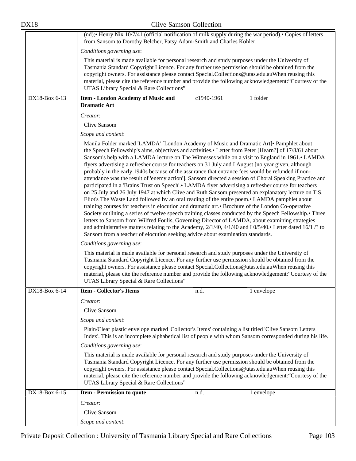| <b>Clive Samson Collection</b><br><b>DX18</b> |                                                                                                                                                                                                                                                                                                                                                                                                                                                                                                                                                                                                                                                                                                                                                                                                                                                                                                                                                                                                                                                                                                                                                                                                                                                                                                                                                                                                                                                                                     |  |  |
|-----------------------------------------------|-------------------------------------------------------------------------------------------------------------------------------------------------------------------------------------------------------------------------------------------------------------------------------------------------------------------------------------------------------------------------------------------------------------------------------------------------------------------------------------------------------------------------------------------------------------------------------------------------------------------------------------------------------------------------------------------------------------------------------------------------------------------------------------------------------------------------------------------------------------------------------------------------------------------------------------------------------------------------------------------------------------------------------------------------------------------------------------------------------------------------------------------------------------------------------------------------------------------------------------------------------------------------------------------------------------------------------------------------------------------------------------------------------------------------------------------------------------------------------------|--|--|
|                                               | (nd); • Henry Nix 10/7/41 (official notification of milk supply during the war period). • Copies of letters<br>from Sansom to Dorothy Belcher, Patsy Adam-Smith and Charles Kohler.                                                                                                                                                                                                                                                                                                                                                                                                                                                                                                                                                                                                                                                                                                                                                                                                                                                                                                                                                                                                                                                                                                                                                                                                                                                                                                 |  |  |
|                                               | Conditions governing use:                                                                                                                                                                                                                                                                                                                                                                                                                                                                                                                                                                                                                                                                                                                                                                                                                                                                                                                                                                                                                                                                                                                                                                                                                                                                                                                                                                                                                                                           |  |  |
|                                               | This material is made available for personal research and study purposes under the University of<br>Tasmania Standard Copyright Licence. For any further use permission should be obtained from the<br>copyright owners. For assistance please contact Special.Collections@utas.edu.auWhen reusing this<br>material, please cite the reference number and provide the following acknowledgement: "Courtesy of the<br>UTAS Library Special & Rare Collections"                                                                                                                                                                                                                                                                                                                                                                                                                                                                                                                                                                                                                                                                                                                                                                                                                                                                                                                                                                                                                       |  |  |
| DX18-Box 6-13                                 | Item - London Academy of Music and<br>c1940-1961<br>1 folder<br><b>Dramatic Art</b>                                                                                                                                                                                                                                                                                                                                                                                                                                                                                                                                                                                                                                                                                                                                                                                                                                                                                                                                                                                                                                                                                                                                                                                                                                                                                                                                                                                                 |  |  |
|                                               | Creator:                                                                                                                                                                                                                                                                                                                                                                                                                                                                                                                                                                                                                                                                                                                                                                                                                                                                                                                                                                                                                                                                                                                                                                                                                                                                                                                                                                                                                                                                            |  |  |
|                                               | Clive Sansom                                                                                                                                                                                                                                                                                                                                                                                                                                                                                                                                                                                                                                                                                                                                                                                                                                                                                                                                                                                                                                                                                                                                                                                                                                                                                                                                                                                                                                                                        |  |  |
|                                               | Scope and content:                                                                                                                                                                                                                                                                                                                                                                                                                                                                                                                                                                                                                                                                                                                                                                                                                                                                                                                                                                                                                                                                                                                                                                                                                                                                                                                                                                                                                                                                  |  |  |
|                                               | Manila Folder marked 'LAMDA' [London Academy of Music and Dramatic Art] Pamphlet about<br>the Speech Fellowship's aims, objectives and activities.• Letter from Peter [Hearn?] of 17/8/61 about<br>Sansom's help with a LAMDA lecture on The Witnesses while on a visit to England in 1961. LAMDA<br>flyers advertising a refresher course for teachers on 31 July and I August [no year given, although<br>probably in the early 1940s because of the assurance that entrance fees would be refunded if non-<br>attendance was the result of 'enemy action']. Sansom directed a session of Choral Speaking Practice and<br>participated in a 'Brains Trust on Speech'.• LAMDA flyer advertising a refresher course for teachers<br>on 25 July and 26 July 1947 at which Clive and Ruth Sansom presented an explanatory lecture on T.S.<br>Eliot's The Waste Land followed by an oral reading of the entire poem.• LAMDA pamphlet about<br>training courses for teachers in elocution and dramatic art. Brochure of the London Co-operative<br>Society outlining a series of twelve speech training classes conducted by the Speech Fellowship. Three<br>letters to Sansom from Wilfred Foulis, Governing Director of LAMDA, about examining strategies<br>and administrative matters relating to the Academy, 2/1/40, 4/1/40 and I 0/5/40.• Letter dated 16/1 /? to<br>Sansom from a teacher of elocution seeking advice about examination standards.<br>Conditions governing use: |  |  |
|                                               |                                                                                                                                                                                                                                                                                                                                                                                                                                                                                                                                                                                                                                                                                                                                                                                                                                                                                                                                                                                                                                                                                                                                                                                                                                                                                                                                                                                                                                                                                     |  |  |
|                                               | This material is made available for personal research and study purposes under the University of<br>Tasmania Standard Copyright Licence. For any further use permission should be obtained from the<br>copyright owners. For assistance please contact Special.Collections@utas.edu.auWhen reusing this<br>material, please cite the reference number and provide the following acknowledgement: "Courtesy of the<br>UTAS Library Special & Rare Collections"                                                                                                                                                                                                                                                                                                                                                                                                                                                                                                                                                                                                                                                                                                                                                                                                                                                                                                                                                                                                                       |  |  |
| DX18-Box 6-14                                 | <b>Item - Collector's Items</b><br>1 envelope<br>n.d.                                                                                                                                                                                                                                                                                                                                                                                                                                                                                                                                                                                                                                                                                                                                                                                                                                                                                                                                                                                                                                                                                                                                                                                                                                                                                                                                                                                                                               |  |  |
|                                               | Creator:                                                                                                                                                                                                                                                                                                                                                                                                                                                                                                                                                                                                                                                                                                                                                                                                                                                                                                                                                                                                                                                                                                                                                                                                                                                                                                                                                                                                                                                                            |  |  |
|                                               | Clive Sansom                                                                                                                                                                                                                                                                                                                                                                                                                                                                                                                                                                                                                                                                                                                                                                                                                                                                                                                                                                                                                                                                                                                                                                                                                                                                                                                                                                                                                                                                        |  |  |
|                                               | Scope and content:                                                                                                                                                                                                                                                                                                                                                                                                                                                                                                                                                                                                                                                                                                                                                                                                                                                                                                                                                                                                                                                                                                                                                                                                                                                                                                                                                                                                                                                                  |  |  |
|                                               | Plain/Clear plastic envelope marked 'Collector's Items' containing a list titled 'Clive Sansom Letters<br>Index'. This is an incomplete alphabetical list of people with whom Sansom corresponded during his life.                                                                                                                                                                                                                                                                                                                                                                                                                                                                                                                                                                                                                                                                                                                                                                                                                                                                                                                                                                                                                                                                                                                                                                                                                                                                  |  |  |
|                                               | Conditions governing use:                                                                                                                                                                                                                                                                                                                                                                                                                                                                                                                                                                                                                                                                                                                                                                                                                                                                                                                                                                                                                                                                                                                                                                                                                                                                                                                                                                                                                                                           |  |  |
|                                               | This material is made available for personal research and study purposes under the University of<br>Tasmania Standard Copyright Licence. For any further use permission should be obtained from the<br>copyright owners. For assistance please contact Special.Collections@utas.edu.auWhen reusing this<br>material, please cite the reference number and provide the following acknowledgement: "Courtesy of the<br>UTAS Library Special & Rare Collections"                                                                                                                                                                                                                                                                                                                                                                                                                                                                                                                                                                                                                                                                                                                                                                                                                                                                                                                                                                                                                       |  |  |
| DX18-Box 6-15                                 | <b>Item - Permission to quote</b><br>1 envelope<br>n.d.                                                                                                                                                                                                                                                                                                                                                                                                                                                                                                                                                                                                                                                                                                                                                                                                                                                                                                                                                                                                                                                                                                                                                                                                                                                                                                                                                                                                                             |  |  |
|                                               | Creator:                                                                                                                                                                                                                                                                                                                                                                                                                                                                                                                                                                                                                                                                                                                                                                                                                                                                                                                                                                                                                                                                                                                                                                                                                                                                                                                                                                                                                                                                            |  |  |
|                                               | Clive Sansom                                                                                                                                                                                                                                                                                                                                                                                                                                                                                                                                                                                                                                                                                                                                                                                                                                                                                                                                                                                                                                                                                                                                                                                                                                                                                                                                                                                                                                                                        |  |  |
|                                               | Scope and content:                                                                                                                                                                                                                                                                                                                                                                                                                                                                                                                                                                                                                                                                                                                                                                                                                                                                                                                                                                                                                                                                                                                                                                                                                                                                                                                                                                                                                                                                  |  |  |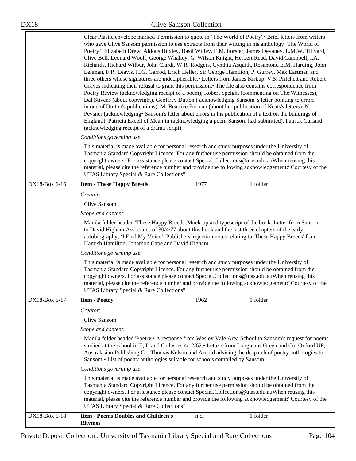|               | Clear Plastic envelope marked 'Permission to quote in 'The World of Poetry'.• Brief letters from writers<br>who gave Clive Sansom permission to use extracts from their writing in his anthology 'The World of<br>Poetry': Elizabeth Drew, Aldous Huxley, Basil Willey, E.M. Forster, James Devaney, E.M.W. Tillyard,<br>Clive Bell, Leonard Woolf, George Whalley, G. Wilson Knight, Herbert Read, David Campbell, I.A.<br>Richards, Richard Wilbur, John Ciardi, W.R. Rodgers, Cynthia Asquith, Rosamond E.M. Harding, John<br>Lehman, F.R. Leavis, H.G. Garrod, Erich Heller, Sir George Hamilton, P. Gurrey, Max Eastman and<br>three others whose signatures are indecipherable.• Letters from James Kirkup, V.S. Pritchett and Robert<br>Graves indicating their refusal to grant this permission.• The file also contains correspondence from<br>Poetry Review (acknowledging receipt of a poem), Robert Speight (commenting on The Witnesses),<br>Dal Stivens (about copyright), Geoffrey Dutton (acknowledging Sansom's letter pointing to errors<br>in one of Dutton's publications), M. Beatrice Forman (about her publication of Keats's letters), N.<br>Pevsner (acknowledging Sansom's letter about errors in his publication of a text on the buildings of<br>England), Patricia Excell of Meanjin (acknowledging a poem Sansom had submitted), Patrick Garland<br>(acknowledging receipt of a drama script). |  |  |  |  |
|---------------|------------------------------------------------------------------------------------------------------------------------------------------------------------------------------------------------------------------------------------------------------------------------------------------------------------------------------------------------------------------------------------------------------------------------------------------------------------------------------------------------------------------------------------------------------------------------------------------------------------------------------------------------------------------------------------------------------------------------------------------------------------------------------------------------------------------------------------------------------------------------------------------------------------------------------------------------------------------------------------------------------------------------------------------------------------------------------------------------------------------------------------------------------------------------------------------------------------------------------------------------------------------------------------------------------------------------------------------------------------------------------------------------------------------------------|--|--|--|--|
|               | Conditions governing use:                                                                                                                                                                                                                                                                                                                                                                                                                                                                                                                                                                                                                                                                                                                                                                                                                                                                                                                                                                                                                                                                                                                                                                                                                                                                                                                                                                                                    |  |  |  |  |
|               | This material is made available for personal research and study purposes under the University of<br>Tasmania Standard Copyright Licence. For any further use permission should be obtained from the<br>copyright owners. For assistance please contact Special.Collections@utas.edu.auWhen reusing this<br>material, please cite the reference number and provide the following acknowledgement: "Courtesy of the<br>UTAS Library Special & Rare Collections"                                                                                                                                                                                                                                                                                                                                                                                                                                                                                                                                                                                                                                                                                                                                                                                                                                                                                                                                                                |  |  |  |  |
| DX18-Box 6-16 | 1977<br><b>Item - These Happy Breeds</b><br>1 folder                                                                                                                                                                                                                                                                                                                                                                                                                                                                                                                                                                                                                                                                                                                                                                                                                                                                                                                                                                                                                                                                                                                                                                                                                                                                                                                                                                         |  |  |  |  |
|               | Creator:                                                                                                                                                                                                                                                                                                                                                                                                                                                                                                                                                                                                                                                                                                                                                                                                                                                                                                                                                                                                                                                                                                                                                                                                                                                                                                                                                                                                                     |  |  |  |  |
|               | Clive Sansom                                                                                                                                                                                                                                                                                                                                                                                                                                                                                                                                                                                                                                                                                                                                                                                                                                                                                                                                                                                                                                                                                                                                                                                                                                                                                                                                                                                                                 |  |  |  |  |
|               | Scope and content:<br>Manila folder headed 'These Happy Breeds'. Mock-up and typescript of the book. Letter from Sansom<br>to David Higham Associates of 30/4/77 about this book and the last three chapters of the early<br>autobiography, 'I Find My Voice'. Publishers' rejection notes relating to 'These Happy Breeds' from<br>Hamish Hamilton, Jonathon Cape and David Higham.                                                                                                                                                                                                                                                                                                                                                                                                                                                                                                                                                                                                                                                                                                                                                                                                                                                                                                                                                                                                                                         |  |  |  |  |
|               |                                                                                                                                                                                                                                                                                                                                                                                                                                                                                                                                                                                                                                                                                                                                                                                                                                                                                                                                                                                                                                                                                                                                                                                                                                                                                                                                                                                                                              |  |  |  |  |
|               | Conditions governing use:                                                                                                                                                                                                                                                                                                                                                                                                                                                                                                                                                                                                                                                                                                                                                                                                                                                                                                                                                                                                                                                                                                                                                                                                                                                                                                                                                                                                    |  |  |  |  |
|               | This material is made available for personal research and study purposes under the University of<br>Tasmania Standard Copyright Licence. For any further use permission should be obtained from the<br>copyright owners. For assistance please contact Special.Collections@utas.edu.auWhen reusing this<br>material, please cite the reference number and provide the following acknowledgement: "Courtesy of the<br>UTAS Library Special & Rare Collections"                                                                                                                                                                                                                                                                                                                                                                                                                                                                                                                                                                                                                                                                                                                                                                                                                                                                                                                                                                |  |  |  |  |
| DX18-Box 6-17 | <b>Item - Poetry</b><br>1962<br>1 folder                                                                                                                                                                                                                                                                                                                                                                                                                                                                                                                                                                                                                                                                                                                                                                                                                                                                                                                                                                                                                                                                                                                                                                                                                                                                                                                                                                                     |  |  |  |  |
|               | Creator:                                                                                                                                                                                                                                                                                                                                                                                                                                                                                                                                                                                                                                                                                                                                                                                                                                                                                                                                                                                                                                                                                                                                                                                                                                                                                                                                                                                                                     |  |  |  |  |
|               | Clive Sansom                                                                                                                                                                                                                                                                                                                                                                                                                                                                                                                                                                                                                                                                                                                                                                                                                                                                                                                                                                                                                                                                                                                                                                                                                                                                                                                                                                                                                 |  |  |  |  |
|               | Scope and content:                                                                                                                                                                                                                                                                                                                                                                                                                                                                                                                                                                                                                                                                                                                                                                                                                                                                                                                                                                                                                                                                                                                                                                                                                                                                                                                                                                                                           |  |  |  |  |
|               | Manila folder headed 'Poetry'. A response from Wesley Vale Area School to Sansom's request for poems<br>studied at the school in E, D and C classes 4/12/62.• Letters from Longmans Green and Co, Oxford UP,<br>Australasian Publishing Co. Thomas Nelson and Arnold advising the despatch of poetry anthologies to<br>Sansom.• List of poetry anthologies suitable for schools compiled by Sansom.                                                                                                                                                                                                                                                                                                                                                                                                                                                                                                                                                                                                                                                                                                                                                                                                                                                                                                                                                                                                                          |  |  |  |  |
|               | Conditions governing use:                                                                                                                                                                                                                                                                                                                                                                                                                                                                                                                                                                                                                                                                                                                                                                                                                                                                                                                                                                                                                                                                                                                                                                                                                                                                                                                                                                                                    |  |  |  |  |
|               | This material is made available for personal research and study purposes under the University of<br>Tasmania Standard Copyright Licence. For any further use permission should be obtained from the<br>copyright owners. For assistance please contact Special.Collections@utas.edu.auWhen reusing this<br>material, please cite the reference number and provide the following acknowledgement: "Courtesy of the<br>UTAS Library Special & Rare Collections"                                                                                                                                                                                                                                                                                                                                                                                                                                                                                                                                                                                                                                                                                                                                                                                                                                                                                                                                                                |  |  |  |  |
| DX18-Box 6-18 | <b>Item - Poems Doubles and Children's</b><br>1 folder<br>n.d.                                                                                                                                                                                                                                                                                                                                                                                                                                                                                                                                                                                                                                                                                                                                                                                                                                                                                                                                                                                                                                                                                                                                                                                                                                                                                                                                                               |  |  |  |  |
|               | <b>Rhymes</b>                                                                                                                                                                                                                                                                                                                                                                                                                                                                                                                                                                                                                                                                                                                                                                                                                                                                                                                                                                                                                                                                                                                                                                                                                                                                                                                                                                                                                |  |  |  |  |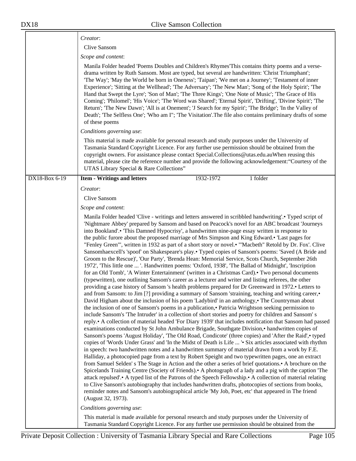|               | Creator:                                                                                                                                                                                                                                                                                                                                                                                                                                                                                                                                                                                                                                                                                                                                                                                                                                                                                                                                                                                                                                                                                                                                                                                                                                                                                                                                                                                                                                                                                                                                                                                                                                                                                                                                                                                                                                                                                                                                                                                                                                                                                                                                                                                                                                                                                                                                                                                                                                                                                                                                                                                                                                                                                                                                                                                                                                                |  |  |
|---------------|---------------------------------------------------------------------------------------------------------------------------------------------------------------------------------------------------------------------------------------------------------------------------------------------------------------------------------------------------------------------------------------------------------------------------------------------------------------------------------------------------------------------------------------------------------------------------------------------------------------------------------------------------------------------------------------------------------------------------------------------------------------------------------------------------------------------------------------------------------------------------------------------------------------------------------------------------------------------------------------------------------------------------------------------------------------------------------------------------------------------------------------------------------------------------------------------------------------------------------------------------------------------------------------------------------------------------------------------------------------------------------------------------------------------------------------------------------------------------------------------------------------------------------------------------------------------------------------------------------------------------------------------------------------------------------------------------------------------------------------------------------------------------------------------------------------------------------------------------------------------------------------------------------------------------------------------------------------------------------------------------------------------------------------------------------------------------------------------------------------------------------------------------------------------------------------------------------------------------------------------------------------------------------------------------------------------------------------------------------------------------------------------------------------------------------------------------------------------------------------------------------------------------------------------------------------------------------------------------------------------------------------------------------------------------------------------------------------------------------------------------------------------------------------------------------------------------------------------------------|--|--|
|               | Clive Sansom                                                                                                                                                                                                                                                                                                                                                                                                                                                                                                                                                                                                                                                                                                                                                                                                                                                                                                                                                                                                                                                                                                                                                                                                                                                                                                                                                                                                                                                                                                                                                                                                                                                                                                                                                                                                                                                                                                                                                                                                                                                                                                                                                                                                                                                                                                                                                                                                                                                                                                                                                                                                                                                                                                                                                                                                                                            |  |  |
|               | Scope and content:                                                                                                                                                                                                                                                                                                                                                                                                                                                                                                                                                                                                                                                                                                                                                                                                                                                                                                                                                                                                                                                                                                                                                                                                                                                                                                                                                                                                                                                                                                                                                                                                                                                                                                                                                                                                                                                                                                                                                                                                                                                                                                                                                                                                                                                                                                                                                                                                                                                                                                                                                                                                                                                                                                                                                                                                                                      |  |  |
|               | Manila Folder headed 'Poems Doubles and Children's Rhymes This contains thirty poems and a verse-<br>drama written by Ruth Sansom. Most are typed, but several are handwritten: 'Christ Triumphant';<br>'The Way'; 'May the World be born in Oneness'; 'Taipan'; 'We met on a Journey'; 'Testament of inner<br>Experience'; 'Sitting at the Wellhead'; 'The Adversary'; 'The New Man'; 'Song of the Holy Spirit'; 'The<br>Hand that Swept the Lyre'; 'Son of Man'; 'The Three Kings'; 'One Note of Music'; 'The Grace of His<br>Coming'; 'Philomel'; 'His Voice'; 'The Word was Shared'; 'Eternal Spirit', 'Drifting', 'Divine Spirit'; 'The<br>Return'; 'The New Dawn'; 'All is at Onement'; 'J Search for my Spirit'; 'The Bridge'; 'In the Valley of<br>Death'; 'The Selfless One'; 'Who am I"; 'The Visitation'. The file also contains preliminary drafts of some<br>of these poems                                                                                                                                                                                                                                                                                                                                                                                                                                                                                                                                                                                                                                                                                                                                                                                                                                                                                                                                                                                                                                                                                                                                                                                                                                                                                                                                                                                                                                                                                                                                                                                                                                                                                                                                                                                                                                                                                                                                                                |  |  |
|               | Conditions governing use:                                                                                                                                                                                                                                                                                                                                                                                                                                                                                                                                                                                                                                                                                                                                                                                                                                                                                                                                                                                                                                                                                                                                                                                                                                                                                                                                                                                                                                                                                                                                                                                                                                                                                                                                                                                                                                                                                                                                                                                                                                                                                                                                                                                                                                                                                                                                                                                                                                                                                                                                                                                                                                                                                                                                                                                                                               |  |  |
|               | This material is made available for personal research and study purposes under the University of<br>Tasmania Standard Copyright Licence. For any further use permission should be obtained from the<br>copyright owners. For assistance please contact Special.Collections@utas.edu.auWhen reusing this<br>material, please cite the reference number and provide the following acknowledgement: "Courtesy of the<br>UTAS Library Special & Rare Collections"                                                                                                                                                                                                                                                                                                                                                                                                                                                                                                                                                                                                                                                                                                                                                                                                                                                                                                                                                                                                                                                                                                                                                                                                                                                                                                                                                                                                                                                                                                                                                                                                                                                                                                                                                                                                                                                                                                                                                                                                                                                                                                                                                                                                                                                                                                                                                                                           |  |  |
| DX18-Box 6-19 | 1932-1972<br>1 folder<br><b>Item - Writings and letters</b>                                                                                                                                                                                                                                                                                                                                                                                                                                                                                                                                                                                                                                                                                                                                                                                                                                                                                                                                                                                                                                                                                                                                                                                                                                                                                                                                                                                                                                                                                                                                                                                                                                                                                                                                                                                                                                                                                                                                                                                                                                                                                                                                                                                                                                                                                                                                                                                                                                                                                                                                                                                                                                                                                                                                                                                             |  |  |
|               | Creator:                                                                                                                                                                                                                                                                                                                                                                                                                                                                                                                                                                                                                                                                                                                                                                                                                                                                                                                                                                                                                                                                                                                                                                                                                                                                                                                                                                                                                                                                                                                                                                                                                                                                                                                                                                                                                                                                                                                                                                                                                                                                                                                                                                                                                                                                                                                                                                                                                                                                                                                                                                                                                                                                                                                                                                                                                                                |  |  |
|               | Clive Sansom                                                                                                                                                                                                                                                                                                                                                                                                                                                                                                                                                                                                                                                                                                                                                                                                                                                                                                                                                                                                                                                                                                                                                                                                                                                                                                                                                                                                                                                                                                                                                                                                                                                                                                                                                                                                                                                                                                                                                                                                                                                                                                                                                                                                                                                                                                                                                                                                                                                                                                                                                                                                                                                                                                                                                                                                                                            |  |  |
|               | Scope and content:                                                                                                                                                                                                                                                                                                                                                                                                                                                                                                                                                                                                                                                                                                                                                                                                                                                                                                                                                                                                                                                                                                                                                                                                                                                                                                                                                                                                                                                                                                                                                                                                                                                                                                                                                                                                                                                                                                                                                                                                                                                                                                                                                                                                                                                                                                                                                                                                                                                                                                                                                                                                                                                                                                                                                                                                                                      |  |  |
|               | Manila Folder headed 'Clive - writings and letters answered in scribbled handwriting'.• Typed script of<br>'Nightmare Abbey' prepared by Sansom and based on Peacock's novel for an ABC broadcast 'Journeys<br>into Bookland'.• 'This Damned Hypocrisy', a handwritten nine-page essay written in response to<br>the public furore about the proposed marriage of Mrs Simpson and King Edward. Last pages for<br>"Fenley Green"', written in 1932 as part of a short story or novel.• "'Macbeth" Retold by Dr. Fox'. Clive<br>Sansomhaexcell's 'spoof' on Shakespeare's play.• Typed copies of Sansom's poems: 'Saved (A Bride and<br>Groom to the Rescue)', 'Our Party', 'Brenda Hean: Memorial Service, Scots Church, September 26th<br>1972', 'This little one  '. Handwritten poems: 'Oxford, 1938', 'The Ballad of Midnight', 'Inscription<br>for an Old Tomb', 'A Winter Entertainment' (written in a Christmas Card). Two personal documents<br>(typewritten), one outlining Sansom's career as a lecturer and writer and listing referees, the other<br>providing a case history of Sansom 's health problems prepared for Dr Greenward in 1972. Letters to<br>and from Sansom: to Jim [?] providing a summary of Sansom 'straining, teaching and writing career,<br>David Higham about the inclusion of his poem 'Ladybird' in an anthology, The Countryman about<br>the inclusion of one of Sansom's poems in a publication, • Patricia Wrightson seeking permission to<br>include Sansom's 'The Intruder' in a collection of short stories and poetry for children and Sansom's<br>reply.• A collection of material headed 'For Diary 1939' that includes notification that Sansom had passed<br>examinations conducted by St John Ambulance Brigade, Southgate Division, • handwritten copies of<br>Sansom's poems 'August Holiday', 'The Old Road, Condicote' (three copies) and 'After the Raid', * typed<br>copies of 'Words Under Grass' and 'In the Midst of Death is Life  ' Six articles associated with rhythm<br>in speech: two handwritten notes and a handwritten summary of material drawn from a work by F.E.<br>Halliday, a photocopied page from a text by Robert Speight and two typewritten pages, one an extract<br>from Samuel Selden's The Stage in Action and the other a series of brief quotations.• A brochure on the<br>Spicelands Training Centre (Society of Friends). A photograph of a lady and a pig with the caption 'The<br>attack repulsed'.• A typed list of the Patrons of the Speech Fellowship.• A collection of material relating<br>to Clive Sansom's autobiography that includes handwritten drafts, photocopies of sections from books,<br>reminder notes and Sansom's autobiographical article 'My Job, Poet, etc' that appeared in The friend<br>(August 32, 1973).<br>Conditions governing use: |  |  |
|               | This material is made available for personal research and study purposes under the University of<br>Tasmania Standard Copyright Licence. For any further use permission should be obtained from the                                                                                                                                                                                                                                                                                                                                                                                                                                                                                                                                                                                                                                                                                                                                                                                                                                                                                                                                                                                                                                                                                                                                                                                                                                                                                                                                                                                                                                                                                                                                                                                                                                                                                                                                                                                                                                                                                                                                                                                                                                                                                                                                                                                                                                                                                                                                                                                                                                                                                                                                                                                                                                                     |  |  |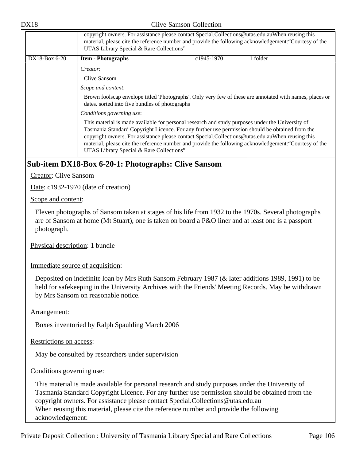|                 | copyright owners. For assistance please contact Special.Collections@utas.edu.auWhen reusing this<br>material, please cite the reference number and provide the following acknowledgement: "Courtesy of the<br>UTAS Library Special & Rare Collections"                                                                                                                                                                                                        |                         |          |
|-----------------|---------------------------------------------------------------------------------------------------------------------------------------------------------------------------------------------------------------------------------------------------------------------------------------------------------------------------------------------------------------------------------------------------------------------------------------------------------------|-------------------------|----------|
| $DX18-Box 6-20$ | <b>Item - Photographs</b>                                                                                                                                                                                                                                                                                                                                                                                                                                     | c <sub>1945</sub> -1970 | 1 folder |
|                 | Creator:                                                                                                                                                                                                                                                                                                                                                                                                                                                      |                         |          |
|                 | Clive Sansom                                                                                                                                                                                                                                                                                                                                                                                                                                                  |                         |          |
|                 | Scope and content:                                                                                                                                                                                                                                                                                                                                                                                                                                            |                         |          |
|                 | Brown foolscap envelope titled 'Photographs'. Only very few of these are annotated with names, places or<br>dates. sorted into five bundles of photographs                                                                                                                                                                                                                                                                                                    |                         |          |
|                 | Conditions governing use:                                                                                                                                                                                                                                                                                                                                                                                                                                     |                         |          |
|                 | This material is made available for personal research and study purposes under the University of<br>Tasmania Standard Copyright Licence. For any further use permission should be obtained from the<br>copyright owners. For assistance please contact Special.Collections@utas.edu.auWhen reusing this<br>material, please cite the reference number and provide the following acknowledgement: "Courtesy of the<br>UTAS Library Special & Rare Collections" |                         |          |

# **Sub-item DX18-Box 6-20-1: Photographs: Clive Sansom**

Creator: Clive Sansom

Date: c1932-1970 (date of creation)

Scope and content:

Eleven photographs of Sansom taken at stages of his life from 1932 to the 1970s. Several photographs are of Sansom at home (Mt Stuart), one is taken on board a P&O liner and at least one is a passport photograph.

Physical description: 1 bundle

Immediate source of acquisition:

Deposited on indefinite loan by Mrs Ruth Sansom February 1987 (& later additions 1989, 1991) to be held for safekeeping in the University Archives with the Friends' Meeting Records. May be withdrawn by Mrs Sansom on reasonable notice.

Arrangement:

Boxes inventoried by Ralph Spaulding March 2006

Restrictions on access:

May be consulted by researchers under supervision

Conditions governing use:

This material is made available for personal research and study purposes under the University of Tasmania Standard Copyright Licence. For any further use permission should be obtained from the copyright owners. For assistance please contact Special.Collections@utas.edu.au When reusing this material, please cite the reference number and provide the following acknowledgement: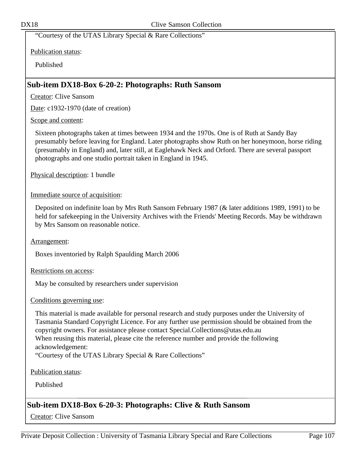"Courtesy of the UTAS Library Special & Rare Collections"

Publication status:

Published

## **Sub-item DX18-Box 6-20-2: Photographs: Ruth Sansom**

Creator: Clive Sansom

Date: c1932-1970 (date of creation)

## Scope and content:

Sixteen photographs taken at times between 1934 and the 1970s. One is of Ruth at Sandy Bay presumably before leaving for England. Later photographs show Ruth on her honeymoon, horse riding (presumably in England) and, later still, at Eaglehawk Neck and Orford. There are several passport photographs and one studio portrait taken in England in 1945.

Physical description: 1 bundle

## Immediate source of acquisition:

Deposited on indefinite loan by Mrs Ruth Sansom February 1987 (& later additions 1989, 1991) to be held for safekeeping in the University Archives with the Friends' Meeting Records. May be withdrawn by Mrs Sansom on reasonable notice.

Arrangement:

Boxes inventoried by Ralph Spaulding March 2006

Restrictions on access:

May be consulted by researchers under supervision

## Conditions governing use:

This material is made available for personal research and study purposes under the University of Tasmania Standard Copyright Licence. For any further use permission should be obtained from the copyright owners. For assistance please contact Special.Collections@utas.edu.au When reusing this material, please cite the reference number and provide the following acknowledgement: "Courtesy of the UTAS Library Special & Rare Collections"

Publication status:

Published

# **Sub-item DX18-Box 6-20-3: Photographs: Clive & Ruth Sansom**

Creator: Clive Sansom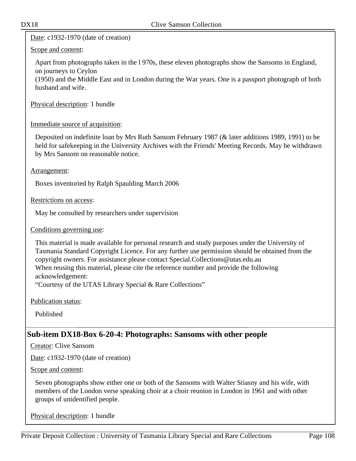Date: c1932-1970 (date of creation)

## Scope and content:

Apart from photographs taken in the l 970s, these eleven photographs show the Sansoms in England, on journeys to Ceylon

(1950) and the Middle East and in London during the War years. One is a passport photograph of both husband and wife.

Physical description: 1 bundle

Immediate source of acquisition:

Deposited on indefinite loan by Mrs Ruth Sansom February 1987 (& later additions 1989, 1991) to be held for safekeeping in the University Archives with the Friends' Meeting Records. May be withdrawn by Mrs Sansom on reasonable notice.

## Arrangement:

Boxes inventoried by Ralph Spaulding March 2006

Restrictions on access:

May be consulted by researchers under supervision

Conditions governing use:

This material is made available for personal research and study purposes under the University of Tasmania Standard Copyright Licence. For any further use permission should be obtained from the copyright owners. For assistance please contact Special.Collections@utas.edu.au When reusing this material, please cite the reference number and provide the following acknowledgement:

"Courtesy of the UTAS Library Special & Rare Collections"

Publication status:

Published

# **Sub-item DX18-Box 6-20-4: Photographs: Sansoms with other people**

Creator: Clive Sansom

Date: c1932-1970 (date of creation)

Scope and content:

Seven photographs show either one or both of the Sansoms with Walter Stiasny and his wife, with members of the London verse speaking choir at a choir reunion in London in 1961 and with other groups of unidentified people.

Physical description: 1 bundle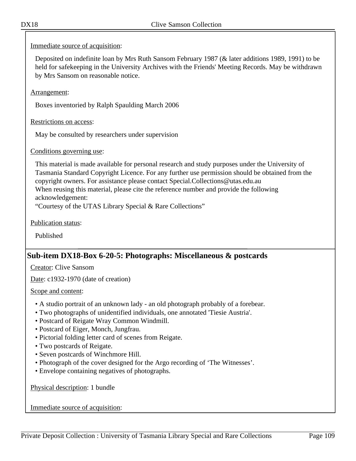# Immediate source of acquisition:

Deposited on indefinite loan by Mrs Ruth Sansom February 1987 (& later additions 1989, 1991) to be held for safekeeping in the University Archives with the Friends' Meeting Records. May be withdrawn by Mrs Sansom on reasonable notice.

Arrangement:

Boxes inventoried by Ralph Spaulding March 2006

Restrictions on access:

May be consulted by researchers under supervision

# Conditions governing use:

This material is made available for personal research and study purposes under the University of Tasmania Standard Copyright Licence. For any further use permission should be obtained from the copyright owners. For assistance please contact Special.Collections@utas.edu.au When reusing this material, please cite the reference number and provide the following acknowledgement:

"Courtesy of the UTAS Library Special & Rare Collections"

Publication status:

Published

# **Sub-item DX18-Box 6-20-5: Photographs: Miscellaneous & postcards**

Creator: Clive Sansom

Date: c1932-1970 (date of creation)

#### Scope and content:

- A studio portrait of an unknown lady an old photograph probably of a forebear.
- Two photographs of unidentified individuals, one annotated 'Tiesie Austria'.
- Postcard of Reigate Wray Common Windmill.
- Postcard of Eiger, Monch, Jungfrau.
- Pictorial folding letter card of scenes from Reigate.
- Two postcards of Reigate.
- Seven postcards of Winchmore Hill.
- Photograph of the cover designed for the Argo recording of 'The Witnesses'.
- Envelope containing negatives of photographs.

Physical description: 1 bundle

Immediate source of acquisition: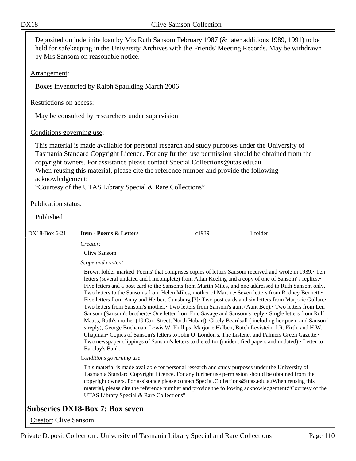Deposited on indefinite loan by Mrs Ruth Sansom February 1987 (& later additions 1989, 1991) to be held for safekeeping in the University Archives with the Friends' Meeting Records. May be withdrawn by Mrs Sansom on reasonable notice.

### Arrangement:

Boxes inventoried by Ralph Spaulding March 2006

### Restrictions on access:

May be consulted by researchers under supervision

# Conditions governing use:

This material is made available for personal research and study purposes under the University of Tasmania Standard Copyright Licence. For any further use permission should be obtained from the copyright owners. For assistance please contact Special.Collections@utas.edu.au When reusing this material, please cite the reference number and provide the following acknowledgement:

"Courtesy of the UTAS Library Special & Rare Collections"

# Publication status:

Published

| DX18-Box 6-21 | <b>Item - Poems &amp; Letters</b>                                                                                                                                                                                                                                                                                                                   | c1939 | 1 folder                                                                                                                                                                                                                                                                                                                                                                                                                                                                                                                                                                                                                                                                                                                                                                                                                                                                                                                                                                                                                                                                                                                                                                          |
|---------------|-----------------------------------------------------------------------------------------------------------------------------------------------------------------------------------------------------------------------------------------------------------------------------------------------------------------------------------------------------|-------|-----------------------------------------------------------------------------------------------------------------------------------------------------------------------------------------------------------------------------------------------------------------------------------------------------------------------------------------------------------------------------------------------------------------------------------------------------------------------------------------------------------------------------------------------------------------------------------------------------------------------------------------------------------------------------------------------------------------------------------------------------------------------------------------------------------------------------------------------------------------------------------------------------------------------------------------------------------------------------------------------------------------------------------------------------------------------------------------------------------------------------------------------------------------------------------|
|               | Creator:                                                                                                                                                                                                                                                                                                                                            |       |                                                                                                                                                                                                                                                                                                                                                                                                                                                                                                                                                                                                                                                                                                                                                                                                                                                                                                                                                                                                                                                                                                                                                                                   |
|               | Clive Sansom                                                                                                                                                                                                                                                                                                                                        |       |                                                                                                                                                                                                                                                                                                                                                                                                                                                                                                                                                                                                                                                                                                                                                                                                                                                                                                                                                                                                                                                                                                                                                                                   |
|               | Scope and content:                                                                                                                                                                                                                                                                                                                                  |       |                                                                                                                                                                                                                                                                                                                                                                                                                                                                                                                                                                                                                                                                                                                                                                                                                                                                                                                                                                                                                                                                                                                                                                                   |
|               | Barclay's Bank.                                                                                                                                                                                                                                                                                                                                     |       | Brown folder marked 'Poems' that comprises copies of letters Sansom received and wrote in 1939. Ten<br>letters (several undated and l incomplete) from Allan Keeling and a copy of one of Sansom's replies.<br>Five letters and a post card to the Sansoms from Martin Miles, and one addressed to Ruth Sansom only.<br>Two letters to the Sansoms from Helen Miles, mother of Martin. Seven letters from Rodney Bennett.<br>Five letters from Anny and Herbert Gunsburg [?] Two post cards and six letters from Marjorie Gullan.<br>Two letters from Sansom's mother.• Two letters from Sansom's aunt (Aunt Bee).• Two letters from Len<br>Sansom (Sansom's brother). One letter from Eric Savage and Sansom's reply. Single letters from Rolf<br>Maass, Ruth's mother (19 Carr Street, North Hobart), Cicely Beardsall (including her poem and Sansom'<br>s reply), George Buchanan, Lewis W. Phillips, Marjorie Halben, Butch Levistein, J.R. Firth, and H.W.<br>Chapman• Copies of Sansom's letters to John O 'London's, The Listener and Palmers Green Gazette.•<br>Two newspaper clippings of Sansom's letters to the editor (unidentified papers and undated). • Letter to |
|               | Conditions governing use:                                                                                                                                                                                                                                                                                                                           |       |                                                                                                                                                                                                                                                                                                                                                                                                                                                                                                                                                                                                                                                                                                                                                                                                                                                                                                                                                                                                                                                                                                                                                                                   |
|               | This material is made available for personal research and study purposes under the University of<br>Tasmania Standard Copyright Licence. For any further use permission should be obtained from the<br>copyright owners. For assistance please contact Special.Collections@utas.edu.auWhen reusing this<br>UTAS Library Special & Rare Collections" |       | material, please cite the reference number and provide the following acknowledgement: "Courtesy of the                                                                                                                                                                                                                                                                                                                                                                                                                                                                                                                                                                                                                                                                                                                                                                                                                                                                                                                                                                                                                                                                            |

Creator: Clive Sansom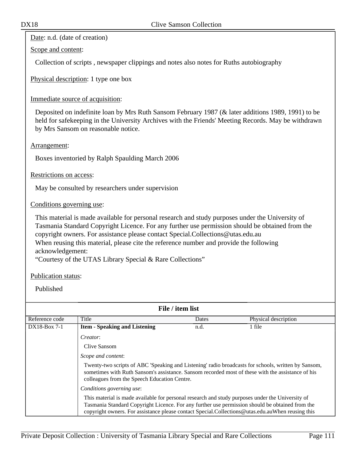Date: n.d. (date of creation)

Scope and content:

Collection of scripts , newspaper clippings and notes also notes for Ruths autobiography

Physical description: 1 type one box

Immediate source of acquisition:

Deposited on indefinite loan by Mrs Ruth Sansom February 1987 (& later additions 1989, 1991) to be held for safekeeping in the University Archives with the Friends' Meeting Records. May be withdrawn by Mrs Sansom on reasonable notice.

Arrangement:

Boxes inventoried by Ralph Spaulding March 2006

Restrictions on access:

May be consulted by researchers under supervision

Conditions governing use:

This material is made available for personal research and study purposes under the University of Tasmania Standard Copyright Licence. For any further use permission should be obtained from the copyright owners. For assistance please contact Special.Collections@utas.edu.au When reusing this material, please cite the reference number and provide the following acknowledgement:

"Courtesy of the UTAS Library Special & Rare Collections"

Publication status:

Published

| File / item list                                                                                                                                                                                                                                                                                        |                                                                                                                                                                                                                                                          |       |                      |  |  |
|---------------------------------------------------------------------------------------------------------------------------------------------------------------------------------------------------------------------------------------------------------------------------------------------------------|----------------------------------------------------------------------------------------------------------------------------------------------------------------------------------------------------------------------------------------------------------|-------|----------------------|--|--|
| Reference code                                                                                                                                                                                                                                                                                          | Title                                                                                                                                                                                                                                                    | Dates | Physical description |  |  |
| $DX18-Box 7-1$                                                                                                                                                                                                                                                                                          | <b>Item - Speaking and Listening</b>                                                                                                                                                                                                                     | n.d.  | 1 file               |  |  |
|                                                                                                                                                                                                                                                                                                         | Creator:                                                                                                                                                                                                                                                 |       |                      |  |  |
|                                                                                                                                                                                                                                                                                                         | Clive Sansom<br>Scope and content:                                                                                                                                                                                                                       |       |                      |  |  |
|                                                                                                                                                                                                                                                                                                         |                                                                                                                                                                                                                                                          |       |                      |  |  |
|                                                                                                                                                                                                                                                                                                         | Twenty-two scripts of ABC 'Speaking and Listening' radio broadcasts for schools, written by Sansom,<br>sometimes with Ruth Sansom's assistance. Sansom recorded most of these with the assistance of his<br>colleagues from the Speech Education Centre. |       |                      |  |  |
|                                                                                                                                                                                                                                                                                                         | Conditions governing use:                                                                                                                                                                                                                                |       |                      |  |  |
| This material is made available for personal research and study purposes under the University of<br>Tasmania Standard Copyright Licence. For any further use permission should be obtained from the<br>copyright owners. For assistance please contact Special.Collections@utas.edu.auWhen reusing this |                                                                                                                                                                                                                                                          |       |                      |  |  |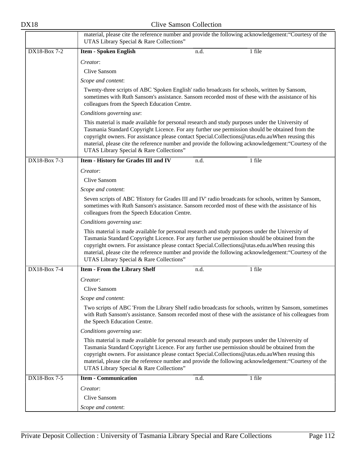|              | material, please cite the reference number and provide the following acknowledgement: "Courtesy of the<br>UTAS Library Special & Rare Collections"                                                                                                                                                                                                                                                                                                            |                                                                                                        |                                                                                                                                                                                                                  |  |
|--------------|---------------------------------------------------------------------------------------------------------------------------------------------------------------------------------------------------------------------------------------------------------------------------------------------------------------------------------------------------------------------------------------------------------------------------------------------------------------|--------------------------------------------------------------------------------------------------------|------------------------------------------------------------------------------------------------------------------------------------------------------------------------------------------------------------------|--|
| DX18-Box 7-2 | <b>Item - Spoken English</b>                                                                                                                                                                                                                                                                                                                                                                                                                                  | n.d.                                                                                                   | 1 file                                                                                                                                                                                                           |  |
|              | Creator:                                                                                                                                                                                                                                                                                                                                                                                                                                                      |                                                                                                        |                                                                                                                                                                                                                  |  |
|              | <b>Clive Sansom</b>                                                                                                                                                                                                                                                                                                                                                                                                                                           |                                                                                                        |                                                                                                                                                                                                                  |  |
|              | Scope and content:                                                                                                                                                                                                                                                                                                                                                                                                                                            |                                                                                                        |                                                                                                                                                                                                                  |  |
|              | Twenty-three scripts of ABC 'Spoken English' radio broadcasts for schools, written by Sansom,<br>sometimes with Ruth Sansom's assistance. Sansom recorded most of these with the assistance of his<br>colleagues from the Speech Education Centre.                                                                                                                                                                                                            |                                                                                                        |                                                                                                                                                                                                                  |  |
|              | Conditions governing use:                                                                                                                                                                                                                                                                                                                                                                                                                                     |                                                                                                        |                                                                                                                                                                                                                  |  |
|              | This material is made available for personal research and study purposes under the University of<br>Tasmania Standard Copyright Licence. For any further use permission should be obtained from the<br>copyright owners. For assistance please contact Special.Collections@utas.edu.auWhen reusing this<br>material, please cite the reference number and provide the following acknowledgement: "Courtesy of the<br>UTAS Library Special & Rare Collections" |                                                                                                        |                                                                                                                                                                                                                  |  |
| DX18-Box 7-3 | Item - History for Grades III and IV                                                                                                                                                                                                                                                                                                                                                                                                                          | n.d.                                                                                                   | 1 file                                                                                                                                                                                                           |  |
|              | Creator:                                                                                                                                                                                                                                                                                                                                                                                                                                                      |                                                                                                        |                                                                                                                                                                                                                  |  |
|              | <b>Clive Sansom</b>                                                                                                                                                                                                                                                                                                                                                                                                                                           |                                                                                                        |                                                                                                                                                                                                                  |  |
|              | Scope and content:                                                                                                                                                                                                                                                                                                                                                                                                                                            |                                                                                                        |                                                                                                                                                                                                                  |  |
|              | Seven scripts of ABC 'History for Grades III and IV' radio broadcasts for schools, written by Sansom,<br>sometimes with Ruth Sansom's assistance. Sansom recorded most of these with the assistance of his                                                                                                                                                                                                                                                    |                                                                                                        |                                                                                                                                                                                                                  |  |
|              | Conditions governing use:                                                                                                                                                                                                                                                                                                                                                                                                                                     |                                                                                                        |                                                                                                                                                                                                                  |  |
|              | This material is made available for personal research and study purposes under the University of<br>Tasmania Standard Copyright Licence. For any further use permission should be obtained from the<br>copyright owners. For assistance please contact Special.Collections@utas.edu.auWhen reusing this<br>UTAS Library Special & Rare Collections"                                                                                                           | material, please cite the reference number and provide the following acknowledgement: "Courtesy of the |                                                                                                                                                                                                                  |  |
| DX18-Box 7-4 | <b>Item - From the Library Shelf</b>                                                                                                                                                                                                                                                                                                                                                                                                                          | n.d.                                                                                                   | 1 file                                                                                                                                                                                                           |  |
|              | Creator:                                                                                                                                                                                                                                                                                                                                                                                                                                                      |                                                                                                        |                                                                                                                                                                                                                  |  |
|              | Clive Sansom                                                                                                                                                                                                                                                                                                                                                                                                                                                  |                                                                                                        |                                                                                                                                                                                                                  |  |
|              | Scope and content:                                                                                                                                                                                                                                                                                                                                                                                                                                            |                                                                                                        |                                                                                                                                                                                                                  |  |
|              | the Speech Education Centre.                                                                                                                                                                                                                                                                                                                                                                                                                                  |                                                                                                        | Two scripts of ABC 'From the Library Shelf radio broadcasts for schools, written by Sansom, sometimes<br>with Ruth Sansom's assistance. Sansom recorded most of these with the assistance of his colleagues from |  |
|              | Conditions governing use:                                                                                                                                                                                                                                                                                                                                                                                                                                     |                                                                                                        |                                                                                                                                                                                                                  |  |
|              | This material is made available for personal research and study purposes under the University of<br>Tasmania Standard Copyright Licence. For any further use permission should be obtained from the<br>copyright owners. For assistance please contact Special.Collections@utas.edu.auWhen reusing this<br>UTAS Library Special & Rare Collections"                                                                                                           |                                                                                                        | material, please cite the reference number and provide the following acknowledgement: "Courtesy of the                                                                                                           |  |
| DX18-Box 7-5 | <b>Item - Communication</b>                                                                                                                                                                                                                                                                                                                                                                                                                                   | n.d.                                                                                                   | 1 file                                                                                                                                                                                                           |  |
|              | Creator:                                                                                                                                                                                                                                                                                                                                                                                                                                                      |                                                                                                        |                                                                                                                                                                                                                  |  |
|              | Clive Sansom                                                                                                                                                                                                                                                                                                                                                                                                                                                  |                                                                                                        |                                                                                                                                                                                                                  |  |
|              | Scope and content:                                                                                                                                                                                                                                                                                                                                                                                                                                            |                                                                                                        |                                                                                                                                                                                                                  |  |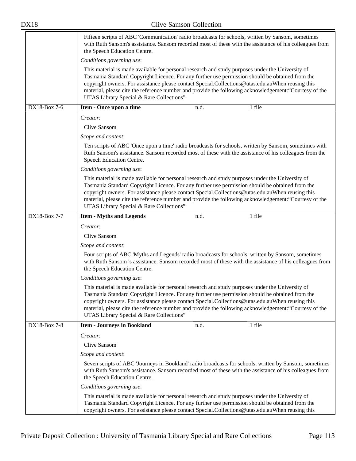|              | Fifteen scripts of ABC 'Communication' radio broadcasts for schools, written by Sansom, sometimes<br>with Ruth Sansom's assistance. Sansom recorded most of these with the assistance of his colleagues from<br>the Speech Education Centre.                                                                                                                                                                                                                  |  |  |  |
|--------------|---------------------------------------------------------------------------------------------------------------------------------------------------------------------------------------------------------------------------------------------------------------------------------------------------------------------------------------------------------------------------------------------------------------------------------------------------------------|--|--|--|
|              | Conditions governing use:                                                                                                                                                                                                                                                                                                                                                                                                                                     |  |  |  |
|              | This material is made available for personal research and study purposes under the University of<br>Tasmania Standard Copyright Licence. For any further use permission should be obtained from the<br>copyright owners. For assistance please contact Special.Collections@utas.edu.auWhen reusing this<br>material, please cite the reference number and provide the following acknowledgement: "Courtesy of the<br>UTAS Library Special & Rare Collections" |  |  |  |
| DX18-Box 7-6 | Item - Once upon a time<br>1 file<br>n.d.                                                                                                                                                                                                                                                                                                                                                                                                                     |  |  |  |
|              | Creator:                                                                                                                                                                                                                                                                                                                                                                                                                                                      |  |  |  |
|              | Clive Sansom                                                                                                                                                                                                                                                                                                                                                                                                                                                  |  |  |  |
|              | Scope and content:                                                                                                                                                                                                                                                                                                                                                                                                                                            |  |  |  |
|              | Ten scripts of ABC 'Once upon a time' radio broadcasts for schools, written by Sansom, sometimes with<br>Ruth Sansom's assistance. Sansom recorded most of these with the assistance of his colleagues from the<br>Speech Education Centre.                                                                                                                                                                                                                   |  |  |  |
|              | Conditions governing use:                                                                                                                                                                                                                                                                                                                                                                                                                                     |  |  |  |
|              | This material is made available for personal research and study purposes under the University of<br>Tasmania Standard Copyright Licence. For any further use permission should be obtained from the<br>copyright owners. For assistance please contact Special.Collections@utas.edu.auWhen reusing this<br>material, please cite the reference number and provide the following acknowledgement: "Courtesy of the<br>UTAS Library Special & Rare Collections" |  |  |  |
| DX18-Box 7-7 | 1 file<br><b>Item - Myths and Legends</b><br>n.d.                                                                                                                                                                                                                                                                                                                                                                                                             |  |  |  |
|              | Creator:                                                                                                                                                                                                                                                                                                                                                                                                                                                      |  |  |  |
|              | Clive Sansom                                                                                                                                                                                                                                                                                                                                                                                                                                                  |  |  |  |
|              | Scope and content:                                                                                                                                                                                                                                                                                                                                                                                                                                            |  |  |  |
|              | Four scripts of ABC 'Myths and Legends' radio broadcasts for schools, written by Sansom, sometimes<br>with Ruth Sansom 's assistance. Sansom recorded most of these with the assistance of his colleagues from<br>the Speech Education Centre.                                                                                                                                                                                                                |  |  |  |
|              | Conditions governing use:                                                                                                                                                                                                                                                                                                                                                                                                                                     |  |  |  |
|              | This material is made available for personal research and study purposes under the University of<br>Tasmania Standard Copyright Licence. For any further use permission should be obtained from the<br>copyright owners. For assistance please contact Special.Collections@utas.edu.auWhen reusing this<br>material, please cite the reference number and provide the following acknowledgement: "Courtesy of the<br>UTAS Library Special & Rare Collections" |  |  |  |
| DX18-Box 7-8 | 1 file<br><b>Item - Journeys in Bookland</b><br>n.d.                                                                                                                                                                                                                                                                                                                                                                                                          |  |  |  |
|              | Creator:                                                                                                                                                                                                                                                                                                                                                                                                                                                      |  |  |  |
|              | <b>Clive Sansom</b>                                                                                                                                                                                                                                                                                                                                                                                                                                           |  |  |  |
|              | Scope and content:                                                                                                                                                                                                                                                                                                                                                                                                                                            |  |  |  |
|              | Seven scripts of ABC 'Journeys in Bookland' radio broadcasts for schools, written by Sansom, sometimes<br>with Ruth Sansom's assistance. Sansom recorded most of these with the assistance of his colleagues from<br>the Speech Education Centre.                                                                                                                                                                                                             |  |  |  |
|              | Conditions governing use:                                                                                                                                                                                                                                                                                                                                                                                                                                     |  |  |  |
|              | This material is made available for personal research and study purposes under the University of<br>Tasmania Standard Copyright Licence. For any further use permission should be obtained from the<br>copyright owners. For assistance please contact Special.Collections@utas.edu.auWhen reusing this                                                                                                                                                       |  |  |  |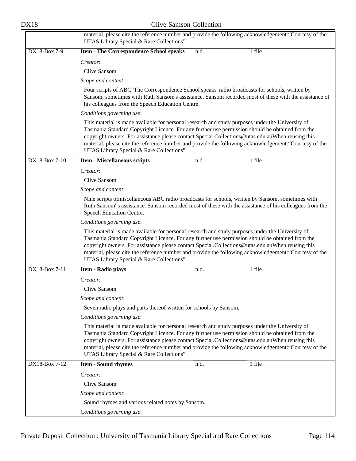|               | material, please cite the reference number and provide the following acknowledgement: "Courtesy of the<br>UTAS Library Special & Rare Collections"                                                                                                                                                                                                                                                                                                            |  |  |  |  |
|---------------|---------------------------------------------------------------------------------------------------------------------------------------------------------------------------------------------------------------------------------------------------------------------------------------------------------------------------------------------------------------------------------------------------------------------------------------------------------------|--|--|--|--|
| DX18-Box 7-9  | 1 file<br><b>Item - The Correspondence School speaks</b><br>n.d.                                                                                                                                                                                                                                                                                                                                                                                              |  |  |  |  |
|               | Creator:                                                                                                                                                                                                                                                                                                                                                                                                                                                      |  |  |  |  |
|               | Clive Sansom                                                                                                                                                                                                                                                                                                                                                                                                                                                  |  |  |  |  |
|               | Scope and content:                                                                                                                                                                                                                                                                                                                                                                                                                                            |  |  |  |  |
|               | Four scripts of ABC 'The Correspondence School speaks' radio broadcasts for schools, written by<br>Sansom, sometimes with Ruth Sansom's assistance. Sansom recorded most of these with the assistance of<br>his colleagues from the Speech Education Centre.<br>Conditions governing use:                                                                                                                                                                     |  |  |  |  |
|               |                                                                                                                                                                                                                                                                                                                                                                                                                                                               |  |  |  |  |
|               | This material is made available for personal research and study purposes under the University of<br>Tasmania Standard Copyright Licence. For any further use permission should be obtained from the<br>copyright owners. For assistance please contact Special.Collections@utas.edu.auWhen reusing this<br>material, please cite the reference number and provide the following acknowledgement: "Courtesy of the<br>UTAS Library Special & Rare Collections" |  |  |  |  |
| DX18-Box 7-10 | 1 file<br><b>Item - Miscellaneous scripts</b><br>n.d.                                                                                                                                                                                                                                                                                                                                                                                                         |  |  |  |  |
|               | Creator:<br>Clive Sansom                                                                                                                                                                                                                                                                                                                                                                                                                                      |  |  |  |  |
|               | Scope and content:                                                                                                                                                                                                                                                                                                                                                                                                                                            |  |  |  |  |
|               | Nine scripts of miscellancous ABC radio broadcasts for schools, written by Sansom, sometimes with<br>Ruth Sansom's assistance. Sansom recorded most of these with the assistance of his colleagues from the<br>Speech Education Centre.                                                                                                                                                                                                                       |  |  |  |  |
|               | Conditions governing use:                                                                                                                                                                                                                                                                                                                                                                                                                                     |  |  |  |  |
|               | This material is made available for personal research and study purposes under the University of<br>Tasmania Standard Copyright Licence. For any further use permission should be obtained from the<br>copyright owners. For assistance please contact Special.Collections@utas.edu.auWhen reusing this<br>material, please cite the reference number and provide the following acknowledgement: "Courtesy of the<br>UTAS Library Special & Rare Collections" |  |  |  |  |
| DX18-Box 7-11 | 1 file<br>Item - Radio plays<br>n.d.                                                                                                                                                                                                                                                                                                                                                                                                                          |  |  |  |  |
|               | Creator:<br>Clive Sansom<br>Scope and content:                                                                                                                                                                                                                                                                                                                                                                                                                |  |  |  |  |
|               | Seven radio plays and parts thereof written for schools by Sansom.                                                                                                                                                                                                                                                                                                                                                                                            |  |  |  |  |
|               | Conditions governing use:                                                                                                                                                                                                                                                                                                                                                                                                                                     |  |  |  |  |
|               | This material is made available for personal research and study purposes under the University of<br>Tasmania Standard Copyright Licence. For any further use permission should be obtained from the<br>copyright owners. For assistance please contact Special.Collections@utas.edu.auWhen reusing this<br>material, please cite the reference number and provide the following acknowledgement: "Courtesy of the<br>UTAS Library Special & Rare Collections" |  |  |  |  |
| DX18-Box 7-12 | 1 file<br><b>Item - Sound rhymes</b><br>n.d.                                                                                                                                                                                                                                                                                                                                                                                                                  |  |  |  |  |
|               | Creator:                                                                                                                                                                                                                                                                                                                                                                                                                                                      |  |  |  |  |
|               | Clive Sansom                                                                                                                                                                                                                                                                                                                                                                                                                                                  |  |  |  |  |
|               | Scope and content:                                                                                                                                                                                                                                                                                                                                                                                                                                            |  |  |  |  |
|               | Sound rhymes and various related notes by Sansom.                                                                                                                                                                                                                                                                                                                                                                                                             |  |  |  |  |
|               | Conditions governing use:                                                                                                                                                                                                                                                                                                                                                                                                                                     |  |  |  |  |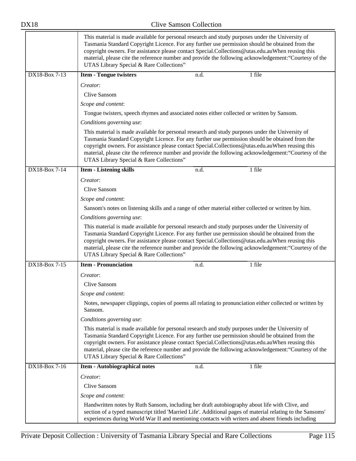|               | This material is made available for personal research and study purposes under the University of<br>Tasmania Standard Copyright Licence. For any further use permission should be obtained from the<br>copyright owners. For assistance please contact Special.Collections@utas.edu.auWhen reusing this<br>material, please cite the reference number and provide the following acknowledgement: "Courtesy of the<br>UTAS Library Special & Rare Collections" |      |                                                                                                        |  |
|---------------|---------------------------------------------------------------------------------------------------------------------------------------------------------------------------------------------------------------------------------------------------------------------------------------------------------------------------------------------------------------------------------------------------------------------------------------------------------------|------|--------------------------------------------------------------------------------------------------------|--|
| DX18-Box 7-13 | <b>Item - Tongue twisters</b>                                                                                                                                                                                                                                                                                                                                                                                                                                 | n.d. | 1 file                                                                                                 |  |
|               | Creator:                                                                                                                                                                                                                                                                                                                                                                                                                                                      |      |                                                                                                        |  |
|               | Clive Sansom                                                                                                                                                                                                                                                                                                                                                                                                                                                  |      |                                                                                                        |  |
|               | Scope and content:                                                                                                                                                                                                                                                                                                                                                                                                                                            |      |                                                                                                        |  |
|               | Tongue twisters, speech rhymes and associated notes either collected or written by Sansom.                                                                                                                                                                                                                                                                                                                                                                    |      |                                                                                                        |  |
|               | Conditions governing use:                                                                                                                                                                                                                                                                                                                                                                                                                                     |      |                                                                                                        |  |
|               | This material is made available for personal research and study purposes under the University of<br>Tasmania Standard Copyright Licence. For any further use permission should be obtained from the<br>copyright owners. For assistance please contact Special.Collections@utas.edu.auWhen reusing this<br>material, please cite the reference number and provide the following acknowledgement: "Courtesy of the<br>UTAS Library Special & Rare Collections" |      |                                                                                                        |  |
| DX18-Box 7-14 | <b>Item - Listening skills</b>                                                                                                                                                                                                                                                                                                                                                                                                                                | n.d. | 1 file                                                                                                 |  |
|               | Creator:                                                                                                                                                                                                                                                                                                                                                                                                                                                      |      |                                                                                                        |  |
|               | <b>Clive Sansom</b>                                                                                                                                                                                                                                                                                                                                                                                                                                           |      |                                                                                                        |  |
|               | Scope and content:                                                                                                                                                                                                                                                                                                                                                                                                                                            |      |                                                                                                        |  |
|               | Sansom's notes on listening skills and a range of other material either collected or written by him.                                                                                                                                                                                                                                                                                                                                                          |      |                                                                                                        |  |
|               | Conditions governing use:                                                                                                                                                                                                                                                                                                                                                                                                                                     |      |                                                                                                        |  |
|               | This material is made available for personal research and study purposes under the University of<br>Tasmania Standard Copyright Licence. For any further use permission should be obtained from the<br>copyright owners. For assistance please contact Special.Collections@utas.edu.auWhen reusing this<br>material, please cite the reference number and provide the following acknowledgement: "Courtesy of the<br>UTAS Library Special & Rare Collections" |      |                                                                                                        |  |
| DX18-Box 7-15 | <b>Item - Pronunciation</b>                                                                                                                                                                                                                                                                                                                                                                                                                                   | n.d. | 1 file                                                                                                 |  |
|               | Creator:                                                                                                                                                                                                                                                                                                                                                                                                                                                      |      |                                                                                                        |  |
|               | Clive Sansom                                                                                                                                                                                                                                                                                                                                                                                                                                                  |      |                                                                                                        |  |
|               | Scope and content:                                                                                                                                                                                                                                                                                                                                                                                                                                            |      |                                                                                                        |  |
|               | Notes, newspaper clippings, copies of poems all relating to pronunciation either collected or written by<br>Sansom.                                                                                                                                                                                                                                                                                                                                           |      |                                                                                                        |  |
|               | Conditions governing use:                                                                                                                                                                                                                                                                                                                                                                                                                                     |      |                                                                                                        |  |
|               | This material is made available for personal research and study purposes under the University of<br>Tasmania Standard Copyright Licence. For any further use permission should be obtained from the<br>copyright owners. For assistance please contact Special.Collections@utas.edu.auWhen reusing this<br>UTAS Library Special & Rare Collections"                                                                                                           |      | material, please cite the reference number and provide the following acknowledgement: "Courtesy of the |  |
| DX18-Box 7-16 | <b>Item - Autobiographical notes</b>                                                                                                                                                                                                                                                                                                                                                                                                                          | n.d. | 1 file                                                                                                 |  |
|               | Creator:                                                                                                                                                                                                                                                                                                                                                                                                                                                      |      |                                                                                                        |  |
|               | Clive Sansom                                                                                                                                                                                                                                                                                                                                                                                                                                                  |      |                                                                                                        |  |
|               | Scope and content:                                                                                                                                                                                                                                                                                                                                                                                                                                            |      |                                                                                                        |  |
|               | Handwritten notes by Ruth Sansom, including her draft autobiography about life with Clive, and<br>section of a typed manuscript titled 'Married Life'. Additional pages of material relating to the Sansoms'<br>experiences during World War II and mentioning contacts with writers and absent friends including                                                                                                                                             |      |                                                                                                        |  |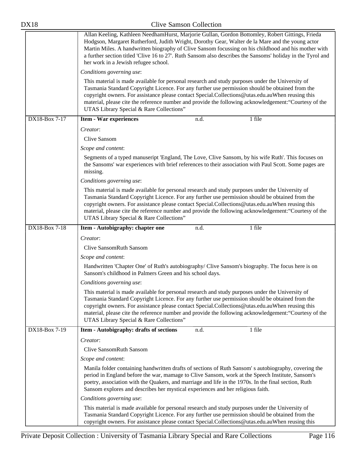| <b>DX18</b>               | <b>Clive Samson Collection</b>                                                                                                                                                                                                                                                                                                                                                                                                                                      |
|---------------------------|---------------------------------------------------------------------------------------------------------------------------------------------------------------------------------------------------------------------------------------------------------------------------------------------------------------------------------------------------------------------------------------------------------------------------------------------------------------------|
|                           | Allan Keeling, Kathleen NeedhamHurst, Marjorie Gullan, Gordon Bottomley, Robert Gittings, Frieda<br>Hodgson, Margaret Rutherford, Judith Wright, Dorothy Gear, Walter de la Mare and the young actor<br>Martin Miles. A handwritten biography of Clive Sansom focussing on his childhood and his mother with<br>a further section titled 'Clive 16 to 27'. Ruth Sansom also describes the Sansoms' holiday in the Tyrol and<br>her work in a Jewish refugee school. |
|                           | Conditions governing use:                                                                                                                                                                                                                                                                                                                                                                                                                                           |
|                           | This material is made available for personal research and study purposes under the University of<br>Tasmania Standard Copyright Licence. For any further use permission should be obtained from the<br>copyright owners. For assistance please contact Special.Collections@utas.edu.auWhen reusing this<br>material, please cite the reference number and provide the following acknowledgement: "Courtesy of the<br>UTAS Library Special & Rare Collections"       |
| DX18-Box 7-17             | 1 file<br><b>Item - War experiences</b><br>n.d.                                                                                                                                                                                                                                                                                                                                                                                                                     |
|                           | Creator:                                                                                                                                                                                                                                                                                                                                                                                                                                                            |
|                           | Clive Sansom                                                                                                                                                                                                                                                                                                                                                                                                                                                        |
|                           | Scope and content:                                                                                                                                                                                                                                                                                                                                                                                                                                                  |
|                           | Segments of a typed manuseript 'England, The Love, Clive Sansom, by his wife Ruth'. This focuses on<br>the Sansoms' war experiences with brief references to their association with Paul Scott. Some pages are<br>missing.                                                                                                                                                                                                                                          |
|                           | Conditions governing use:                                                                                                                                                                                                                                                                                                                                                                                                                                           |
|                           | This material is made available for personal research and study purposes under the University of<br>Tasmania Standard Copyright Licence. For any further use permission should be obtained from the<br>copyright owners. For assistance please contact Special.Collections@utas.edu.auWhen reusing this<br>material, please cite the reference number and provide the following acknowledgement: "Courtesy of the<br>UTAS Library Special & Rare Collections"       |
| $\overline{DX18-Box7-18}$ | 1 file<br>Item - Autobigraphy: chapter one<br>n.d.                                                                                                                                                                                                                                                                                                                                                                                                                  |
|                           | Creator:                                                                                                                                                                                                                                                                                                                                                                                                                                                            |
|                           | <b>Clive SansomRuth Sansom</b>                                                                                                                                                                                                                                                                                                                                                                                                                                      |
|                           | Scope and content:                                                                                                                                                                                                                                                                                                                                                                                                                                                  |
|                           | Handwritten 'Chapter One' of Ruth's autobiography/ Clive Sansom's biography. The focus here is on<br>Sansom's childhood in Palmers Green and his school days.                                                                                                                                                                                                                                                                                                       |
|                           | Conditions governing use:                                                                                                                                                                                                                                                                                                                                                                                                                                           |
|                           | This material is made available for personal research and study purposes under the University of<br>Tasmania Standard Copyright Licence. For any further use permission should be obtained from the<br>copyright owners. For assistance please contact Special.Collections@utas.edu.auWhen reusing this<br>material, please cite the reference number and provide the following acknowledgement: "Courtesy of the<br>UTAS Library Special & Rare Collections"       |
| DX18-Box 7-19             | 1 file<br>Item - Autobigraphy: drafts of sections<br>n.d.                                                                                                                                                                                                                                                                                                                                                                                                           |
|                           | Creator:                                                                                                                                                                                                                                                                                                                                                                                                                                                            |
|                           | <b>Clive SansomRuth Sansom</b>                                                                                                                                                                                                                                                                                                                                                                                                                                      |
|                           | Scope and content:                                                                                                                                                                                                                                                                                                                                                                                                                                                  |
|                           | Manila folder containing handwritten drafts of sections of Ruth Sansom's autobiography, covering the<br>period in England before the war, mamage to Clive Sansom, work at the Speech Institute, Sansom's<br>poetry, association with the Quakers, and marriage and life in the 1970s. In the final section, Ruth<br>Sansom explores and describes her mystical experiences and her religious faith.                                                                 |
|                           | Conditions governing use:                                                                                                                                                                                                                                                                                                                                                                                                                                           |
|                           | This material is made available for personal research and study purposes under the University of<br>Tasmania Standard Copyright Licence. For any further use permission should be obtained from the<br>copyright owners. For assistance please contact Special.Collections@utas.edu.auWhen reusing this                                                                                                                                                             |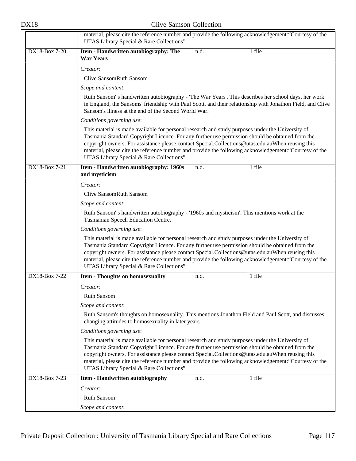|               | material, please cite the reference number and provide the following acknowledgement: "Courtesy of the<br>UTAS Library Special & Rare Collections"                                                                                                                                                                                                                                                                                                            |  |  |
|---------------|---------------------------------------------------------------------------------------------------------------------------------------------------------------------------------------------------------------------------------------------------------------------------------------------------------------------------------------------------------------------------------------------------------------------------------------------------------------|--|--|
| DX18-Box 7-20 | 1 file<br>Item - Handwritten autobiography: The<br>n.d.<br><b>War Years</b>                                                                                                                                                                                                                                                                                                                                                                                   |  |  |
|               | Creator:                                                                                                                                                                                                                                                                                                                                                                                                                                                      |  |  |
|               | <b>Clive SansomRuth Sansom</b>                                                                                                                                                                                                                                                                                                                                                                                                                                |  |  |
|               | Scope and content:                                                                                                                                                                                                                                                                                                                                                                                                                                            |  |  |
|               | Ruth Sansom's handwritten autobiography - 'The War Years'. This describes her school days, her work<br>in England, the Sansoms' friendship with Paul Scott, and their relationship with Jonathon Field, and Clive<br>Sansom's illness at the end of the Second World War.                                                                                                                                                                                     |  |  |
|               | Conditions governing use:                                                                                                                                                                                                                                                                                                                                                                                                                                     |  |  |
|               | This material is made available for personal research and study purposes under the University of<br>Tasmania Standard Copyright Licence. For any further use permission should be obtained from the<br>copyright owners. For assistance please contact Special.Collections@utas.edu.auWhen reusing this<br>material, please cite the reference number and provide the following acknowledgement: "Courtesy of the<br>UTAS Library Special & Rare Collections" |  |  |
| DX18-Box 7-21 | 1 file<br>Item - Handwritten autobiography: 1960s<br>n.d.<br>and mysticism                                                                                                                                                                                                                                                                                                                                                                                    |  |  |
|               | Creator:                                                                                                                                                                                                                                                                                                                                                                                                                                                      |  |  |
|               | <b>Clive SansomRuth Sansom</b>                                                                                                                                                                                                                                                                                                                                                                                                                                |  |  |
|               | Scope and content:                                                                                                                                                                                                                                                                                                                                                                                                                                            |  |  |
|               | Ruth Sansom's handwritten autobiography - '1960s and mysticism'. This mentions work at the<br>Tasmanian Speech Education Centre.                                                                                                                                                                                                                                                                                                                              |  |  |
|               | Conditions governing use:                                                                                                                                                                                                                                                                                                                                                                                                                                     |  |  |
|               | This material is made available for personal research and study purposes under the University of<br>Tasmania Standard Copyright Licence. For any further use permission should be obtained from the<br>copyright owners. For assistance please contact Special.Collections@utas.edu.auWhen reusing this<br>material, please cite the reference number and provide the following acknowledgement: "Courtesy of the<br>UTAS Library Special & Rare Collections" |  |  |
| DX18-Box 7-22 | 1 file<br><b>Item - Thoughts on homosexuality</b><br>n.d.                                                                                                                                                                                                                                                                                                                                                                                                     |  |  |
|               | Creator:                                                                                                                                                                                                                                                                                                                                                                                                                                                      |  |  |
|               | Ruth Sansom                                                                                                                                                                                                                                                                                                                                                                                                                                                   |  |  |
|               | Scope and content:                                                                                                                                                                                                                                                                                                                                                                                                                                            |  |  |
|               | Ruth Sansom's thoughts on homosexuality. This mentions Jonathon Field and Paul Scott, and discusses<br>changing attitudes to homosexuality in later years.                                                                                                                                                                                                                                                                                                    |  |  |
|               | Conditions governing use:                                                                                                                                                                                                                                                                                                                                                                                                                                     |  |  |
|               | This material is made available for personal research and study purposes under the University of<br>Tasmania Standard Copyright Licence. For any further use permission should be obtained from the<br>copyright owners. For assistance please contact Special.Collections@utas.edu.auWhen reusing this<br>material, please cite the reference number and provide the following acknowledgement: "Courtesy of the<br>UTAS Library Special & Rare Collections" |  |  |
| DX18-Box 7-23 | 1 file<br>Item - Handwritten autobiography<br>n.d.                                                                                                                                                                                                                                                                                                                                                                                                            |  |  |
|               | Creator:                                                                                                                                                                                                                                                                                                                                                                                                                                                      |  |  |
|               | Ruth Sansom                                                                                                                                                                                                                                                                                                                                                                                                                                                   |  |  |
|               | Scope and content:                                                                                                                                                                                                                                                                                                                                                                                                                                            |  |  |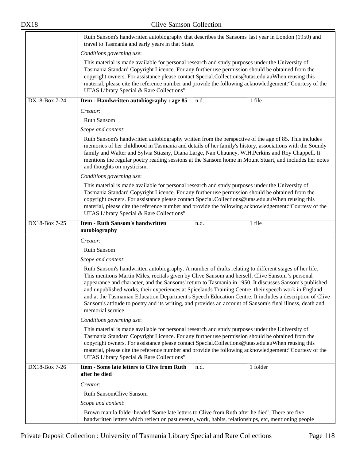|               | Ruth Sansom's handwritten autobiography that describes the Sansoms' last year in London (1950) and<br>travel to Tasmania and early years in that State.                                                                                                                                                                                                                                                                                                                                                                                                                                                                                                                  |  |  |  |
|---------------|--------------------------------------------------------------------------------------------------------------------------------------------------------------------------------------------------------------------------------------------------------------------------------------------------------------------------------------------------------------------------------------------------------------------------------------------------------------------------------------------------------------------------------------------------------------------------------------------------------------------------------------------------------------------------|--|--|--|
|               | Conditions governing use:                                                                                                                                                                                                                                                                                                                                                                                                                                                                                                                                                                                                                                                |  |  |  |
|               | This material is made available for personal research and study purposes under the University of<br>Tasmania Standard Copyright Licence. For any further use permission should be obtained from the<br>copyright owners. For assistance please contact Special.Collections@utas.edu.auWhen reusing this<br>material, please cite the reference number and provide the following acknowledgement: "Courtesy of the<br>UTAS Library Special & Rare Collections"                                                                                                                                                                                                            |  |  |  |
| DX18-Box 7-24 | Item - Handwritten autobiography : age 85<br>1 file<br>n.d.                                                                                                                                                                                                                                                                                                                                                                                                                                                                                                                                                                                                              |  |  |  |
|               | Creator:                                                                                                                                                                                                                                                                                                                                                                                                                                                                                                                                                                                                                                                                 |  |  |  |
|               | Ruth Sansom                                                                                                                                                                                                                                                                                                                                                                                                                                                                                                                                                                                                                                                              |  |  |  |
|               | Scope and content:                                                                                                                                                                                                                                                                                                                                                                                                                                                                                                                                                                                                                                                       |  |  |  |
|               | Ruth Sansom's handwritten autobiography written from the perspective of the age of 85. This includes<br>memories of her childhood in Tasmania and details of her family's history, associations with the Soundy<br>family and Walter and Sylvia Stiasny, Diana Large, Nan Chauney, W.H.Perkins and Roy Chappell. It<br>mentions the regular poetry reading sessions at the Sansom home in Mount Stuart, and includes her notes<br>and thoughts on mysticism.                                                                                                                                                                                                             |  |  |  |
|               | Conditions governing use:                                                                                                                                                                                                                                                                                                                                                                                                                                                                                                                                                                                                                                                |  |  |  |
|               | This material is made available for personal research and study purposes under the University of<br>Tasmania Standard Copyright Licence. For any further use permission should be obtained from the<br>copyright owners. For assistance please contact Special.Collections@utas.edu.auWhen reusing this<br>material, please cite the reference number and provide the following acknowledgement: "Courtesy of the<br>UTAS Library Special & Rare Collections"                                                                                                                                                                                                            |  |  |  |
| DX18-Box 7-25 | <b>Item - Ruth Sansom's handwritten</b><br>1 file<br>n.d.                                                                                                                                                                                                                                                                                                                                                                                                                                                                                                                                                                                                                |  |  |  |
|               | autobiography                                                                                                                                                                                                                                                                                                                                                                                                                                                                                                                                                                                                                                                            |  |  |  |
|               | Creator:                                                                                                                                                                                                                                                                                                                                                                                                                                                                                                                                                                                                                                                                 |  |  |  |
|               | Ruth Sansom                                                                                                                                                                                                                                                                                                                                                                                                                                                                                                                                                                                                                                                              |  |  |  |
|               | Scope and content:                                                                                                                                                                                                                                                                                                                                                                                                                                                                                                                                                                                                                                                       |  |  |  |
|               | Ruth Sansom's handwritten autobiography. A number of drafts relating to different stages of her life.<br>This mentions Martin Miles, recitals given by Clive Sansom and herself, Clive Sansom 's personal<br>appearance and character, and the Sansoms' return to Tasmania in 1950. It discusses Sansom's published<br>and unpublished works, their experiences at Spicelands Training Centre, their speech work in England<br>and at the Tasmanian Education Department's Speech Education Centre. It includes a description of Clive<br>Sansom's attitude to poetry and its writing, and provides an account of Sansom's final illness, death and<br>memorial service. |  |  |  |
|               | Conditions governing use:                                                                                                                                                                                                                                                                                                                                                                                                                                                                                                                                                                                                                                                |  |  |  |
|               | This material is made available for personal research and study purposes under the University of<br>Tasmania Standard Copyright Licence. For any further use permission should be obtained from the<br>copyright owners. For assistance please contact Special.Collections@utas.edu.auWhen reusing this<br>material, please cite the reference number and provide the following acknowledgement: "Courtesy of the<br>UTAS Library Special & Rare Collections"                                                                                                                                                                                                            |  |  |  |
| DX18-Box 7-26 | Item - Some late letters to Clive from Ruth<br>1 folder<br>n.d.<br>after he died                                                                                                                                                                                                                                                                                                                                                                                                                                                                                                                                                                                         |  |  |  |
|               | Creator:                                                                                                                                                                                                                                                                                                                                                                                                                                                                                                                                                                                                                                                                 |  |  |  |
|               | <b>Ruth SansomClive Sansom</b>                                                                                                                                                                                                                                                                                                                                                                                                                                                                                                                                                                                                                                           |  |  |  |
|               | Scope and content:                                                                                                                                                                                                                                                                                                                                                                                                                                                                                                                                                                                                                                                       |  |  |  |
|               | Brown manila folder headed 'Some late letters to Clive from Ruth after he died'. There are five<br>handwritten letters which reflect on past events, work, habits, relationships, etc, mentioning people                                                                                                                                                                                                                                                                                                                                                                                                                                                                 |  |  |  |